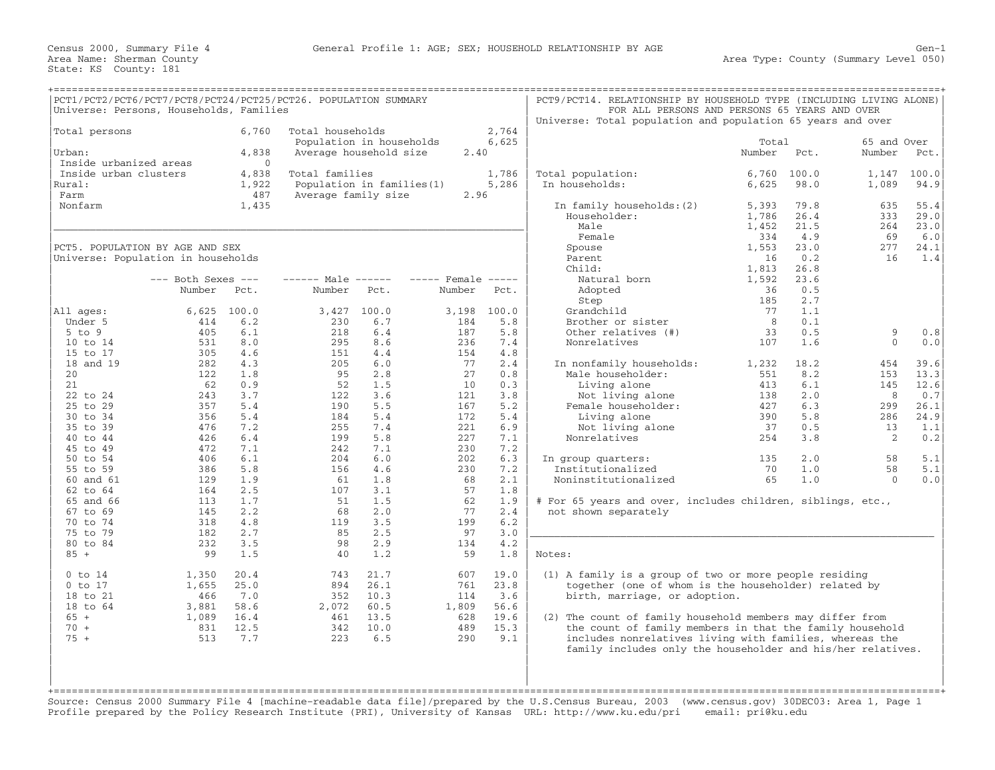|                        | PCT1/PCT2/PCT6/PCT7/PCT8/PCT24/PCT25/PCT26. POPULATION SUMMARY |          |                            |       |              |       | PCT9/PCT14. RELATIONSHIP BY HOUSEHOLD TYPE (INCLUDING LIVING ALONE) |        |       |             |       |
|------------------------|----------------------------------------------------------------|----------|----------------------------|-------|--------------|-------|---------------------------------------------------------------------|--------|-------|-------------|-------|
|                        | Universe: Persons, Households, Families                        |          |                            |       |              |       | FOR ALL PERSONS AND PERSONS 65 YEARS AND OVER                       |        |       |             |       |
|                        |                                                                |          |                            |       |              |       | Universe: Total population and population 65 years and over         |        |       |             |       |
| Total persons          |                                                                | 6,760    | Total households           |       |              | 2,764 |                                                                     |        |       |             |       |
|                        |                                                                |          | Population in households   |       |              | 6,625 |                                                                     | Total  |       | 65 and Over |       |
| Urban:                 |                                                                | 4,838    | Average household size     |       | 2.40         |       |                                                                     | Number | Pct.  | Number      | Pct.  |
| Inside urbanized areas |                                                                | $\Omega$ |                            |       |              |       |                                                                     |        |       |             |       |
| Inside urban clusters  |                                                                | 4,838    | Total families             |       |              | 1,786 | Total population:                                                   | 6,760  | 100.0 | 1,147       | 100.0 |
| Rural:                 |                                                                | 1,922    | Population in families (1) |       |              | 5,286 | In households:                                                      | 6,625  | 98.0  | 1,089       | 94.9  |
| Farm                   |                                                                | 487      | Average family size        |       | 2.96         |       |                                                                     |        |       |             |       |
| Nonfarm                |                                                                | 1,435    |                            |       |              |       | In family households: (2)                                           | 5,393  | 79.8  | 635         | 55.4  |
|                        |                                                                |          |                            |       |              |       | Householder:                                                        | 1,786  | 26.4  | 333         | 29.0  |
|                        |                                                                |          |                            |       |              |       | Male                                                                | 1,452  | 21.5  | 264         | 23.0  |
|                        |                                                                |          |                            |       |              |       | Female                                                              | 334    | 4.9   | 69          | 6.0   |
|                        | PCT5. POPULATION BY AGE AND SEX                                |          |                            |       |              |       | Spouse                                                              | 1,553  | 23.0  | 277         | 24.1  |
|                        | Universe: Population in households                             |          |                            |       |              |       | Parent                                                              | 16     | 0.2   | 16          | 1.4   |
|                        |                                                                |          |                            |       |              |       | Child:                                                              | 1,813  | 26.8  |             |       |
|                        | $---$ Both Sexes $---$                                         |          | $--- - -$ Male $--- -$     |       | $---$ Female |       | Natural born                                                        | 1,592  | 23.6  |             |       |
|                        | Number                                                         | Pct.     | Number                     | Pct.  | Number       | Pct.  | Adopted                                                             | 36     | 0.5   |             |       |
|                        |                                                                |          |                            |       |              |       | Step                                                                | 185    | 2.7   |             |       |
| All ages:              | 6,625                                                          | 100.0    | 3,427                      | 100.0 | 3,198        | 100.0 | Grandchild                                                          | 77     | 1.1   |             |       |
| Under 5                | 414                                                            | 6.2      | 230                        | 6.7   | 184          | 5.8   | Brother or sister                                                   | 8      | 0.1   |             |       |
| $5$ to $9$             | 405                                                            | 6.1      | 218                        | 6.4   | 187          | 5.8   | Other relatives (#)                                                 | 33     | 0.5   | 9           | 0.8   |
| 10 to 14               | 531                                                            | 8.0      | 295                        | 8.6   | 236          | 7.4   | Nonrelatives                                                        | 107    | 1.6   | $\Omega$    | 0.0   |
| 15 to 17               | 305                                                            | 4.6      | 151                        | 4.4   | 154          | 4.8   |                                                                     |        |       |             |       |
| 18 and 19              | 282                                                            | 4.3      | 205                        | 6.0   | 77           | 2.4   | In nonfamily households:                                            | 1,232  | 18.2  | 454         | 39.6  |
| 20                     | 122                                                            | 1.8      | 95                         | 2.8   | 27           | 0.8   | Male householder:                                                   | 551    | 8.2   | 153         | 13.3  |
| 21                     | 62                                                             | 0.9      | 52                         | 1.5   | 10           | 0.3   | Living alone                                                        | 413    | 6.1   | 145         | 12.6  |
| 22 to 24               | 243                                                            | 3.7      | 122                        | 3.6   | 121          | 3.8   | Not living alone                                                    | 138    | 2.0   | 8           | 0.7   |
| 25 to 29               | 357                                                            | 5.4      | 190                        | 5.5   | 167          | 5.2   | Female householder:                                                 | 427    | 6.3   | 299         | 26.1  |
| 30 to 34               | 356                                                            | 5.4      | 184                        | 5.4   | 172          | 5.4   | Living alone                                                        | 390    | 5.8   | 286         | 24.9  |
| 35 to 39               | 476                                                            | 7.2      | 255                        | 7.4   | 221          | 6.9   | Not living alone                                                    | 37     | 0.5   | 13          | 1.1   |
| 40 to 44               | 426                                                            | 6.4      | 199                        | 5.8   | 227          | 7.1   | Nonrelatives                                                        | 254    | 3.8   | 2           | 0.2   |
| 45 to 49               | 472                                                            | 7.1      | 242                        | 7.1   | 230          | 7.2   |                                                                     |        |       |             |       |
| 50 to 54               | 406                                                            | 6.1      | 204                        | 6.0   | 202          | 6.3   | In group quarters:                                                  | 135    | 2.0   | 58          | 5.1   |
| 55 to 59               | 386                                                            | 5.8      | 156                        | 4.6   | 230          | 7.2   | Institutionalized                                                   | 70     | 1.0   | 58          | 5.1   |
| 60 and 61              | 129                                                            | 1.9      | 61                         | 1.8   | 68           | 2.1   | Noninstitutionalized                                                | 65     | 1.0   | $\Omega$    | 0.0   |
| 62 to 64               | 164                                                            | 2.5      | 107                        | 3.1   | 57           | 1.8   |                                                                     |        |       |             |       |
| 65 and 66              | 113                                                            | 1.7      | 51                         | 1.5   | 62           | 1.9   | # For 65 years and over, includes children, siblings, etc.,         |        |       |             |       |
| 67 to 69               | 145                                                            | 2.2      | 68                         | 2.0   | 77           | 2.4   | not shown separately                                                |        |       |             |       |
| 70 to 74               | 318                                                            | 4.8      | 119                        | 3.5   | 199          | 6.2   |                                                                     |        |       |             |       |
| 75 to 79               | 182                                                            | 2.7      | 85                         | 2.5   | 97           | 3.0   |                                                                     |        |       |             |       |
| 80 to 84               | 232                                                            | 3.5      | 98                         | 2.9   | 134          | 4.2   |                                                                     |        |       |             |       |
| $85 +$                 | 99                                                             | 1.5      | 40                         | 1.2   | 59           | 1.8   | Notes:                                                              |        |       |             |       |
|                        |                                                                |          |                            |       |              |       |                                                                     |        |       |             |       |
| $0$ to $14$            | 1,350                                                          | 20.4     | 743                        | 21.7  | 607          | 19.0  | (1) A family is a group of two or more people residing              |        |       |             |       |
| $0$ to $17$            | 1,655                                                          | 25.0     | 894                        | 26.1  | 761          | 23.8  | together (one of whom is the householder) related by                |        |       |             |       |
| 18 to 21               | 466                                                            | 7.0      | 352                        | 10.3  | 114          | 3.6   | birth, marriage, or adoption.                                       |        |       |             |       |
| 18 to 64               | 3,881                                                          | 58.6     | 2,072                      | 60.5  | 1,809        | 56.6  |                                                                     |        |       |             |       |
| $65 +$                 | 1,089                                                          | 16.4     | 461                        | 13.5  | 628          | 19.6  | (2) The count of family household members may differ from           |        |       |             |       |
| $70 +$                 | 831                                                            | 12.5     | 342                        | 10.0  | 489          | 15.3  | the count of family members in that the family household            |        |       |             |       |
| $75 +$                 | 513                                                            | 7.7      | 223                        | 6.5   | 290          | 9.1   | includes nonrelatives living with families, whereas the             |        |       |             |       |
|                        |                                                                |          |                            |       |              |       | family includes only the householder and his/her relatives.         |        |       |             |       |
|                        |                                                                |          |                            |       |              |       |                                                                     |        |       |             |       |
|                        |                                                                |          |                            |       |              |       |                                                                     |        |       |             |       |
|                        |                                                                |          |                            |       |              |       |                                                                     |        |       |             |       |
|                        |                                                                |          |                            |       |              |       |                                                                     |        |       |             |       |

+===================================================================================================================================================+ Source: Census 2000 Summary File 4 [machine−readable data file]/prepared by the U.S.Census Bureau, 2003 (www.census.gov) 30DEC03: Area 1, Page 1 Profile prepared by the Policy Research Institute (PRI), University of Kansas URL: http://www.ku.edu/pri email: pri@ku.edu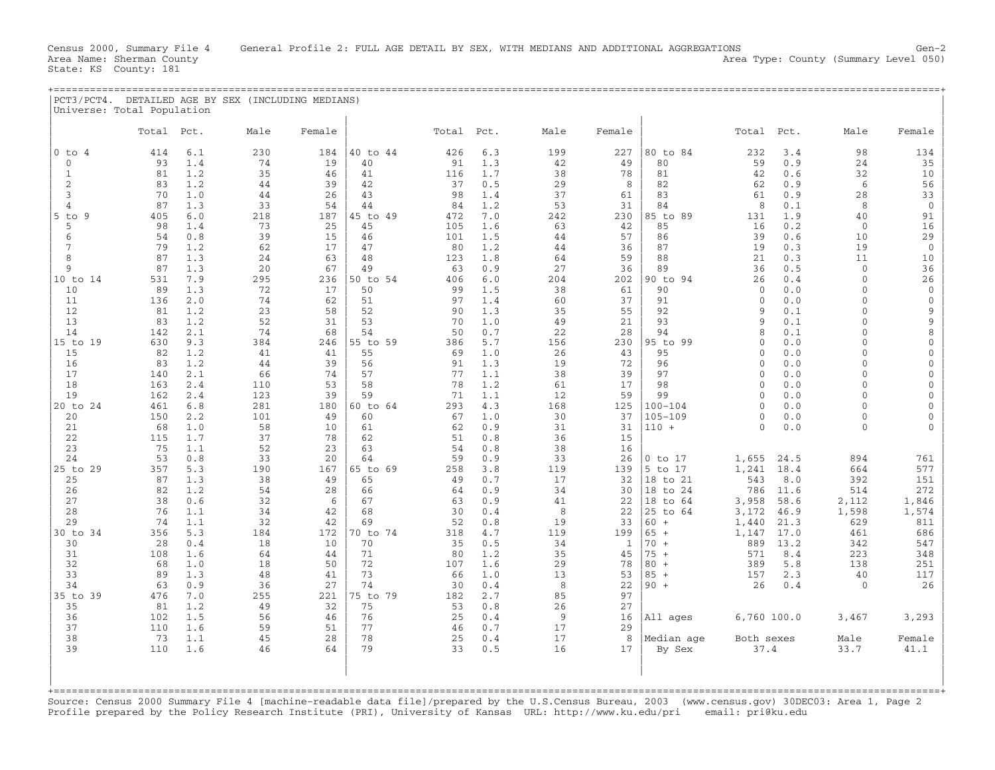Area Type: County (Summary Level 050)

| PCT3/PCT4.<br>Universe: Total Population |            |     | DETAILED AGE BY SEX (INCLUDING MEDIANS) |        |                |            |     |      |             |              |       |      |      |        |
|------------------------------------------|------------|-----|-----------------------------------------|--------|----------------|------------|-----|------|-------------|--------------|-------|------|------|--------|
|                                          | Total Pct. |     | Male                                    | Female |                | Total Pct. |     | Male | Female      |              | Total | Pct. | Male | Female |
| $10$ to 4                                | 414        | 6.1 | 230                                     |        | $184$ 40 to 44 | 426        | 6.3 | 199  |             | 227 80 to 84 | 232   |      | 98   | 134    |
|                                          | 93         |     | 71                                      |        |                | 91         |     |      | $\Lambda$ Q | RN           | 59    |      | フハ   |        |

| 74<br>40<br>91<br>80<br>0.9<br>24<br>35<br>$\Omega$<br>93<br>1.4<br>19<br>1.3<br>42<br>49<br>59<br>35<br>41<br>1.7<br>38<br>0.6<br>32<br>10<br>81<br>1.2<br>46<br>116<br>78<br>81<br>42<br>1<br>6<br>56<br>$\overline{2}$<br>83<br>1.2<br>$4\,4$<br>39<br>42<br>37<br>0.5<br>29<br>82<br>0.9<br>8<br>62<br>70<br>26<br>33<br>1.0<br>43<br>98<br>37<br>83<br>61<br>0.9<br>28<br>3<br>44<br>1.4<br>61<br>87<br>1.3<br>33<br>54<br>44<br>1.2<br>53<br>31<br>84<br>8<br>0.1<br>8<br>$\mathbf 0$<br>4<br>84<br>9<br>405<br>6.0<br>218<br>187<br>45 to 49<br>472<br>7.0<br>242<br>230<br>89<br>131<br>1.9<br>40<br>91<br>$5$ to<br>85 to<br>73<br>5<br>98<br>1.4<br>25<br>45<br>105<br>1.6<br>63<br>42<br>85<br>16<br>0.2<br>$\mathbf 0$<br>16<br>29<br>54<br>0.8<br>39<br>15<br>1.5<br>57<br>39<br>0.6<br>10<br>46<br>101<br>44<br>86<br>6<br>1.2<br>62<br>0.3<br>19<br>79<br>17<br>47<br>80<br>1.2<br>44<br>19<br>$\mathbf{0}$<br>36<br>87<br>87<br>1.3<br>48<br>88<br>21<br>11<br>10<br>8<br>24<br>63<br>123<br>1.8<br>64<br>59<br>0.3<br>87<br>1.3<br>20<br>67<br>49<br>0.9<br>27<br>89<br>0.5<br>$\Omega$<br>36<br>9<br>63<br>36<br>36<br>26<br>531<br>7.9<br>295<br>90 to 94<br>10 to 14<br>236<br>50 to 54<br>406<br>6.0<br>204<br>202<br>26<br>0.4<br>$\Omega$<br>72<br>50<br>10<br>89<br>1.3<br>17<br>99<br>1.5<br>38<br>61<br>90<br>$\mathbf{0}$<br>0.0<br>$\cap$<br>$\Omega$<br>2.0<br>51<br>11<br>136<br>74<br>62<br>97<br>1.4<br>60<br>37<br>91<br>0.0<br>$\mathbf 0$<br>$\Omega$<br>∩<br>12<br>1.2<br>23<br>58<br>52<br>$\mathsf{Q}$<br>81<br>90<br>1.3<br>35<br>55<br>92<br>9<br>0.1<br>13<br>83<br>1.2<br>52<br>53<br>70<br>49<br>21<br>93<br>0.1<br>$\mathsf{Q}$<br>31<br>1.0<br>9<br>14<br>142<br>2.1<br>74<br>68<br>54<br>0.7<br>22<br>28<br>50<br>94<br>8<br>0.1<br>$\Omega$<br>8<br>15 to 19<br>630<br>9.3<br>384<br>55 to 59<br>5.7<br>156<br>230<br>95 to 99<br>0.0<br>246<br>386<br>$\Omega$<br>$\cap$<br>$\Omega$<br>15<br>82<br>1.2<br>55<br>1.0<br>43<br>95<br>0.0<br>41<br>41<br>69<br>26<br>$\Omega$<br>$\cap$<br>1.2<br>39<br>0.0<br>16<br>83<br>44<br>56<br>91<br>1.3<br>19<br>72<br>96<br>$\Omega$<br>$\cap$<br>2.1<br>17<br>66<br>74<br>77<br>1.1<br>38<br>97<br>0.0<br>140<br>57<br>39<br>$\Omega$<br>$\cap$<br>18<br>163<br>2.4<br>110<br>53<br>58<br>78<br>1.2<br>61<br>17<br>98<br>$\Omega$<br>0.0<br>$\Omega$<br>19<br>162<br>2.4<br>123<br>39<br>59<br>71<br>1.1<br>12<br>59<br>99<br>0.0<br>$\Omega$<br>$\Omega$<br>$100 - 104$<br>20 to 24<br>461<br>6.8<br>281<br>180<br>60 to 64<br>293<br>4.3<br>168<br>125<br>$\Omega$<br>0.0<br>$\Omega$<br>20<br>150<br>2.2<br>101<br>49<br>60<br>1.0<br>30<br>37<br>$105 - 109$<br>0.0<br>$\Omega$<br>67<br>$\Omega$<br>21<br>68<br>1.0<br>58<br>10<br>61<br>62<br>0.9<br>31<br>31<br>$110 +$<br>$\Omega$<br>0.0<br>$\Omega$<br>22<br>1.7<br>37<br>115<br>78<br>62<br>51<br>0.8<br>36<br>15<br>23<br>75<br>1.1<br>52<br>23<br>63<br>16<br>54<br>0.8<br>38<br>24<br>53<br>0.8<br>33<br>20<br>64<br>59<br>33<br>26<br>894<br>0.9<br>$0$ to $17$<br>1,655<br>24.5<br>761<br>29<br>357<br>5.3<br>190<br>167<br>65 to 69<br>258<br>119<br>5 to 17<br>1,241<br>18.4<br>664<br>577<br>$25$ to<br>3.8<br>139<br>25<br>87<br>1.3<br>38<br>49<br>65<br>17<br>32<br>543<br>392<br>151<br>49<br>0.7<br>18 to 21<br>8.0<br>82<br>1.2<br>786<br>272<br>26<br>54<br>28<br>66<br>64<br>0.9<br>34<br>30<br>18 to 24<br>11.6<br>514<br>1,846<br>27<br>38<br>0.6<br>32<br>6<br>67<br>3,958<br>58.6<br>2,112<br>63<br>0.9<br>41<br>22<br>18 to 64<br>1,598<br>28<br>76<br>1.1<br>34<br>42<br>68<br>8<br>22<br>25 to 64<br>3,172<br>46.9<br>1,574<br>30<br>0.4<br>629<br>29<br>74<br>1.1<br>32<br>42<br>69<br>52<br>19<br>33<br>60<br>1,440<br>21.3<br>811<br>0.8<br>$+$<br>5.3<br>17.0<br>30 to 34<br>356<br>184<br>172<br>70 to 74<br>318<br>4.7<br>119<br>199<br>$65 +$<br>1,147<br>461<br>686<br>30<br>28<br>18<br>10<br>70<br>34<br>$70 +$<br>889<br>13.2<br>342<br>547<br>0.4<br>35<br>0.5<br>1<br>71<br>223<br>348<br>31<br>108<br>1.6<br>64<br>44<br>80<br>1.2<br>35<br>45<br>$75 +$<br>571<br>8.4<br>32<br>68<br>1.0<br>18<br>50<br>72<br>1.6<br>29<br>78<br>$80 +$<br>389<br>5.8<br>138<br>251<br>107<br>33<br>1.3<br>73<br>13<br>89<br>48<br>41<br>53<br>$85 +$<br>157<br>2.3<br>40<br>117<br>66<br>1.0<br>34<br>63<br>0.9<br>36<br>27<br>74<br>8<br>22<br>$90 +$<br>26<br>26<br>30<br>0.4<br>0.4<br>$\Omega$<br>35 to 39<br>255<br>75 to 79<br>85<br>97<br>476<br>7.0<br>221<br>182<br>2.7<br>35<br>81<br>1.2<br>49<br>32<br>75<br>53<br>0.8<br>26<br>27<br>9<br>6,760 100.0<br>3,293<br>36<br>102<br>1.5<br>56<br>46<br>76<br>25<br>0.4<br>16<br>All ages<br>3,467<br>37<br>110<br>1.6<br>77<br>17<br>29<br>59<br>51<br>46<br>0.7<br>73<br>1.1<br>45<br>28<br>78<br>17<br>38<br>25<br>0.4<br>8<br>Median age<br>Female<br>Both sexes<br>Male<br>39<br>110<br>1.6<br>79<br>33<br>16<br>37.4<br>46<br>64<br>0.5<br>17<br>33.7<br>41.1<br>By Sex | ᆂᆂᆇ | 2 J V | ⊥∪± | שט ש | ᠴ᠘ᢣ |  | 22 I | ov co | <i>,,,,</i> |  | ᆠᆦᆂ |
|-----------------------------------------------------------------------------------------------------------------------------------------------------------------------------------------------------------------------------------------------------------------------------------------------------------------------------------------------------------------------------------------------------------------------------------------------------------------------------------------------------------------------------------------------------------------------------------------------------------------------------------------------------------------------------------------------------------------------------------------------------------------------------------------------------------------------------------------------------------------------------------------------------------------------------------------------------------------------------------------------------------------------------------------------------------------------------------------------------------------------------------------------------------------------------------------------------------------------------------------------------------------------------------------------------------------------------------------------------------------------------------------------------------------------------------------------------------------------------------------------------------------------------------------------------------------------------------------------------------------------------------------------------------------------------------------------------------------------------------------------------------------------------------------------------------------------------------------------------------------------------------------------------------------------------------------------------------------------------------------------------------------------------------------------------------------------------------------------------------------------------------------------------------------------------------------------------------------------------------------------------------------------------------------------------------------------------------------------------------------------------------------------------------------------------------------------------------------------------------------------------------------------------------------------------------------------------------------------------------------------------------------------------------------------------------------------------------------------------------------------------------------------------------------------------------------------------------------------------------------------------------------------------------------------------------------------------------------------------------------------------------------------------------------------------------------------------------------------------------------------------------------------------------------------------------------------------------------------------------------------------------------------------------------------------------------------------------------------------------------------------------------------------------------------------------------------------------------------------------------------------------------------------------------------------------------------------------------------------------------------------------------------------------------------------------------------------------------------------------------------------------------------------------------------------------------------------------------------------------------------------------------------------------------------------------------------------------------------------------------------------------------------------------------------------------------------------------------------------------------------------------------------------------------------------------------------------------------------------------------------------------------------------------------------------------------------------------------------------------------------------------------------------------------------------------------------------------------------------------------------------------------------------------------------------------------------------------------------------------------------------------------------------------------------------------------------------------------------------------------------------------------------------------------------------------------------------------------------------------------------------------------------------------------|-----|-------|-----|------|-----|--|------|-------|-------------|--|-----|
|                                                                                                                                                                                                                                                                                                                                                                                                                                                                                                                                                                                                                                                                                                                                                                                                                                                                                                                                                                                                                                                                                                                                                                                                                                                                                                                                                                                                                                                                                                                                                                                                                                                                                                                                                                                                                                                                                                                                                                                                                                                                                                                                                                                                                                                                                                                                                                                                                                                                                                                                                                                                                                                                                                                                                                                                                                                                                                                                                                                                                                                                                                                                                                                                                                                                                                                                                                                                                                                                                                                                                                                                                                                                                                                                                                                                                                                                                                                                                                                                                                                                                                                                                                                                                                                                                                                                                                                                                                                                                                                                                                                                                                                                                                                                                                                                                                                                                                                 |     |       |     |      |     |  |      |       |             |  |     |
|                                                                                                                                                                                                                                                                                                                                                                                                                                                                                                                                                                                                                                                                                                                                                                                                                                                                                                                                                                                                                                                                                                                                                                                                                                                                                                                                                                                                                                                                                                                                                                                                                                                                                                                                                                                                                                                                                                                                                                                                                                                                                                                                                                                                                                                                                                                                                                                                                                                                                                                                                                                                                                                                                                                                                                                                                                                                                                                                                                                                                                                                                                                                                                                                                                                                                                                                                                                                                                                                                                                                                                                                                                                                                                                                                                                                                                                                                                                                                                                                                                                                                                                                                                                                                                                                                                                                                                                                                                                                                                                                                                                                                                                                                                                                                                                                                                                                                                                 |     |       |     |      |     |  |      |       |             |  |     |
|                                                                                                                                                                                                                                                                                                                                                                                                                                                                                                                                                                                                                                                                                                                                                                                                                                                                                                                                                                                                                                                                                                                                                                                                                                                                                                                                                                                                                                                                                                                                                                                                                                                                                                                                                                                                                                                                                                                                                                                                                                                                                                                                                                                                                                                                                                                                                                                                                                                                                                                                                                                                                                                                                                                                                                                                                                                                                                                                                                                                                                                                                                                                                                                                                                                                                                                                                                                                                                                                                                                                                                                                                                                                                                                                                                                                                                                                                                                                                                                                                                                                                                                                                                                                                                                                                                                                                                                                                                                                                                                                                                                                                                                                                                                                                                                                                                                                                                                 |     |       |     |      |     |  |      |       |             |  |     |
|                                                                                                                                                                                                                                                                                                                                                                                                                                                                                                                                                                                                                                                                                                                                                                                                                                                                                                                                                                                                                                                                                                                                                                                                                                                                                                                                                                                                                                                                                                                                                                                                                                                                                                                                                                                                                                                                                                                                                                                                                                                                                                                                                                                                                                                                                                                                                                                                                                                                                                                                                                                                                                                                                                                                                                                                                                                                                                                                                                                                                                                                                                                                                                                                                                                                                                                                                                                                                                                                                                                                                                                                                                                                                                                                                                                                                                                                                                                                                                                                                                                                                                                                                                                                                                                                                                                                                                                                                                                                                                                                                                                                                                                                                                                                                                                                                                                                                                                 |     |       |     |      |     |  |      |       |             |  |     |
|                                                                                                                                                                                                                                                                                                                                                                                                                                                                                                                                                                                                                                                                                                                                                                                                                                                                                                                                                                                                                                                                                                                                                                                                                                                                                                                                                                                                                                                                                                                                                                                                                                                                                                                                                                                                                                                                                                                                                                                                                                                                                                                                                                                                                                                                                                                                                                                                                                                                                                                                                                                                                                                                                                                                                                                                                                                                                                                                                                                                                                                                                                                                                                                                                                                                                                                                                                                                                                                                                                                                                                                                                                                                                                                                                                                                                                                                                                                                                                                                                                                                                                                                                                                                                                                                                                                                                                                                                                                                                                                                                                                                                                                                                                                                                                                                                                                                                                                 |     |       |     |      |     |  |      |       |             |  |     |
|                                                                                                                                                                                                                                                                                                                                                                                                                                                                                                                                                                                                                                                                                                                                                                                                                                                                                                                                                                                                                                                                                                                                                                                                                                                                                                                                                                                                                                                                                                                                                                                                                                                                                                                                                                                                                                                                                                                                                                                                                                                                                                                                                                                                                                                                                                                                                                                                                                                                                                                                                                                                                                                                                                                                                                                                                                                                                                                                                                                                                                                                                                                                                                                                                                                                                                                                                                                                                                                                                                                                                                                                                                                                                                                                                                                                                                                                                                                                                                                                                                                                                                                                                                                                                                                                                                                                                                                                                                                                                                                                                                                                                                                                                                                                                                                                                                                                                                                 |     |       |     |      |     |  |      |       |             |  |     |
|                                                                                                                                                                                                                                                                                                                                                                                                                                                                                                                                                                                                                                                                                                                                                                                                                                                                                                                                                                                                                                                                                                                                                                                                                                                                                                                                                                                                                                                                                                                                                                                                                                                                                                                                                                                                                                                                                                                                                                                                                                                                                                                                                                                                                                                                                                                                                                                                                                                                                                                                                                                                                                                                                                                                                                                                                                                                                                                                                                                                                                                                                                                                                                                                                                                                                                                                                                                                                                                                                                                                                                                                                                                                                                                                                                                                                                                                                                                                                                                                                                                                                                                                                                                                                                                                                                                                                                                                                                                                                                                                                                                                                                                                                                                                                                                                                                                                                                                 |     |       |     |      |     |  |      |       |             |  |     |
|                                                                                                                                                                                                                                                                                                                                                                                                                                                                                                                                                                                                                                                                                                                                                                                                                                                                                                                                                                                                                                                                                                                                                                                                                                                                                                                                                                                                                                                                                                                                                                                                                                                                                                                                                                                                                                                                                                                                                                                                                                                                                                                                                                                                                                                                                                                                                                                                                                                                                                                                                                                                                                                                                                                                                                                                                                                                                                                                                                                                                                                                                                                                                                                                                                                                                                                                                                                                                                                                                                                                                                                                                                                                                                                                                                                                                                                                                                                                                                                                                                                                                                                                                                                                                                                                                                                                                                                                                                                                                                                                                                                                                                                                                                                                                                                                                                                                                                                 |     |       |     |      |     |  |      |       |             |  |     |
|                                                                                                                                                                                                                                                                                                                                                                                                                                                                                                                                                                                                                                                                                                                                                                                                                                                                                                                                                                                                                                                                                                                                                                                                                                                                                                                                                                                                                                                                                                                                                                                                                                                                                                                                                                                                                                                                                                                                                                                                                                                                                                                                                                                                                                                                                                                                                                                                                                                                                                                                                                                                                                                                                                                                                                                                                                                                                                                                                                                                                                                                                                                                                                                                                                                                                                                                                                                                                                                                                                                                                                                                                                                                                                                                                                                                                                                                                                                                                                                                                                                                                                                                                                                                                                                                                                                                                                                                                                                                                                                                                                                                                                                                                                                                                                                                                                                                                                                 |     |       |     |      |     |  |      |       |             |  |     |
|                                                                                                                                                                                                                                                                                                                                                                                                                                                                                                                                                                                                                                                                                                                                                                                                                                                                                                                                                                                                                                                                                                                                                                                                                                                                                                                                                                                                                                                                                                                                                                                                                                                                                                                                                                                                                                                                                                                                                                                                                                                                                                                                                                                                                                                                                                                                                                                                                                                                                                                                                                                                                                                                                                                                                                                                                                                                                                                                                                                                                                                                                                                                                                                                                                                                                                                                                                                                                                                                                                                                                                                                                                                                                                                                                                                                                                                                                                                                                                                                                                                                                                                                                                                                                                                                                                                                                                                                                                                                                                                                                                                                                                                                                                                                                                                                                                                                                                                 |     |       |     |      |     |  |      |       |             |  |     |
|                                                                                                                                                                                                                                                                                                                                                                                                                                                                                                                                                                                                                                                                                                                                                                                                                                                                                                                                                                                                                                                                                                                                                                                                                                                                                                                                                                                                                                                                                                                                                                                                                                                                                                                                                                                                                                                                                                                                                                                                                                                                                                                                                                                                                                                                                                                                                                                                                                                                                                                                                                                                                                                                                                                                                                                                                                                                                                                                                                                                                                                                                                                                                                                                                                                                                                                                                                                                                                                                                                                                                                                                                                                                                                                                                                                                                                                                                                                                                                                                                                                                                                                                                                                                                                                                                                                                                                                                                                                                                                                                                                                                                                                                                                                                                                                                                                                                                                                 |     |       |     |      |     |  |      |       |             |  |     |
|                                                                                                                                                                                                                                                                                                                                                                                                                                                                                                                                                                                                                                                                                                                                                                                                                                                                                                                                                                                                                                                                                                                                                                                                                                                                                                                                                                                                                                                                                                                                                                                                                                                                                                                                                                                                                                                                                                                                                                                                                                                                                                                                                                                                                                                                                                                                                                                                                                                                                                                                                                                                                                                                                                                                                                                                                                                                                                                                                                                                                                                                                                                                                                                                                                                                                                                                                                                                                                                                                                                                                                                                                                                                                                                                                                                                                                                                                                                                                                                                                                                                                                                                                                                                                                                                                                                                                                                                                                                                                                                                                                                                                                                                                                                                                                                                                                                                                                                 |     |       |     |      |     |  |      |       |             |  |     |
|                                                                                                                                                                                                                                                                                                                                                                                                                                                                                                                                                                                                                                                                                                                                                                                                                                                                                                                                                                                                                                                                                                                                                                                                                                                                                                                                                                                                                                                                                                                                                                                                                                                                                                                                                                                                                                                                                                                                                                                                                                                                                                                                                                                                                                                                                                                                                                                                                                                                                                                                                                                                                                                                                                                                                                                                                                                                                                                                                                                                                                                                                                                                                                                                                                                                                                                                                                                                                                                                                                                                                                                                                                                                                                                                                                                                                                                                                                                                                                                                                                                                                                                                                                                                                                                                                                                                                                                                                                                                                                                                                                                                                                                                                                                                                                                                                                                                                                                 |     |       |     |      |     |  |      |       |             |  |     |
|                                                                                                                                                                                                                                                                                                                                                                                                                                                                                                                                                                                                                                                                                                                                                                                                                                                                                                                                                                                                                                                                                                                                                                                                                                                                                                                                                                                                                                                                                                                                                                                                                                                                                                                                                                                                                                                                                                                                                                                                                                                                                                                                                                                                                                                                                                                                                                                                                                                                                                                                                                                                                                                                                                                                                                                                                                                                                                                                                                                                                                                                                                                                                                                                                                                                                                                                                                                                                                                                                                                                                                                                                                                                                                                                                                                                                                                                                                                                                                                                                                                                                                                                                                                                                                                                                                                                                                                                                                                                                                                                                                                                                                                                                                                                                                                                                                                                                                                 |     |       |     |      |     |  |      |       |             |  |     |
|                                                                                                                                                                                                                                                                                                                                                                                                                                                                                                                                                                                                                                                                                                                                                                                                                                                                                                                                                                                                                                                                                                                                                                                                                                                                                                                                                                                                                                                                                                                                                                                                                                                                                                                                                                                                                                                                                                                                                                                                                                                                                                                                                                                                                                                                                                                                                                                                                                                                                                                                                                                                                                                                                                                                                                                                                                                                                                                                                                                                                                                                                                                                                                                                                                                                                                                                                                                                                                                                                                                                                                                                                                                                                                                                                                                                                                                                                                                                                                                                                                                                                                                                                                                                                                                                                                                                                                                                                                                                                                                                                                                                                                                                                                                                                                                                                                                                                                                 |     |       |     |      |     |  |      |       |             |  |     |
|                                                                                                                                                                                                                                                                                                                                                                                                                                                                                                                                                                                                                                                                                                                                                                                                                                                                                                                                                                                                                                                                                                                                                                                                                                                                                                                                                                                                                                                                                                                                                                                                                                                                                                                                                                                                                                                                                                                                                                                                                                                                                                                                                                                                                                                                                                                                                                                                                                                                                                                                                                                                                                                                                                                                                                                                                                                                                                                                                                                                                                                                                                                                                                                                                                                                                                                                                                                                                                                                                                                                                                                                                                                                                                                                                                                                                                                                                                                                                                                                                                                                                                                                                                                                                                                                                                                                                                                                                                                                                                                                                                                                                                                                                                                                                                                                                                                                                                                 |     |       |     |      |     |  |      |       |             |  |     |
|                                                                                                                                                                                                                                                                                                                                                                                                                                                                                                                                                                                                                                                                                                                                                                                                                                                                                                                                                                                                                                                                                                                                                                                                                                                                                                                                                                                                                                                                                                                                                                                                                                                                                                                                                                                                                                                                                                                                                                                                                                                                                                                                                                                                                                                                                                                                                                                                                                                                                                                                                                                                                                                                                                                                                                                                                                                                                                                                                                                                                                                                                                                                                                                                                                                                                                                                                                                                                                                                                                                                                                                                                                                                                                                                                                                                                                                                                                                                                                                                                                                                                                                                                                                                                                                                                                                                                                                                                                                                                                                                                                                                                                                                                                                                                                                                                                                                                                                 |     |       |     |      |     |  |      |       |             |  |     |
|                                                                                                                                                                                                                                                                                                                                                                                                                                                                                                                                                                                                                                                                                                                                                                                                                                                                                                                                                                                                                                                                                                                                                                                                                                                                                                                                                                                                                                                                                                                                                                                                                                                                                                                                                                                                                                                                                                                                                                                                                                                                                                                                                                                                                                                                                                                                                                                                                                                                                                                                                                                                                                                                                                                                                                                                                                                                                                                                                                                                                                                                                                                                                                                                                                                                                                                                                                                                                                                                                                                                                                                                                                                                                                                                                                                                                                                                                                                                                                                                                                                                                                                                                                                                                                                                                                                                                                                                                                                                                                                                                                                                                                                                                                                                                                                                                                                                                                                 |     |       |     |      |     |  |      |       |             |  |     |
|                                                                                                                                                                                                                                                                                                                                                                                                                                                                                                                                                                                                                                                                                                                                                                                                                                                                                                                                                                                                                                                                                                                                                                                                                                                                                                                                                                                                                                                                                                                                                                                                                                                                                                                                                                                                                                                                                                                                                                                                                                                                                                                                                                                                                                                                                                                                                                                                                                                                                                                                                                                                                                                                                                                                                                                                                                                                                                                                                                                                                                                                                                                                                                                                                                                                                                                                                                                                                                                                                                                                                                                                                                                                                                                                                                                                                                                                                                                                                                                                                                                                                                                                                                                                                                                                                                                                                                                                                                                                                                                                                                                                                                                                                                                                                                                                                                                                                                                 |     |       |     |      |     |  |      |       |             |  |     |
|                                                                                                                                                                                                                                                                                                                                                                                                                                                                                                                                                                                                                                                                                                                                                                                                                                                                                                                                                                                                                                                                                                                                                                                                                                                                                                                                                                                                                                                                                                                                                                                                                                                                                                                                                                                                                                                                                                                                                                                                                                                                                                                                                                                                                                                                                                                                                                                                                                                                                                                                                                                                                                                                                                                                                                                                                                                                                                                                                                                                                                                                                                                                                                                                                                                                                                                                                                                                                                                                                                                                                                                                                                                                                                                                                                                                                                                                                                                                                                                                                                                                                                                                                                                                                                                                                                                                                                                                                                                                                                                                                                                                                                                                                                                                                                                                                                                                                                                 |     |       |     |      |     |  |      |       |             |  |     |
|                                                                                                                                                                                                                                                                                                                                                                                                                                                                                                                                                                                                                                                                                                                                                                                                                                                                                                                                                                                                                                                                                                                                                                                                                                                                                                                                                                                                                                                                                                                                                                                                                                                                                                                                                                                                                                                                                                                                                                                                                                                                                                                                                                                                                                                                                                                                                                                                                                                                                                                                                                                                                                                                                                                                                                                                                                                                                                                                                                                                                                                                                                                                                                                                                                                                                                                                                                                                                                                                                                                                                                                                                                                                                                                                                                                                                                                                                                                                                                                                                                                                                                                                                                                                                                                                                                                                                                                                                                                                                                                                                                                                                                                                                                                                                                                                                                                                                                                 |     |       |     |      |     |  |      |       |             |  |     |
|                                                                                                                                                                                                                                                                                                                                                                                                                                                                                                                                                                                                                                                                                                                                                                                                                                                                                                                                                                                                                                                                                                                                                                                                                                                                                                                                                                                                                                                                                                                                                                                                                                                                                                                                                                                                                                                                                                                                                                                                                                                                                                                                                                                                                                                                                                                                                                                                                                                                                                                                                                                                                                                                                                                                                                                                                                                                                                                                                                                                                                                                                                                                                                                                                                                                                                                                                                                                                                                                                                                                                                                                                                                                                                                                                                                                                                                                                                                                                                                                                                                                                                                                                                                                                                                                                                                                                                                                                                                                                                                                                                                                                                                                                                                                                                                                                                                                                                                 |     |       |     |      |     |  |      |       |             |  |     |
|                                                                                                                                                                                                                                                                                                                                                                                                                                                                                                                                                                                                                                                                                                                                                                                                                                                                                                                                                                                                                                                                                                                                                                                                                                                                                                                                                                                                                                                                                                                                                                                                                                                                                                                                                                                                                                                                                                                                                                                                                                                                                                                                                                                                                                                                                                                                                                                                                                                                                                                                                                                                                                                                                                                                                                                                                                                                                                                                                                                                                                                                                                                                                                                                                                                                                                                                                                                                                                                                                                                                                                                                                                                                                                                                                                                                                                                                                                                                                                                                                                                                                                                                                                                                                                                                                                                                                                                                                                                                                                                                                                                                                                                                                                                                                                                                                                                                                                                 |     |       |     |      |     |  |      |       |             |  |     |
|                                                                                                                                                                                                                                                                                                                                                                                                                                                                                                                                                                                                                                                                                                                                                                                                                                                                                                                                                                                                                                                                                                                                                                                                                                                                                                                                                                                                                                                                                                                                                                                                                                                                                                                                                                                                                                                                                                                                                                                                                                                                                                                                                                                                                                                                                                                                                                                                                                                                                                                                                                                                                                                                                                                                                                                                                                                                                                                                                                                                                                                                                                                                                                                                                                                                                                                                                                                                                                                                                                                                                                                                                                                                                                                                                                                                                                                                                                                                                                                                                                                                                                                                                                                                                                                                                                                                                                                                                                                                                                                                                                                                                                                                                                                                                                                                                                                                                                                 |     |       |     |      |     |  |      |       |             |  |     |
|                                                                                                                                                                                                                                                                                                                                                                                                                                                                                                                                                                                                                                                                                                                                                                                                                                                                                                                                                                                                                                                                                                                                                                                                                                                                                                                                                                                                                                                                                                                                                                                                                                                                                                                                                                                                                                                                                                                                                                                                                                                                                                                                                                                                                                                                                                                                                                                                                                                                                                                                                                                                                                                                                                                                                                                                                                                                                                                                                                                                                                                                                                                                                                                                                                                                                                                                                                                                                                                                                                                                                                                                                                                                                                                                                                                                                                                                                                                                                                                                                                                                                                                                                                                                                                                                                                                                                                                                                                                                                                                                                                                                                                                                                                                                                                                                                                                                                                                 |     |       |     |      |     |  |      |       |             |  |     |
|                                                                                                                                                                                                                                                                                                                                                                                                                                                                                                                                                                                                                                                                                                                                                                                                                                                                                                                                                                                                                                                                                                                                                                                                                                                                                                                                                                                                                                                                                                                                                                                                                                                                                                                                                                                                                                                                                                                                                                                                                                                                                                                                                                                                                                                                                                                                                                                                                                                                                                                                                                                                                                                                                                                                                                                                                                                                                                                                                                                                                                                                                                                                                                                                                                                                                                                                                                                                                                                                                                                                                                                                                                                                                                                                                                                                                                                                                                                                                                                                                                                                                                                                                                                                                                                                                                                                                                                                                                                                                                                                                                                                                                                                                                                                                                                                                                                                                                                 |     |       |     |      |     |  |      |       |             |  |     |
|                                                                                                                                                                                                                                                                                                                                                                                                                                                                                                                                                                                                                                                                                                                                                                                                                                                                                                                                                                                                                                                                                                                                                                                                                                                                                                                                                                                                                                                                                                                                                                                                                                                                                                                                                                                                                                                                                                                                                                                                                                                                                                                                                                                                                                                                                                                                                                                                                                                                                                                                                                                                                                                                                                                                                                                                                                                                                                                                                                                                                                                                                                                                                                                                                                                                                                                                                                                                                                                                                                                                                                                                                                                                                                                                                                                                                                                                                                                                                                                                                                                                                                                                                                                                                                                                                                                                                                                                                                                                                                                                                                                                                                                                                                                                                                                                                                                                                                                 |     |       |     |      |     |  |      |       |             |  |     |
|                                                                                                                                                                                                                                                                                                                                                                                                                                                                                                                                                                                                                                                                                                                                                                                                                                                                                                                                                                                                                                                                                                                                                                                                                                                                                                                                                                                                                                                                                                                                                                                                                                                                                                                                                                                                                                                                                                                                                                                                                                                                                                                                                                                                                                                                                                                                                                                                                                                                                                                                                                                                                                                                                                                                                                                                                                                                                                                                                                                                                                                                                                                                                                                                                                                                                                                                                                                                                                                                                                                                                                                                                                                                                                                                                                                                                                                                                                                                                                                                                                                                                                                                                                                                                                                                                                                                                                                                                                                                                                                                                                                                                                                                                                                                                                                                                                                                                                                 |     |       |     |      |     |  |      |       |             |  |     |
|                                                                                                                                                                                                                                                                                                                                                                                                                                                                                                                                                                                                                                                                                                                                                                                                                                                                                                                                                                                                                                                                                                                                                                                                                                                                                                                                                                                                                                                                                                                                                                                                                                                                                                                                                                                                                                                                                                                                                                                                                                                                                                                                                                                                                                                                                                                                                                                                                                                                                                                                                                                                                                                                                                                                                                                                                                                                                                                                                                                                                                                                                                                                                                                                                                                                                                                                                                                                                                                                                                                                                                                                                                                                                                                                                                                                                                                                                                                                                                                                                                                                                                                                                                                                                                                                                                                                                                                                                                                                                                                                                                                                                                                                                                                                                                                                                                                                                                                 |     |       |     |      |     |  |      |       |             |  |     |
|                                                                                                                                                                                                                                                                                                                                                                                                                                                                                                                                                                                                                                                                                                                                                                                                                                                                                                                                                                                                                                                                                                                                                                                                                                                                                                                                                                                                                                                                                                                                                                                                                                                                                                                                                                                                                                                                                                                                                                                                                                                                                                                                                                                                                                                                                                                                                                                                                                                                                                                                                                                                                                                                                                                                                                                                                                                                                                                                                                                                                                                                                                                                                                                                                                                                                                                                                                                                                                                                                                                                                                                                                                                                                                                                                                                                                                                                                                                                                                                                                                                                                                                                                                                                                                                                                                                                                                                                                                                                                                                                                                                                                                                                                                                                                                                                                                                                                                                 |     |       |     |      |     |  |      |       |             |  |     |
|                                                                                                                                                                                                                                                                                                                                                                                                                                                                                                                                                                                                                                                                                                                                                                                                                                                                                                                                                                                                                                                                                                                                                                                                                                                                                                                                                                                                                                                                                                                                                                                                                                                                                                                                                                                                                                                                                                                                                                                                                                                                                                                                                                                                                                                                                                                                                                                                                                                                                                                                                                                                                                                                                                                                                                                                                                                                                                                                                                                                                                                                                                                                                                                                                                                                                                                                                                                                                                                                                                                                                                                                                                                                                                                                                                                                                                                                                                                                                                                                                                                                                                                                                                                                                                                                                                                                                                                                                                                                                                                                                                                                                                                                                                                                                                                                                                                                                                                 |     |       |     |      |     |  |      |       |             |  |     |
|                                                                                                                                                                                                                                                                                                                                                                                                                                                                                                                                                                                                                                                                                                                                                                                                                                                                                                                                                                                                                                                                                                                                                                                                                                                                                                                                                                                                                                                                                                                                                                                                                                                                                                                                                                                                                                                                                                                                                                                                                                                                                                                                                                                                                                                                                                                                                                                                                                                                                                                                                                                                                                                                                                                                                                                                                                                                                                                                                                                                                                                                                                                                                                                                                                                                                                                                                                                                                                                                                                                                                                                                                                                                                                                                                                                                                                                                                                                                                                                                                                                                                                                                                                                                                                                                                                                                                                                                                                                                                                                                                                                                                                                                                                                                                                                                                                                                                                                 |     |       |     |      |     |  |      |       |             |  |     |
|                                                                                                                                                                                                                                                                                                                                                                                                                                                                                                                                                                                                                                                                                                                                                                                                                                                                                                                                                                                                                                                                                                                                                                                                                                                                                                                                                                                                                                                                                                                                                                                                                                                                                                                                                                                                                                                                                                                                                                                                                                                                                                                                                                                                                                                                                                                                                                                                                                                                                                                                                                                                                                                                                                                                                                                                                                                                                                                                                                                                                                                                                                                                                                                                                                                                                                                                                                                                                                                                                                                                                                                                                                                                                                                                                                                                                                                                                                                                                                                                                                                                                                                                                                                                                                                                                                                                                                                                                                                                                                                                                                                                                                                                                                                                                                                                                                                                                                                 |     |       |     |      |     |  |      |       |             |  |     |
|                                                                                                                                                                                                                                                                                                                                                                                                                                                                                                                                                                                                                                                                                                                                                                                                                                                                                                                                                                                                                                                                                                                                                                                                                                                                                                                                                                                                                                                                                                                                                                                                                                                                                                                                                                                                                                                                                                                                                                                                                                                                                                                                                                                                                                                                                                                                                                                                                                                                                                                                                                                                                                                                                                                                                                                                                                                                                                                                                                                                                                                                                                                                                                                                                                                                                                                                                                                                                                                                                                                                                                                                                                                                                                                                                                                                                                                                                                                                                                                                                                                                                                                                                                                                                                                                                                                                                                                                                                                                                                                                                                                                                                                                                                                                                                                                                                                                                                                 |     |       |     |      |     |  |      |       |             |  |     |
|                                                                                                                                                                                                                                                                                                                                                                                                                                                                                                                                                                                                                                                                                                                                                                                                                                                                                                                                                                                                                                                                                                                                                                                                                                                                                                                                                                                                                                                                                                                                                                                                                                                                                                                                                                                                                                                                                                                                                                                                                                                                                                                                                                                                                                                                                                                                                                                                                                                                                                                                                                                                                                                                                                                                                                                                                                                                                                                                                                                                                                                                                                                                                                                                                                                                                                                                                                                                                                                                                                                                                                                                                                                                                                                                                                                                                                                                                                                                                                                                                                                                                                                                                                                                                                                                                                                                                                                                                                                                                                                                                                                                                                                                                                                                                                                                                                                                                                                 |     |       |     |      |     |  |      |       |             |  |     |
|                                                                                                                                                                                                                                                                                                                                                                                                                                                                                                                                                                                                                                                                                                                                                                                                                                                                                                                                                                                                                                                                                                                                                                                                                                                                                                                                                                                                                                                                                                                                                                                                                                                                                                                                                                                                                                                                                                                                                                                                                                                                                                                                                                                                                                                                                                                                                                                                                                                                                                                                                                                                                                                                                                                                                                                                                                                                                                                                                                                                                                                                                                                                                                                                                                                                                                                                                                                                                                                                                                                                                                                                                                                                                                                                                                                                                                                                                                                                                                                                                                                                                                                                                                                                                                                                                                                                                                                                                                                                                                                                                                                                                                                                                                                                                                                                                                                                                                                 |     |       |     |      |     |  |      |       |             |  |     |
|                                                                                                                                                                                                                                                                                                                                                                                                                                                                                                                                                                                                                                                                                                                                                                                                                                                                                                                                                                                                                                                                                                                                                                                                                                                                                                                                                                                                                                                                                                                                                                                                                                                                                                                                                                                                                                                                                                                                                                                                                                                                                                                                                                                                                                                                                                                                                                                                                                                                                                                                                                                                                                                                                                                                                                                                                                                                                                                                                                                                                                                                                                                                                                                                                                                                                                                                                                                                                                                                                                                                                                                                                                                                                                                                                                                                                                                                                                                                                                                                                                                                                                                                                                                                                                                                                                                                                                                                                                                                                                                                                                                                                                                                                                                                                                                                                                                                                                                 |     |       |     |      |     |  |      |       |             |  |     |
|                                                                                                                                                                                                                                                                                                                                                                                                                                                                                                                                                                                                                                                                                                                                                                                                                                                                                                                                                                                                                                                                                                                                                                                                                                                                                                                                                                                                                                                                                                                                                                                                                                                                                                                                                                                                                                                                                                                                                                                                                                                                                                                                                                                                                                                                                                                                                                                                                                                                                                                                                                                                                                                                                                                                                                                                                                                                                                                                                                                                                                                                                                                                                                                                                                                                                                                                                                                                                                                                                                                                                                                                                                                                                                                                                                                                                                                                                                                                                                                                                                                                                                                                                                                                                                                                                                                                                                                                                                                                                                                                                                                                                                                                                                                                                                                                                                                                                                                 |     |       |     |      |     |  |      |       |             |  |     |
|                                                                                                                                                                                                                                                                                                                                                                                                                                                                                                                                                                                                                                                                                                                                                                                                                                                                                                                                                                                                                                                                                                                                                                                                                                                                                                                                                                                                                                                                                                                                                                                                                                                                                                                                                                                                                                                                                                                                                                                                                                                                                                                                                                                                                                                                                                                                                                                                                                                                                                                                                                                                                                                                                                                                                                                                                                                                                                                                                                                                                                                                                                                                                                                                                                                                                                                                                                                                                                                                                                                                                                                                                                                                                                                                                                                                                                                                                                                                                                                                                                                                                                                                                                                                                                                                                                                                                                                                                                                                                                                                                                                                                                                                                                                                                                                                                                                                                                                 |     |       |     |      |     |  |      |       |             |  |     |
|                                                                                                                                                                                                                                                                                                                                                                                                                                                                                                                                                                                                                                                                                                                                                                                                                                                                                                                                                                                                                                                                                                                                                                                                                                                                                                                                                                                                                                                                                                                                                                                                                                                                                                                                                                                                                                                                                                                                                                                                                                                                                                                                                                                                                                                                                                                                                                                                                                                                                                                                                                                                                                                                                                                                                                                                                                                                                                                                                                                                                                                                                                                                                                                                                                                                                                                                                                                                                                                                                                                                                                                                                                                                                                                                                                                                                                                                                                                                                                                                                                                                                                                                                                                                                                                                                                                                                                                                                                                                                                                                                                                                                                                                                                                                                                                                                                                                                                                 |     |       |     |      |     |  |      |       |             |  |     |
|                                                                                                                                                                                                                                                                                                                                                                                                                                                                                                                                                                                                                                                                                                                                                                                                                                                                                                                                                                                                                                                                                                                                                                                                                                                                                                                                                                                                                                                                                                                                                                                                                                                                                                                                                                                                                                                                                                                                                                                                                                                                                                                                                                                                                                                                                                                                                                                                                                                                                                                                                                                                                                                                                                                                                                                                                                                                                                                                                                                                                                                                                                                                                                                                                                                                                                                                                                                                                                                                                                                                                                                                                                                                                                                                                                                                                                                                                                                                                                                                                                                                                                                                                                                                                                                                                                                                                                                                                                                                                                                                                                                                                                                                                                                                                                                                                                                                                                                 |     |       |     |      |     |  |      |       |             |  |     |
|                                                                                                                                                                                                                                                                                                                                                                                                                                                                                                                                                                                                                                                                                                                                                                                                                                                                                                                                                                                                                                                                                                                                                                                                                                                                                                                                                                                                                                                                                                                                                                                                                                                                                                                                                                                                                                                                                                                                                                                                                                                                                                                                                                                                                                                                                                                                                                                                                                                                                                                                                                                                                                                                                                                                                                                                                                                                                                                                                                                                                                                                                                                                                                                                                                                                                                                                                                                                                                                                                                                                                                                                                                                                                                                                                                                                                                                                                                                                                                                                                                                                                                                                                                                                                                                                                                                                                                                                                                                                                                                                                                                                                                                                                                                                                                                                                                                                                                                 |     |       |     |      |     |  |      |       |             |  |     |
|                                                                                                                                                                                                                                                                                                                                                                                                                                                                                                                                                                                                                                                                                                                                                                                                                                                                                                                                                                                                                                                                                                                                                                                                                                                                                                                                                                                                                                                                                                                                                                                                                                                                                                                                                                                                                                                                                                                                                                                                                                                                                                                                                                                                                                                                                                                                                                                                                                                                                                                                                                                                                                                                                                                                                                                                                                                                                                                                                                                                                                                                                                                                                                                                                                                                                                                                                                                                                                                                                                                                                                                                                                                                                                                                                                                                                                                                                                                                                                                                                                                                                                                                                                                                                                                                                                                                                                                                                                                                                                                                                                                                                                                                                                                                                                                                                                                                                                                 |     |       |     |      |     |  |      |       |             |  |     |
|                                                                                                                                                                                                                                                                                                                                                                                                                                                                                                                                                                                                                                                                                                                                                                                                                                                                                                                                                                                                                                                                                                                                                                                                                                                                                                                                                                                                                                                                                                                                                                                                                                                                                                                                                                                                                                                                                                                                                                                                                                                                                                                                                                                                                                                                                                                                                                                                                                                                                                                                                                                                                                                                                                                                                                                                                                                                                                                                                                                                                                                                                                                                                                                                                                                                                                                                                                                                                                                                                                                                                                                                                                                                                                                                                                                                                                                                                                                                                                                                                                                                                                                                                                                                                                                                                                                                                                                                                                                                                                                                                                                                                                                                                                                                                                                                                                                                                                                 |     |       |     |      |     |  |      |       |             |  |     |
|                                                                                                                                                                                                                                                                                                                                                                                                                                                                                                                                                                                                                                                                                                                                                                                                                                                                                                                                                                                                                                                                                                                                                                                                                                                                                                                                                                                                                                                                                                                                                                                                                                                                                                                                                                                                                                                                                                                                                                                                                                                                                                                                                                                                                                                                                                                                                                                                                                                                                                                                                                                                                                                                                                                                                                                                                                                                                                                                                                                                                                                                                                                                                                                                                                                                                                                                                                                                                                                                                                                                                                                                                                                                                                                                                                                                                                                                                                                                                                                                                                                                                                                                                                                                                                                                                                                                                                                                                                                                                                                                                                                                                                                                                                                                                                                                                                                                                                                 |     |       |     |      |     |  |      |       |             |  |     |
|                                                                                                                                                                                                                                                                                                                                                                                                                                                                                                                                                                                                                                                                                                                                                                                                                                                                                                                                                                                                                                                                                                                                                                                                                                                                                                                                                                                                                                                                                                                                                                                                                                                                                                                                                                                                                                                                                                                                                                                                                                                                                                                                                                                                                                                                                                                                                                                                                                                                                                                                                                                                                                                                                                                                                                                                                                                                                                                                                                                                                                                                                                                                                                                                                                                                                                                                                                                                                                                                                                                                                                                                                                                                                                                                                                                                                                                                                                                                                                                                                                                                                                                                                                                                                                                                                                                                                                                                                                                                                                                                                                                                                                                                                                                                                                                                                                                                                                                 |     |       |     |      |     |  |      |       |             |  |     |
|                                                                                                                                                                                                                                                                                                                                                                                                                                                                                                                                                                                                                                                                                                                                                                                                                                                                                                                                                                                                                                                                                                                                                                                                                                                                                                                                                                                                                                                                                                                                                                                                                                                                                                                                                                                                                                                                                                                                                                                                                                                                                                                                                                                                                                                                                                                                                                                                                                                                                                                                                                                                                                                                                                                                                                                                                                                                                                                                                                                                                                                                                                                                                                                                                                                                                                                                                                                                                                                                                                                                                                                                                                                                                                                                                                                                                                                                                                                                                                                                                                                                                                                                                                                                                                                                                                                                                                                                                                                                                                                                                                                                                                                                                                                                                                                                                                                                                                                 |     |       |     |      |     |  |      |       |             |  |     |
|                                                                                                                                                                                                                                                                                                                                                                                                                                                                                                                                                                                                                                                                                                                                                                                                                                                                                                                                                                                                                                                                                                                                                                                                                                                                                                                                                                                                                                                                                                                                                                                                                                                                                                                                                                                                                                                                                                                                                                                                                                                                                                                                                                                                                                                                                                                                                                                                                                                                                                                                                                                                                                                                                                                                                                                                                                                                                                                                                                                                                                                                                                                                                                                                                                                                                                                                                                                                                                                                                                                                                                                                                                                                                                                                                                                                                                                                                                                                                                                                                                                                                                                                                                                                                                                                                                                                                                                                                                                                                                                                                                                                                                                                                                                                                                                                                                                                                                                 |     |       |     |      |     |  |      |       |             |  |     |
|                                                                                                                                                                                                                                                                                                                                                                                                                                                                                                                                                                                                                                                                                                                                                                                                                                                                                                                                                                                                                                                                                                                                                                                                                                                                                                                                                                                                                                                                                                                                                                                                                                                                                                                                                                                                                                                                                                                                                                                                                                                                                                                                                                                                                                                                                                                                                                                                                                                                                                                                                                                                                                                                                                                                                                                                                                                                                                                                                                                                                                                                                                                                                                                                                                                                                                                                                                                                                                                                                                                                                                                                                                                                                                                                                                                                                                                                                                                                                                                                                                                                                                                                                                                                                                                                                                                                                                                                                                                                                                                                                                                                                                                                                                                                                                                                                                                                                                                 |     |       |     |      |     |  |      |       |             |  |     |
|                                                                                                                                                                                                                                                                                                                                                                                                                                                                                                                                                                                                                                                                                                                                                                                                                                                                                                                                                                                                                                                                                                                                                                                                                                                                                                                                                                                                                                                                                                                                                                                                                                                                                                                                                                                                                                                                                                                                                                                                                                                                                                                                                                                                                                                                                                                                                                                                                                                                                                                                                                                                                                                                                                                                                                                                                                                                                                                                                                                                                                                                                                                                                                                                                                                                                                                                                                                                                                                                                                                                                                                                                                                                                                                                                                                                                                                                                                                                                                                                                                                                                                                                                                                                                                                                                                                                                                                                                                                                                                                                                                                                                                                                                                                                                                                                                                                                                                                 |     |       |     |      |     |  |      |       |             |  |     |
|                                                                                                                                                                                                                                                                                                                                                                                                                                                                                                                                                                                                                                                                                                                                                                                                                                                                                                                                                                                                                                                                                                                                                                                                                                                                                                                                                                                                                                                                                                                                                                                                                                                                                                                                                                                                                                                                                                                                                                                                                                                                                                                                                                                                                                                                                                                                                                                                                                                                                                                                                                                                                                                                                                                                                                                                                                                                                                                                                                                                                                                                                                                                                                                                                                                                                                                                                                                                                                                                                                                                                                                                                                                                                                                                                                                                                                                                                                                                                                                                                                                                                                                                                                                                                                                                                                                                                                                                                                                                                                                                                                                                                                                                                                                                                                                                                                                                                                                 |     |       |     |      |     |  |      |       |             |  |     |
|                                                                                                                                                                                                                                                                                                                                                                                                                                                                                                                                                                                                                                                                                                                                                                                                                                                                                                                                                                                                                                                                                                                                                                                                                                                                                                                                                                                                                                                                                                                                                                                                                                                                                                                                                                                                                                                                                                                                                                                                                                                                                                                                                                                                                                                                                                                                                                                                                                                                                                                                                                                                                                                                                                                                                                                                                                                                                                                                                                                                                                                                                                                                                                                                                                                                                                                                                                                                                                                                                                                                                                                                                                                                                                                                                                                                                                                                                                                                                                                                                                                                                                                                                                                                                                                                                                                                                                                                                                                                                                                                                                                                                                                                                                                                                                                                                                                                                                                 |     |       |     |      |     |  |      |       |             |  |     |
|                                                                                                                                                                                                                                                                                                                                                                                                                                                                                                                                                                                                                                                                                                                                                                                                                                                                                                                                                                                                                                                                                                                                                                                                                                                                                                                                                                                                                                                                                                                                                                                                                                                                                                                                                                                                                                                                                                                                                                                                                                                                                                                                                                                                                                                                                                                                                                                                                                                                                                                                                                                                                                                                                                                                                                                                                                                                                                                                                                                                                                                                                                                                                                                                                                                                                                                                                                                                                                                                                                                                                                                                                                                                                                                                                                                                                                                                                                                                                                                                                                                                                                                                                                                                                                                                                                                                                                                                                                                                                                                                                                                                                                                                                                                                                                                                                                                                                                                 |     |       |     |      |     |  |      |       |             |  |     |
|                                                                                                                                                                                                                                                                                                                                                                                                                                                                                                                                                                                                                                                                                                                                                                                                                                                                                                                                                                                                                                                                                                                                                                                                                                                                                                                                                                                                                                                                                                                                                                                                                                                                                                                                                                                                                                                                                                                                                                                                                                                                                                                                                                                                                                                                                                                                                                                                                                                                                                                                                                                                                                                                                                                                                                                                                                                                                                                                                                                                                                                                                                                                                                                                                                                                                                                                                                                                                                                                                                                                                                                                                                                                                                                                                                                                                                                                                                                                                                                                                                                                                                                                                                                                                                                                                                                                                                                                                                                                                                                                                                                                                                                                                                                                                                                                                                                                                                                 |     |       |     |      |     |  |      |       |             |  |     |
|                                                                                                                                                                                                                                                                                                                                                                                                                                                                                                                                                                                                                                                                                                                                                                                                                                                                                                                                                                                                                                                                                                                                                                                                                                                                                                                                                                                                                                                                                                                                                                                                                                                                                                                                                                                                                                                                                                                                                                                                                                                                                                                                                                                                                                                                                                                                                                                                                                                                                                                                                                                                                                                                                                                                                                                                                                                                                                                                                                                                                                                                                                                                                                                                                                                                                                                                                                                                                                                                                                                                                                                                                                                                                                                                                                                                                                                                                                                                                                                                                                                                                                                                                                                                                                                                                                                                                                                                                                                                                                                                                                                                                                                                                                                                                                                                                                                                                                                 |     |       |     |      |     |  |      |       |             |  |     |

Source: Census 2000 Summary File 4 [machine−readable data file]/prepared by the U.S.Census Bureau, 2003 (www.census.gov) 30DEC03: Area 1, Page 2 Profile prepared by the Policy Research Institute (PRI), University of Kansas URL: http://www.ku.edu/pri email: pri@ku.edu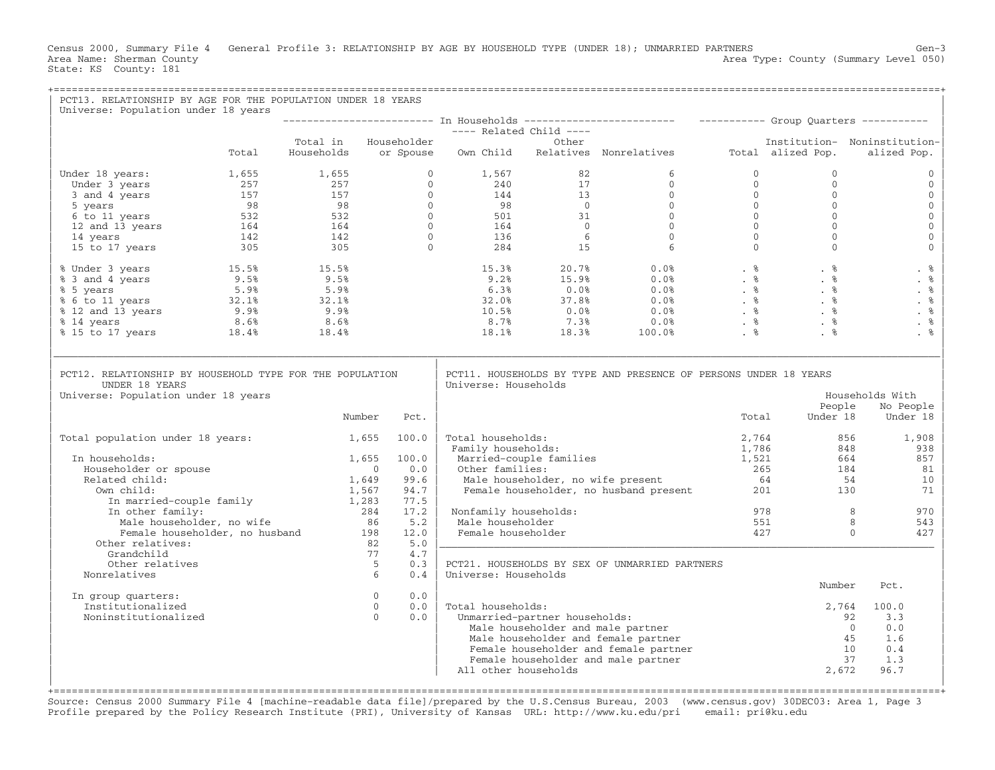Census 2000, Summary File 4 General Profile 3: RELATIONSHIP BY AGE BY HOUSEHOLD TYPE (UNDER 18); UNMARRIED PARTNERS Gen−3 Area Type: County (Summary Level 050) Area Name: Sherman County<br>State: KS County: 181

| PCT13. RELATIONSHIP BY AGE FOR THE POPULATION UNDER 18 YEARS<br>Universe: Population under 18 years                                                                                                                                                                        |       |                      |                            |             |                                                           |                               |                                                                                                                                                                                                                                                                                                                                                                                                                                                                                                                                                                                 |                                |                                                                             |                                             |
|----------------------------------------------------------------------------------------------------------------------------------------------------------------------------------------------------------------------------------------------------------------------------|-------|----------------------|----------------------------|-------------|-----------------------------------------------------------|-------------------------------|---------------------------------------------------------------------------------------------------------------------------------------------------------------------------------------------------------------------------------------------------------------------------------------------------------------------------------------------------------------------------------------------------------------------------------------------------------------------------------------------------------------------------------------------------------------------------------|--------------------------------|-----------------------------------------------------------------------------|---------------------------------------------|
|                                                                                                                                                                                                                                                                            |       |                      |                            |             | 1 Households --------<br>---- Related Child ----<br>Other |                               |                                                                                                                                                                                                                                                                                                                                                                                                                                                                                                                                                                                 |                                |                                                                             |                                             |
|                                                                                                                                                                                                                                                                            |       |                      |                            |             |                                                           |                               |                                                                                                                                                                                                                                                                                                                                                                                                                                                                                                                                                                                 |                                |                                                                             |                                             |
|                                                                                                                                                                                                                                                                            | Total | Total in Householder |                            |             |                                                           |                               | Households or Spouse Own Child Relatives Nonrelatives Total alized Pop.                                                                                                                                                                                                                                                                                                                                                                                                                                                                                                         |                                |                                                                             | Institution- Noninstitution-<br>alized Pop. |
| 9 1, 567 1, 655 1, 655 1, 655 0<br>1, 567 82<br>1, 657 82<br>98 5<br>5 years 98 98 0<br>6 to 11 years 532 532 0<br>144 13 0<br>6 to 11 years 532 532 0<br>144 13 0<br>6 to 11 years 532 532 0<br>164 0<br>164 0<br>15 to 17 years 164 164 0<br>15 to 17<br>Under 18 years: |       |                      |                            |             |                                                           |                               |                                                                                                                                                                                                                                                                                                                                                                                                                                                                                                                                                                                 | $\mathbf{0}$<br>$\overline{0}$ | $\Omega$<br>$\Omega$                                                        | $\Omega$<br>$\mathbf{0}$                    |
|                                                                                                                                                                                                                                                                            |       |                      |                            |             |                                                           |                               |                                                                                                                                                                                                                                                                                                                                                                                                                                                                                                                                                                                 |                                | $\mathbf{0}$                                                                | $\mathbf{0}$                                |
|                                                                                                                                                                                                                                                                            |       |                      |                            |             |                                                           |                               |                                                                                                                                                                                                                                                                                                                                                                                                                                                                                                                                                                                 |                                | $\mathbf{0}$                                                                | $\mathbf 0$                                 |
|                                                                                                                                                                                                                                                                            |       |                      |                            |             |                                                           |                               |                                                                                                                                                                                                                                                                                                                                                                                                                                                                                                                                                                                 |                                | $\Omega$                                                                    | $\mathbf{0}$                                |
|                                                                                                                                                                                                                                                                            |       |                      |                            |             |                                                           |                               |                                                                                                                                                                                                                                                                                                                                                                                                                                                                                                                                                                                 |                                | $\Omega$                                                                    | $\mathbf 0$                                 |
|                                                                                                                                                                                                                                                                            |       |                      |                            |             |                                                           |                               |                                                                                                                                                                                                                                                                                                                                                                                                                                                                                                                                                                                 |                                | $\Omega$                                                                    | $\mathsf{O}\xspace$                         |
|                                                                                                                                                                                                                                                                            |       |                      |                            |             |                                                           |                               |                                                                                                                                                                                                                                                                                                                                                                                                                                                                                                                                                                                 |                                | $\begin{bmatrix} 0 \\ 0 \\ 0 \\ 0 \\ 0 \\ 0 \\ 0 \end{bmatrix}$<br>$\Omega$ | $\mathbf 0$                                 |
| % Under 3 years<br>% 3 and 4 years<br>% 5 years<br>% 5 years<br>% 6 to 11 years<br>% 12 and 13 years<br>% 12 and 13 years<br>% 14 years<br>% 15 to 17 years<br>% 18.4%<br>% 18.4%<br>8.6%<br>% 18.4%<br>18.4%<br>18.4%<br>18.4%<br>18.4%<br>18.4%<br>18.4%<br>18.4%        |       |                      |                            |             |                                                           |                               | $\begin{array}{cccccccc} 15.3\text{\textnormal{\texttt{8}}} & & & 20.7\text{\textnormal{\texttt{\texttt{8}}}} & & & 0.0\text{\textnormal{\texttt{8}}} & & & \text{\textnormal{\texttt{8}}} & & & \text{\textnormal{\texttt{8}}} & & & \text{\textnormal{\texttt{8}}} & & & \text{\textnormal{\texttt{8}}} & & & \text{\textnormal{\texttt{8}}} & & & \text{\textnormal{\texttt{8}}} & & & \text{\textnormal{\texttt{8}}} & & & \text{\textnormal{\texttt{8}}} & & & \text{\textnormal{\texttt{8}}} & & & \text{\textnormal{\texttt{8}}} & & & \text{\textnormal{\texttt{8}}} &$ |                                |                                                                             | . %                                         |
|                                                                                                                                                                                                                                                                            |       |                      |                            |             |                                                           |                               |                                                                                                                                                                                                                                                                                                                                                                                                                                                                                                                                                                                 |                                |                                                                             | . $%$                                       |
|                                                                                                                                                                                                                                                                            |       |                      |                            |             |                                                           |                               |                                                                                                                                                                                                                                                                                                                                                                                                                                                                                                                                                                                 |                                |                                                                             | . %                                         |
|                                                                                                                                                                                                                                                                            |       |                      |                            |             |                                                           |                               |                                                                                                                                                                                                                                                                                                                                                                                                                                                                                                                                                                                 |                                |                                                                             | . $\frac{6}{6}$                             |
|                                                                                                                                                                                                                                                                            |       |                      |                            |             |                                                           |                               |                                                                                                                                                                                                                                                                                                                                                                                                                                                                                                                                                                                 |                                |                                                                             | . %                                         |
|                                                                                                                                                                                                                                                                            |       |                      |                            |             |                                                           |                               |                                                                                                                                                                                                                                                                                                                                                                                                                                                                                                                                                                                 |                                |                                                                             | . %<br>. %                                  |
|                                                                                                                                                                                                                                                                            |       |                      |                            |             |                                                           |                               |                                                                                                                                                                                                                                                                                                                                                                                                                                                                                                                                                                                 |                                |                                                                             |                                             |
| PCT12. RELATIONSHIP BY HOUSEHOLD TYPE FOR THE POPULATION<br>UNDER 18 YEARS<br>Universe: Population under 18 years                                                                                                                                                          |       |                      |                            |             | Universe: Households                                      |                               | PCT11. HOUSEHOLDS BY TYPE AND PRESENCE OF PERSONS UNDER 18 YEARS                                                                                                                                                                                                                                                                                                                                                                                                                                                                                                                |                                | People                                                                      | Households With                             |
|                                                                                                                                                                                                                                                                            |       | Number               |                            | Pct.        |                                                           |                               |                                                                                                                                                                                                                                                                                                                                                                                                                                                                                                                                                                                 | Total                          | Under 18                                                                    | No People<br>Under 18                       |
| Total population under 18 years:                                                                                                                                                                                                                                           |       | $1,655$ 100.0        |                            |             | Total households:<br>Family households:                   |                               |                                                                                                                                                                                                                                                                                                                                                                                                                                                                                                                                                                                 | 2,764<br>1,786                 | 856<br>848                                                                  | 1,908<br>938                                |
| In households:                                                                                                                                                                                                                                                             |       | 1,655                |                            | 100.0       |                                                           | Married-couple families       |                                                                                                                                                                                                                                                                                                                                                                                                                                                                                                                                                                                 | 1,521                          | 664                                                                         | 857                                         |
| Householder or spouse                                                                                                                                                                                                                                                      |       |                      | $\bigcirc$                 | 0.0         | Other families:                                           |                               | Cher families:<br>Male householder, no wife present<br>Female householder, no husband present<br>201                                                                                                                                                                                                                                                                                                                                                                                                                                                                            |                                | 184                                                                         | 81                                          |
| Related child:                                                                                                                                                                                                                                                             |       | 1,649                |                            | 99.6        |                                                           |                               |                                                                                                                                                                                                                                                                                                                                                                                                                                                                                                                                                                                 |                                | 54                                                                          | 10                                          |
| Own child:                                                                                                                                                                                                                                                                 |       | 1,567                |                            | 94.7        |                                                           |                               |                                                                                                                                                                                                                                                                                                                                                                                                                                                                                                                                                                                 |                                | 130                                                                         | 71                                          |
| In married-couple family 1,283<br>In other family: 284                                                                                                                                                                                                                     |       |                      |                            | 77.5        |                                                           |                               |                                                                                                                                                                                                                                                                                                                                                                                                                                                                                                                                                                                 |                                |                                                                             |                                             |
| In other family:                                                                                                                                                                                                                                                           |       |                      | $284$ $17.2$<br>$86$ $5.2$ |             | Nonfamily households:                                     |                               |                                                                                                                                                                                                                                                                                                                                                                                                                                                                                                                                                                                 |                                | 978<br>551<br>$\overline{8}$                                                | 970                                         |
| Male householder, no wife                                                                                                                                                                                                                                                  |       |                      |                            |             | Male householder                                          |                               |                                                                                                                                                                                                                                                                                                                                                                                                                                                                                                                                                                                 |                                |                                                                             | 8<br>543                                    |
| Female householder, no husband 198<br>Other relatives:                                                                                                                                                                                                                     |       |                      | 82                         | 12.0<br>5.0 | Female householder                                        |                               |                                                                                                                                                                                                                                                                                                                                                                                                                                                                                                                                                                                 | 427                            |                                                                             | $\Omega$<br>427                             |
| Grandchild                                                                                                                                                                                                                                                                 |       |                      | 77                         | 4.7         |                                                           |                               |                                                                                                                                                                                                                                                                                                                                                                                                                                                                                                                                                                                 |                                |                                                                             |                                             |
| Other relatives                                                                                                                                                                                                                                                            |       |                      | $5^{\circ}$                | 0.3         |                                                           |                               | PCT21. HOUSEHOLDS BY SEX OF UNMARRIED PARTNERS                                                                                                                                                                                                                                                                                                                                                                                                                                                                                                                                  |                                |                                                                             |                                             |
| Nonrelatives                                                                                                                                                                                                                                                               |       |                      | 6                          | 0.4         | Universe: Households                                      |                               |                                                                                                                                                                                                                                                                                                                                                                                                                                                                                                                                                                                 |                                |                                                                             |                                             |
|                                                                                                                                                                                                                                                                            |       |                      |                            |             |                                                           |                               |                                                                                                                                                                                                                                                                                                                                                                                                                                                                                                                                                                                 |                                | Number                                                                      | Pct.                                        |
| In group quarters:                                                                                                                                                                                                                                                         |       |                      | $\overline{0}$             | 0.0         |                                                           |                               |                                                                                                                                                                                                                                                                                                                                                                                                                                                                                                                                                                                 |                                |                                                                             |                                             |
| Institutionalized<br>Noninstitutionalized                                                                                                                                                                                                                                  |       |                      | $\overline{0}$<br>$\Omega$ | 0.0<br>0.0  | Total households:                                         |                               |                                                                                                                                                                                                                                                                                                                                                                                                                                                                                                                                                                                 |                                | 2,764                                                                       | 100.0<br>3.3                                |
|                                                                                                                                                                                                                                                                            |       |                      |                            |             |                                                           | Unmarried-partner households: | Male householder and male partner                                                                                                                                                                                                                                                                                                                                                                                                                                                                                                                                               |                                | 92<br>$\overline{0}$                                                        | 0.0                                         |
|                                                                                                                                                                                                                                                                            |       |                      |                            |             |                                                           |                               | Male householder and female partner                                                                                                                                                                                                                                                                                                                                                                                                                                                                                                                                             |                                |                                                                             | 45<br>1.6                                   |
|                                                                                                                                                                                                                                                                            |       |                      |                            |             |                                                           |                               | Female householder and female partner                                                                                                                                                                                                                                                                                                                                                                                                                                                                                                                                           |                                | 10                                                                          | 0.4                                         |
|                                                                                                                                                                                                                                                                            |       |                      |                            |             |                                                           |                               | Female householder and male partner                                                                                                                                                                                                                                                                                                                                                                                                                                                                                                                                             |                                |                                                                             | 37<br>1.3                                   |
|                                                                                                                                                                                                                                                                            |       |                      |                            |             | All other households                                      |                               |                                                                                                                                                                                                                                                                                                                                                                                                                                                                                                                                                                                 |                                | 2,672                                                                       | 96.7                                        |
|                                                                                                                                                                                                                                                                            |       |                      |                            |             |                                                           |                               |                                                                                                                                                                                                                                                                                                                                                                                                                                                                                                                                                                                 |                                |                                                                             |                                             |

Source: Census 2000 Summary File 4 [machine−readable data file]/prepared by the U.S.Census Bureau, 2003 (www.census.gov) 30DEC03: Area 1, Page 3 Profile prepared by the Policy Research Institute (PRI), University of Kansas URL: http://www.ku.edu/pri email: pri@ku.edu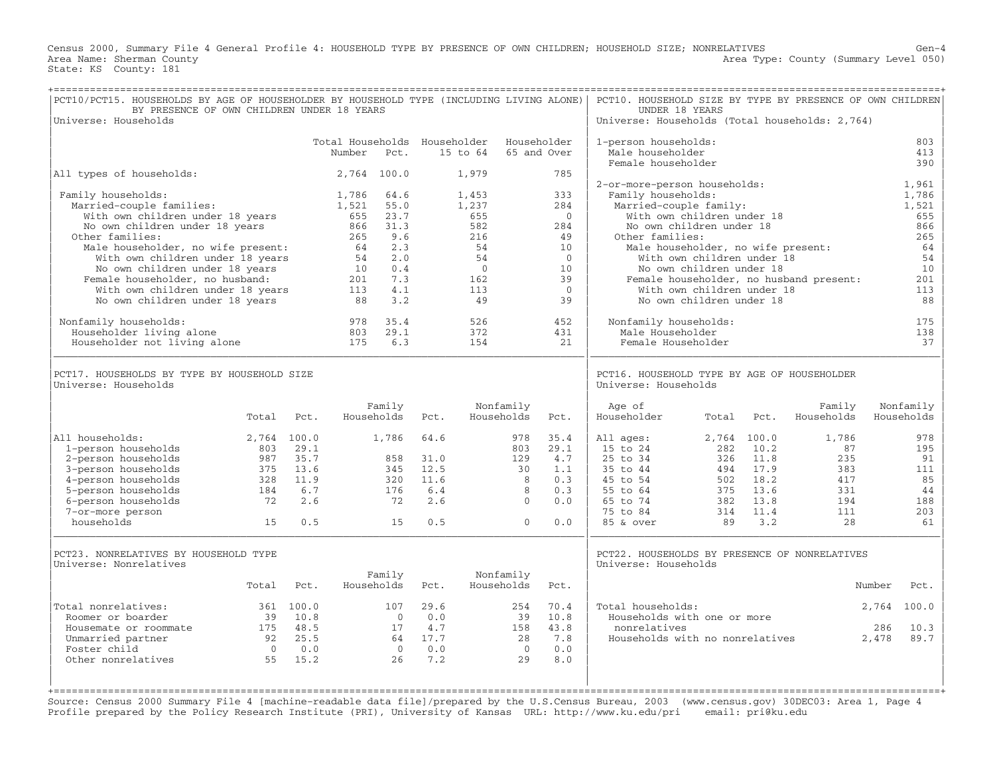Census 2000, Summary File 4 General Profile 4: HOUSEHOLD TYPE BY PRESENCE OF OWN CHILDREN; HOUSEHOLD SIZE; NONRELATIVES Gen−4 Area Type: County (Summary Level 050) Area Name: Sherman County<br>State: KS County: 181

| PCT10/PCT15. HOUSEHOLDS BY AGE OF HOUSEHOLDER BY HOUSEHOLD TYPE (INCLUDING LIVING ALONE)<br>BY PRESENCE OF OWN CHILDREN UNDER 18 YEARS<br>Universe: Households                                                                                                                                                                                                                                                    |                                                            |                                                         |                                                                                                                              |                                                                                               |                                                   |                                                                                                     |                                                            |                                                                                                         | PCT10. HOUSEHOLD SIZE BY TYPE BY PRESENCE OF OWN CHILDREN<br>UNDER 18 YEARS<br>Universe: Households (Total households: 2,764)                |                                                                                                                                                                                                                  |                                                                                     |                                                             |                                                                                                  |
|-------------------------------------------------------------------------------------------------------------------------------------------------------------------------------------------------------------------------------------------------------------------------------------------------------------------------------------------------------------------------------------------------------------------|------------------------------------------------------------|---------------------------------------------------------|------------------------------------------------------------------------------------------------------------------------------|-----------------------------------------------------------------------------------------------|---------------------------------------------------|-----------------------------------------------------------------------------------------------------|------------------------------------------------------------|---------------------------------------------------------------------------------------------------------|----------------------------------------------------------------------------------------------------------------------------------------------|------------------------------------------------------------------------------------------------------------------------------------------------------------------------------------------------------------------|-------------------------------------------------------------------------------------|-------------------------------------------------------------|--------------------------------------------------------------------------------------------------|
|                                                                                                                                                                                                                                                                                                                                                                                                                   |                                                            |                                                         | Total Households Householder<br>Number                                                                                       | Pct.                                                                                          |                                                   | 15 to 64                                                                                            |                                                            | Householder<br>65 and Over                                                                              | 1-person households:<br>Male householder<br>Female householder                                                                               |                                                                                                                                                                                                                  |                                                                                     |                                                             | 803<br>413<br>390                                                                                |
| All types of households:                                                                                                                                                                                                                                                                                                                                                                                          |                                                            |                                                         |                                                                                                                              | 2,764 100.0                                                                                   |                                                   | 1,979                                                                                               |                                                            | 785                                                                                                     |                                                                                                                                              |                                                                                                                                                                                                                  |                                                                                     |                                                             |                                                                                                  |
| Family households:<br>Married-couple families:<br>With own children under 18 years<br>No own children under 18 years<br>Other families:<br>Male householder, no wife present:<br>With own children under 18 years<br>No own children under 18 years<br>Female householder, no husband:<br>With own children under 18 years<br>No own children under 18 years<br>Nonfamily households:<br>Householder living alone |                                                            |                                                         | 1,786<br>1,521<br>655<br>866<br>265<br>64<br>54<br>10<br>$\begin{array}{c} 10 \\ 201 \\ 113 \end{array}$<br>88<br>978<br>803 | 64.6<br>55.0<br>23.7<br>31.3<br>9.6<br>2.3<br>2.0<br>0.4<br>7.3<br>4.1<br>3.2<br>35.4<br>29.1 |                                                   | 1,453<br>1,237<br>655<br>582<br>216<br>54<br>54<br>$\overline{0}$<br>162<br>113<br>49<br>526<br>372 |                                                            | 333<br>284<br>$\Omega$<br>284<br>49<br>10<br>$\Omega$<br>10<br>39<br>$\overline{0}$<br>39<br>452<br>431 | 2-or-more-person households:<br>Family households:<br>Married-couple family:<br>Other families:<br>Nonfamily households:<br>Male Householder | With own children under 18<br>No own children under 18<br>Male householder, no wife present:<br>With own children under 18<br>No own children under 18<br>With own children under 18<br>No own children under 18 |                                                                                     | Female householder, no husband present:                     | 1,961<br>1,786<br>1,521<br>655<br>866<br>265<br>64<br>54<br>10<br>201<br>113<br>88<br>175<br>138 |
| Householder not living alone<br>PCT17. HOUSEHOLDS BY TYPE BY HOUSEHOLD SIZE<br>Universe: Households                                                                                                                                                                                                                                                                                                               |                                                            |                                                         | 175                                                                                                                          | 6.3                                                                                           |                                                   | 154                                                                                                 |                                                            | 21                                                                                                      | Female Householder<br>PCT16. HOUSEHOLD TYPE BY AGE OF HOUSEHOLDER<br>Universe: Households                                                    |                                                                                                                                                                                                                  |                                                                                     |                                                             | 37                                                                                               |
|                                                                                                                                                                                                                                                                                                                                                                                                                   | Total                                                      | Pct.                                                    |                                                                                                                              | Family<br>Households                                                                          | Pct.                                              |                                                                                                     | Nonfamily<br>Households                                    | Pct.                                                                                                    | Age of<br>Householder                                                                                                                        | Total                                                                                                                                                                                                            | Pct.                                                                                | Family<br>Households                                        | Nonfamily<br>Households                                                                          |
| All households:<br>1-person households<br>2-person households<br>3-person households<br>4-person households<br>5-person households<br>6-person households<br>7-or-more person<br>households                                                                                                                                                                                                                       | 2,764 100.0<br>803<br>987<br>375<br>328<br>184<br>72<br>15 | 29.1<br>35.7<br>13.6<br>11.9<br>6.7<br>2.6<br>0.5       |                                                                                                                              | 1,786<br>858<br>345<br>320<br>176<br>72<br>15                                                 | 64.6<br>31.0<br>12.5<br>11.6<br>6.4<br>2.6<br>0.5 |                                                                                                     | 978<br>803<br>129<br>30<br>-8<br>8<br>$\Omega$<br>$\Omega$ | 35.4<br>29.1<br>4.7<br>1.1<br>0.3<br>0.3<br>0.0<br>0.0                                                  | All ages:<br>15 to 24<br>25 to 34<br>35 to 44<br>45 to 54<br>55 to 64<br>65 to 74<br>75 to 84<br>85 & over                                   | 2,764 100.0<br>282<br>89                                                                                                                                                                                         | 10.2<br>326 11.8<br>494 17.9<br>502 18.2<br>375 13.6<br>382 13.8<br>314 11.4<br>3.2 | 1,786<br>87<br>235<br>383<br>417<br>331<br>194<br>111<br>28 | 978<br>195<br>91<br>111<br>85<br>44<br>188<br>203<br>61                                          |
| PCT23. NONRELATIVES BY HOUSEHOLD TYPE<br>Universe: Nonrelatives                                                                                                                                                                                                                                                                                                                                                   | Total                                                      | Pct.                                                    |                                                                                                                              | Family<br>Households                                                                          | Pct.                                              |                                                                                                     | Nonfamily<br>Households                                    | Pct.                                                                                                    | PCT22. HOUSEHOLDS BY PRESENCE OF NONRELATIVES<br>Universe: Households                                                                        |                                                                                                                                                                                                                  |                                                                                     |                                                             | Number<br>Pct.                                                                                   |
| Total nonrelatives:<br>Roomer or boarder<br>Housemate or roommate<br>Unmarried partner<br>Foster child<br>Other nonrelatives                                                                                                                                                                                                                                                                                      | 39<br>$\overline{0}$<br>55                                 | 361 100.0<br>10.8<br>175 48.5<br>92 25.5<br>0.0<br>15.2 |                                                                                                                              | 107<br>$\bigcirc$<br>17<br>$\bigcirc$<br>26                                                   | 29.6<br>0.0<br>4.7<br>64 17.7<br>0.0<br>7.2       |                                                                                                     | 254<br>39<br>158<br>28<br>$\bigcirc$<br>29                 | 70.4<br>10.8<br>43.8<br>7.8<br>0.0<br>8.0                                                               | Total households:<br>Households with one or more<br>nonrelatives<br>Households with no nonrelatives                                          |                                                                                                                                                                                                                  |                                                                                     |                                                             | 100.0<br>2,764<br>10.3<br>286<br>2,478<br>89.7                                                   |

Source: Census 2000 Summary File 4 [machine−readable data file]/prepared by the U.S.Census Bureau, 2003 (www.census.gov) 30DEC03: Area 1, Page 4 Profile prepared by the Policy Research Institute (PRI), University of Kansas URL: http://www.ku.edu/pri email: pri@ku.edu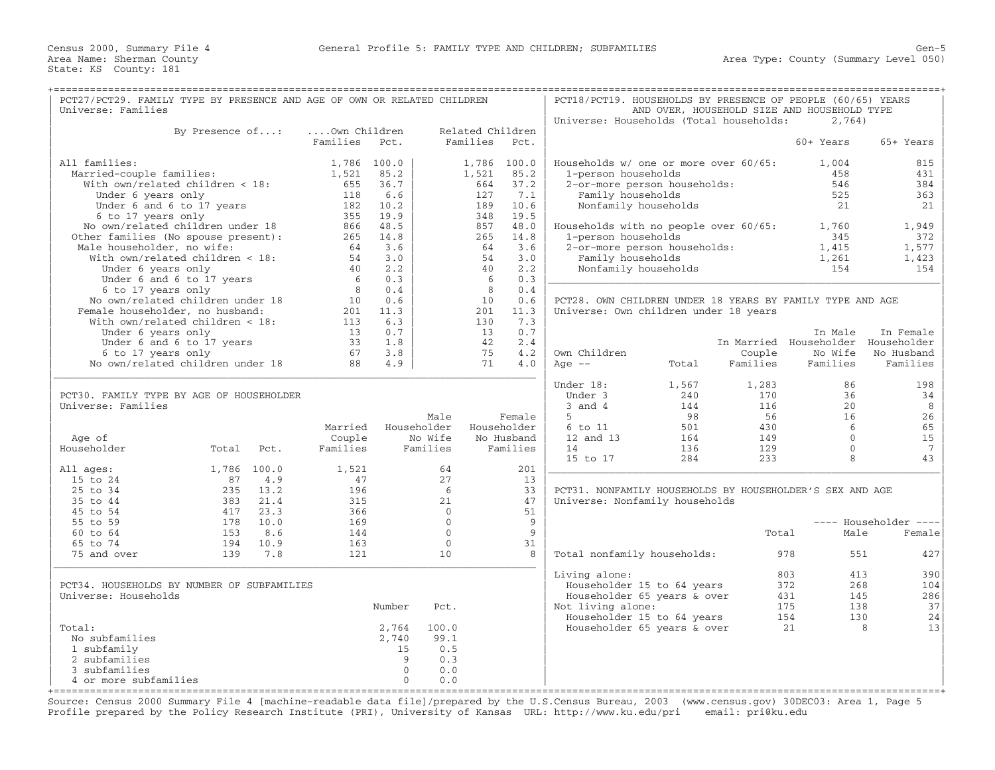| PCT27/PCT29. FAMILY TYPE BY PRESENCE AND AGE OF OWN OR RELATED CHILDREN<br>Universe: Families |                 |          |              |                 |               |                  |             | PCT18/PCT19. HOUSEHOLDS BY PRESENCE OF PEOPLE (60/65) YEARS |                              |          | AND OVER, HOUSEHOLD SIZE AND HOUSEHOLD TYPE |                       |
|-----------------------------------------------------------------------------------------------|-----------------|----------|--------------|-----------------|---------------|------------------|-------------|-------------------------------------------------------------|------------------------------|----------|---------------------------------------------|-----------------------|
|                                                                                               |                 |          |              |                 |               |                  |             | Universe: Households (Total households:                     |                              |          | 2,764)                                      |                       |
|                                                                                               | By Presence of: |          | Own Children |                 |               | Related Children |             |                                                             |                              |          |                                             |                       |
|                                                                                               |                 |          | Families     | Pct.            |               | Families         | Pct.        |                                                             |                              |          | 60+ Years                                   | 65+ Years             |
| All families:                                                                                 |                 |          | 1,786 100.0  |                 |               | 1,786 100.0      |             | Households w/ one or more over 60/65:                       |                              |          | 1,004                                       | 815                   |
| Married-couple families:                                                                      |                 |          | 1,521        | 85.2            |               | 1,521            | 85.2        | 1-person households                                         |                              |          | 458                                         | 431                   |
| With own/related children < 18:                                                               |                 |          | 655          | 36.7            |               | 664              | 37.2        |                                                             | 2-or-more person households: |          | 546                                         | 384                   |
| Under 6 years only                                                                            |                 |          | 118          | 6.6             |               | 127              | 7.1         | Family households                                           |                              |          | 525                                         | 363                   |
| Under 6 and 6 to 17 years                                                                     |                 |          |              | 182 10.2        |               | 189              | 10.6        |                                                             | Nonfamily households         |          | 21                                          | 21                    |
| 6 to 17 years only                                                                            |                 |          | 355          | 19.9            |               | 348              | 19.5        |                                                             |                              |          |                                             |                       |
| No own/related children under 18                                                              |                 |          | 866          | 48.5            |               | 857              | 48.0        | Households with no people over 60/65:                       |                              |          | 1,760                                       | 1,949                 |
| Other families (No spouse present):                                                           |                 |          |              | 265 14.8        |               | 265              | 14.8        | 1-person households                                         |                              |          | 345                                         | 372                   |
| Male householder, no wife:                                                                    |                 |          | 64           | 3.6             |               | 64               | 3.6         |                                                             | 2-or-more person households: |          | 1,415                                       | 1,577                 |
| With own/related children < 18:                                                               |                 |          | 54           | 3.0             |               | 54               | 3.0         | Family households                                           |                              |          | 1,261                                       | 1,423                 |
| Under 6 years only                                                                            |                 |          | 40           | 2.2             |               | 40               | 2.2         |                                                             | Nonfamily households         |          | 154                                         | 154                   |
| Under 6 and 6 to 17 years                                                                     |                 |          | - 6          | 0.3             |               | 6                | 0.3         |                                                             |                              |          |                                             |                       |
| 6 to 17 years only                                                                            |                 |          | 8            | 0.4             |               | 8                | 0.4         |                                                             |                              |          |                                             |                       |
| No own/related children under 18                                                              |                 |          | 10           | 0.6             |               | 10               | 0.6         | PCT28. OWN CHILDREN UNDER 18 YEARS BY FAMILY TYPE AND AGE   |                              |          |                                             |                       |
| Female householder, no husband:                                                               |                 |          | 113          | 201 11.3<br>6.3 |               | 201<br>130       | 11.3        | Universe: Own children under 18 years                       |                              |          |                                             |                       |
| With $own/related children < 18$ :<br>Under 6 years only                                      |                 |          | 13           | 0.7             |               | 13               | 7.3<br>0.7  |                                                             |                              |          | In Male                                     | In Female             |
| Under 6 and 6 to 17 years                                                                     |                 |          | 33           | 1.8             |               | 42               | 2.4         |                                                             |                              |          | In Married Householder Householder          |                       |
| 6 to 17 years only                                                                            |                 |          | 67           | 3.8             |               | 75               | 4.2         | Own Children                                                |                              | Couple   | No Wife                                     | No Husband            |
| No own/related children under 18                                                              |                 |          | 88           | 4.9             |               | 71               | 4.0         | Age $--$                                                    | Total                        | Families | Families                                    | Families              |
|                                                                                               |                 |          |              |                 |               |                  |             |                                                             |                              |          |                                             |                       |
|                                                                                               |                 |          |              |                 |               |                  |             | Under 18:                                                   | 1,567                        | 1,283    | 86                                          | 198                   |
| PCT30. FAMILY TYPE BY AGE OF HOUSEHOLDER                                                      |                 |          |              |                 |               |                  |             | Under 3                                                     | 240                          | 170      | 36                                          | 34                    |
| Universe: Families                                                                            |                 |          |              |                 |               |                  |             | $3$ and $4$                                                 | 144                          | 116      | 20                                          | 8                     |
|                                                                                               |                 |          |              |                 | Male          |                  | Female      | 5                                                           | 98                           | 56       | 16                                          | 26                    |
|                                                                                               |                 |          | Married      |                 | Householder   |                  | Householder | 6 to 11                                                     | 501                          | 430      | $6\overline{6}$                             | 65                    |
| Age of                                                                                        |                 |          | Couple       |                 | No Wife       |                  | No Husband  | 12 and 13                                                   | 164                          | 149      | $\mathbf{0}$                                | 15                    |
| Householder                                                                                   | Total           | Pct.     | Families     |                 | Families      |                  | Families    | 14                                                          | 136                          | 129      | $\Omega$<br>8                               | $7\phantom{.0}$       |
| All ages:                                                                                     | 1,786 100.0     |          | 1,521        |                 | 64            |                  | 201         | 15 to 17                                                    | 284                          | 233      |                                             | 43                    |
| 15 to 24                                                                                      | 87              | 4.9      | 47           |                 | 27            |                  | 13          |                                                             |                              |          |                                             |                       |
| 25 to 34                                                                                      | 235             | 13.2     | 196          |                 | 6             |                  | 33          | PCT31. NONFAMILY HOUSEHOLDS BY HOUSEHOLDER'S SEX AND AGE    |                              |          |                                             |                       |
| 35 to 44                                                                                      | 383             | 21.4     | 315          |                 | 21            |                  | 47          | Universe: Nonfamily households                              |                              |          |                                             |                       |
| 45 to 54                                                                                      | 417             | 23.3     | 366          |                 | $\mathbf 0$   |                  | 51          |                                                             |                              |          |                                             |                       |
| 55 to 59                                                                                      |                 | 178 10.0 | 169          |                 | $\Omega$      |                  | 9           |                                                             |                              |          |                                             | ---- Householder ---- |
| $60$ to $64$                                                                                  | 153             | 8.6      | 144          |                 | $\Omega$      |                  | 9           |                                                             |                              | Total    | Male                                        | Female                |
| 65 to 74                                                                                      | 194             | 10.9     | 163          |                 | $\mathbf{0}$  |                  | 31          |                                                             |                              |          |                                             |                       |
| 75 and over                                                                                   | 139             | 7.8      | 121          |                 | 10            |                  | 8           | Total nonfamily households:                                 |                              |          | 978<br>551                                  | 427                   |
|                                                                                               |                 |          |              |                 |               |                  |             |                                                             |                              |          |                                             |                       |
|                                                                                               |                 |          |              |                 |               |                  |             | Living alone:                                               |                              |          | 803<br>413                                  | 390                   |
| PCT34. HOUSEHOLDS BY NUMBER OF SUBFAMILIES                                                    |                 |          |              |                 |               |                  |             |                                                             | Householder 15 to 64 years   |          | 372<br>268                                  | 104                   |
| Universe: Households                                                                          |                 |          |              |                 |               |                  |             |                                                             | Householder 65 years & over  |          | 431<br>145                                  | 286                   |
|                                                                                               |                 |          |              | Number          | Pct.          |                  |             | Not living alone:                                           |                              |          | 175<br>138                                  | 37                    |
|                                                                                               |                 |          |              |                 |               |                  |             |                                                             | Householder 15 to 64 years   |          | 154<br>130                                  | 24<br>8               |
| Total:<br>No subfamilies                                                                      |                 |          |              | 2,764<br>2,740  | 100.0<br>99.1 |                  |             |                                                             | Householder 65 years & over  |          | 21                                          | 13                    |
| 1 subfamily                                                                                   |                 |          |              | 15              | 0.5           |                  |             |                                                             |                              |          |                                             |                       |
| 2 subfamilies                                                                                 |                 |          |              | 9               | 0.3           |                  |             |                                                             |                              |          |                                             |                       |
| 3 subfamilies                                                                                 |                 |          |              | $\Omega$        | 0.0           |                  |             |                                                             |                              |          |                                             |                       |
| 4 or more subfamilies                                                                         |                 |          |              | $\Omega$        | 0.0           |                  |             |                                                             |                              |          |                                             |                       |
|                                                                                               |                 |          |              |                 |               |                  |             |                                                             |                              |          |                                             |                       |

Source: Census 2000 Summary File 4 [machine−readable data file]/prepared by the U.S.Census Bureau, 2003 (www.census.gov) 30DEC03: Area 1, Page 5 Profile prepared by the Policy Research Institute (PRI), University of Kansas URL: http://www.ku.edu/pri email: pri@ku.edu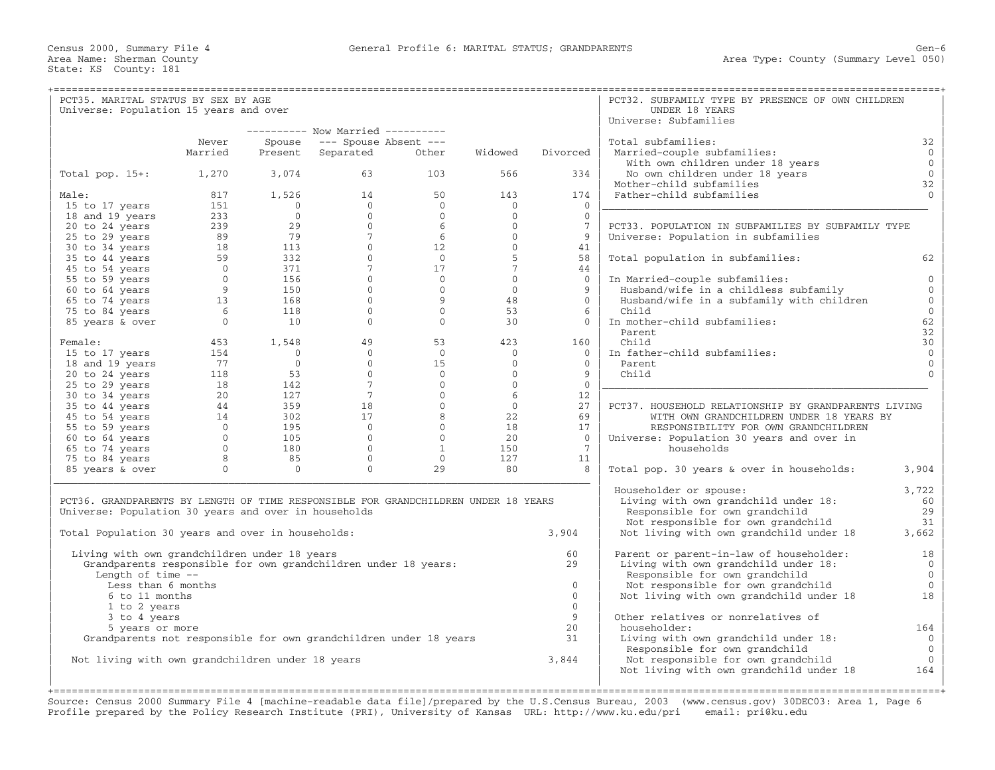| PCT35. MARITAL STATUS BY SEX BY AGE                                                |              |                      |                                   |                |                      |                      | ------------------------------------<br>PCT32. SUBFAMILY TYPE BY PRESENCE OF OWN CHILDREN |                      |
|------------------------------------------------------------------------------------|--------------|----------------------|-----------------------------------|----------------|----------------------|----------------------|-------------------------------------------------------------------------------------------|----------------------|
| Universe: Population 15 years and over                                             |              |                      |                                   |                |                      |                      | UNDER 18 YEARS                                                                            |                      |
|                                                                                    |              |                      |                                   |                |                      |                      | Universe: Subfamilies                                                                     |                      |
|                                                                                    |              |                      | ---------- Now Married ---------- |                |                      |                      |                                                                                           |                      |
|                                                                                    | Never        | Spouse               | --- Spouse Absent ---             |                |                      |                      | Total subfamilies:                                                                        | 32                   |
|                                                                                    | Married      | Present              | Separated                         | Other          | Widowed              | Divorced             | Married-couple subfamilies:                                                               | $\mathbf{0}$         |
|                                                                                    |              |                      |                                   |                |                      |                      | With own children under 18 years                                                          | $\mathbf 0$          |
| Total pop. $15+:$                                                                  | 1,270        | 3,074                | 63                                | 103            | 566                  | 334                  | No own children under 18 years                                                            | $\mathbf{0}$         |
| Male:                                                                              | 817          | 1,526                | 14                                | 50             | 143                  | 174                  | Mother-child subfamilies<br>Father-child subfamilies                                      | 32<br>$\Omega$       |
| 15 to 17 years                                                                     | 151          | $\Omega$             | $\overline{0}$                    | $\overline{0}$ | $\mathbf{0}$         | $\Omega$             |                                                                                           |                      |
| 18 and 19 years                                                                    | 233          | $\Omega$             | $\Omega$                          | $\Omega$       | $\Omega$             | $\Omega$             |                                                                                           |                      |
| 20 to 24 years                                                                     | 239          | 29                   | $\Omega$                          | -6             | $\Omega$             | $7\phantom{.0}$      | PCT33. POPULATION IN SUBFAMILIES BY SUBFAMILY TYPE                                        |                      |
| 25 to 29 years                                                                     | 89           | 79                   | $7^{\circ}$                       | 6              | $\Omega$             | 9                    | Universe: Population in subfamilies                                                       |                      |
| 30 to 34 years                                                                     | 18           | 113                  | $\Omega$                          | 12             | $\mathbf{0}$         | 41                   |                                                                                           |                      |
| 35 to 44 years                                                                     | 59           | 332                  | $\Omega$                          | $\overline{0}$ | 5                    | 58                   | Total population in subfamilies:                                                          | 62                   |
| 45 to 54 years                                                                     | $\mathbf{0}$ | 371                  | 7 <sup>7</sup>                    | 17             | $7\overline{ }$      | 44                   |                                                                                           |                      |
| 55 to 59 years                                                                     | $\mathbf{0}$ | 156                  | $\overline{0}$                    | $\overline{0}$ | $\mathbf{0}$         | $\overline{0}$       | In Married-couple subfamilies:                                                            | 0                    |
| 60 to 64 years                                                                     | 9            | 150                  | $\Omega$                          | $\Omega$       | $\Omega$             | 9                    | Husband/wife in a childless subfamily                                                     | $\Omega$             |
| 65 to 74 years                                                                     | 13           | 168                  | $\Omega$                          | 9              | 48                   | $\Omega$             | Husband/wife in a subfamily with children                                                 | $\Omega$             |
| 75 to 84 years                                                                     | 6            | 118                  | $\Omega$                          | $\overline{0}$ | 53                   | 6                    | Child                                                                                     | $\mathbf{0}$         |
| 85 years & over                                                                    | $\mathbf{0}$ | 10                   | $\Omega$                          | $\overline{0}$ | 30                   | $\overline{0}$       | In mother-child subfamilies:                                                              | 62                   |
|                                                                                    |              |                      |                                   |                |                      |                      | Parent                                                                                    | 32                   |
| Female:                                                                            | 453          | 1,548                | 49                                | 53             | 423                  | 160                  | Child                                                                                     | 30                   |
| 15 to 17 years                                                                     | 154<br>77    | $\Omega$<br>$\Omega$ | $\Omega$<br>$\Omega$              | $\Omega$<br>15 | $\Omega$<br>$\Omega$ | $\Omega$<br>$\Omega$ | In father-child subfamilies:<br>Parent.                                                   | $\Omega$<br>$\Omega$ |
| 18 and 19 years<br>20 to 24 years                                                  | 118          | 53                   | $\Omega$                          | $\Omega$       | $\mathbf 0$          | 9                    | Child                                                                                     | $\cap$               |
| 25 to 29 years                                                                     | 18           | 142                  | $7\overline{ }$                   | $\Omega$       | $\Omega$             | $\Omega$             |                                                                                           |                      |
| 30 to 34 years                                                                     | 20           | 127                  | 7 <sup>7</sup>                    | $\overline{0}$ | 6                    | 12                   |                                                                                           |                      |
| 35 to 44 years                                                                     | 44           | 359                  | 18                                | $\Omega$       | $\Omega$             | 27                   | PCT37. HOUSEHOLD RELATIONSHIP BY GRANDPARENTS LIVING                                      |                      |
| 45 to 54 years                                                                     | 14           | 302                  | 17                                | 8              | 22                   | 69                   | WITH OWN GRANDCHILDREN UNDER 18 YEARS BY                                                  |                      |
| 55 to 59 years                                                                     | $\Omega$     | 195                  | $\overline{0}$                    | $\Omega$       | 18                   | 17                   | RESPONSIBILITY FOR OWN GRANDCHILDREN                                                      |                      |
| 60 to 64 years                                                                     | $\Omega$     | 105                  | $\Omega$                          | $\Omega$       | 2.0                  | $\Omega$             | Universe: Population 30 years and over in                                                 |                      |
| 65 to 74 years                                                                     | $\Omega$     | 180                  | $\Omega$                          | $\mathbf{1}$   | 150                  | $7\phantom{.0}$      | households                                                                                |                      |
| 75 to 84 years                                                                     | 8            | 85                   | $\overline{0}$                    | $\overline{0}$ | 127                  | 11                   |                                                                                           |                      |
| 85 years & over                                                                    | $\Omega$     | $\Omega$             | $\Omega$                          | 29             | 80                   | 8                    | Total pop. 30 years & over in households:                                                 | 3,904                |
|                                                                                    |              |                      |                                   |                |                      |                      | Householder or spouse:                                                                    | 3,722                |
| PCT36. GRANDPARENTS BY LENGTH OF TIME RESPONSIBLE FOR GRANDCHILDREN UNDER 18 YEARS |              |                      |                                   |                |                      |                      | Living with own grandchild under 18:                                                      | 60                   |
| Universe: Population 30 years and over in households                               |              |                      |                                   |                |                      |                      | Responsible for own grandchild                                                            | 29                   |
|                                                                                    |              |                      |                                   |                |                      |                      | Not responsible for own grandchild                                                        | 31                   |
| Total Population 30 years and over in households:                                  |              |                      |                                   |                |                      | 3,904                | Not living with own grandchild under 18                                                   | 3,662                |
| Living with own grandchildren under 18 years                                       |              |                      |                                   |                |                      | 60                   | Parent or parent-in-law of householder:                                                   | 18                   |
| Grandparents responsible for own grandchildren under 18 years:                     |              |                      |                                   |                |                      | 2.9                  | Living with own grandchild under 18:                                                      | $\mathbf{0}$         |
| Length of time $-$                                                                 |              |                      |                                   |                |                      |                      | Responsible for own grandchild                                                            | $\mathbf{0}$         |
| Less than 6 months                                                                 |              |                      |                                   |                |                      | $\Omega$             | Not responsible for own grandchild                                                        | $\Omega$             |
| 6 to 11 months                                                                     |              |                      |                                   |                |                      | $\Omega$             | Not living with own grandchild under 18                                                   | 18                   |
| 1 to 2 years                                                                       |              |                      |                                   |                |                      | $\Omega$             |                                                                                           |                      |
| 3 to 4 years                                                                       |              |                      |                                   |                |                      | 9                    | Other relatives or nonrelatives of                                                        |                      |
| 5 years or more                                                                    |              |                      |                                   |                |                      | 20                   | householder:                                                                              | 164                  |
| Grandparents not responsible for own grandchildren under 18 years                  |              |                      |                                   |                |                      | 31                   | Living with own grandchild under 18:                                                      | $\mathbf{0}$         |
|                                                                                    |              |                      |                                   |                |                      |                      | Responsible for own grandchild                                                            | $\overline{0}$       |
| Not living with own grandchildren under 18 years                                   |              |                      |                                   |                |                      | 3,844                | Not responsible for own grandchild                                                        | $\mathbf{0}$         |
|                                                                                    |              |                      |                                   |                |                      |                      | Not living with own grandchild under 18                                                   | 164                  |
|                                                                                    |              |                      |                                   |                |                      |                      |                                                                                           |                      |

Source: Census 2000 Summary File 4 [machine−readable data file]/prepared by the U.S.Census Bureau, 2003 (www.census.gov) 30DEC03: Area 1, Page 6 Profile prepared by the Policy Research Institute (PRI), University of Kansas URL: http://www.ku.edu/pri email: pri@ku.edu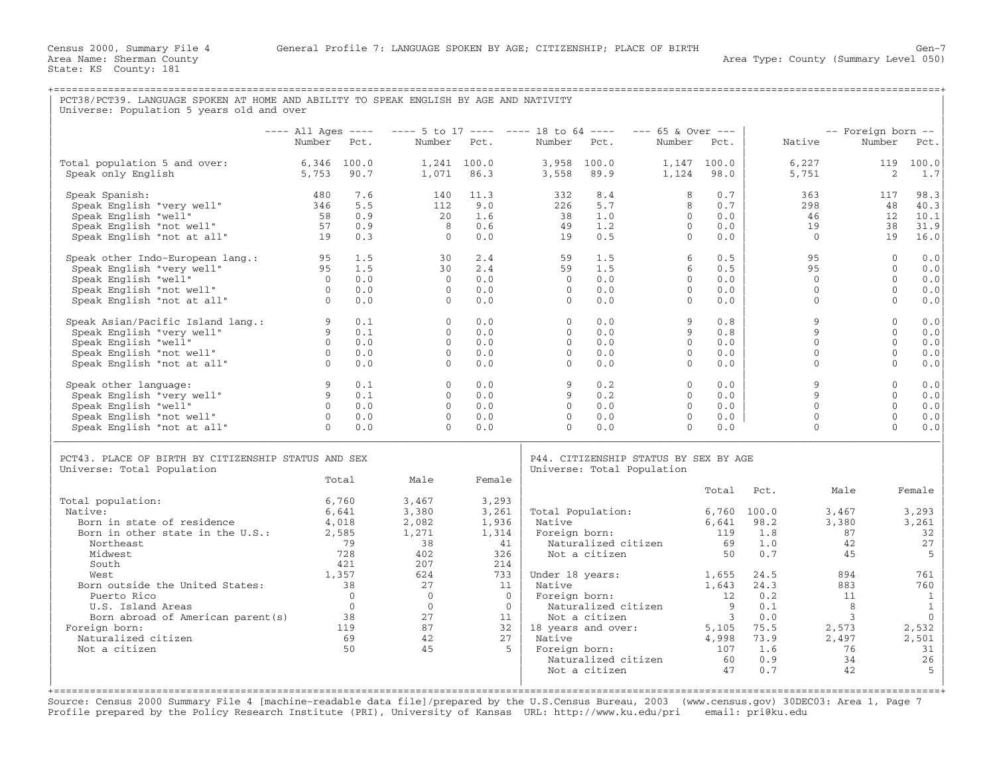| PCT38/PCT39. LANGUAGE SPOKEN AT HOME AND ABILITY TO SPEAK ENGLISH BY AGE AND NATIVITY<br>Universe: Population 5 years old and over                                                |                                                          |                                             |                                                                |                                                      |                                                          |                                                                            |                                                                  |                                                                   |                                              |                                                              |                                      |
|-----------------------------------------------------------------------------------------------------------------------------------------------------------------------------------|----------------------------------------------------------|---------------------------------------------|----------------------------------------------------------------|------------------------------------------------------|----------------------------------------------------------|----------------------------------------------------------------------------|------------------------------------------------------------------|-------------------------------------------------------------------|----------------------------------------------|--------------------------------------------------------------|--------------------------------------|
|                                                                                                                                                                                   |                                                          |                                             |                                                                |                                                      |                                                          |                                                                            |                                                                  |                                                                   |                                              |                                                              |                                      |
|                                                                                                                                                                                   | $---$ All Ages $---$<br>Number Pct.                      |                                             | $--- 5$ to 17 ---- ---- 18 to 64 ----                          | Number Pct.                                          | Number Pct.                                              |                                                                            | $--- 65$ & Over $---$  <br>Number Pct.                           |                                                                   | Native                                       | -- Foreign born --<br>Number                                 | Pct.                                 |
| Total population 5 and over:<br>Speak only English                                                                                                                                | $6,346$ 100.0<br>5,753                                   | 90.7                                        | 1,071                                                          | 1,241 100.0<br>86.3                                  | 3,558                                                    | 3,958 100.0<br>89.9                                                        | 1,124                                                            | 1,147 100.0<br>98.0                                               | 6,227<br>5,751                               | 2                                                            | 119 100.0<br>1.7                     |
| Speak Spanish:<br>Speak English "very well"<br>Speak English "well"<br>Speak English "not well"<br>Speak English "not at all"                                                     | 480<br>346<br>58<br>57<br>19                             | 7.6<br>5.5<br>0.9<br>0.9<br>0.3             | 140<br>112<br>20<br>8<br>$\Omega$                              | 11.3<br>9.0<br>1.6<br>0.6<br>0.0                     | 332<br>226<br>38<br>49<br>19                             | 8.4<br>5.7<br>1.0<br>1.2<br>0.5                                            | 8<br>8<br>$\circ$<br>$\Omega$<br>$\Omega$                        | 0.7<br>0.7<br>0.0<br>0.0<br>0.0                                   | 363<br>298<br>46<br>19<br>$\Omega$           | 117<br>48<br>12<br>38<br>19                                  | 98.3<br>40.3<br>10.1<br>31.9<br>16.0 |
| Speak other Indo-European lang.: 95<br>Speak English "very well"<br>Speak English "well"<br>Speak English "not well"<br>Speak English "not at all"                                | 95<br>$\overline{0}$<br>$\overline{0}$<br>$\overline{0}$ | 1.5<br>1.5<br>0.0<br>0.0<br>0.0             | 30<br>30<br>$\Omega$<br>$\Omega$<br>$\Omega$                   | 2.4<br>2.4<br>0.0<br>0.0<br>0.0                      | 59<br>59<br>$\Omega$<br>$\Omega$<br>$\Omega$             | 1.5<br>1.5<br>0.0<br>0.0<br>0.0                                            | 6<br>6<br>$\Omega$<br>$\Omega$<br>$\Omega$                       | 0.5<br>0.5<br>0.0<br>0.0<br>0.0                                   | 95<br>95<br>$\Omega$<br>$\Omega$<br>$\Omega$ | $\Omega$<br>$\Omega$<br>$\Omega$<br>$\Omega$<br>$\Omega$     | 0.0<br>0.0<br>0.0<br>0.0<br>0.0      |
| Speak Asian/Pacific Island lang.: 9<br>Speak English "very well" 9<br>Speak English "very well"<br>Speak English "well"<br>Speak English "not well"<br>Speak English "not at all" | $\overline{0}$<br>$\frac{0}{2}$<br>$\overline{0}$        | 0.1<br>0.1<br>0.0<br>0.0<br>0.0             | $\Omega$<br>$\Omega$<br>$\Omega$<br>$\Omega$<br>$\Omega$       | 0.0<br>0.0<br>0.0<br>0.0<br>0.0                      | $\Omega$<br>$\Omega$<br>$\Omega$<br>$\Omega$<br>$\Omega$ | 0.0<br>0.0<br>0.0<br>0.0<br>0.0                                            | 9<br>9<br>$\Omega$<br>$\Omega$<br>$\Omega$                       | 0.8<br>0.8<br>0.0<br>0.0<br>0.0                                   | 9<br>9<br>$\Omega$<br>$\Omega$<br>$\Omega$   | $\Omega$<br>$\Omega$<br>$\Omega$<br>$\Omega$<br>$\Omega$     | 0.0<br>0.0<br>0.0<br>0.0<br>0.0      |
| Speak other language:<br>Speak English "very well"<br>Speak English "well"<br>Speak English "not well"<br>Speak English "not at all"                                              | 9<br>9<br>$\Omega$<br>$\overline{0}$<br>$\Omega$         | 0.1<br>0.1<br>0.0<br>0.0<br>0.0             | $\overline{0}$<br>$\Omega$<br>$\Omega$<br>$\Omega$<br>$\Omega$ | 0.0<br>0.0<br>0.0<br>0.0<br>0.0                      | 9<br>9<br>$\Omega$<br>$\Omega$<br>$\Omega$               | 0.2<br>0.2<br>0.0<br>0.0<br>0.0                                            | $\mathbf{0}$<br>$\Omega$<br>$\Omega$<br>$\mathbf{0}$<br>$\Omega$ | 0.0<br>0.0<br>0.0<br>0.0<br>0.0                                   | 9<br>9<br>$\Omega$<br>$\Omega$<br>$\Omega$   | $\mathbf{0}$<br>$\Omega$<br>$\Omega$<br>$\Omega$<br>$\Omega$ | 0.0<br>0.0<br>0.0<br>0.0<br>0.0      |
| PCT43. PLACE OF BIRTH BY CITIZENSHIP STATUS AND SEX<br>Universe: Total Population                                                                                                 |                                                          |                                             |                                                                |                                                      |                                                          | P44. CITIZENSHIP STATUS BY SEX BY AGE<br>Universe: Total Population        |                                                                  |                                                                   |                                              |                                                              |                                      |
|                                                                                                                                                                                   |                                                          | Total                                       | Male                                                           | Female                                               |                                                          |                                                                            |                                                                  |                                                                   | Total Pct.                                   | Male                                                         | Female                               |
| Total population:<br>Native:<br>Born in state of residence<br>Born in other state in the U.S.:<br>Northeast<br>Midwest<br>South                                                   | 4,018                                                    | 6,760<br>6,641<br>2,585<br>79<br>728<br>421 | 3,467<br>3,380<br>2,082<br>1,271<br>38<br>402<br>207           | 3,293<br>3,261<br>1,936<br>1,314<br>41<br>326<br>214 | Native                                                   | Total Population:<br>Foreign born:<br>Naturalized citizen<br>Not a citizen |                                                                  | 6,760 100.0<br>69<br>50                                           | $6,641$ 98.2<br>119 1.8<br>1.0<br>0.7        | 3,467<br>3,380<br>87<br>42<br>45                             | 3,293<br>3,261<br>32<br>27<br>5      |
| West<br>Born outside the United States:<br>Puerto Rico<br>U.S. Island Areas<br>Born abroad of American parent(s) 38                                                               | 38                                                       | 1,357<br>$\overline{0}$<br>$\bigcirc$       | 624<br>27<br>$\overline{0}$<br>$\bigcirc$<br>27                | 733<br>11<br>$\overline{0}$<br>$\bigcirc$<br>11      | Native                                                   | Under 18 years:<br>Foreign born:<br>Naturalized citizen<br>Not a citizen   |                                                                  | 1,655<br>1,643<br>12<br>$\overline{9}$<br>$\overline{\mathbf{3}}$ | 24.5<br>24.3<br>0.2<br>0.1<br>0.0            | 894<br>883<br>11<br>8<br>3                                   | 761<br>760<br>1<br>1<br>$\Omega$     |
| Foreign born:<br>Naturalized citizen<br>Not a citizen                                                                                                                             |                                                          | 119<br>69<br>50                             | 87<br>42<br>45                                                 | 27<br>-5                                             | Native<br>Foreign born:                                  | 32   18 years and over:<br>Naturalized citizen<br>Not a citizen            |                                                                  | 5,105<br>4,998<br>107<br>60<br>47                                 | 75.5<br>73.9<br>1.6<br>0.9<br>0.7            | 2,573<br>2,497<br>76<br>34<br>42                             | 2,532<br>2,501<br>31<br>26<br>5      |

Source: Census 2000 Summary File 4 [machine−readable data file]/prepared by the U.S.Census Bureau, 2003 (www.census.gov) 30DEC03: Area 1, Page 7 Profile prepared by the Policy Research Institute (PRI), University of Kansas URL: http://www.ku.edu/pri email: pri@ku.edu

| | | +===================================================================================================================================================+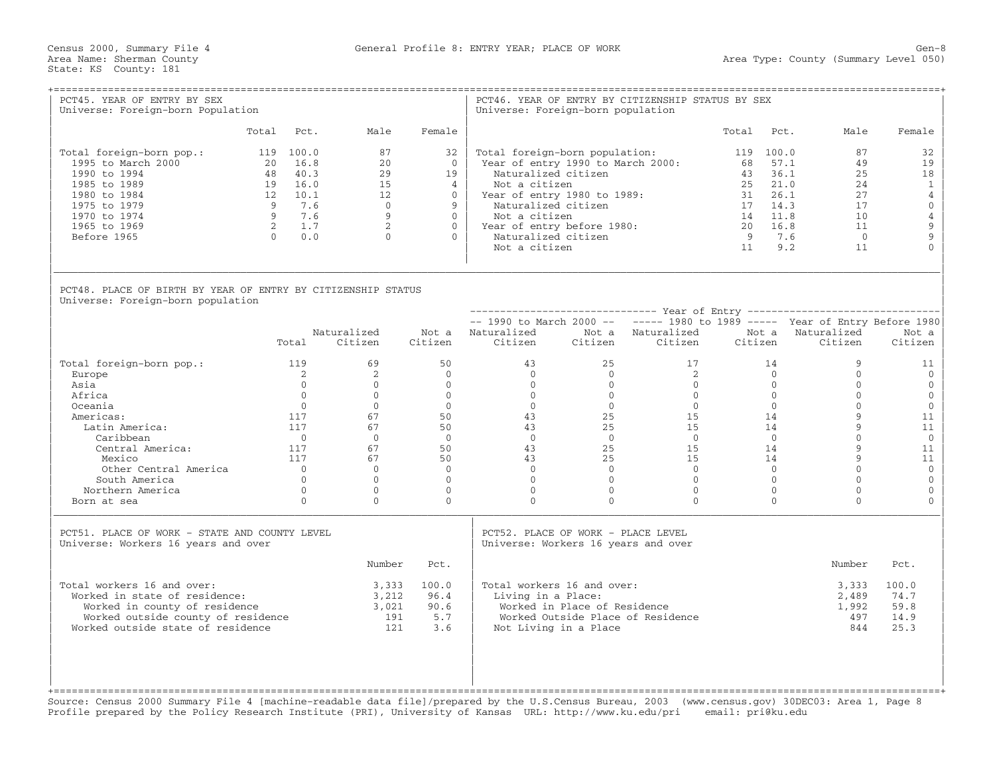Census 2000, Summary File 4 General Profile 8: ENTRY YEAR; PLACE OF WORK Gen−8

| PCT45. YEAR OF ENTRY BY SEX<br>Universe: Foreign-born Population                                                                                                        |       |                                                                                                                                                      |                                                                         |                                                                                             | Universe: Foreign-born population                                                            |                                                       | PCT46. YEAR OF ENTRY BY CITIZENSHIP STATUS BY SEX                                                                                                                                                                                 |                                                                        |                            |                                                                              |                                                                                                            |
|-------------------------------------------------------------------------------------------------------------------------------------------------------------------------|-------|------------------------------------------------------------------------------------------------------------------------------------------------------|-------------------------------------------------------------------------|---------------------------------------------------------------------------------------------|----------------------------------------------------------------------------------------------|-------------------------------------------------------|-----------------------------------------------------------------------------------------------------------------------------------------------------------------------------------------------------------------------------------|------------------------------------------------------------------------|----------------------------|------------------------------------------------------------------------------|------------------------------------------------------------------------------------------------------------|
|                                                                                                                                                                         | Total | Pct.                                                                                                                                                 | Male                                                                    | Female                                                                                      |                                                                                              |                                                       |                                                                                                                                                                                                                                   | Total                                                                  | Pct.                       | Male                                                                         | Female                                                                                                     |
| Total foreign-born pop.:<br>1995 to March 2000<br>1990 to 1994<br>1985 to 1989<br>1980 to 1984<br>1975 to 1979<br>1970 to 1974<br>1965 to 1969<br>Before 1965           |       | 119 100.0<br>20 16.8<br>48 40.3<br>19 16.0<br>12 10.1<br>9 7.6<br>9 7.6<br>$\begin{array}{ccc} 2 & \phantom{0}1.7 \\ 0 & \phantom{0}0.0 \end{array}$ | 87<br>2.0<br>29<br>15<br>12<br>$\Omega$<br>9<br>$2^{\circ}$<br>$\Omega$ | 32<br>$\Omega$<br>19<br>$\overline{4}$<br>$\Omega$<br>9<br>$\Omega$<br>$\Omega$<br>$\Omega$ | Naturalized citizen<br>Not a citizen<br>Not a citizen<br>Not a citizen                       | Naturalized citizen                                   | Total foreign-born population:<br>Year of entry 1990 to March 2000:<br>Year of entry 1980 to 1989:<br>Naturalized citizen<br>17 14.3<br>Year of entry before $1980:$ $\begin{array}{ccc}\n & 14 & 11.0 \\ 20 & 16.8\n\end{array}$ | 119 100.0<br>68 57.1<br>43 36.1<br>25 21.0<br>14 11.8<br>- 9<br>11 9.2 | 7.6                        | 87<br>49<br>25<br>2.4<br>27<br>17<br>10 <sup>°</sup><br>11<br>$\Omega$<br>11 | 32<br>19<br>18<br>$\mathbf{1}$<br>$\overline{4}$<br>$\overline{0}$<br>$\overline{4}$<br>9<br>9<br>$\Omega$ |
| PCT48. PLACE OF BIRTH BY YEAR OF ENTRY BY CITIZENSHIP STATUS<br>Universe: Foreign-born population                                                                       |       |                                                                                                                                                      |                                                                         |                                                                                             |                                                                                              |                                                       |                                                                                                                                                                                                                                   |                                                                        |                            |                                                                              |                                                                                                            |
|                                                                                                                                                                         |       |                                                                                                                                                      |                                                                         |                                                                                             |                                                                                              |                                                       |                                                                                                                                                                                                                                   |                                                                        |                            |                                                                              |                                                                                                            |
|                                                                                                                                                                         |       |                                                                                                                                                      |                                                                         |                                                                                             |                                                                                              |                                                       | $--$ 1990 to March 2000 -- $---$ 1980 to 1989 ----- Year of Entry Before 1980                                                                                                                                                     |                                                                        |                            |                                                                              |                                                                                                            |
|                                                                                                                                                                         |       | Total                                                                                                                                                | Naturalized<br>Citizen                                                  | Citizen                                                                                     | Not a Naturalized<br>Citizen                                                                 |                                                       | Not a Naturalized<br>Citizen Citizen                                                                                                                                                                                              | Citizen                                                                |                            | Not a Naturalized<br>Citizen                                                 | Not a<br>Citizen                                                                                           |
| Total foreign-born pop.:                                                                                                                                                | 119   |                                                                                                                                                      | 69                                                                      | 50                                                                                          | 43                                                                                           | 25                                                    | 17                                                                                                                                                                                                                                |                                                                        | 14                         | 9                                                                            | 11                                                                                                         |
| Europe                                                                                                                                                                  |       | 2                                                                                                                                                    | $\overline{2}$                                                          | $\Omega$                                                                                    |                                                                                              |                                                       | 2                                                                                                                                                                                                                                 |                                                                        | $\Omega$                   | $\Omega$                                                                     | $\Omega$                                                                                                   |
| Asia                                                                                                                                                                    |       | $\cap$                                                                                                                                               | $\Omega$                                                                | $\Omega$                                                                                    |                                                                                              |                                                       |                                                                                                                                                                                                                                   |                                                                        |                            | $\Omega$                                                                     | $\mathbf{0}$                                                                                               |
| Africa                                                                                                                                                                  |       | $\Omega$                                                                                                                                             | $\Omega$                                                                | $\Omega$                                                                                    |                                                                                              |                                                       |                                                                                                                                                                                                                                   |                                                                        |                            | $\Omega$                                                                     | $\mathbf{0}$                                                                                               |
| Oceania                                                                                                                                                                 |       | $\overline{0}$                                                                                                                                       | $\Omega$                                                                | $\begin{array}{c} 0 \\ 50 \\ 50 \end{array}$                                                |                                                                                              |                                                       | $\frac{0}{25}$                                                                                                                                                                                                                    |                                                                        |                            | $\Omega$                                                                     | $\mathbf{0}$                                                                                               |
| Americas:                                                                                                                                                               |       | 117                                                                                                                                                  | 67                                                                      |                                                                                             |                                                                                              |                                                       |                                                                                                                                                                                                                                   |                                                                        |                            | $\overline{9}$                                                               | 11                                                                                                         |
| Latin America:                                                                                                                                                          |       | 117                                                                                                                                                  | 67                                                                      |                                                                                             |                                                                                              |                                                       |                                                                                                                                                                                                                                   |                                                                        |                            | $\mathsf{Q}$                                                                 | 11                                                                                                         |
| Caribbean                                                                                                                                                               |       | $\overline{0}$                                                                                                                                       | $\Omega$                                                                | $\Omega$                                                                                    |                                                                                              |                                                       |                                                                                                                                                                                                                                   |                                                                        |                            | $\Omega$                                                                     | $\mathbf 0$                                                                                                |
| Central America:                                                                                                                                                        |       | 117                                                                                                                                                  | 67                                                                      | 50                                                                                          |                                                                                              | 25                                                    |                                                                                                                                                                                                                                   |                                                                        |                            | $\mathsf{Q}$                                                                 | 11                                                                                                         |
| Mexico                                                                                                                                                                  |       | 117                                                                                                                                                  | 67                                                                      | 50                                                                                          | $\begin{array}{ccc} 4 & 5 & 0 \\ 0 & 0 \\ 4 & 3 & 25 \\ 4 & 3 & 25 \\ 0 & 0 & 0 \end{array}$ | 25                                                    |                                                                                                                                                                                                                                   |                                                                        |                            | $\mathbf{Q}$                                                                 | 11                                                                                                         |
| Other Central America                                                                                                                                                   |       | $\bigcap$                                                                                                                                            | $\Omega$                                                                | $\Omega$                                                                                    |                                                                                              | $\bigcirc$                                            |                                                                                                                                                                                                                                   |                                                                        |                            | $\Omega$<br>$\Omega$                                                         | $\mathbf{0}$                                                                                               |
| South America                                                                                                                                                           |       | $\Omega$<br>$\bigcirc$                                                                                                                               | $\Omega$<br>$\Omega$                                                    | $\Omega$<br>$\overline{0}$                                                                  | $\Omega$<br>$\Omega$                                                                         | $\bigcirc$                                            | $\bigcirc$<br>$\Omega$                                                                                                                                                                                                            |                                                                        | $\Omega$<br>$\overline{0}$ | $\Omega$                                                                     | $\mathbf{0}$<br>$\mathbf{0}$                                                                               |
| Northern America<br>Born at sea                                                                                                                                         |       | $\Omega$                                                                                                                                             | $\Omega$                                                                | $\Omega$                                                                                    | $\Omega$                                                                                     | $\Omega$                                              | $\Omega$                                                                                                                                                                                                                          |                                                                        | $\Omega$                   | $\Omega$                                                                     | $\Omega$                                                                                                   |
| PCT51. PLACE OF WORK - STATE AND COUNTY LEVEL                                                                                                                           |       |                                                                                                                                                      |                                                                         |                                                                                             | PCT52. PLACE OF WORK - PLACE LEVEL                                                           |                                                       |                                                                                                                                                                                                                                   |                                                                        |                            |                                                                              |                                                                                                            |
| Universe: Workers 16 years and over                                                                                                                                     |       |                                                                                                                                                      |                                                                         |                                                                                             | Universe: Workers 16 years and over                                                          |                                                       |                                                                                                                                                                                                                                   |                                                                        |                            |                                                                              |                                                                                                            |
|                                                                                                                                                                         |       |                                                                                                                                                      | Number                                                                  | Pct.                                                                                        |                                                                                              |                                                       |                                                                                                                                                                                                                                   |                                                                        |                            | Number                                                                       | Pct.                                                                                                       |
| Total workers 16 and over:<br>Worked in state of residence:<br>Worked in county of residence<br>Worked outside county of residence<br>Worked outside state of residence |       |                                                                                                                                                      | 3,333<br>3,212<br>3,021<br>121                                          | 100.0<br>96.4<br>90.6<br>191 5.7<br>3.6                                                     | Total workers 16 and over:<br>Living in a Place:                                             | Worked in Place of Residence<br>Not Living in a Place | Worked Outside Place of Residence                                                                                                                                                                                                 |                                                                        |                            | 3,333<br>2,489<br>1,992<br>497<br>844                                        | 100.0<br>74.7<br>59.8<br>14.9<br>25.3                                                                      |

+===================================================================================================================================================+ Source: Census 2000 Summary File 4 [machine−readable data file]/prepared by the U.S.Census Bureau, 2003 (www.census.gov) 30DEC03: Area 1, Page 8 Profile prepared by the Policy Research Institute (PRI), University of Kansas URL: http://www.ku.edu/pri email: pri@ku.edu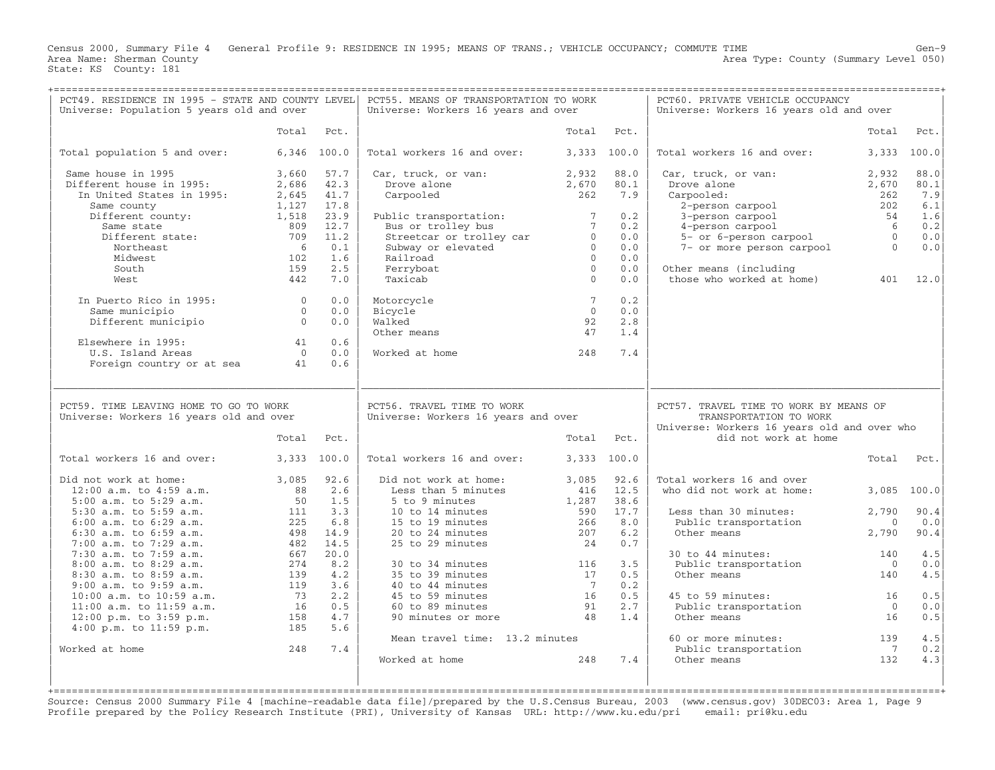Census 2000, Summary File 4 General Profile 9: RESIDENCE IN 1995; MEANS OF TRANS.; VEHICLE OCCUPANCY; COMMUTE TIME Gen−9 Area Type: County (Summary Level 050) Area Name: Sherman County<br>State: KS County: 181

+===================================================================================================================================================+

| Universe: Population 5 years old and over                                         | PCT49. RESIDENCE IN 1995 - STATE AND COUNTY LEVEL |               | PCT55. MEANS OF TRANSPORTATION TO WORK<br>Universe: Workers 16 years and over |                |              | PCT60. PRIVATE VEHICLE OCCUPANCY<br>Universe: Workers 16 years old and over |                       |              |
|-----------------------------------------------------------------------------------|---------------------------------------------------|---------------|-------------------------------------------------------------------------------|----------------|--------------|-----------------------------------------------------------------------------|-----------------------|--------------|
|                                                                                   | Total                                             | Pct.          |                                                                               | Total          | Pct.         |                                                                             | Total                 | Pct.         |
| Total population 5 and over:                                                      |                                                   | $6,346$ 100.0 | Total workers 16 and over:                                                    |                | 3,333 100.0  | Total workers 16 and over:                                                  |                       | 3,333 100.0  |
| Same house in 1995<br>Different house in 1995:                                    | 3,660<br>2,686                                    | 57.7<br>42.3  | Car, truck, or van:<br>Drove alone                                            | 2,932<br>2,670 | 88.0<br>80.1 | Car, truck, or van:<br>Drove alone                                          | 2,932<br>2,670        | 88.0<br>80.1 |
| In United States in 1995:                                                         | 2,645                                             | 41.7          | Carpooled                                                                     | 262            | 7.9          | Carpooled:                                                                  | 262                   | 7.9          |
| Same county                                                                       | 1,127                                             | 17.8          |                                                                               |                |              | 2-person carpool                                                            | 202                   | 6.1          |
| Different county:                                                                 | 1,518                                             | 23.9          | Public transportation:                                                        | $7^{\circ}$    | 0.2          | 3-person carpool                                                            | 54                    | 1.6          |
| Same state                                                                        | 809                                               | 12.7          | Bus or trolley bus                                                            | $7^{\circ}$    | 0.2          | 4-person carpool                                                            | 6                     | 0.2          |
| Different state:                                                                  | 709                                               | 11.2          | Streetcar or trolley car                                                      | $\overline{0}$ | 0.0          | 5- or 6-person carpool                                                      | $\Omega$              | 0.0          |
| Northeast                                                                         | -6                                                | 0.1           | Subway or elevated                                                            | $\Omega$       | 0.0          | 7- or more person carpool                                                   | $\Omega$              | 0.0          |
| Midwest                                                                           | 102                                               | 1.6           | Railroad                                                                      | $\Omega$       | 0.0          |                                                                             |                       |              |
| South                                                                             | 159                                               | 2.5           | Ferryboat                                                                     | $\Omega$       | 0.0          | Other means (including                                                      |                       |              |
| West                                                                              | 442                                               | 7.0           | Taxicab                                                                       | $\Omega$       | 0.0          | those who worked at home)                                                   | 401                   | 12.0         |
| In Puerto Rico in 1995:                                                           | $\Omega$                                          | 0.0           | Motorcycle                                                                    | $7^{\circ}$    | 0.2          |                                                                             |                       |              |
| Same municipio                                                                    | $\overline{0}$                                    | 0.0           | Bicycle                                                                       | $\overline{0}$ | 0.0          |                                                                             |                       |              |
| Different municipio                                                               | $\Omega$                                          | 0.0           | Walked                                                                        | 92             | 2.8          |                                                                             |                       |              |
|                                                                                   |                                                   |               | Other means                                                                   | 47             | 1.4          |                                                                             |                       |              |
| Elsewhere in 1995:                                                                | 41                                                | 0.6           |                                                                               |                |              |                                                                             |                       |              |
| U.S. Island Areas                                                                 | $\Omega$                                          | 0.0           | Worked at home                                                                | 248            | 7.4          |                                                                             |                       |              |
| Foreign country or at sea                                                         | 41                                                | 0.6           |                                                                               |                |              |                                                                             |                       |              |
| PCT59. TIME LEAVING HOME TO GO TO WORK<br>Universe: Workers 16 years old and over |                                                   |               | PCT56. TRAVEL TIME TO WORK<br>Universe: Workers 16 years and over             |                |              | PCT57. TRAVEL TIME TO WORK BY MEANS OF<br>TRANSPORTATION TO WORK            |                       |              |
|                                                                                   |                                                   |               |                                                                               |                |              | Universe: Workers 16 years old and over who                                 |                       |              |
|                                                                                   |                                                   |               |                                                                               |                |              | did not work at home                                                        |                       |              |
|                                                                                   | Total                                             | Pct.          |                                                                               | Total Pct.     |              |                                                                             |                       |              |
| Total workers 16 and over:                                                        |                                                   | 3,333 100.0   | Total workers 16 and over:                                                    |                | 3,333 100.0  |                                                                             | Total                 | Pct.         |
| Did not work at home:                                                             | 3,085                                             | 92.6          | Did not work at home:                                                         | 3,085          | 92.6         | Total workers 16 and over                                                   |                       |              |
| $12:00$ a.m. to $4:59$ a.m.                                                       | 88                                                | 2.6           | Less than 5 minutes                                                           | 416            | 12.5         | who did not work at home:                                                   | 3,085                 | 100.0        |
| 5:00 a.m. to 5:29 a.m.                                                            | 50                                                | 1.5           | 5 to 9 minutes                                                                | 1,287          | 38.6         |                                                                             |                       |              |
| 5:30 a.m. to 5:59 a.m.                                                            | 111                                               | 3.3           | 10 to 14 minutes                                                              | 590            | 17.7         | Less than 30 minutes:                                                       | 2,790                 | 90.4         |
| 6:00 a.m. to 6:29 a.m.                                                            | 225                                               | 6.8           | 15 to 19 minutes                                                              | 266            | 8.0          | Public transportation                                                       | $\overline{0}$        | 0.0          |
| $6:30$ a.m. to $6:59$ a.m.                                                        | 498                                               | 14.9          | 20 to 24 minutes                                                              | 207            | 6.2          | Other means                                                                 | 2,790                 | 90.4         |
| $7:00$ a.m. to $7:29$ a.m.                                                        | 482                                               | 14.5          | 25 to 29 minutes                                                              | 24             | 0.7          |                                                                             |                       |              |
| 7:30 a.m. to 7:59 a.m.                                                            | 667                                               | 20.0          |                                                                               |                |              | 30 to 44 minutes:                                                           | 140                   | 4.5          |
| 8:00 a.m. to 8:29 a.m.                                                            | 274                                               | 8.2           | 30 to 34 minutes                                                              | 116            | 3.5          | Public transportation                                                       | $\Omega$              | 0.0          |
| $8:30$ a.m. to $8:59$ a.m.                                                        | 139                                               | 4.2           | 35 to 39 minutes                                                              | 17             | 0.5          | Other means                                                                 | 140                   | 4.5          |
| $9:00$ a.m. to $9:59$ a.m.                                                        | 119                                               | 3.6           | 40 to 44 minutes                                                              | $\overline{7}$ | 0.2          |                                                                             |                       |              |
| $10:00$ a.m. to $10:59$ a.m.                                                      | 73                                                | 2.2           | 45 to 59 minutes                                                              | 16             | 0.5          | 45 to 59 minutes:                                                           | 16                    | 0.5          |
| 11:00 a.m. to 11:59 a.m.                                                          | 16                                                | 0.5           | 60 to 89 minutes                                                              | 91             | 2.7          | Public transportation                                                       | $\Omega$              | 0.0          |
| $12:00$ p.m. to $3:59$ p.m.                                                       | 158                                               | 4.7           | 90 minutes or more                                                            | 48             | 1.4          | Other means                                                                 | 16                    | 0.5          |
| $4:00$ p.m. to $11:59$ p.m.                                                       | 185                                               | 5.6           |                                                                               |                |              |                                                                             |                       |              |
|                                                                                   |                                                   |               | Mean travel time: 13.2 minutes                                                |                |              | 60 or more minutes:                                                         | 139                   | 4.5          |
| Worked at home                                                                    | 248                                               | 7.4           | Worked at home                                                                | 248            | 7.4          | Public transportation<br>Other means                                        | $\overline{7}$<br>132 | 0.2<br>4.3   |
|                                                                                   |                                                   |               |                                                                               |                |              |                                                                             |                       |              |

Source: Census 2000 Summary File 4 [machine−readable data file]/prepared by the U.S.Census Bureau, 2003 (www.census.gov) 30DEC03: Area 1, Page 9 Profile prepared by the Policy Research Institute (PRI), University of Kansas URL: http://www.ku.edu/pri email: pri@ku.edu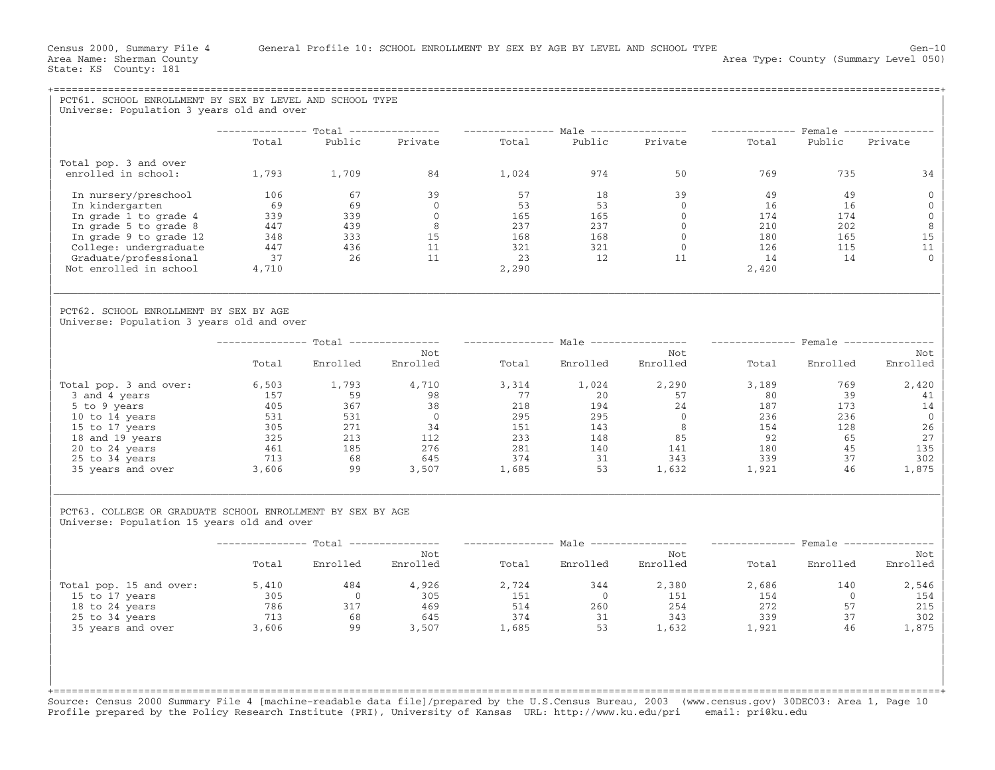| PCT61. SCHOOL ENROLLMENT BY SEX BY LEVEL AND SCHOOL TYPE<br>Universe: Population 3 years old and over    |           |                                                                             |                                         |       |                         |                                                                                                                                                                                                                                                                                                        |                   |                |                                  |
|----------------------------------------------------------------------------------------------------------|-----------|-----------------------------------------------------------------------------|-----------------------------------------|-------|-------------------------|--------------------------------------------------------------------------------------------------------------------------------------------------------------------------------------------------------------------------------------------------------------------------------------------------------|-------------------|----------------|----------------------------------|
|                                                                                                          |           |                                                                             |                                         |       |                         |                                                                                                                                                                                                                                                                                                        |                   |                |                                  |
|                                                                                                          |           |                                                                             |                                         |       |                         | --------------- Total --------------- --------------- Male ---------------- --------------- Female ---------------                                                                                                                                                                                     |                   |                |                                  |
|                                                                                                          | Total     | Public                                                                      | Private Total                           |       |                         | Public Private                                                                                                                                                                                                                                                                                         | Total             | Public Private |                                  |
| Total pop. 3 and over<br>enrolled in school:                                                             |           | 1,793 1,709                                                                 | 84                                      | 1,024 | 974                     | 50                                                                                                                                                                                                                                                                                                     | 769               | 735            | 34                               |
| In nursery/preschool<br>In kindergarten                                                                  | 106<br>69 | 67<br>69                                                                    | 39<br>$\overline{0}$                    | 57    | 18                      | 39                                                                                                                                                                                                                                                                                                     | 49<br>16          | 49<br>16       | $\overline{0}$<br>$\overline{0}$ |
| In grade 1 to grade 4                                                                                    |           | $339$<br>$339$<br>$339$<br>$339$<br>$333$<br>$447$<br>$436$<br>$37$<br>$26$ | $\overline{0}$                          |       |                         |                                                                                                                                                                                                                                                                                                        |                   | 174            | $\mathbf 0$                      |
| In grade 5 to grade 8                                                                                    |           |                                                                             | $\overline{8}$                          |       |                         |                                                                                                                                                                                                                                                                                                        | $\frac{174}{210}$ | 202            | 8                                |
| In grade 9 to grade 12                                                                                   |           |                                                                             | $\begin{array}{c} 15 \\ 11 \end{array}$ |       |                         |                                                                                                                                                                                                                                                                                                        | 180               | 165            | 15                               |
| College: undergraduate                                                                                   |           | $\frac{155}{26}$                                                            |                                         |       |                         |                                                                                                                                                                                                                                                                                                        | 126               | 115            | 11<br>$\Omega$                   |
| Graduate/professional<br>Not enrolled in school                                                          | 4,710     |                                                                             | 11                                      | 2,290 |                         |                                                                                                                                                                                                                                                                                                        | 14<br>2,420       | 14             |                                  |
|                                                                                                          |           |                                                                             |                                         |       |                         |                                                                                                                                                                                                                                                                                                        |                   |                |                                  |
| PCT62. SCHOOL ENROLLMENT BY SEX BY AGE<br>Universe: Population 3 years old and over                      |           |                                                                             |                                         |       |                         |                                                                                                                                                                                                                                                                                                        |                   |                |                                  |
|                                                                                                          |           |                                                                             |                                         |       |                         | -------------- Total -------------- -------------- Male ---------------- -------------- Female ---------------                                                                                                                                                                                         |                   |                |                                  |
|                                                                                                          | Total     | Enrolled                                                                    | Not<br>Enrolled                         |       | Total Enrolled          | Not<br>Enrolled                                                                                                                                                                                                                                                                                        |                   | Total Enrolled | Not<br>Enrolled                  |
| Total pop. 3 and over:                                                                                   |           | 6,503 1,793 4,710                                                           |                                         |       | $3,314$ $1,024$ $2,290$ |                                                                                                                                                                                                                                                                                                        | 3,189             | 769            | 2,420                            |
| 3 and 4 years                                                                                            |           |                                                                             |                                         |       |                         |                                                                                                                                                                                                                                                                                                        |                   |                | 41                               |
| 5 to 9 years                                                                                             |           |                                                                             |                                         |       |                         |                                                                                                                                                                                                                                                                                                        |                   |                | 14                               |
| 10 to 14 years                                                                                           |           |                                                                             |                                         |       |                         |                                                                                                                                                                                                                                                                                                        |                   |                | $\overline{0}$<br>26             |
| 15 to 17 years<br>18 and 19 years                                                                        |           |                                                                             |                                         |       |                         |                                                                                                                                                                                                                                                                                                        |                   |                | 27                               |
| 20 to 24 years                                                                                           |           |                                                                             |                                         |       |                         |                                                                                                                                                                                                                                                                                                        |                   |                | 135                              |
| 25 to 34 years                                                                                           |           |                                                                             |                                         |       |                         |                                                                                                                                                                                                                                                                                                        |                   |                | 302                              |
| 35 years and over 3,606                                                                                  |           |                                                                             |                                         |       |                         | $\begin{array}{cccccccccccc} 6, 503 & 1, 793 & 4, 710 & 3, 314 & 1, 024 & 2, 290 & 3, 189 & 799 & 720 & 57 & 80 & 399 & 72 & 72 & 72 & 8 & 8 & 39 & 7 & 7 & 8 & 8 & 3 & 9 & 7 & 8 & 8 & 3 & 9 & 7 & 8 & 7 & 8 & 8 & 8 & 9 & 9 & 9 & 3 & 9 & 9 & 3 & 9 & 9 & 3 & 9 & 9 & 3 & 5 & 9 & 2 & 9 & 5 & 9 & 2$ |                   |                | 1,875                            |
| PCT63. COLLEGE OR GRADUATE SCHOOL ENROLLMENT BY SEX BY AGE<br>Universe: Population 15 years old and over |           |                                                                             |                                         |       |                         |                                                                                                                                                                                                                                                                                                        |                   |                |                                  |
|                                                                                                          |           |                                                                             |                                         |       |                         | --------------- Total --------------- ---------------- Male ---------------- --------------- Female ---------------                                                                                                                                                                                    |                   |                |                                  |
|                                                                                                          | Total     | Enrolled Enrolled                                                           | Not                                     |       | Total Enrolled Enrolled | Not                                                                                                                                                                                                                                                                                                    |                   | Total Enrolled | Not<br>Enrolled                  |
| Total pop. 15 and over:                                                                                  | 5,410     | 484                                                                         | 4,926                                   | 2,724 | 344                     | 2,380                                                                                                                                                                                                                                                                                                  | 2,686             | 140            | 2,546                            |
| 15 to 17 years                                                                                           |           | $786$<br>$786$<br>$68$<br>$17$<br>$68$                                      | 305                                     |       |                         |                                                                                                                                                                                                                                                                                                        | 154               | $\overline{0}$ | 154                              |
| 18 to 24 years<br>25 to 34 years                                                                         |           |                                                                             | 469<br>645                              |       |                         |                                                                                                                                                                                                                                                                                                        | 272<br>339        | 57<br>37       | 215<br>302                       |
| 35 years and over                                                                                        | 3,606     | 68 645<br>99 3,507                                                          |                                         |       |                         |                                                                                                                                                                                                                                                                                                        | 1,921             | 46             | 1,875                            |
|                                                                                                          |           |                                                                             |                                         |       |                         |                                                                                                                                                                                                                                                                                                        |                   |                |                                  |

Source: Census 2000 Summary File 4 [machine−readable data file]/prepared by the U.S.Census Bureau, 2003 (www.census.gov) 30DEC03: Area 1, Page 10 Profile prepared by the Policy Research Institute (PRI), University of Kansas URL: http://www.ku.edu/pri email: pri@ku.edu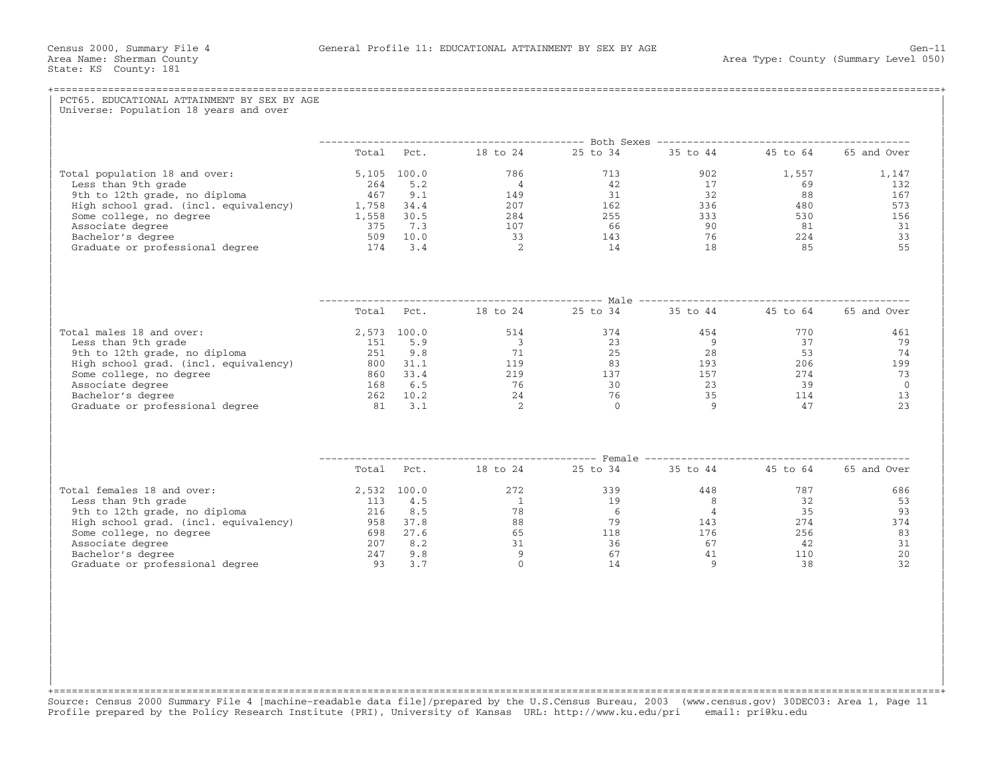| PCT65, EDUCATIONAL ATTAINMENT BY SEX BY AGE<br>Universe: Population 18 years and over |                                                            |  |          |
|---------------------------------------------------------------------------------------|------------------------------------------------------------|--|----------|
|                                                                                       |                                                            |  |          |
|                                                                                       | Total Pct. 18 to 24 25 to 34 35 to 44 45 to 64 65 and Over |  |          |
|                                                                                       |                                                            |  |          |
|                                                                                       |                                                            |  |          |
|                                                                                       |                                                            |  |          |
|                                                                                       |                                                            |  |          |
|                                                                                       |                                                            |  |          |
|                                                                                       |                                                            |  |          |
|                                                                                       |                                                            |  |          |
|                                                                                       |                                                            |  |          |
|                                                                                       |                                                            |  |          |
|                                                                                       | Total Pct. 18 to 24 25 to 34 35 to 44 45 to 64 65 and Over |  |          |
| Total males $18$ and over:<br>$\frac{12}{12}$ at and over:                            |                                                            |  |          |
|                                                                                       |                                                            |  |          |
|                                                                                       |                                                            |  |          |
|                                                                                       |                                                            |  |          |
|                                                                                       |                                                            |  |          |
|                                                                                       |                                                            |  |          |
|                                                                                       |                                                            |  |          |
|                                                                                       |                                                            |  |          |
|                                                                                       |                                                            |  |          |
|                                                                                       | Total Pct. 18 to 24 25 to 34 35 to 44 45 to 64 65 and Over |  |          |
|                                                                                       |                                                            |  | 686      |
|                                                                                       |                                                            |  | 53       |
|                                                                                       |                                                            |  | 93       |
|                                                                                       |                                                            |  | 374      |
|                                                                                       |                                                            |  | 83       |
|                                                                                       |                                                            |  | 31<br>20 |
|                                                                                       |                                                            |  | 32       |
|                                                                                       |                                                            |  |          |

+===================================================================================================================================================+Source: Census 2000 Summary File 4 [machine−readable data file]/prepared by the U.S.Census Bureau, 2003 (www.census.gov) 30DEC03: Area 1, Page 11 Profile prepared by the Policy Research Institute (PRI), University of Kansas URL: http://www.ku.edu/pri email: pri@ku.edu

| | | | | | | | | | | |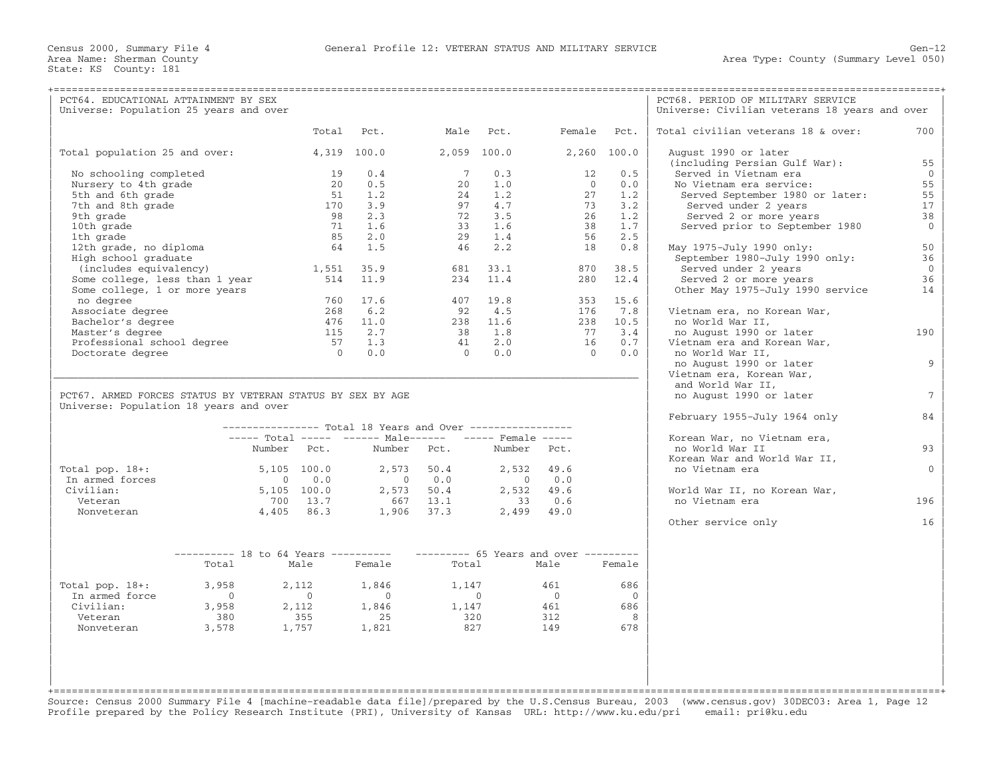| PCT64. EDUCATIONAL ATTAINMENT BY SEX                       |                                                           |                |                 |                 |                                     |                 | PCT68. PERIOD OF MILITARY SERVICE                      |                 |
|------------------------------------------------------------|-----------------------------------------------------------|----------------|-----------------|-----------------|-------------------------------------|-----------------|--------------------------------------------------------|-----------------|
| Universe: Population 25 years and over                     |                                                           |                |                 |                 |                                     |                 | Universe: Civilian veterans 18 years and over          |                 |
|                                                            | Total                                                     | Pct.           | Male            | Pct.            | Female                              | Pct.            | Total civilian veterans 18 & over:                     | 700             |
| Total population 25 and over:                              |                                                           | 4,319 100.0    | $2.059$ 100.0   |                 |                                     | 2,260 100.0     | August 1990 or later                                   |                 |
| No schooling completed                                     | 19                                                        | 0.4            | $7\phantom{.0}$ | 0.3             | 12                                  | 0.5             | (including Persian Gulf War):<br>Served in Vietnam era | 55<br>$\Omega$  |
| Nursery to 4th grade                                       | 20                                                        | 0.5            | 20              | 1.0             | $\Omega$                            | 0.0             | No Vietnam era service:                                | 55              |
| 5th and 6th grade                                          | 51                                                        | 1.2            | 24              | 1.2             | 27                                  | 1.2             | Served September 1980 or later:                        | 55              |
| 7th and 8th grade                                          | 170                                                       | 3.9            | 97              | 4.7             | 73                                  | 3.2             | Served under 2 years                                   | 17              |
| 9th grade                                                  | 98                                                        | 2.3            | 72              | 3.5             | 26                                  | 1.2             | Served 2 or more years                                 | 38              |
| 10th grade                                                 | 71                                                        | 1.6            | 33              | 1.6             | 38                                  | 1.7             | Served prior to September 1980                         | $\Omega$        |
| 1th grade                                                  | 85                                                        | 2.0            | 29              | 1.4             | 56                                  | 2.5             |                                                        |                 |
| 12th grade, no diploma                                     | 64                                                        | 1.5            | 46              | 2.2             | 18                                  | 0.8             | May 1975-July 1990 only:                               | 50              |
| High school graduate                                       |                                                           |                |                 |                 |                                     |                 | September 1980-July 1990 only:                         | 36              |
| (includes equivalency)                                     | 1,551                                                     | 35.9           | 681             | 33.1            | 870                                 | 38.5            | Served under 2 years                                   | $\Omega$        |
| Some college, less than 1 year                             | 514                                                       | 11.9           |                 | $234$ 11.4      | 280                                 | 12.4            | Served 2 or more years                                 | 36              |
| Some college, 1 or more years                              |                                                           |                |                 |                 |                                     |                 | Other May 1975-July 1990 service                       | 14              |
| no degree                                                  | 760                                                       | 17.6           |                 | 407 19.8        |                                     | 353 15.6        |                                                        |                 |
| Associate degree                                           | 268                                                       | 6.2            | 92              | 4.5             | 176                                 | 7.8             | Vietnam era, no Korean War,                            |                 |
| Bachelor's degree                                          | 476<br>115                                                | 11.0<br>2.7    | 38              | 238 11.6<br>1.8 | 77                                  | 238 10.5<br>3.4 | no World War II,                                       | 190             |
| Master's degree                                            |                                                           | 1.3            | 41              | 2.0             | 16                                  | 0.7             | no August 1990 or later                                |                 |
| Professional school degree                                 | 57<br>$\Omega$                                            | 0.0            | $\Omega$        | 0.0             | $\Omega$                            | 0.0             | Vietnam era and Korean War,<br>no World War II,        |                 |
| Doctorate degree                                           |                                                           |                |                 |                 |                                     |                 | no August 1990 or later                                | 9               |
|                                                            |                                                           |                |                 |                 |                                     |                 | Vietnam era, Korean War,                               |                 |
|                                                            |                                                           |                |                 |                 |                                     |                 | and World War II,                                      |                 |
| PCT67. ARMED FORCES STATUS BY VETERAN STATUS BY SEX BY AGE |                                                           |                |                 |                 |                                     |                 | no August 1990 or later                                | $7\phantom{.0}$ |
| Universe: Population 18 years and over                     |                                                           |                |                 |                 |                                     |                 |                                                        |                 |
|                                                            | --------------- Total 18 Years and Over ----------------- |                |                 |                 |                                     |                 | February 1955-July 1964 only                           | 84              |
|                                                            | ----- Total ----- ------ Male------ ----- Female -----    |                |                 |                 |                                     |                 | Korean War, no Vietnam era,                            |                 |
|                                                            | Number Pct.                                               | Number         | Pct.            | Number Pct.     |                                     |                 | no World War II                                        | 93              |
|                                                            |                                                           |                |                 |                 |                                     |                 | Korean War and World War II,                           |                 |
| Total pop. $18+:$                                          | 5,105 100.0                                               | 2,573          | 50.4            | 2,532           | 49.6                                |                 | no Vietnam era                                         | $\Omega$        |
| In armed forces                                            | 0.0<br>$\Omega$                                           | $\overline{0}$ | 0.0             | $\bigcirc$      | 0.0                                 |                 |                                                        |                 |
| Civilian:                                                  | $5,105$ 100.0                                             |                | 2,573 50.4      |                 | 2,532 49.6                          |                 | World War II, no Korean War,                           |                 |
| Veteran                                                    | 700 13.7                                                  | 667            | 13.1            | 33              | 0.6                                 |                 | no Vietnam era                                         | 196             |
| Nonveteran                                                 | 4,405 86.3                                                |                | $1,906$ 37.3    |                 | $2,499$ 49.0                        |                 |                                                        |                 |
|                                                            |                                                           |                |                 |                 |                                     |                 | Other service only                                     | 16              |
|                                                            |                                                           |                |                 |                 |                                     |                 |                                                        |                 |
| $------ 18$ to 64 Years ----------                         |                                                           |                |                 |                 | $------ 65$ Years and over $------$ |                 |                                                        |                 |
| Total                                                      | Male                                                      | Female         | Total           |                 | Male                                | Female          |                                                        |                 |
| Total pop. $18+:$<br>3,958                                 | 2,112                                                     | 1,846          | 1,147           |                 | 461                                 | 686             |                                                        |                 |
| In armed force<br>$\Omega$                                 | $\bigcirc$                                                | $\sim$ 0       |                 | $\bigcap$       | $\bigcap$                           | $\Omega$        |                                                        |                 |
| Civilian:<br>3,958                                         | 2,112                                                     | 1,846          | 1,147           |                 | 461                                 | 686             |                                                        |                 |
| Veteran<br>380                                             | 355                                                       | 25             | 320             |                 | 312                                 | 8               |                                                        |                 |
| Nonveteran<br>3,578                                        | 1,757                                                     | 1,821          | 827             |                 | 149                                 | 678             |                                                        |                 |
|                                                            |                                                           |                |                 |                 |                                     |                 |                                                        |                 |
|                                                            |                                                           |                |                 |                 |                                     |                 |                                                        |                 |
|                                                            |                                                           |                |                 |                 |                                     |                 |                                                        |                 |
|                                                            |                                                           |                |                 |                 |                                     |                 |                                                        |                 |
|                                                            |                                                           |                |                 |                 |                                     |                 |                                                        |                 |

Source: Census 2000 Summary File 4 [machine−readable data file]/prepared by the U.S.Census Bureau, 2003 (www.census.gov) 30DEC03: Area 1, Page 12 Profile prepared by the Policy Research Institute (PRI), University of Kansas URL: http://www.ku.edu/pri email: pri@ku.edu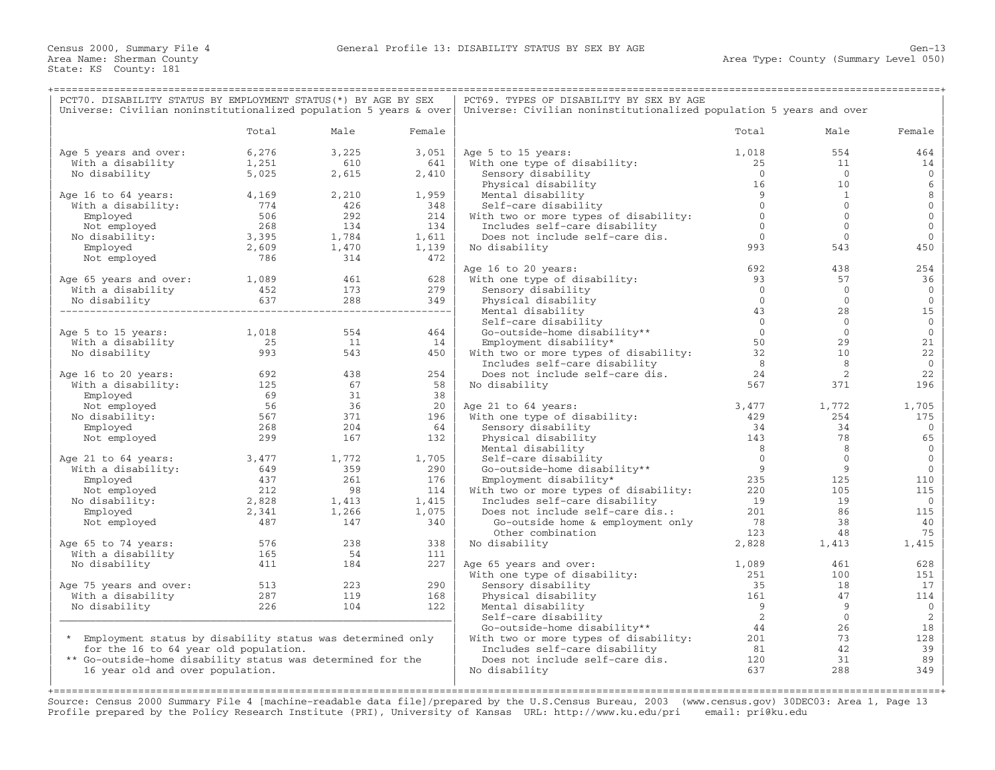| PCT70. DISABILITY STATUS BY EMPLOYMENT STATUS (*) BY AGE BY SEX   |            |           |           | PCT69. TYPES OF DISABILITY BY SEX BY AGE                            |                              |                            |                             |
|-------------------------------------------------------------------|------------|-----------|-----------|---------------------------------------------------------------------|------------------------------|----------------------------|-----------------------------|
| Universe: Civilian noninstitutionalized population 5 years & over |            |           |           | Universe: Civilian noninstitutionalized population 5 years and over |                              |                            |                             |
|                                                                   | Total      | Male      | Female    |                                                                     | Total                        | Male                       | Female                      |
| Age 5 years and over:                                             | 6,276      | 3,225     | 3,051     | Age 5 to 15 years:                                                  | 1,018                        | 554                        | 464                         |
| With a disability                                                 | 1,251      | 610       | 641       | With one type of disability:                                        | 25                           | 11                         | 14                          |
| No disability                                                     | 5,025      | 2,615     | 2,410     | Sensory disability                                                  | $\bigcirc$                   | $\bigcirc$                 | $\mathbf{0}$                |
|                                                                   |            |           |           | Physical disability                                                 | 16                           | 10                         | 6                           |
| Age 16 to 64 years:                                               | 4,169      | 2,210     | 1,959     | Mental disability                                                   | $\overline{9}$               | $\mathbf{1}$               | 8                           |
| With a disability:                                                | 774        | 426       | 348       | Self-care disability                                                | $\Omega$                     | $\Omega$                   | $\mathbf{0}$                |
| Employed                                                          | 506        | 292       | 214       | With two or more types of disability:                               | $\overline{0}$               | $\mathbf{0}$               | $\mathbf 0$                 |
| Not employed                                                      | 268        | 134       | 134       | Includes self-care disability                                       | $\Omega$                     | $\Omega$                   | $\mathbf{0}$                |
| No disability:                                                    | 3,395      | 1,784     | 1,611     | Does not include self-care dis.                                     | $\overline{0}$               | $\Omega$                   | $\mathbf{0}$                |
| Employed                                                          | 2,609      | 1,470     | 1,139     | No disability                                                       | 993                          | 543                        | 450                         |
| Not employed                                                      | 786        | 314       | 472       |                                                                     |                              |                            |                             |
|                                                                   |            |           |           | Age 16 to 20 years:                                                 | 692                          | 438                        | 254                         |
| Age 65 years and over: 1,089                                      |            | 461       | 628       | With one type of disability:                                        | 93                           | 57                         | 36                          |
| With a disability                                                 | 452        | 173       | 279       | Sensory disability                                                  | $\overline{0}$               | $\overline{0}$             | $\mathbf{0}$                |
| No disability                                                     | 637        | 288       | 349       | Physical disability                                                 | $\overline{0}$               | $\circ$                    | $\mathbf{0}$                |
|                                                                   |            |           |           | Mental disability                                                   | 43                           | 28                         | 15                          |
|                                                                   |            |           |           | Self-care disability                                                | $\overline{0}$<br>$\bigcirc$ | $\overline{0}$<br>$\Omega$ | $\mathbf 0$<br>$\mathbf{0}$ |
| Age 5 to 15 years:                                                | 1,018      | 554<br>11 | 464<br>14 | Go-outside-home disability**                                        | 50                           | 29                         | 21                          |
| With a disability                                                 | 25<br>993  | 543       |           | Employment disability*                                              | 32                           | 10                         | 22                          |
| No disability                                                     |            |           | 450       | With two or more types of disability:                               | 8                            | 8                          | $\mathbf{0}$                |
| Age 16 to 20 years:                                               |            | 438       | 254       | Includes self-care disability<br>Does not include self-care dis.    | 24                           | 2                          | 22                          |
| With a disability:                                                | 692<br>125 | 67        | 58        | No disability                                                       | 567                          | 371                        | 196                         |
| Employed                                                          | 69         | 31        | 38        |                                                                     |                              |                            |                             |
| Not employed                                                      | 56         | 36        | 20        | Age 21 to 64 years:                                                 | 3,477                        | 1,772                      | 1,705                       |
| No disability:                                                    | 567        | 371       | 196       | With one type of disability:                                        | 429                          | 254                        | 175                         |
| Employed                                                          | 268        | 204       | 64        | Sensory disability                                                  | 34                           | 34                         | $\mathbf{0}$                |
| Not employed                                                      | 299        | 167       | 132       | Physical disability                                                 | 143                          | 78                         | 65                          |
|                                                                   |            |           |           | Mental disability                                                   | 8 <sup>8</sup>               | 8                          | $\mathbf{0}$                |
| Age 21 to 64 years:                                               | 3,477      | 1,772     | 1,705     | Self-care disability                                                | $\overline{0}$               | $\overline{0}$             | $\mathbf 0$                 |
| With a disability:                                                | 649        | 359       | 290       | Go-outside-home disability**                                        | 9                            | 9                          | $\mathbf{0}$                |
| Employed                                                          | 437        | 261       | 176       | Employment disability*                                              | 235                          | 125                        | 110                         |
| Not employed                                                      | 212        | 98        | 114       | With two or more types of disability:                               | 220                          | 105                        | 115                         |
| No disability:                                                    | 2,828      | 1,413     | 1,415     | Includes self-care disability                                       | 19                           | 19                         | $\mathbf{0}$                |
| Employed                                                          | 2,341      | 1,266     | 1,075     | Does not include self-care dis.:                                    | 201                          | 86                         | 115                         |
| Not employed                                                      | 487        | 147       | 340       | Go-outside home & employment only                                   | 78                           | 38                         | 40                          |
|                                                                   |            |           |           | Other combination                                                   | 123                          | 48                         | 75                          |
| Age 65 to 74 years:                                               | 576        | 238       | 338       | No disability                                                       | 2,828                        | 1,413                      | 1,415                       |
| With a disability                                                 | 165        | 54        | 111       |                                                                     |                              |                            |                             |
| No disability                                                     | 411        | 184       | 227       | Age 65 years and over:                                              | 1,089                        | 461                        | 628                         |
|                                                                   |            |           |           | With one type of disability:                                        | 251                          | 100                        | 151                         |
| Age 75 years and over:                                            | 513        | 223       | 290       | Sensory disability                                                  | 35                           | 18                         | 17                          |
| With a disability                                                 | 287        | 119       | 168       | Physical disability                                                 | 161                          | 47                         | 114                         |
| No disability                                                     | 226        | 104       | 122       | Mental disability                                                   | 9                            | 9                          | $\mathbf{0}$                |
|                                                                   |            |           |           | Self-care disability                                                | $\overline{2}$               | $\overline{0}$             | 2                           |
|                                                                   |            |           |           | Go-outside-home disability**                                        | 44                           | 26                         | 18                          |
| * Employment status by disability status was determined only      |            |           |           | With two or more types of disability:                               | 201                          | 73                         | 128                         |
| for the 16 to 64 year old population.                             |            |           |           | Includes self-care disability                                       | 81                           | 42                         | 39                          |
| ** Go-outside-home disability status was determined for the       |            |           |           | Does not include self-care dis.                                     | 120                          | 31                         | 89                          |
| 16 year old and over population.                                  |            |           |           | No disability                                                       | 637                          | 288                        | 349                         |
|                                                                   |            |           |           |                                                                     |                              |                            |                             |

Source: Census 2000 Summary File 4 [machine−readable data file]/prepared by the U.S.Census Bureau, 2003 (www.census.gov) 30DEC03: Area 1, Page 13 Profile prepared by the Policy Research Institute (PRI), University of Kansas URL: http://www.ku.edu/pri email: pri@ku.edu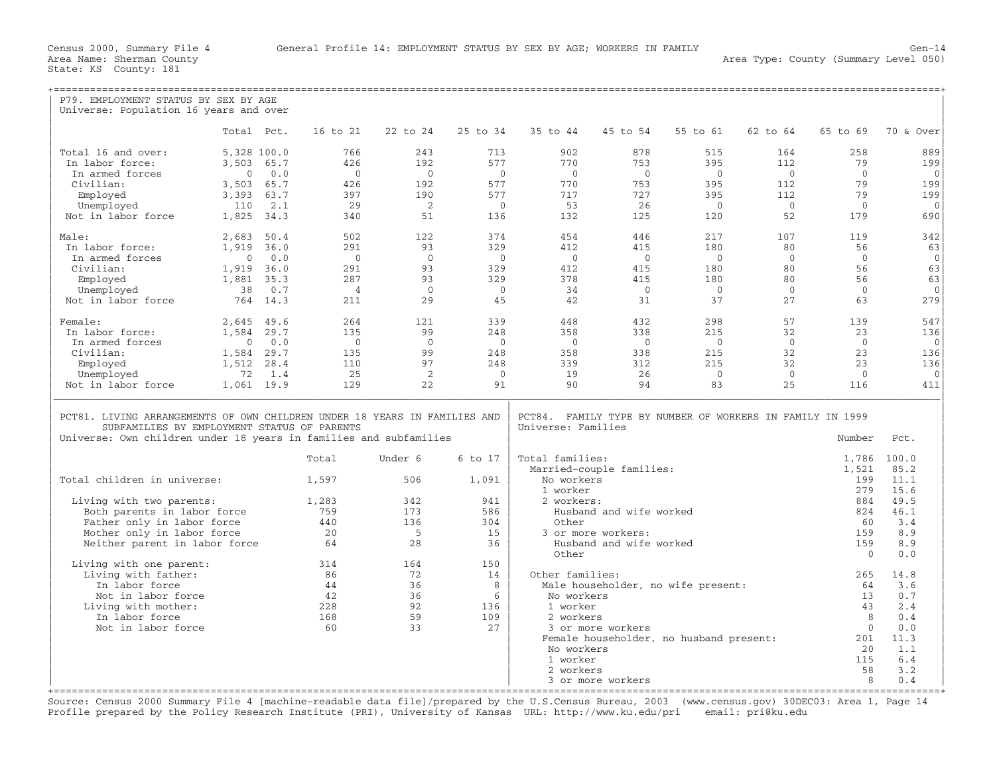| P79. EMPLOYMENT STATUS BY SEX BY AGE                                                                                     |                |          |                |                |                |                    |                          |                                                           |                       |                |                     |
|--------------------------------------------------------------------------------------------------------------------------|----------------|----------|----------------|----------------|----------------|--------------------|--------------------------|-----------------------------------------------------------|-----------------------|----------------|---------------------|
| Universe: Population 16 years and over                                                                                   |                |          |                |                |                |                    |                          |                                                           |                       |                |                     |
|                                                                                                                          | Total Pct.     |          | 16 to 21       | 22 to 24       | 25 to 34       | 35 to 44           | 45 to 54                 | 55 to 61                                                  | 62 to 64              | 65 to 69       | 70 & Over           |
| Total 16 and over:                                                                                                       | 5,328 100.0    |          | 766            | 243            | 713            | 902                | 878                      | 515                                                       | 164                   | 258            | 889                 |
| In labor force:                                                                                                          | 3,503 65.7     |          | 426            | 192            | 577            | 770                | 753                      | 395                                                       | 112                   | 79             | 199                 |
| In armed forces                                                                                                          | $\mathbf{0}$   | 0.0      | $\overline{0}$ | $\overline{0}$ | $\bigcirc$     | $\overline{0}$     | $\overline{0}$           | $\overline{0}$                                            | $\overline{0}$        | $\mathbf{0}$   | $\mathbf{0}$<br>199 |
| Civilian:                                                                                                                | 3,503 65.7     | 63.7     | 426<br>397     | 192<br>190     | 577<br>577     | 770<br>717         | 753<br>727               | 395<br>395                                                | 112                   | 79<br>79       |                     |
| Employed<br>Unemployed                                                                                                   | 3,393<br>110   | 2.1      | 29             | $\overline{2}$ | $\overline{0}$ | 53                 | 26                       | $\overline{0}$                                            | 112<br>$\overline{0}$ | $\mathbf{0}$   | 199<br>$\mathbf{0}$ |
| Not in labor force                                                                                                       | 1,825 34.3     |          | 340            | 51             | 136            | 132                | 125                      | 120                                                       | 52                    | 179            | 690                 |
| Male:                                                                                                                    | 2,683          | 50.4     | 502            | 122            | 374            | 454                | 446                      | 217                                                       | 107                   | 119            | 342                 |
| In labor force:                                                                                                          | 1,919 36.0     |          | 291            | 93             | 329            | 412                | 415                      | 180                                                       | 80                    | 56             | 63                  |
| In armed forces                                                                                                          | $\overline{0}$ | 0.0      | $\overline{0}$ | $\overline{0}$ | $\Omega$       | $\bigcirc$         | $\overline{0}$           | $\bigcirc$                                                | $\Omega$              | $\Omega$       | $\overline{0}$      |
| Civilian:                                                                                                                | 1,919 36.0     |          | 2.91           | 93             | 329            | 412                | 415                      | 180                                                       | 80                    | 56             | 63                  |
| Employed                                                                                                                 | 1,881 35.3     |          | 287            | 93             | 329            | 378                | 415                      | 180                                                       | 80                    | 56             | 63                  |
| Unemployed                                                                                                               | 38             | 0.7      | $\overline{4}$ | $\overline{0}$ | $\bigcap$      | 34                 | $\bigcirc$               | $\bigcirc$                                                | $\overline{0}$        | $\Omega$       | $\mathbf{0}$        |
| Not in labor force                                                                                                       |                | 764 14.3 | 211            | 29             | 45             | 42                 | 31                       | 37                                                        | 27                    | 63             | 279                 |
| Female:                                                                                                                  | 2,645 49.6     |          | 264            | 121            | 339            | 448                | 432                      | 298                                                       | 57                    | 139            | 547                 |
| In labor force:                                                                                                          | 1,584 29.7     |          | 135            | 99             | 248            | 358                | 338                      | 215                                                       | 32                    | 23             | 136                 |
| In armed forces                                                                                                          | $\overline{0}$ | 0.0      | $\overline{0}$ | $\overline{0}$ | $\overline{0}$ | $\overline{0}$     | $\overline{0}$           | $\overline{0}$                                            | $\overline{0}$        | $\overline{0}$ | $\mathbf{0}$        |
| Civilian:                                                                                                                | 1,584 29.7     |          | 135            | 99             | 248            | 358                | 338                      | 215                                                       | 32                    | 2.3            | 136                 |
| Employed                                                                                                                 | 1,512          | 28.4     | 110            | 97             | 248            | 339                | 312                      | 215                                                       | 32                    | 23             | 136                 |
| Unemployed                                                                                                               | 72             | 1.4      | 25             | 2              | $\bigcirc$     | 19                 | 26                       | $\overline{0}$                                            | $\overline{0}$        | $\mathbf{0}$   | $\Omega$            |
| Not in labor force                                                                                                       | 1,061 19.9     |          | 129            | 2.2.           | 91             | 90                 | 94                       | 83                                                        | 25                    | 116            | 411                 |
| PCT81. LIVING ARRANGEMENTS OF OWN CHILDREN UNDER 18 YEARS IN FAMILIES AND<br>SUBFAMILIES BY EMPLOYMENT STATUS OF PARENTS |                |          |                |                |                | Universe: Families |                          | PCT84. FAMILY TYPE BY NUMBER OF WORKERS IN FAMILY IN 1999 |                       |                |                     |
| Universe: Own children under 18 years in families and subfamilies                                                        |                |          |                |                |                |                    |                          |                                                           |                       | Number         | Pct.                |
|                                                                                                                          |                |          | Total          | Under 6        | 6 to 17        | Total families:    | Married-couple families: |                                                           |                       | 1,786<br>1,521 | 100.0<br>85.2       |
| Total children in universe:                                                                                              |                |          | 1,597          | 506            | 1,091          | No workers         |                          |                                                           |                       | 199            | 11.1                |
|                                                                                                                          |                |          |                |                |                | 1 worker           |                          |                                                           |                       | 279            | 15.6                |
| Living with two parents:                                                                                                 |                |          | 1,283          | 342            | 941            | 2 workers:         |                          |                                                           |                       | 884            | 49.5                |
| Both parents in labor force<br>Father only in labor force                                                                |                |          | 759<br>440     | 173<br>136     | 586<br>304     | Other              | Husband and wife worked  |                                                           |                       | 824<br>60      | 46.1<br>3.4         |
| Mother only in labor force                                                                                               |                |          | 20             | 5              | 15             |                    | 3 or more workers:       |                                                           |                       | 159            | 8.9                 |
| Neither parent in labor force                                                                                            |                |          | 64             | 28             | 36             |                    | Husband and wife worked  |                                                           |                       | 159            | 8.9                 |
|                                                                                                                          |                |          |                |                |                | Other              |                          |                                                           |                       | $\Omega$       | 0.0                 |
| Living with one parent:                                                                                                  |                |          | 314            | 164            | 150            |                    |                          |                                                           |                       |                |                     |
| Living with father:<br>In labor force                                                                                    |                |          | 86<br>44       | 72<br>36       | 14<br>8        | Other families:    |                          |                                                           |                       | 265<br>64      | 14.8<br>3.6         |
| Not in labor force                                                                                                       |                |          | 42             | 36             | $6^{\circ}$    | No workers         |                          | Male householder, no wife present:                        |                       | 13             | 0.7                 |
| Living with mother:                                                                                                      |                |          | 228            | 92             | 136            | 1 worker           |                          |                                                           |                       | 43             | 2.4                 |
| In labor force                                                                                                           |                |          | 168            | 59             | 109            | 2 workers          |                          |                                                           |                       | 8              | 0.4                 |
| Not in labor force                                                                                                       |                |          | 60             | 33             | 2.7            |                    | 3 or more workers        |                                                           |                       | $\Omega$       | 0.0                 |
|                                                                                                                          |                |          |                |                |                |                    |                          | Female householder, no husband present:                   |                       | 201            | 11.3                |
|                                                                                                                          |                |          |                |                |                | No workers         |                          |                                                           |                       | 20             | 1.1                 |
|                                                                                                                          |                |          |                |                |                | 1 worker           |                          |                                                           |                       | 115            | 6.4                 |
|                                                                                                                          |                |          |                |                |                | 2 workers          |                          |                                                           |                       | 58             | 3.2                 |
|                                                                                                                          |                |          |                |                |                |                    | 3 or more workers        |                                                           |                       | 8              | 0.4                 |

+===================================================================================================================================================+ Source: Census 2000 Summary File 4 [machine−readable data file]/prepared by the U.S.Census Bureau, 2003 (www.census.gov) 30DEC03: Area 1, Page 14 Profile prepared by the Policy Research Institute (PRI), University of Kansas URL: http://www.ku.edu/pri email: pri@ku.edu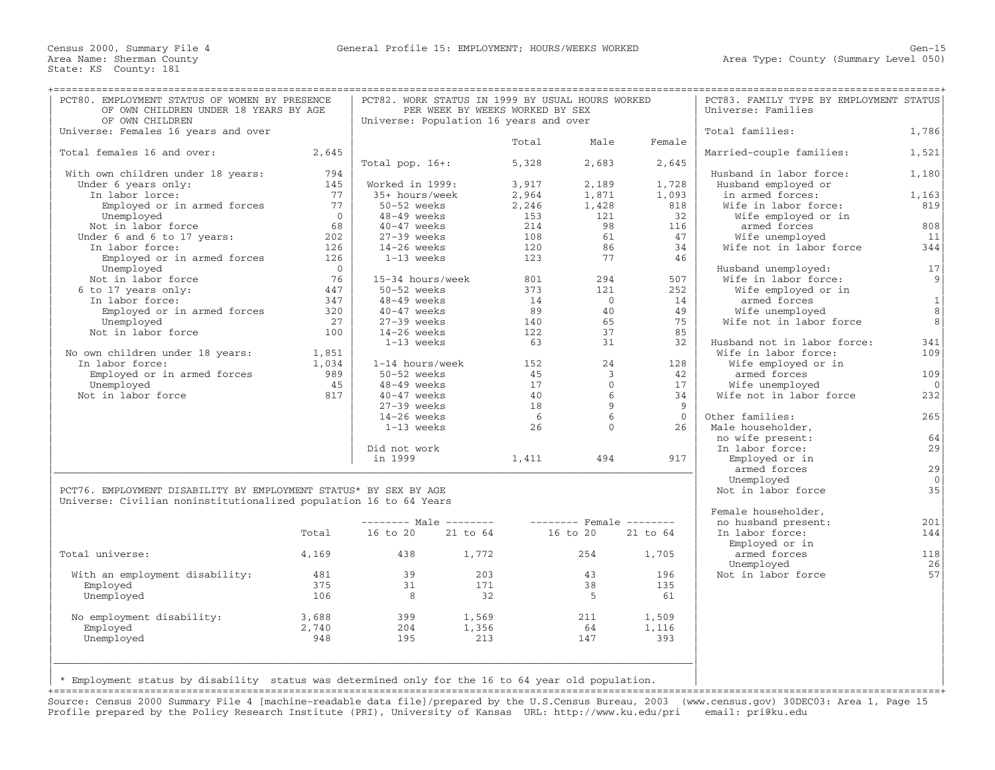| PCT80. EMPLOYMENT STATUS OF WOMEN BY PRESENCE<br>OF OWN CHILDREN UNDER 18 YEARS BY AGE<br>OF OWN CHILDREN |                   | PCT82. WORK STATUS IN 1999 BY USUAL HOURS WORKED<br>PER WEEK BY WEEKS WORKED BY SEX<br>Universe: Population 16 years and over |       |       |                | PCT83. FAMILY TYPE BY EMPLOYMENT STATUS<br>Universe: Families |                                             |                |
|-----------------------------------------------------------------------------------------------------------|-------------------|-------------------------------------------------------------------------------------------------------------------------------|-------|-------|----------------|---------------------------------------------------------------|---------------------------------------------|----------------|
| Universe: Females 16 years and over                                                                       |                   |                                                                                                                               |       |       |                |                                                               | Total families:                             | 1,786          |
|                                                                                                           |                   |                                                                                                                               |       | Total | Male           | Female                                                        |                                             |                |
| Total females 16 and over:                                                                                | 2,645             |                                                                                                                               |       |       |                |                                                               | Married-couple families:                    | 1,521          |
|                                                                                                           |                   | Total pop. $16+:$                                                                                                             |       | 5,328 | 2,683          | 2,645                                                         |                                             |                |
| With own children under 18 years:                                                                         | 794               |                                                                                                                               |       |       |                |                                                               | Husband in labor force:                     | 1,180          |
| Under 6 years only:                                                                                       | 145               | Worked in 1999:                                                                                                               |       | 3,917 | 2,189          | 1,728                                                         | Husband employed or                         |                |
| In labor lorce:                                                                                           | 77                | 35+ hours/week                                                                                                                |       | 2,964 | 1,871          | 1,093                                                         | in armed forces:                            | 1,163          |
| Employed or in armed forces                                                                               | 77                | 50-52 weeks                                                                                                                   |       | 2,246 | 1,428          | 818                                                           | Wife in labor force:                        | 819            |
| Unemployed                                                                                                | $\bigcap$         | 48-49 weeks                                                                                                                   |       | 153   | 121            | 32                                                            | Wife employed or in                         |                |
| Not in labor force                                                                                        | 68                | $40-47$ weeks                                                                                                                 |       | 214   | 98<br>61       | 116                                                           | armed forces                                | 808            |
| Under 6 and 6 to 17 years:                                                                                | 202               | $27-39$ weeks                                                                                                                 |       | 108   |                | 47                                                            | Wife unemployed                             | 11             |
| In labor force:                                                                                           | 126               | $14-26$ weeks                                                                                                                 |       | 120   | 86<br>77       | 34<br>46                                                      | Wife not in labor force                     | 344            |
| Employed or in armed forces                                                                               | 126<br>$\bigcirc$ | 1-13 weeks                                                                                                                    |       | 123   |                |                                                               |                                             | 17             |
| Unemployed<br>Not in labor force                                                                          | 76                | 15-34 hours/week                                                                                                              |       | 801   | 294            | 507                                                           | Husband unemployed:<br>Wife in labor force: | 9              |
| 6 to 17 years only:                                                                                       | 447               | 50-52 weeks                                                                                                                   |       | 373   | 121            | 252                                                           | Wife employed or in                         |                |
| In labor force:                                                                                           | 347               | $48-49$ weeks                                                                                                                 |       | 14    | $\overline{0}$ | 14                                                            | armed forces                                | $\mathbf{1}$   |
| Employed or in armed forces                                                                               | 320               | $40 - 47$ weeks                                                                                                               |       | 89    | 40             | 49                                                            | Wife unemployed                             | 8              |
| Unemployed                                                                                                | 27                | $27-39$ weeks                                                                                                                 |       | 140   | 65             | 75                                                            | Wife not in labor force                     | 8              |
| Not in labor force                                                                                        | 100               | $14-26$ weeks                                                                                                                 |       | 122   | 37             | 85                                                            |                                             |                |
|                                                                                                           |                   | 1-13 weeks                                                                                                                    |       | 63    | 31             | 32                                                            | Husband not in labor force:                 | 341            |
| No own children under 18 years:                                                                           | 1,851             |                                                                                                                               |       |       |                |                                                               | Wife in labor force:                        | 109            |
| In labor force:                                                                                           | 1,034             | 1-14 hours/week                                                                                                               |       | 152   | 24             | 128                                                           | Wife employed or in                         |                |
| Employed or in armed forces                                                                               | 989               | 50-52 weeks                                                                                                                   |       | 45    | $\mathbf{3}$   | 42                                                            | armed forces                                | 109            |
| Unemployed                                                                                                | 45                | $48-49$ weeks                                                                                                                 |       | 17    | $\Omega$       | 17                                                            | Wife unemployed                             | $\overline{0}$ |
| Not in labor force                                                                                        | 817               | $40-47$ weeks                                                                                                                 |       | 40    | 6              | 34                                                            | Wife not in labor force                     | 232            |
|                                                                                                           |                   | $27-39$ weeks                                                                                                                 |       | 18    | $\overline{9}$ | - 9                                                           |                                             |                |
|                                                                                                           |                   | $14-26$ weeks                                                                                                                 |       | - 6   | $6^{\circ}$    | $\Omega$                                                      | Other families:                             | 265            |
|                                                                                                           |                   | 1-13 weeks                                                                                                                    |       | 26    | $\Omega$       | 26                                                            | Male householder,                           |                |
|                                                                                                           |                   |                                                                                                                               |       |       |                |                                                               | no wife present:                            | 64             |
|                                                                                                           |                   | Did not work                                                                                                                  |       |       |                |                                                               | In labor force:                             | 29             |
|                                                                                                           |                   | in 1999                                                                                                                       |       | 1,411 | 494            | 917                                                           | Employed or in                              |                |
|                                                                                                           |                   |                                                                                                                               |       |       |                |                                                               | armed forces                                | 29             |
|                                                                                                           |                   |                                                                                                                               |       |       |                |                                                               | Unemployed                                  | $\overline{0}$ |
| PCT76. EMPLOYMENT DISABILITY BY EMPLOYMENT STATUS* BY SEX BY AGE                                          |                   |                                                                                                                               |       |       |                |                                                               | Not in labor force                          | 35             |
| Universe: Civilian noninstitutionalized population 16 to 64 Years                                         |                   |                                                                                                                               |       |       |                |                                                               |                                             |                |
|                                                                                                           |                   |                                                                                                                               |       |       |                |                                                               | Female householder,                         |                |
|                                                                                                           |                   |                                                                                                                               |       |       |                |                                                               | no husband present:                         | 201            |
|                                                                                                           | Total             | 16 to 20 21 to 64                                                                                                             |       |       | 16 to 20       | 21 to 64                                                      | In labor force:                             | 144            |
|                                                                                                           |                   |                                                                                                                               |       |       |                |                                                               | Employed or in                              |                |
| Total universe:                                                                                           | 4,169             | 438                                                                                                                           | 1,772 |       | 254            | 1,705                                                         | armed forces                                | 118            |
|                                                                                                           |                   |                                                                                                                               |       |       |                |                                                               | Unemployed                                  | 26             |
| With an employment disability:                                                                            | 481               | 39                                                                                                                            | 203   |       | 43             | 196                                                           | Not in labor force                          | 57             |
| Employed                                                                                                  | 375               | 31                                                                                                                            | 171   |       | 38             | 135                                                           |                                             |                |
| Unemployed                                                                                                | 106               | 8 <sup>8</sup>                                                                                                                | 32    |       | - 5            | 61                                                            |                                             |                |
|                                                                                                           |                   | 399                                                                                                                           | 1,569 |       | 211            |                                                               |                                             |                |
| No employment disability:<br>Employed                                                                     | 3,688<br>2,740    | 204                                                                                                                           | 1,356 |       | 64             | 1,509<br>1,116                                                |                                             |                |
| Unemployed                                                                                                | 948               | 195                                                                                                                           | 213   |       | 147            | 393                                                           |                                             |                |
|                                                                                                           |                   |                                                                                                                               |       |       |                |                                                               |                                             |                |
|                                                                                                           |                   |                                                                                                                               |       |       |                |                                                               |                                             |                |
|                                                                                                           |                   |                                                                                                                               |       |       |                |                                                               |                                             |                |
| * Employment status by disability status was determined only for the 16 to 64 year old population.        |                   |                                                                                                                               |       |       |                |                                                               |                                             |                |
|                                                                                                           |                   |                                                                                                                               |       |       |                |                                                               |                                             |                |

Source: Census 2000 Summary File 4 [machine−readable data file]/prepared by the U.S.Census Bureau, 2003 (www.census.gov) 30DEC03: Area 1, Page 15 Profile prepared by the Policy Research Institute (PRI), University of Kansas URL: http://www.ku.edu/pri email: pri@ku.edu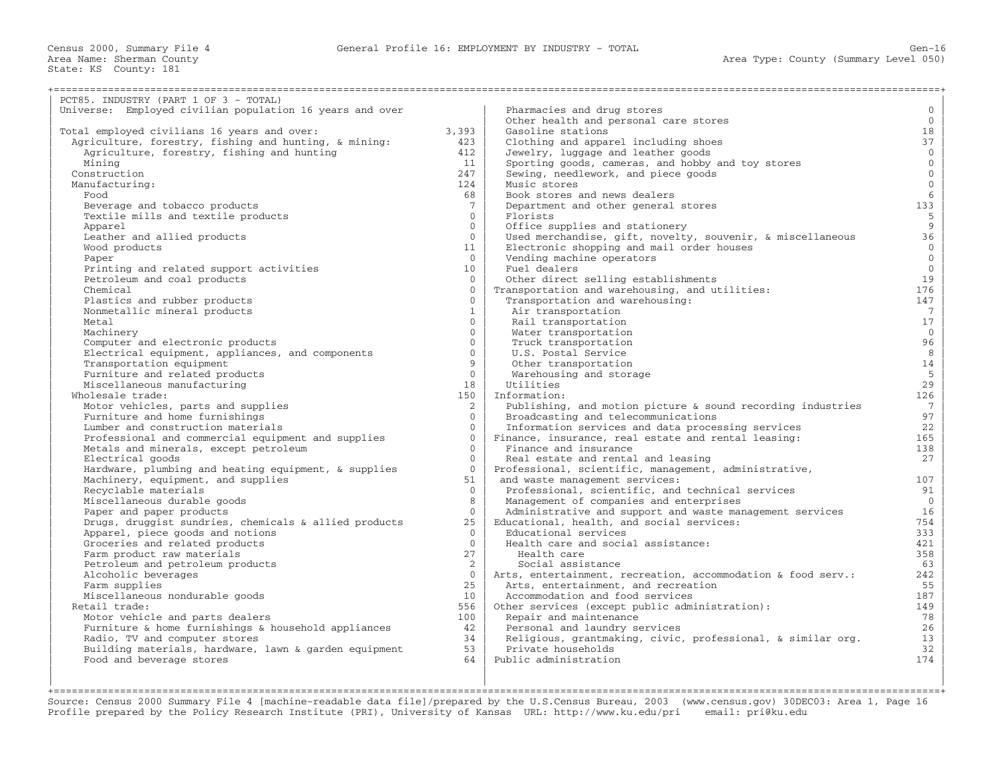Census 2000, Summary File 4 General Profile 16: EMPLOYMENT BY INDUSTRY − TOTAL Gen−16

+===================================================================================================================================================+

Area Name: Sherman County<br>State: KS County: 181

| PCT85. INDUSTRY (PART 1 OF 3 - TOTAL)                                |                            |                                                                              |                       |
|----------------------------------------------------------------------|----------------------------|------------------------------------------------------------------------------|-----------------------|
| Universe: Employed civilian population 16 years and over             |                            | Pharmacies and drug stores                                                   | $\overline{0}$        |
|                                                                      |                            | Other health and personal care stores                                        | $\mathbf{0}$          |
| Total employed civilians 16 years and over:                          | 3,393                      | Gasoline stations                                                            | 18                    |
| Agriculture, forestry, fishing and hunting, & mining:                | 423                        | Clothing and apparel including shoes                                         | 37                    |
| Agriculture, forestry, fishing and hunting                           | 412                        | Jewelry, luggage and leather goods                                           | $\overline{0}$        |
| Mining                                                               | 11                         | Sporting goods, cameras, and hobby and toy stores                            | $\mathsf{O}\xspace$   |
| Construction                                                         | 247                        | Sewing, needlework, and piece goods                                          | $\mathsf{O}\xspace$   |
| Manufacturing:                                                       | 124                        | Music stores                                                                 | $\overline{0}$        |
| Food                                                                 | 68                         | Book stores and news dealers                                                 | $6\,$                 |
| Beverage and tobacco products                                        | $7^{\circ}$                | Department and other general stores                                          | 133                   |
| Textile mills and textile products                                   | $\Omega$                   | Florists                                                                     | 5                     |
| Apparel                                                              | $\overline{0}$             | Office supplies and stationery                                               | $\overline{9}$        |
| Leather and allied products                                          | $\Omega$                   | Used merchandise, gift, novelty, souvenir, & miscellaneous                   | 36                    |
| Wood products                                                        | 11                         | Electronic shopping and mail order houses                                    | $\mathbf 0$           |
| Paper                                                                | $\overline{0}$             | Vending machine operators                                                    | $\mathbf{0}$          |
| Printing and related support activities                              | 10 <sup>°</sup>            | Fuel dealers                                                                 | $\mathbf{0}$          |
| Petroleum and coal products                                          | $\Omega$                   | Other direct selling establishments                                          | 19                    |
| Chemical                                                             | $\Omega$                   | Transportation and warehousing, and utilities:                               | 176                   |
| Plastics and rubber products                                         | $\Omega$                   | Transportation and warehousing:                                              | 147                   |
| Nonmetallic mineral products                                         | $\mathbf{1}$               | Air transportation                                                           | $7\overline{ }$       |
| Metal                                                                | $\Omega$                   | Rail transportation                                                          | 17                    |
| Machinery                                                            | $\Omega$                   | Water transportation                                                         | $\overline{0}$        |
| Computer and electronic products                                     | $\Omega$                   | Truck transportation                                                         | 96                    |
| Electrical equipment, appliances, and components                     | $\Omega$                   | U.S. Postal Service                                                          | 8                     |
|                                                                      | 9                          |                                                                              | 14                    |
| Transportation equipment                                             | $\overline{0}$             | Other transportation                                                         | $5\phantom{.}$        |
| Furniture and related products<br>Miscellaneous manufacturing        | 18                         | Warehousing and storage                                                      | 29                    |
| Wholesale trade:                                                     | 150                        | Utilities<br>Information:                                                    | 126                   |
|                                                                      |                            |                                                                              |                       |
| Motor vehicles, parts and supplies<br>Furniture and home furnishings | $\overline{2}$<br>$\Omega$ | Publishing, and motion picture & sound recording industries                  | $7\overline{ }$<br>97 |
|                                                                      |                            | Broadcasting and telecommunications                                          |                       |
| Lumber and construction materials                                    | $\mathbf{0}$<br>$\Omega$   | Information services and data processing services                            | 22<br>165             |
| Professional and commercial equipment and supplies                   | $\Omega$                   | Finance, insurance, real estate and rental leasing:<br>Finance and insurance | 138                   |
| Metals and minerals, except petroleum                                |                            |                                                                              |                       |
| Electrical goods                                                     | $\Omega$                   | Real estate and rental and leasing                                           | 27                    |
| Hardware, plumbing and heating equipment, & supplies                 | $\Omega$                   | Professional, scientific, management, administrative,                        |                       |
| Machinery, equipment, and supplies                                   | 51                         | and waste management services:                                               | 107                   |
| Recyclable materials                                                 | $\Omega$<br>8              | Professional, scientific, and technical services                             | 91                    |
| Miscellaneous durable goods                                          |                            | Management of companies and enterprises                                      | $\overline{0}$        |
| Paper and paper products                                             | $\mathbf{0}$               | Administrative and support and waste management services                     | 16                    |
| Drugs, druggist sundries, chemicals & allied products                | 25                         | Educational, health, and social services:                                    | 754                   |
| Apparel, piece goods and notions                                     | $\Omega$                   | Educational services                                                         | 333                   |
| Groceries and related products                                       | $\overline{0}$             | Health care and social assistance:                                           | 421                   |
| Farm product raw materials                                           | 27                         | Health care                                                                  | 358                   |
| Petroleum and petroleum products                                     | 2                          | Social assistance                                                            | 63                    |
| Alcoholic beverages                                                  | $\mathbf{0}$               | Arts, entertainment, recreation, accommodation & food serv.:                 | 242                   |
| Farm supplies                                                        | 25                         | Arts, entertainment, and recreation                                          | 55                    |
| Miscellaneous nondurable goods                                       | 10                         | Accommodation and food services                                              | 187                   |
| Retail trade:                                                        | 556                        | Other services (except public administration):                               | 149                   |
| Motor vehicle and parts dealers                                      | 100                        | Repair and maintenance                                                       | 78                    |
| Furniture & home furnishings & household appliances                  | 42                         | Personal and laundry services                                                | 26                    |
| Radio, TV and computer stores                                        | 34                         | Religious, grantmaking, civic, professional, & similar org.                  | 13 <sup>7</sup>       |
| Building materials, hardware, lawn & garden equipment                | 53                         | Private households                                                           | 32                    |
| Food and beverage stores                                             | 64                         | Public administration                                                        | 174                   |
|                                                                      |                            |                                                                              |                       |

+===================================================================================================================================================+Source: Census 2000 Summary File 4 [machine−readable data file]/prepared by the U.S.Census Bureau, 2003 (www.census.gov) 30DEC03: Area 1, Page 16 Profile prepared by the Policy Research Institute (PRI), University of Kansas URL: http://www.ku.edu/pri email: pri@ku.edu

| | |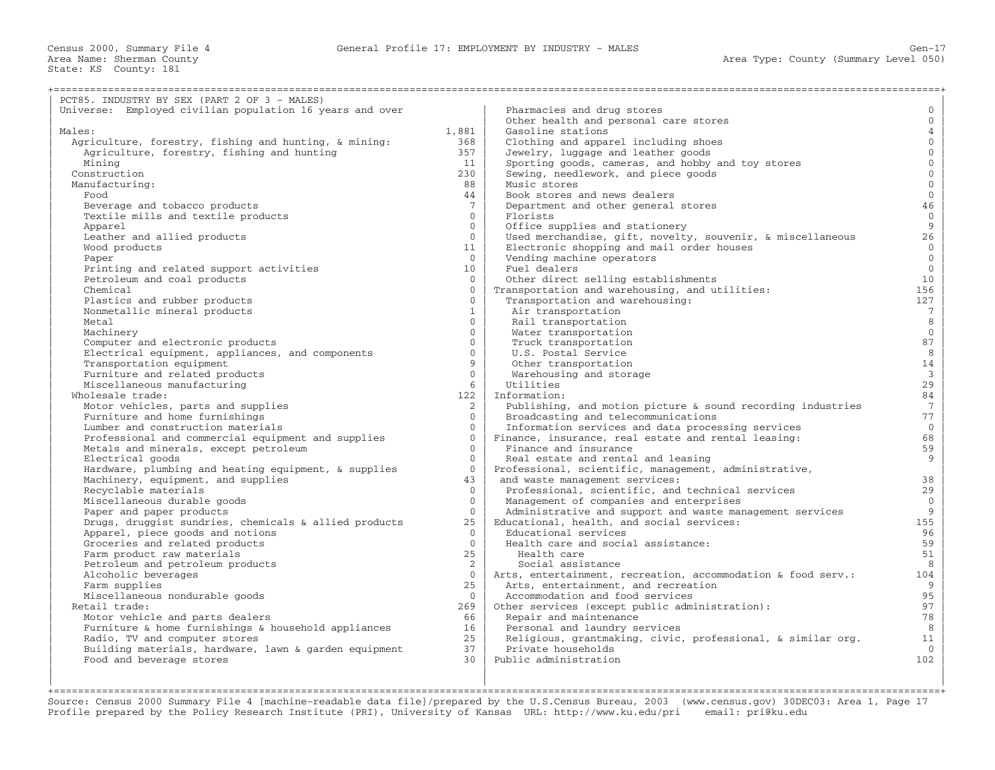| PCT85. INDUSTRY BY SEX (PART 2 OF 3 - MALES)             |                          |                                                              |                        |
|----------------------------------------------------------|--------------------------|--------------------------------------------------------------|------------------------|
| Universe: Employed civilian population 16 years and over |                          | Pharmacies and drug stores                                   | $\mathbf{0}$           |
|                                                          |                          | Other health and personal care stores                        | $\mathbf{0}$           |
| Males:                                                   | 1,881                    | Gasoline stations                                            | $\overline{4}$         |
| Agriculture, forestry, fishing and hunting, & mining:    | 368                      | Clothing and apparel including shoes                         | $\mathbf{0}$           |
| Agriculture, forestry, fishing and hunting               | 357                      | Jewelry, luggage and leather goods                           | $\mathbf{0}$           |
| Mining                                                   | 11                       | Sporting goods, cameras, and hobby and toy stores            | $\mathbf{0}$           |
| Construction                                             | 230                      | Sewing, needlework, and piece goods                          | $\mathbf 0$            |
| Manufacturing:                                           | 88                       | Music stores                                                 | $\mathbf{0}$           |
| Food                                                     | 44                       | Book stores and news dealers                                 | $\mathbb O$            |
| Beverage and tobacco products                            | $7\phantom{.0}$          | Department and other general stores                          | 46                     |
| Textile mills and textile products                       | $\Omega$                 | Florists                                                     | $\mathbb O$            |
| Apparel                                                  | $\Omega$                 | Office supplies and stationery                               | $\mathsf g$            |
| Leather and allied products                              | $\mathbf{0}$             | Used merchandise, gift, novelty, souvenir, & miscellaneous   | 26                     |
| Wood products                                            | 11                       | Electronic shopping and mail order houses                    | $\mathbf{0}$           |
| Paper                                                    | $\Omega$                 | Vending machine operators                                    | $\overline{0}$         |
|                                                          | 10 <sup>°</sup>          | Fuel dealers                                                 | $\mathbf{0}$           |
| Printing and related support activities                  | $\mathbf{0}$             |                                                              | 10                     |
| Petroleum and coal products                              | $\Omega$                 | Other direct selling establishments                          | 156                    |
| Chemical                                                 | $\Omega$                 | Transportation and warehousing, and utilities:               |                        |
| Plastics and rubber products                             |                          | Transportation and warehousing:                              | 127<br>$7\phantom{.0}$ |
| Nonmetallic mineral products                             | $\mathbf{1}$<br>$\Omega$ | Air transportation                                           |                        |
| Metal                                                    |                          | Rail transportation                                          | 8                      |
| Machinery                                                | $\Omega$                 | Water transportation                                         | $\mathbf{0}$           |
| Computer and electronic products                         | $\Omega$                 | Truck transportation                                         | 87                     |
| Electrical equipment, appliances, and components         | $\Omega$                 | U.S. Postal Service                                          | 8                      |
| Transportation equipment                                 | 9                        | Other transportation                                         | 14                     |
| Furniture and related products                           | $\Omega$                 | Warehousing and storage                                      | $\overline{3}$         |
| Miscellaneous manufacturing                              | 6                        | Utilities                                                    | 29                     |
| Wholesale trade:                                         | 122                      | Information:                                                 | 84                     |
| Motor vehicles, parts and supplies                       | $\overline{2}$           | Publishing, and motion picture & sound recording industries  | $7\overline{ }$        |
| Furniture and home furnishings                           | $\Omega$                 | Broadcasting and telecommunications                          | 77                     |
| Lumber and construction materials                        | $\Omega$                 | Information services and data processing services            | $\mathbf{0}$           |
| Professional and commercial equipment and supplies       | $\Omega$                 | Finance, insurance, real estate and rental leasing:          | 68                     |
| Metals and minerals, except petroleum                    | $\Omega$                 | Finance and insurance                                        | 59                     |
| Electrical goods                                         | $\Omega$                 | Real estate and rental and leasing                           | 9                      |
| Hardware, plumbing and heating equipment, & supplies     | $\Omega$                 | Professional, scientific, management, administrative,        |                        |
| Machinery, equipment, and supplies                       | 43                       | and waste management services:                               | 38                     |
| Recyclable materials                                     | $\Omega$                 | Professional, scientific, and technical services             | 29                     |
| Miscellaneous durable goods                              | $\Omega$                 | Management of companies and enterprises                      | $\mathbf{0}$           |
| Paper and paper products                                 | $\Omega$                 | Administrative and support and waste management services     | 9                      |
| Drugs, druggist sundries, chemicals & allied products    | 25                       | Educational, health, and social services:                    | 155                    |
| Apparel, piece goods and notions                         | $\Omega$                 | Educational services                                         | 96                     |
| Groceries and related products                           | $\Omega$                 | Health care and social assistance:                           | 59                     |
| Farm product raw materials                               | 25                       | Health care                                                  | 51                     |
| Petroleum and petroleum products                         | 2                        | Social assistance                                            | 8                      |
| Alcoholic beverages                                      | $\overline{0}$           | Arts, entertainment, recreation, accommodation & food serv.: | 104                    |
| Farm supplies                                            | 25                       | Arts, entertainment, and recreation                          | 9                      |
| Miscellaneous nondurable goods                           | $\Omega$                 | Accommodation and food services                              | 95                     |
| Retail trade:                                            | 269                      | Other services (except public administration):               | 97                     |
| Motor vehicle and parts dealers                          | 66                       | Repair and maintenance                                       | 78                     |
| Furniture & home furnishings & household appliances      | 16                       | Personal and laundry services                                | 8                      |
| Radio, TV and computer stores                            | 25                       | Religious, grantmaking, civic, professional, & similar org.  | 11                     |
| Building materials, hardware, lawn & garden equipment    | 37                       | Private households                                           | $\Omega$               |
| Food and beverage stores                                 | 30                       | Public administration                                        | 102                    |
|                                                          |                          |                                                              |                        |

| | | +===================================================================================================================================================+ Source: Census 2000 Summary File 4 [machine−readable data file]/prepared by the U.S.Census Bureau, 2003 (www.census.gov) 30DEC03: Area 1, Page 17 Profile prepared by the Policy Research Institute (PRI), University of Kansas URL: http://www.ku.edu/pri email: pri@ku.edu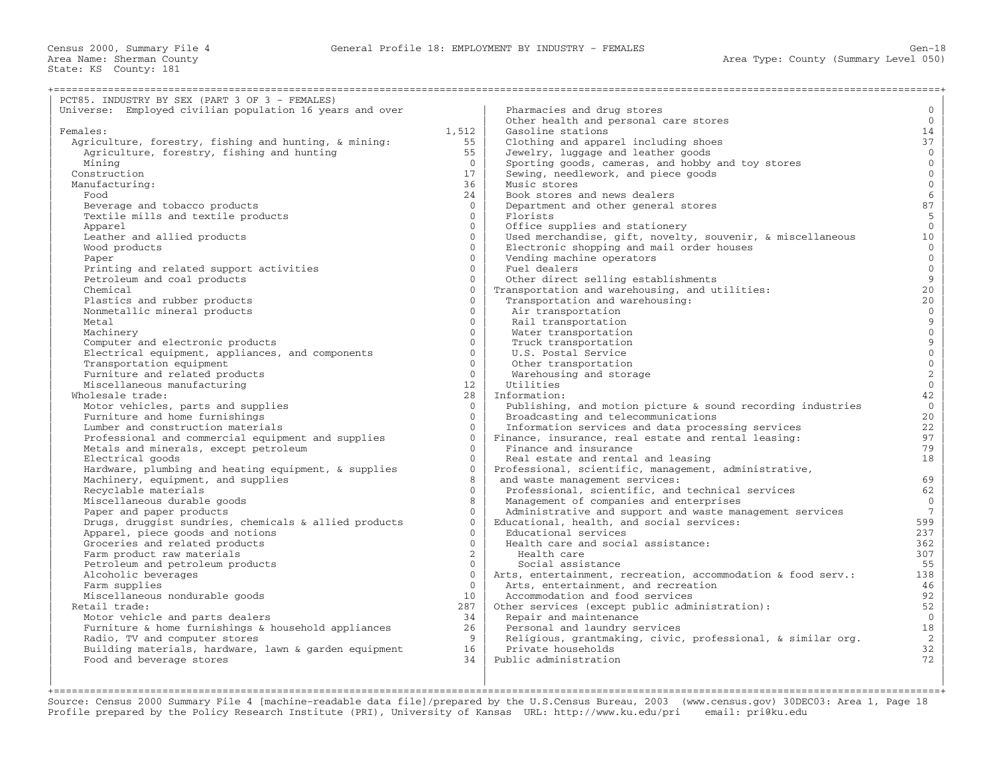| PCT85. INDUSTRY BY SEX (PART 3 OF 3 - FEMALES)           |                      |                                                              |                     |
|----------------------------------------------------------|----------------------|--------------------------------------------------------------|---------------------|
| Universe: Employed civilian population 16 years and over |                      | Pharmacies and drug stores                                   | $\mathbf 0$         |
|                                                          |                      | Other health and personal care stores                        | $\overline{0}$      |
| Females:                                                 | 1,512                | Gasoline stations                                            | 14                  |
| Agriculture, forestry, fishing and hunting, & mining:    | 55                   | Clothing and apparel including shoes                         | 37                  |
| Agriculture, forestry, fishing and hunting               | 55                   | Jewelry, luggage and leather goods                           | $\overline{0}$      |
| Mining                                                   | $\Omega$             | Sporting goods, cameras, and hobby and toy stores            | $\overline{0}$      |
| Construction                                             | 17                   | Sewing, needlework, and piece goods                          | $\mathsf{O}\xspace$ |
| Manufacturing:                                           | 36                   | Music stores                                                 | $\mathsf{O}\xspace$ |
| Food                                                     | 24                   | Book stores and news dealers                                 | $\epsilon$          |
| Beverage and tobacco products                            | $\Omega$             | Department and other general stores                          | 87                  |
| Textile mills and textile products                       | $\mathbf{0}$         | Florists                                                     | $5\phantom{.}$      |
| Apparel                                                  | $\Omega$             | Office supplies and stationery                               | $\mathsf{O}\xspace$ |
| Leather and allied products                              | $\mathbf{0}$         | Used merchandise, gift, novelty, souvenir, & miscellaneous   | 10                  |
| Wood products                                            | $\Omega$             | Electronic shopping and mail order houses                    | $\mathbb O$         |
| Paper                                                    | $\Omega$             | Vending machine operators                                    | $\overline{0}$      |
| Printing and related support activities                  | $\Omega$             | Fuel dealers                                                 | $\mathsf{O}\xspace$ |
| Petroleum and coal products                              | $\Omega$             | Other direct selling establishments                          | $\overline{9}$      |
| Chemical                                                 | $\Omega$             | Transportation and warehousing, and utilities:               | 20                  |
| Plastics and rubber products                             | $\Omega$             | Transportation and warehousing:                              | 20                  |
| Nonmetallic mineral products                             | $\mathbf{0}$         | Air transportation                                           | $\mathsf{O}\xspace$ |
| Metal                                                    | $\Omega$             | Rail transportation                                          |                     |
| Machinery                                                | $\Omega$             | Water transportation                                         | $\frac{9}{0}$       |
| Computer and electronic products                         | $\overline{0}$       | Truck transportation                                         | $\overline{9}$      |
| Electrical equipment, appliances, and components         | $\Omega$             |                                                              | $\mathsf{O}\xspace$ |
| Transportation equipment                                 | $\Omega$             | U.S. Postal Service                                          | $\mathsf{O}\xspace$ |
|                                                          | $\Omega$             | Other transportation                                         |                     |
| Furniture and related products                           |                      | Warehousing and storage                                      | $\frac{2}{0}$       |
| Miscellaneous manufacturing                              | 12<br>28             | Utilities<br>Information:                                    | 42                  |
| Wholesale trade:                                         | $\Omega$             |                                                              | $\mathbf{0}$        |
| Motor vehicles, parts and supplies                       |                      | Publishing, and motion picture & sound recording industries  |                     |
| Furniture and home furnishings                           | $\Omega$             | Broadcasting and telecommunications                          | 20<br>22            |
| Lumber and construction materials                        | $\Omega$<br>$\Omega$ | Information services and data processing services            | 97                  |
| Professional and commercial equipment and supplies       | $\Omega$             | Finance, insurance, real estate and rental leasing:          | 79                  |
| Metals and minerals, except petroleum                    |                      | Finance and insurance                                        |                     |
| Electrical goods                                         | $\Omega$             | Real estate and rental and leasing                           | 18                  |
| Hardware, plumbing and heating equipment, & supplies     | $\Omega$             | Professional, scientific, management, administrative,        |                     |
| Machinery, equipment, and supplies                       | 8                    | and waste management services:                               | 69                  |
| Recyclable materials                                     | $\Omega$             | Professional, scientific, and technical services             | 62                  |
| Miscellaneous durable goods                              | $\mathsf{R}$         | Management of companies and enterprises                      | $\Omega$            |
| Paper and paper products                                 | $\Omega$             | Administrative and support and waste management services     | $7^{\circ}$         |
| Drugs, druggist sundries, chemicals & allied products    | $\Omega$             | Educational, health, and social services:                    | 599                 |
| Apparel, piece goods and notions                         | $\cap$               | Educational services                                         | 237                 |
| Groceries and related products                           | $\Omega$             | Health care and social assistance:                           | 362                 |
| Farm product raw materials                               | $\overline{2}$       | Health care                                                  | 307                 |
| Petroleum and petroleum products                         | $\Omega$             | Social assistance                                            | 55                  |
| Alcoholic beverages                                      | $\Omega$             | Arts, entertainment, recreation, accommodation & food serv.: | 138                 |
| Farm supplies                                            | $\Omega$             | Arts, entertainment, and recreation                          | 46                  |
| Miscellaneous nondurable goods                           | 10                   | Accommodation and food services                              | 92                  |
| Retail trade:                                            | 287                  | Other services (except public administration):               | 52                  |
| Motor vehicle and parts dealers                          | 34                   | Repair and maintenance                                       | $\mathbf{0}$        |
| Furniture & home furnishings & household appliances      | 26                   | Personal and laundry services                                | 18                  |
| Radio, TV and computer stores                            | 9                    | Religious, grantmaking, civic, professional, & similar org.  | $\overline{a}$      |
| Building materials, hardware, lawn & garden equipment    | 16                   | Private households                                           | 32                  |
| Food and beverage stores                                 | 34                   | Public administration                                        | 72                  |
|                                                          |                      |                                                              |                     |

| | | +===================================================================================================================================================+ Source: Census 2000 Summary File 4 [machine−readable data file]/prepared by the U.S.Census Bureau, 2003 (www.census.gov) 30DEC03: Area 1, Page 18 Profile prepared by the Policy Research Institute (PRI), University of Kansas URL: http://www.ku.edu/pri email: pri@ku.edu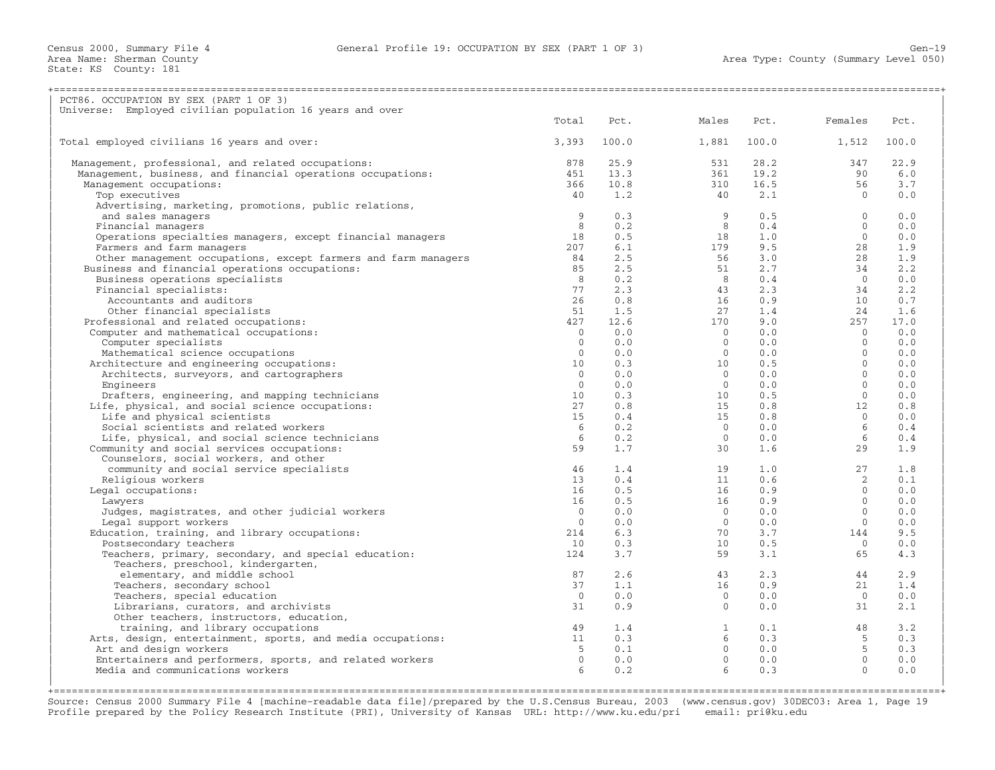Census 2000, Summary File 4 General Profile 19: OCCUPATION BY SEX (PART 1 OF 3) Gen−19

Area Name: Sherman County<br>State: KS County: 181

| PCT86. OCCUPATION BY SEX (PART 1 OF 3)                                  |                |            |                |            |                       |            |
|-------------------------------------------------------------------------|----------------|------------|----------------|------------|-----------------------|------------|
| Universe: Employed civilian population 16 years and over                | Total          | Pct.       | Males          | Pct.       | Females               | Pct.       |
| Total employed civilians 16 years and over:                             | 3,393          | 100.0      | 1,881          | 100.0      | 1,512                 | 100.0      |
|                                                                         |                |            |                |            |                       |            |
| Management, professional, and related occupations:                      | 878            | 25.9       | 531            | 28.2       | 347                   | 22.9       |
| Management, business, and financial operations occupations:             | 451            | 13.3       | 361            | 19.2       | 90                    | 6.0        |
| Management occupations:                                                 | 366            | 10.8       | 310            | 16.5       | 56                    | 3.7        |
| Top executives                                                          | 40             | 1.2        | 40             | 2.1        | $\Omega$              | 0.0        |
| Advertising, marketing, promotions, public relations,                   | 9              | 0.3        | 9              |            | $\Omega$              | 0.0        |
| and sales managers<br>Financial managers                                | 8              | 0.2        | 8              | 0.5<br>0.4 | $\Omega$              | 0.0        |
| Operations specialties managers, except financial managers              | 18             | 0.5        | 18             | 1.0        | $\Omega$              | 0.0        |
| Farmers and farm managers                                               | 207            | 6.1        | 179            | 9.5        | 28                    | 1.9        |
| Other management occupations, except farmers and farm managers          | 84             | 2.5        | 56             | 3.0        | 28                    | 1.9        |
| Business and financial operations occupations:                          | 85             | 2.5        | 51             | 2.7        | 34                    | 2.2        |
| Business operations specialists                                         | 8              | 0.2        | 8 <sup>8</sup> | 0.4        | $\overline{0}$        | 0.0        |
| Financial specialists:                                                  | 77             | 2.3        | 43             | 2.3        | 34                    | 2.2        |
| Accountants and auditors                                                | 26             | 0.8        | 16             | 0.9        | 10                    | 0.7        |
| Other financial specialists                                             | 51             | 1.5        | 2.7            | 1.4        | 24                    | 1.6        |
| Professional and related occupations:                                   | 427            | 12.6       | 170            | 9.0        | 257                   | 17.0       |
| Computer and mathematical occupations:                                  | $\overline{0}$ | 0.0        | $\overline{0}$ | 0.0        | $\cap$                | 0.0        |
| Computer specialists                                                    | $\mathbf{0}$   | 0.0        | $\overline{0}$ | 0.0        | $\Omega$              | 0.0        |
| Mathematical science occupations                                        | $\mathbf{0}$   | 0.0        | $\Omega$       | 0.0        | $\Omega$              | 0.0        |
| Architecture and engineering occupations:                               | 10             | 0.3        | 10             | 0.5        | $\Omega$              | 0.0        |
| Architects, surveyors, and cartographers                                | $\mathbf{0}$   | 0.0        | $\circ$        | 0.0        | $\Omega$              | 0.0        |
| Engineers                                                               | $\Omega$       | 0.0        | $\Omega$       | 0.0        | $\Omega$              | 0.0        |
| Drafters, engineering, and mapping technicians                          | 10             | 0.3        | 10             | 0.5        | $\mathbf{0}$          | 0.0        |
| Life, physical, and social science occupations:                         | 27             | 0.8        | 15             | 0.8        | 12                    | 0.8        |
| Life and physical scientists                                            | 15             | 0.4        | 15             | 0.8        | $\Omega$              | 0.0        |
| Social scientists and related workers                                   | 6              | 0.2        | $\overline{0}$ | 0.0        | 6                     | 0.4        |
| Life, physical, and social science technicians                          | 6              | 0.2        | $\Omega$       | 0.0        | 6                     | 0.4        |
| Community and social services occupations:                              | 59             | 1.7        | 30             | 1.6        | 29                    | 1.9        |
| Counselors, social workers, and other                                   |                |            |                |            |                       |            |
| community and social service specialists                                | 46             | 1.4        | 19             | 1.0        | 27                    | 1.8        |
| Religious workers                                                       | 13             | 0.4        | 11             | 0.6        | 2                     | 0.1        |
| Legal occupations:                                                      | 16             | 0.5        | 16             | 0.9        | $\Omega$              | 0.0        |
| Lawyers                                                                 | 16             | 0.5        | 16             | 0.9        | $\Omega$              | 0.0        |
| Judges, magistrates, and other judicial workers                         | $\Omega$       | 0.0        | $\Omega$       | 0.0        | $\Omega$              | 0.0        |
| Legal support workers                                                   | $\Omega$       | 0.0        | $\Omega$<br>70 | 0.0        | $\Omega$              | 0.0        |
| Education, training, and library occupations:<br>Postsecondary teachers | 214<br>10      | 6.3<br>0.3 | 10             | 3.7<br>0.5 | 144<br>$\overline{0}$ | 9.5<br>0.0 |
| Teachers, primary, secondary, and special education:                    | 124            | 3.7        | 59             | 3.1        | 65                    | 4.3        |
| Teachers, preschool, kindergarten,                                      |                |            |                |            |                       |            |
| elementary, and middle school                                           | 87             | 2.6        | 43             | 2.3        | 44                    | 2.9        |
| Teachers, secondary school                                              | 37             | 1.1        | 16             | 0.9        | 21                    | 1.4        |
| Teachers, special education                                             | $\Omega$       | 0.0        | $\Omega$       | 0.0        | $\bigcirc$            | 0.0        |
| Librarians, curators, and archivists                                    | 31             | 0.9        | $\overline{0}$ | 0.0        | 31                    | 2.1        |
| Other teachers, instructors, education,                                 |                |            |                |            |                       |            |
| training, and library occupations                                       | 49             | 1.4        | $\mathbf{1}$   | 0.1        | 48                    | 3.2        |
| Arts, design, entertainment, sports, and media occupations:             | 11             | 0.3        | 6              | 0.3        | 5                     | 0.3        |
| Art and design workers                                                  | -5             | 0.1        | $\overline{0}$ | 0.0        | 5                     | 0.3        |
| Entertainers and performers, sports, and related workers                | $\Omega$       | 0.0        | $\Omega$       | 0.0        | $\Omega$              | 0.0        |
| Media and communications workers                                        |                | 0.2        | $6^{\circ}$    | 0.3        | $\Omega$              | 0.0        |
|                                                                         |                |            |                |            |                       |            |
|                                                                         |                |            |                |            |                       |            |

Source: Census 2000 Summary File 4 [machine−readable data file]/prepared by the U.S.Census Bureau, 2003 (www.census.gov) 30DEC03: Area 1, Page 19 Profile prepared by the Policy Research Institute (PRI), University of Kansas URL: http://www.ku.edu/pri email: pri@ku.edu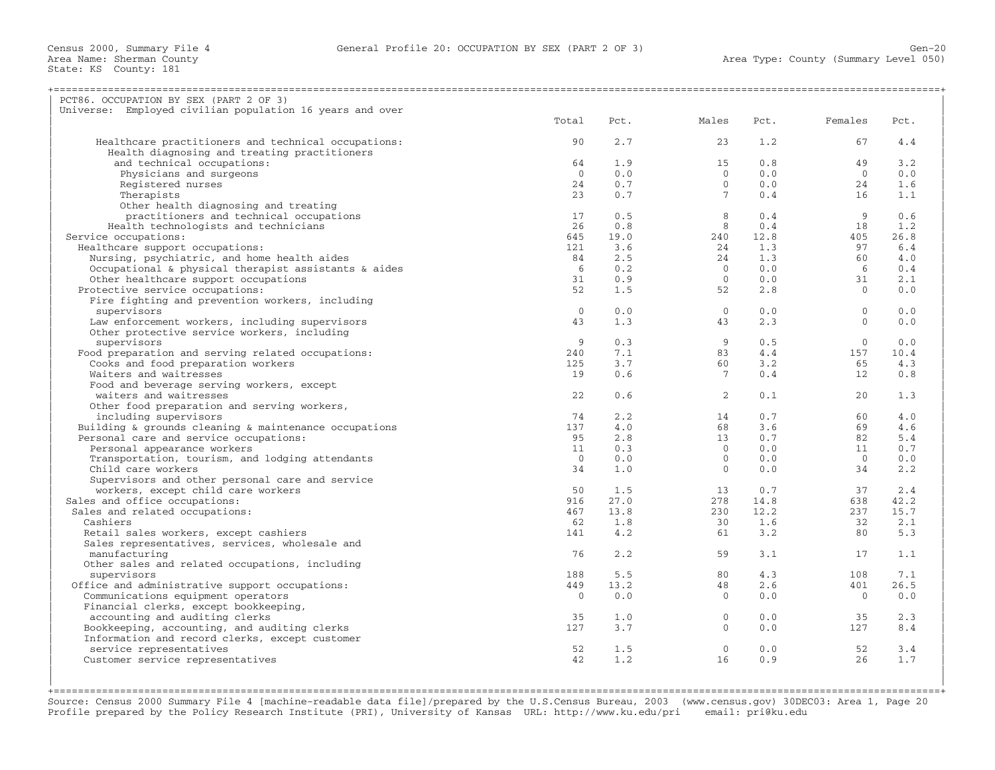| PCT86. OCCUPATION BY SEX (PART 2 OF 3)                      |                |      |                     |      |                |      |
|-------------------------------------------------------------|----------------|------|---------------------|------|----------------|------|
| Universe: Employed civilian population 16 years and over    |                |      |                     |      |                |      |
|                                                             | Total          | Pct. | Males               | Pct. | Females        | Pct. |
|                                                             |                |      |                     |      |                |      |
| Healthcare practitioners and technical occupations:         | 90             | 2.7  | 23                  | 1.2  | 67             | 4.4  |
| Health diagnosing and treating practitioners                |                |      |                     |      |                |      |
| and technical occupations:                                  | 64             | 1.9  | 15                  | 0.8  | 49             | 3.2  |
| Physicians and surgeons                                     | $\overline{0}$ | 0.0  | $\Omega$            | 0.0  | $\Omega$       | 0.0  |
| Registered nurses                                           | 24             | 0.7  | $\overline{0}$      | 0.0  | 24             | 1.6  |
| Therapists                                                  | 23             | 0.7  | 7 <sup>7</sup>      | 0.4  | 16             | 1.1  |
| Other health diagnosing and treating                        |                |      |                     |      |                |      |
| practitioners and technical occupations                     | 17             | 0.5  | 8                   | 0.4  | - 9            | 0.6  |
| Health technologists and technicians                        | 26             | 0.8  | 8                   | 0.4  | 18             | 1.2  |
| Service occupations:                                        | 645            | 19.0 | 240                 | 12.8 | 405            | 26.8 |
| Healthcare support occupations:                             | 121            | 3.6  | 24                  | 1.3  | 97             | 6.4  |
| Nursing, psychiatric, and home health aides                 | 84             | 2.5  | 24                  | 1.3  | 60             | 4.0  |
| Occupational & physical therapist assistants & aides        | 6              | 0.2  | $\bigcirc$          | 0.0  | - 6            | 0.4  |
| Other healthcare support occupations                        | 31             | 0.9  | $\overline{0}$      | 0.0  | 31             | 2.1  |
| Protective service occupations:                             | 52             | 1.5  | 52                  | 2.8  | $\Omega$       | 0.0  |
| Fire fighting and prevention workers, including             |                |      |                     |      |                |      |
| supervisors                                                 | $\Omega$       | 0.0  | $\overline{0}$      | 0.0  | $\mathbf{0}$   | 0.0  |
| Law enforcement workers, including supervisors              | 43             | 1.3  | 43                  | 2.3  | $\Omega$       | 0.0  |
| Other protective service workers, including                 |                |      |                     |      |                |      |
| supervisors                                                 | 9              | 0.3  | 9                   | 0.5  | $\mathbf{0}$   | 0.0  |
|                                                             |                |      |                     |      |                |      |
| Food preparation and serving related occupations:           | 240            | 7.1  | 83                  | 4.4  | 157            | 10.4 |
| Cooks and food preparation workers                          | 125            | 3.7  | 60                  | 3.2  | 65             | 4.3  |
| Waiters and waitresses                                      | 19             | 0.6  | $7^{\circ}$         | 0.4  | 12             | 0.8  |
| Food and beverage serving workers, except                   |                |      |                     |      |                |      |
| waiters and waitresses                                      | 22             | 0.6  | $\overline{2}$      | 0.1  | 20             | 1.3  |
| Other food preparation and serving workers,                 |                |      |                     |      |                |      |
| including supervisors                                       | 74             | 2.2  | 14                  | 0.7  | 60             | 4.0  |
| Building $\&$ grounds cleaning $\&$ maintenance occupations | 137            | 4.0  | 68                  | 3.6  | 69             | 4.6  |
| Personal care and service occupations:                      | 95             | 2.8  | 13                  | 0.7  | 82             | 5.4  |
| Personal appearance workers                                 | 11             | 0.3  | $\Omega$            | 0.0  | 11             | 0.7  |
| Transportation, tourism, and lodging attendants             | $\Omega$       | 0.0  | $\Omega$            | 0.0  | $\Omega$       | 0.0  |
| Child care workers                                          | 34             | 1.0  | $\overline{0}$      | 0.0  | 34             | 2.2  |
| Supervisors and other personal care and service             |                |      |                     |      |                |      |
| workers, except child care workers                          | 50             | 1.5  | 13                  | 0.7  | 37             | 2.4  |
| Sales and office occupations:                               | 916            | 27.0 | 278                 | 14.8 | 638            | 42.2 |
| Sales and related occupations:                              | 467            | 13.8 | 230                 | 12.2 | 237            | 15.7 |
| Cashiers                                                    | 62             | 1.8  | 30                  | 1.6  | 32             | 2.1  |
| Retail sales workers, except cashiers                       | 141            | 4.2  | 61                  | 3.2  | 80             | 5.3  |
| Sales representatives, services, wholesale and              |                |      |                     |      |                |      |
| manufacturing                                               | 76             | 2.2  | 59                  | 3.1  | 17             | 1.1  |
| Other sales and related occupations, including              |                |      |                     |      |                |      |
| supervisors                                                 | 188            | 5.5  | 80                  | 4.3  | 108            | 7.1  |
| Office and administrative support occupations:              | 449            | 13.2 | 48                  | 2.6  | 401            | 26.5 |
| Communications equipment operators                          | $\Omega$       | 0.0  | $\Omega$            | 0.0  | $\overline{0}$ | 0.0  |
| Financial clerks, except bookkeeping,                       |                |      |                     |      |                |      |
|                                                             |                | 1.0  |                     |      |                | 2.3  |
| accounting and auditing clerks                              | 35<br>127      |      | $\circ$<br>$\Omega$ | 0.0  | 35             |      |
| Bookkeeping, accounting, and auditing clerks                |                | 3.7  |                     | 0.0  | 127            | 8.4  |
| Information and record clerks, except customer              |                |      |                     |      |                |      |
| service representatives                                     | 52             | 1.5  | $\Omega$            | 0.0  | 52             | 3.4  |
| Customer service representatives                            | 42             | 1.2  | 16                  | 0.9  | 26             | 1.7  |
|                                                             |                |      |                     |      |                |      |
|                                                             |                |      |                     |      |                |      |

+===================================================================================================================================================+Source: Census 2000 Summary File 4 [machine−readable data file]/prepared by the U.S.Census Bureau, 2003 (www.census.gov) 30DEC03: Area 1, Page 20 Profile prepared by the Policy Research Institute (PRI), University of Kansas URL: http://www.ku.edu/pri email: pri@ku.edu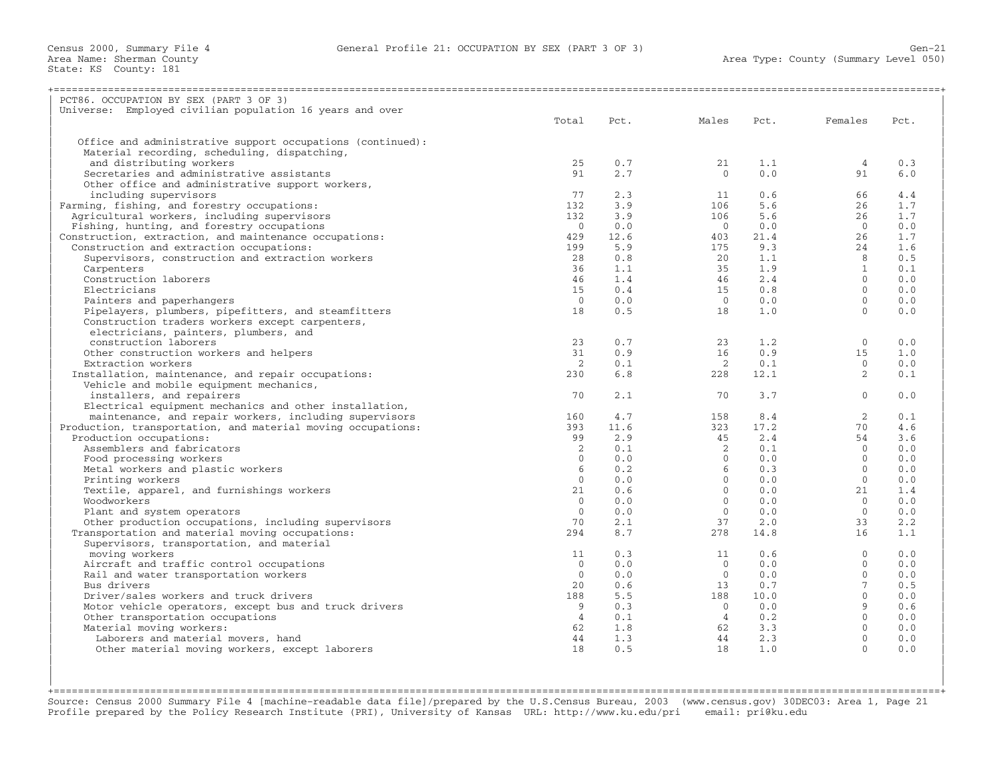| PCT86. OCCUPATION BY SEX (PART 3 OF 3)                       |                |      |                |      |                 |      |
|--------------------------------------------------------------|----------------|------|----------------|------|-----------------|------|
| Universe: Employed civilian population 16 years and over     |                |      |                |      |                 |      |
|                                                              | Total          | Pct. | Males          | Pct. | Females         | Pct. |
|                                                              |                |      |                |      |                 |      |
| Office and administrative support occupations (continued):   |                |      |                |      |                 |      |
| Material recording, scheduling, dispatching,                 |                |      |                |      |                 |      |
| and distributing workers                                     | 25             | 0.7  | 21             | 1.1  | 4               | 0.3  |
| Secretaries and administrative assistants                    | 91             | 2.7  | $\Omega$       | 0.0  | 91              | 6.0  |
| Other office and administrative support workers,             |                |      |                |      |                 |      |
| including supervisors                                        | 77             | 2.3  | 11             | 0.6  | 66              | 4.4  |
| Farming, fishing, and forestry occupations:                  | 132            | 3.9  | 106            | 5.6  | 26              | 1.7  |
| Agricultural workers, including supervisors                  | 132            | 3.9  | 106            | 5.6  | 26              | 1.7  |
| Fishing, hunting, and forestry occupations                   | $\bigcap$      | 0.0  | $\bigcirc$     | 0.0  | $\bigcap$       | 0.0  |
| Construction, extraction, and maintenance occupations:       | 429            | 12.6 | 403            | 21.4 | 26              | 1.7  |
| Construction and extraction occupations:                     | 199            | 5.9  | 175            | 9.3  | 24              | 1.6  |
| Supervisors, construction and extraction workers             | 28             | 0.8  | 20             | 1.1  | 8               | 0.5  |
| Carpenters                                                   | 36             | 1.1  | 35             | 1.9  | $\mathbf{1}$    | 0.1  |
| Construction laborers                                        | 46             | 1.4  | 46             | 2.4  | $\Omega$        | 0.0  |
| Electricians                                                 | 15             | 0.4  | 15             | 0.8  | $\Omega$        | 0.0  |
| Painters and paperhangers                                    | $\overline{0}$ | 0.0  | $\overline{0}$ | 0.0  | $\mathbf{0}$    | 0.0  |
| Pipelayers, plumbers, pipefitters, and steamfitters          | 18             | 0.5  | 18             | 1.0  | $\Omega$        | 0.0  |
| Construction traders workers except carpenters,              |                |      |                |      |                 |      |
| electricians, painters, plumbers, and                        |                |      |                |      |                 |      |
| construction laborers                                        | 23             | 0.7  | 23             | 1.2  | $\mathbf{0}$    | 0.0  |
| Other construction workers and helpers                       | 31             | 0.9  | 16             | 0.9  | 15              | 1.0  |
| Extraction workers                                           | 2              | 0.1  | 2              | 0.1  | $\Omega$        | 0.0  |
| Installation, maintenance, and repair occupations:           | 230            | 6.8  | 228            | 12.1 | 2               | 0.1  |
| Vehicle and mobile equipment mechanics,                      |                |      |                |      |                 |      |
| installers, and repairers                                    | 70             | 2.1  | 70             | 3.7  | $\Omega$        | 0.0  |
| Electrical equipment mechanics and other installation,       |                |      |                |      |                 |      |
| maintenance, and repair workers, including supervisors       | 160            | 4.7  | 158            | 8.4  | 2               | 0.1  |
| Production, transportation, and material moving occupations: | 393            | 11.6 | 323            | 17.2 | 70              | 4.6  |
| Production occupations:                                      | 99             | 2.9  | 45             | 2.4  | 54              | 3.6  |
| Assemblers and fabricators                                   | 2              | 0.1  | 2              | 0.1  | $\Omega$        | 0.0  |
| Food processing workers                                      | $\mathbf{0}$   | 0.0  | $\circ$        | 0.0  | $\Omega$        | 0.0  |
| Metal workers and plastic workers                            | 6              | 0.2  | 6              | 0.3  | $\Omega$        | 0.0  |
| Printing workers                                             | $\Omega$       | 0.0  | $\Omega$       | 0.0  | $\Omega$        | 0.0  |
| Textile, apparel, and furnishings workers                    | 21             | 0.6  | $\Omega$       | 0.0  | 21              | 1.4  |
| Woodworkers                                                  | $\Omega$       | 0.0  | $\Omega$       | 0.0  | $\Omega$        | 0.0  |
| Plant and system operators                                   | $\Omega$       | 0.0  | $\circ$        | 0.0  | $\Omega$        | 0.0  |
| Other production occupations, including supervisors          | 70             | 2.1  | 37             | 2.0  | 33              | 2.2  |
| Transportation and material moving occupations:              | 294            | 8.7  | 278            | 14.8 | 16              | 1.1  |
| Supervisors, transportation, and material                    |                |      |                |      |                 |      |
| moving workers                                               | 11             | 0.3  | 11             | 0.6  | $\mathbf{0}$    | 0.0  |
| Aircraft and traffic control occupations                     | $\Omega$       | 0.0  | $\overline{0}$ | 0.0  | $\Omega$        | 0.0  |
| Rail and water transportation workers                        | $\Omega$       | 0.0  | $\Omega$       | 0.0  | $\Omega$        | 0.0  |
| Bus drivers                                                  | 2.0            | 0.6  | 13             | 0.7  | $7\overline{ }$ | 0.5  |
| Driver/sales workers and truck drivers                       | 188            | 5.5  | 188            | 10.0 | $\Omega$        | 0.0  |
| Motor vehicle operators, except bus and truck drivers        | 9              | 0.3  | $\overline{0}$ | 0.0  | $\overline{9}$  | 0.6  |
| Other transportation occupations                             | $\overline{4}$ | 0.1  | $\overline{4}$ | 0.2  | $\Omega$        | 0.0  |
| Material moving workers:                                     | 62             | 1.8  | 62             | 3.3  | $\Omega$        | 0.0  |
| Laborers and material movers, hand                           | 44             | 1.3  | 44             | 2.3  | $\mathbf{0}$    | 0.0  |
| Other material moving workers, except laborers               | 18             | 0.5  | 18             | 1.0  | $\Omega$        | 0.0  |
|                                                              |                |      |                |      |                 |      |
|                                                              |                |      |                |      |                 |      |

+===================================================================================================================================================+Source: Census 2000 Summary File 4 [machine−readable data file]/prepared by the U.S.Census Bureau, 2003 (www.census.gov) 30DEC03: Area 1, Page 21 Profile prepared by the Policy Research Institute (PRI), University of Kansas URL: http://www.ku.edu/pri email: pri@ku.edu

| |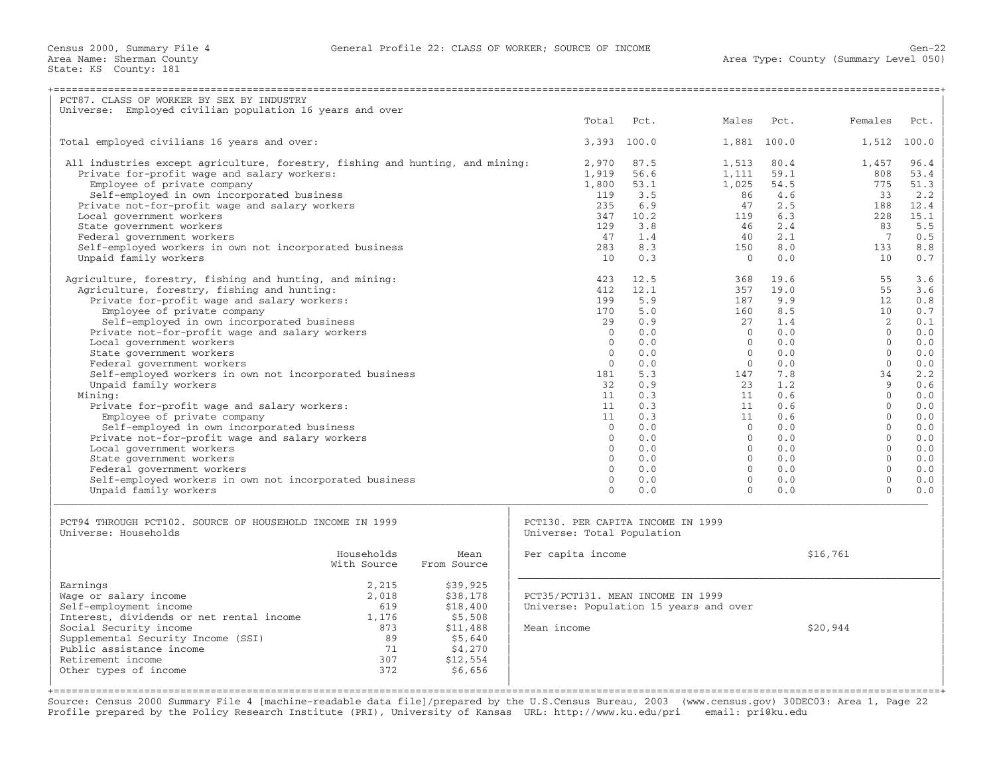| PCT87. CLASS OF WORKER BY SEX BY INDUSTRY<br>Universe: Employed civilian population 16 years and over                        |             |             |                                        |                        |                |              |                 |              |
|------------------------------------------------------------------------------------------------------------------------------|-------------|-------------|----------------------------------------|------------------------|----------------|--------------|-----------------|--------------|
|                                                                                                                              |             |             | Total                                  | Pct.                   | Males          | Pct.         | Females         | Pct.         |
|                                                                                                                              |             |             |                                        |                        |                |              |                 |              |
| Total employed civilians 16 years and over:                                                                                  |             |             |                                        | 3,393 100.0            |                | 1,881 100.0  |                 | 1,512 100.0  |
|                                                                                                                              |             |             |                                        |                        |                |              |                 |              |
| All industries except agriculture, forestry, fishing and hunting, and mining:<br>Private for-profit wage and salary workers: |             |             | 2,970<br>1,919                         | 87.5<br>56.6           | 1,513<br>1,111 | 80.4<br>59.1 | 1,457<br>808    | 96.4<br>53.4 |
| Employee of private company                                                                                                  |             |             | 1,800                                  | 53.1                   | 1,025          | 54.5         | 775             | 51.3         |
| Self-employed in own incorporated business                                                                                   |             |             | 119                                    | 3.5                    | 86             | 4.6          | 33              | 2.2          |
| Private not-for-profit wage and salary workers                                                                               |             |             | 235                                    | 6.9                    | 47             | 2.5          | 188             | 12.4         |
| Local government workers                                                                                                     |             |             | 347                                    | 10.2                   | 119            | 6.3          | 2.2.8           | 15.1         |
| State government workers                                                                                                     |             |             | 129                                    | 3.8                    | 46             | 2.4          | 83              | 5.5          |
| Federal government workers                                                                                                   |             |             | 47                                     | 1.4                    | 40             | 2.1          | 7               | 0.5          |
| Self-employed workers in own not incorporated business                                                                       |             |             | 283                                    | 8.3                    | 150            | 8.0          | 133             | 8.8          |
| Unpaid family workers                                                                                                        |             |             | 10                                     | 0.3                    | $\overline{0}$ | 0.0          | 10              | 0.7          |
| Agriculture, forestry, fishing and hunting, and mining:                                                                      |             |             | 423                                    | 12.5                   | 368            | 19.6         | 55              | 3.6          |
| Agriculture, forestry, fishing and hunting:                                                                                  |             |             | 412                                    | 12.1                   | 357            | 19.0         | 55              | 3.6          |
| Private for-profit wage and salary workers:                                                                                  |             |             | 199                                    | 5.9                    | 187            | 9.9          | 12              | 0.8          |
| Employee of private company                                                                                                  |             |             | 170                                    | 5.0                    | 160            | 8.5          | 10 <sup>°</sup> | 0.7          |
| Self-employed in own incorporated business                                                                                   |             |             |                                        | 0.9<br>2.9             | 27             | 1.4          | $2^{1}$         | 0.1          |
| Private not-for-profit wage and salary workers                                                                               |             |             |                                        | $\Omega$<br>0.0        | $\Omega$       | 0.0          | $\Omega$        | 0.0          |
| Local government workers                                                                                                     |             |             |                                        | $\Omega$<br>0.0        | $\Omega$       | 0.0          | $\Omega$        | 0.0          |
| State government workers                                                                                                     |             |             |                                        | $\Omega$<br>0.0        | $\Omega$       | 0.0          | $\Omega$        | 0.0          |
| Federal government workers                                                                                                   |             |             |                                        | $\mathbf{0}$<br>0.0    | $\circ$        | 0.0          | $\Omega$        | 0.0          |
| Self-employed workers in own not incorporated business                                                                       |             |             | 181                                    | 5.3                    | 147            | 7.8          | 34              | 2.2          |
| Unpaid family workers                                                                                                        |             |             |                                        | 32<br>0.9<br>11<br>0.3 | 23             | 1.2<br>0.6   | Q<br>$\Omega$   | 0.6<br>0.0   |
| Mining:<br>Private for-profit wage and salary workers:                                                                       |             |             |                                        | 11<br>0.3              | 11<br>11       | 0.6          | $\Omega$        | 0.0          |
| Employee of private company                                                                                                  |             |             |                                        | 11<br>0.3              | 11             | 0.6          | $\Omega$        | 0.0          |
| Self-employed in own incorporated business                                                                                   |             |             |                                        | $\Omega$<br>0.0        | $\Omega$       | 0.0          | $\Omega$        | 0.0          |
| Private not-for-profit wage and salary workers                                                                               |             |             |                                        | $\Omega$<br>0.0        | $\Omega$       | 0.0          | $\Omega$        | 0.0          |
| Local government workers                                                                                                     |             |             |                                        | $\Omega$<br>0.0        | $\Omega$       | 0.0          | $\Omega$        | 0.0          |
| State government workers                                                                                                     |             |             |                                        | $\Omega$<br>0.0        | $\Omega$       | 0.0          | $\Omega$        | 0.0          |
| Federal government workers                                                                                                   |             |             |                                        | $\Omega$<br>0.0        | $\circ$        | 0.0          | $\Omega$        | 0.0          |
| Self-employed workers in own not incorporated business                                                                       |             |             |                                        | $\mathbf{0}$<br>0.0    | $\mathbf{0}$   | 0.0          | $\mathbf{0}$    | 0.0          |
| Unpaid family workers                                                                                                        |             |             |                                        | $\Omega$<br>0.0        | $\Omega$       | 0.0          | $\Omega$        | 0.0          |
|                                                                                                                              |             |             |                                        |                        |                |              |                 |              |
| PCT94 THROUGH PCT102. SOURCE OF HOUSEHOLD INCOME IN 1999                                                                     |             |             | PCT130. PER CAPITA INCOME IN 1999      |                        |                |              |                 |              |
| Universe: Households                                                                                                         |             |             | Universe: Total Population             |                        |                |              |                 |              |
|                                                                                                                              | Households  | Mean        | Per capita income                      |                        |                |              | \$16,761        |              |
|                                                                                                                              | With Source | From Source |                                        |                        |                |              |                 |              |
| Earnings                                                                                                                     | 2,215       | \$39,925    |                                        |                        |                |              |                 |              |
| Wage or salary income                                                                                                        | 2,018       | \$38,178    | PCT35/PCT131. MEAN INCOME IN 1999      |                        |                |              |                 |              |
| Self-employment income                                                                                                       | 619         | \$18,400    | Universe: Population 15 years and over |                        |                |              |                 |              |
| Interest, dividends or net rental income                                                                                     | 1,176       | \$5,508     |                                        |                        |                |              |                 |              |
| Social Security income                                                                                                       | 873         | \$11,488    | Mean income                            |                        |                |              | \$20,944        |              |
| Supplemental Security Income (SSI)                                                                                           | 89          | \$5,640     |                                        |                        |                |              |                 |              |
| Public assistance income                                                                                                     | 71          | \$4,270     |                                        |                        |                |              |                 |              |
| Retirement income                                                                                                            | 307         | \$12,554    |                                        |                        |                |              |                 |              |
| Other types of income                                                                                                        | 372         | \$6,656     |                                        |                        |                |              |                 |              |
| ;==============================                                                                                              |             |             |                                        |                        |                |              |                 |              |

Source: Census 2000 Summary File 4 [machine−readable data file]/prepared by the U.S.Census Bureau, 2003 (www.census.gov) 30DEC03: Area 1, Page 22 Profile prepared by the Policy Research Institute (PRI), University of Kansas URL: http://www.ku.edu/pri email: pri@ku.edu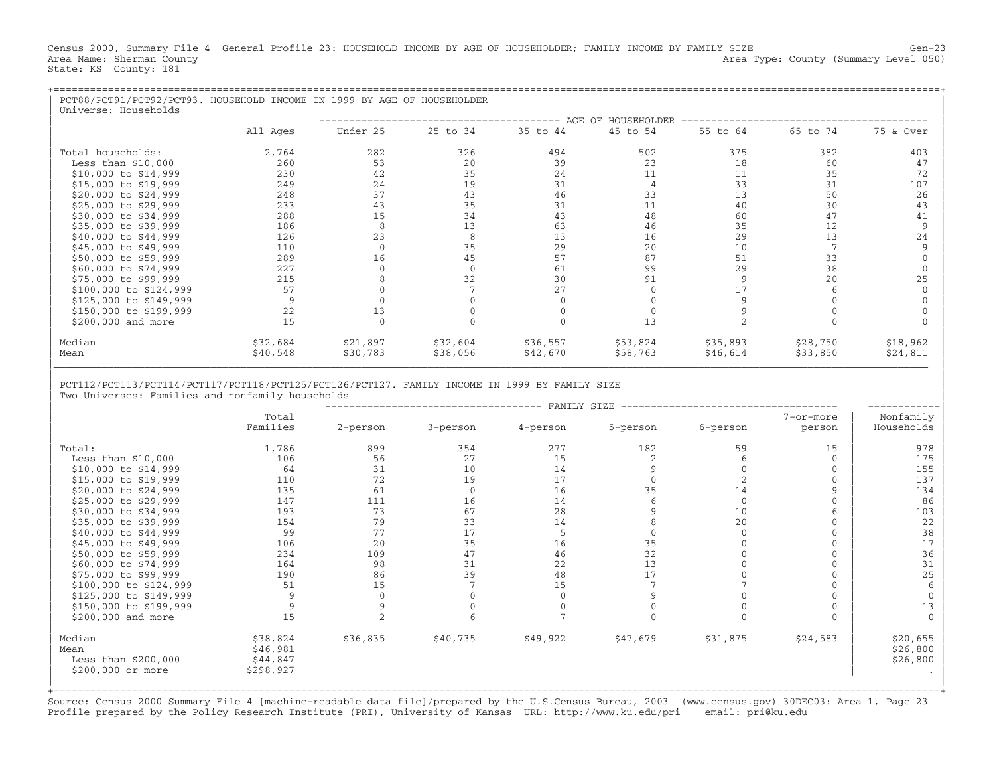Census 2000, Summary File 4 General Profile 23: HOUSEHOLD INCOME BY AGE OF HOUSEHOLDER; FAMILY INCOME BY FAMILY SIZE Gen-23<br>Area Name: Sherman County Level 050) Area Type: County (Summary Level 050) State: KS County: 181

| PCT88/PCT91/PCT92/PCT93. HOUSEHOLD INCOME IN 1999 BY AGE OF HOUSEHOLDER<br>Universe: Households |          |          |          |                      |                    |          |          |           |
|-------------------------------------------------------------------------------------------------|----------|----------|----------|----------------------|--------------------|----------|----------|-----------|
|                                                                                                 |          |          |          | -------------------- | AGE OF HOUSEHOLDER |          |          |           |
|                                                                                                 | All Ages | Under 25 | 25 to 34 | 35 to 44             | 45 to 54           | 55 to 64 | 65 to 74 | 75 & Over |
| Total households:                                                                               | 2,764    | 282      | 326      | 494                  | 502                | 375      | 382      | 403       |
| Less than $$10,000$                                                                             | 260      | 53       | 20       | 39                   | 23                 | 18       | 60       | 47        |
| \$10,000 to \$14,999                                                                            | 230      | 42       | 35       | 24                   | 11                 | 11       | 35       | 72        |
| \$15,000 to \$19,999                                                                            | 249      | 24       | 19       | 31                   | 4                  | 33       | 31       | 107       |
| \$20,000 to \$24,999                                                                            | 248      | 37       | 43       | 46                   | 33                 | 13       | 50       | 26        |
| \$25,000 to \$29,999                                                                            | 233      | 43       | 35       | 31                   | 11                 | 40       | 30       | 43        |
| \$30,000 to \$34,999                                                                            | 288      | 15       | 34       | 43                   | 48                 | 60       | 47       | 41        |
| \$35,000 to \$39,999                                                                            | 186      | 8        | 13       | 63                   | 46                 | 35       | 12       |           |
| \$40,000 to \$44,999                                                                            | 126      | 23       |          | 13                   | 16                 | 29       | 13       | 24        |
| \$45,000 to \$49,999                                                                            | 110      |          | 35       | 29                   | 20                 | 10       |          |           |
| \$50,000 to \$59,999                                                                            | 289      | 16       | 45       | 57                   | 87                 | 51       | 33       |           |
| \$60,000 to \$74,999                                                                            | 227      |          | $\Omega$ | 61                   | 99                 | 29       | 38       |           |
| \$75,000 to \$99,999                                                                            | 215      |          | 32       | 30                   | 91                 |          | 20       | 25        |
| \$100,000 to \$124,999                                                                          | 57       |          |          | 27                   |                    |          |          |           |
| \$125,000 to \$149,999                                                                          | 9        |          |          |                      |                    |          |          |           |
| \$150,000 to \$199,999                                                                          | 22       | 13       |          |                      |                    |          |          |           |
| \$200,000 and more                                                                              | 15       |          |          |                      | 13                 |          |          |           |
| Median                                                                                          | \$32,684 | \$21,897 | \$32,604 | \$36,557             | \$53,824           | \$35,893 | \$28,750 | \$18,962  |
| Mean                                                                                            | \$40,548 | \$30,783 | \$38,056 | \$42,670             | \$58,763           | \$46,614 | \$33,850 | \$24,811  |

| |

## | PCT112/PCT113/PCT114/PCT117/PCT118/PCT125/PCT126/PCT127. FAMILY INCOME IN 1999 BY FAMILY SIZE | Two Universes: Families and nonfamily households

|                                                             |                                               |          |          | FAMILY SIZE |          |          |              |                                  |
|-------------------------------------------------------------|-----------------------------------------------|----------|----------|-------------|----------|----------|--------------|----------------------------------|
|                                                             | Total                                         |          |          |             |          |          | 7-or-more    | Nonfamily                        |
|                                                             | Families                                      | 2-person | 3-person | 4-person    | 5-person | 6-person | person       | Households                       |
| Total:                                                      | 1,786                                         | 899      | 354      | 277         | 182      | 59       | 15           | 978                              |
| Less than $$10,000$                                         | 106                                           | 56       | 27       | 15          |          |          | $\Omega$     | 175                              |
| \$10,000 to \$14,999                                        | 64                                            | 31       | 10       | 14          |          |          | $\mathbf{0}$ | 155                              |
| \$15,000 to \$19,999                                        | 110                                           | 72       | 19       | 17          |          |          | $\mathbf 0$  | 137                              |
| \$20,000 to \$24,999                                        | 135                                           | 61       | $\Omega$ | 16          | 35       | 14       | $\mathbf{Q}$ | 134                              |
| \$25,000 to \$29,999                                        | 147                                           | 111      | 16       | 14          |          | $\Omega$ | $\Omega$     | 86                               |
| \$30,000 to \$34,999                                        | 193                                           | 73       | 67       | 28          |          | 10       | 6            | 103                              |
| \$35,000 to \$39,999                                        | 154                                           | 79       | 33       | 14          |          | 20       | $\mathbf 0$  | 22                               |
| \$40,000 to \$44,999                                        | 99                                            | 77       | 17       |             |          |          | $\Omega$     | 38                               |
| \$45,000 to \$49,999                                        | 106                                           | 20       | 35       | 16          | 35       |          | $\Omega$     | 17                               |
| \$50,000 to \$59,999                                        | 234                                           | 109      | 47       | 46          | 32       |          | $\Omega$     | 36                               |
| \$60,000 to \$74,999                                        | 164                                           | 98       | 31       | 22          | 13       |          | $\mathbf 0$  | 31                               |
| \$75,000 to \$99,999                                        | 190                                           | 86       | 39       | 48          | 17       |          | $\Omega$     | 25                               |
| \$100,000 to \$124,999                                      | 51                                            | 15       |          | 15          |          |          |              | 6                                |
| \$125,000 to \$149,999                                      | 9                                             |          |          |             |          |          |              |                                  |
| \$150,000 to \$199,999                                      |                                               |          |          |             |          |          |              | 13                               |
| \$200,000 and more                                          | 15                                            |          |          |             |          |          | $\Omega$     | $\Omega$                         |
| Median<br>Mean<br>Less than $$200,000$<br>\$200,000 or more | \$38,824<br>\$46,981<br>\$44,847<br>\$298,927 | \$36,835 | \$40,735 | \$49,922    | \$47,679 | \$31,875 | \$24,583     | \$20,655<br>\$26,800<br>\$26,800 |
|                                                             |                                               |          |          |             |          |          |              |                                  |

+===================================================================================================================================================+Source: Census 2000 Summary File 4 [machine−readable data file]/prepared by the U.S.Census Bureau, 2003 (www.census.gov) 30DEC03: Area 1, Page 23 Profile prepared by the Policy Research Institute (PRI), University of Kansas URL: http://www.ku.edu/pri email: pri@ku.edu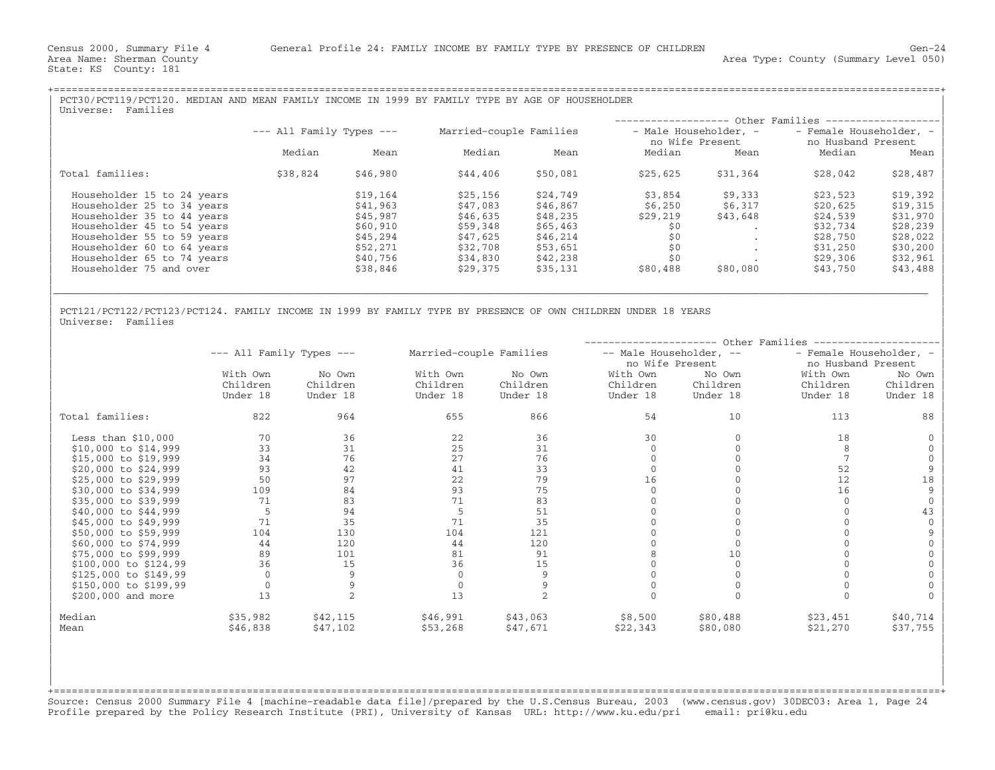| PCT30/PCT119/PCT120. MEDIAN AND MEAN FAMILY INCOME IN 1999 BY FAMILY TYPE BY AGE OF HOUSEHOLDER<br>Families<br>Universe: |                              |          |                         |          |                       |          |                              |          |
|--------------------------------------------------------------------------------------------------------------------------|------------------------------|----------|-------------------------|----------|-----------------------|----------|------------------------------|----------|
|                                                                                                                          |                              |          |                         |          | ------------------    |          | - Other Families ----------- |          |
|                                                                                                                          | $---$ All Family Types $---$ |          | Married-couple Families |          | - Male Householder, - |          | - Female Householder, -      |          |
|                                                                                                                          |                              |          |                         |          | no Wife Present       |          | no Husband Present           |          |
|                                                                                                                          | Median                       | Mean     | Median                  | Mean     | Median                | Mean     | Median                       | Mean     |
| Total families:                                                                                                          | \$38,824                     | \$46,980 | \$44,406                | \$50,081 | \$25,625              | \$31,364 | \$28,042                     | \$28,487 |
| Householder 15 to 24 years                                                                                               |                              | \$19,164 | \$25,156                | \$24,749 | \$3,854               | \$9,333  | \$23,523                     | \$19,392 |
| Householder 25 to 34 years                                                                                               |                              | \$41,963 | \$47,083                | \$46,867 | \$6,250               | \$6,317  | \$20,625                     | \$19,315 |
| Householder 35 to 44 years                                                                                               |                              | \$45,987 | \$46,635                | \$48,235 | \$29,219              | \$43,648 | \$24,539                     | \$31,970 |
| Householder 45 to 54 years                                                                                               |                              | \$60,910 | \$59,348                | \$65,463 | \$0                   |          | \$32,734                     | \$28,239 |
| Householder 55 to 59 years                                                                                               |                              | \$45,294 | \$47,625                | \$46,214 | \$0                   |          | \$28,750                     | \$28,022 |
| Householder 60 to 64 years                                                                                               |                              | \$52,271 | \$32,708                | \$53,651 | \$0                   |          | \$31,250                     | \$30,200 |
| Householder 65 to 74 years                                                                                               |                              | \$40,756 | \$34,830                | \$42,238 | \$0                   |          | \$29,306                     | \$32,961 |
| Householder 75 and over                                                                                                  |                              | \$38,846 | \$29,375                | \$35,131 | \$80,488              | \$80,080 | \$43,750                     | \$43,488 |

|\_\_\_\_\_\_\_\_\_\_\_\_\_\_\_\_\_\_\_\_\_\_\_\_\_\_\_\_\_\_\_\_\_\_\_\_\_\_\_\_\_\_\_\_\_\_\_\_\_\_\_\_\_\_\_\_\_\_\_\_\_\_\_\_\_\_\_\_\_\_\_\_\_\_\_\_\_\_\_\_\_\_\_\_\_\_\_\_\_\_\_\_\_\_\_\_\_\_\_\_\_\_\_\_\_\_\_\_\_\_\_\_\_\_\_\_\_\_\_\_\_\_\_\_\_\_\_\_\_\_\_\_\_\_\_\_\_\_\_\_\_\_\_\_\_ | | |

| |

PCT121/PCT122/PCT123/PCT124. FAMILY INCOME IN 1999 BY FAMILY TYPE BY PRESENCE OF OWN CHILDREN UNDER 18 YEARS<br>Universe: Families | Universe: Families | Northern Communication | Northern Communication | Northern Communication | Northern Communication | Northern Communication | Northern Communication | Northern Communication | Northern Communication |

|                       |                              |          | Other Families          |          |                         |          |                         |          |
|-----------------------|------------------------------|----------|-------------------------|----------|-------------------------|----------|-------------------------|----------|
|                       | $---$ All Family Types $---$ |          | Married-couple Families |          | -- Male Householder, -- |          | - Female Householder, - |          |
|                       |                              |          |                         |          | no Wife Present         |          | no Husband Present      |          |
|                       | With Own                     | No Own   | With Own                | No Own   | With Own                | No Own   | With Own                | No Own   |
|                       | Children                     | Children | Children                | Children | Children                | Children | Children                | Children |
|                       | Under 18                     | Under 18 | Under 18                | Under 18 | Under 18                | Under 18 | Under 18                | Under 18 |
| Total families:       | 822                          | 964      | 655                     | 866      | 54                      | 10       | 113                     | 88       |
| Less than $$10,000$   | 70                           | 36       | 22                      | 36       | 30                      |          | 18                      |          |
| \$10,000 to \$14,999  | 33                           | 31       | 25                      | 31       |                         |          |                         |          |
| \$15,000 to \$19,999  | 34                           | 76       | 27                      | 76       |                         |          |                         |          |
| \$20,000 to \$24,999  | 93                           | 42       | 41                      | 33       |                         |          | 52                      | 9        |
| \$25,000 to \$29,999  | 50                           | 97       | 22                      | 79       | 16                      |          | 12                      | 18       |
| \$30,000 to \$34,999  | 109                          | 84       | 93                      | 75       |                         |          | 16                      | 9        |
| \$35,000 to \$39,999  | 71                           | 83       | 71                      | 83       |                         |          |                         |          |
| \$40,000 to \$44,999  | 5                            | 94       | 5                       | 51       |                         |          |                         | 43       |
| \$45,000 to \$49,999  | 71                           | 35       | 71                      | 35       |                         |          |                         |          |
| \$50,000 to \$59,999  | 104                          | 130      | 104                     | 121      |                         |          |                         |          |
| \$60,000 to \$74,999  | 44                           | 120      | 44                      | 120      |                         |          |                         |          |
| \$75,000 to \$99,999  | 89                           | 101      | 81                      | 91       |                         | 10       |                         |          |
| \$100,000 to \$124,99 | 36                           | 15       | 36                      | 15       |                         |          |                         |          |
| \$125,000 to \$149,99 | $\Omega$                     | 9        |                         |          |                         |          |                         |          |
| \$150,000 to \$199,99 |                              |          |                         |          |                         |          |                         |          |
| \$200,000 and more    | 13                           |          | 13                      |          |                         |          |                         |          |
| Median                | \$35,982                     | \$42,115 | \$46,991                | \$43,063 | \$8,500                 | \$80,488 | \$23,451                | \$40,714 |
| Mean                  | \$46,838                     | \$47,102 | \$53,268                | \$47,671 | \$22,343                | \$80,080 | \$21,270                | \$37,755 |

+===================================================================================================================================================+Source: Census 2000 Summary File 4 [machine−readable data file]/prepared by the U.S.Census Bureau, 2003 (www.census.gov) 30DEC03: Area 1, Page 24 Profile prepared by the Policy Research Institute (PRI), University of Kansas URL: http://www.ku.edu/pri email: pri@ku.edu

| | | | | | | |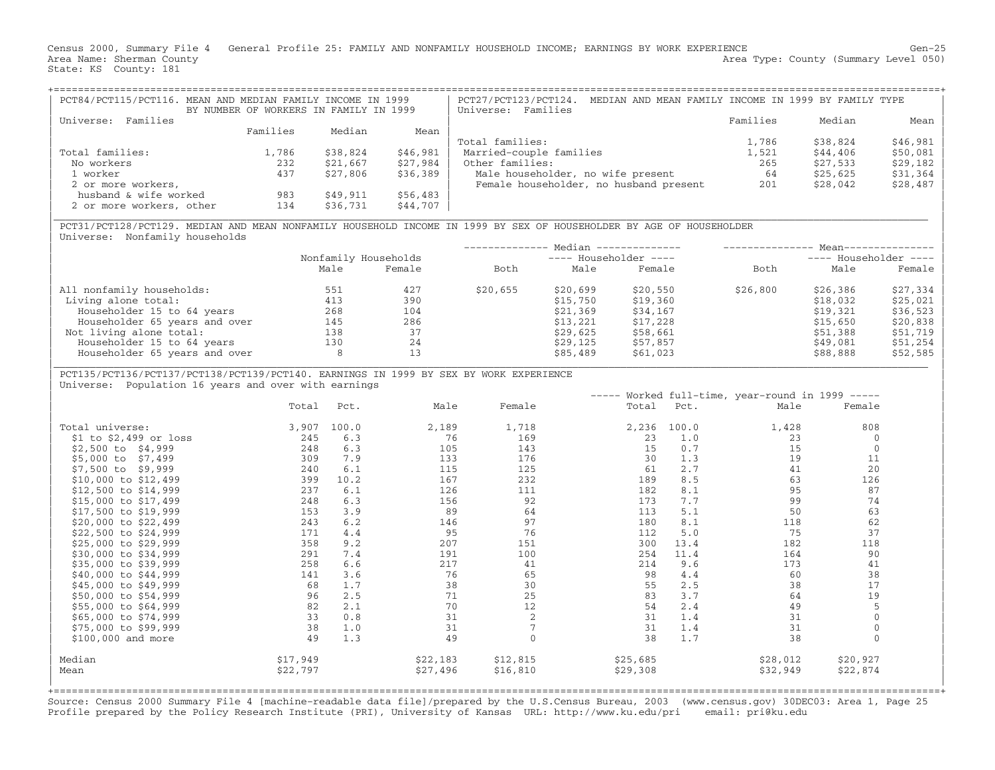Census 2000, Summary File 4 General Profile 25: FAMILY AND NONFAMILY HOUSEHOLD INCOME; EARNINGS BY WORK EXPERIENCE Gen−25 Area Name: Sherman County (Summary Level 050) (Area Type: County (Summary Level 050) State: KS County: 181

| PCT84/PCT115/PCT116. MEAN AND MEDIAN FAMILY INCOME IN 1999 | BY NUMBER OF WORKERS IN FAMILY IN 1999 |          |          | MEDIAN AND MEAN FAMILY INCOME IN 1999 BY FAMILY TYPE<br>PCT27/PCT123/PCT124.<br>Universe: Families |          |          |           |
|------------------------------------------------------------|----------------------------------------|----------|----------|----------------------------------------------------------------------------------------------------|----------|----------|-----------|
| Families<br>Universe:                                      |                                        |          |          |                                                                                                    | Families | Median   | Mean      |
|                                                            | Families                               | Median   | Mean     |                                                                                                    |          |          |           |
|                                                            |                                        |          |          | Total families:                                                                                    | 1,786    | \$38,824 | $$46,981$ |
| Total families:                                            | 1,786                                  | \$38,824 | \$46,981 | Married-couple families                                                                            | 1,521    | \$44,406 | $$50,081$ |
| No workers                                                 | 232                                    | \$21,667 | \$27,984 | Other families:                                                                                    | 265      | \$27,533 | $$29,182$ |
| 1 worker                                                   | 437                                    | \$27,806 | \$36,389 | Male householder, no wife present                                                                  | 64       | \$25,625 | $$31,364$ |
| 2 or more workers,                                         |                                        |          |          | Female householder, no husband present                                                             | 201      | \$28,042 | $$28,487$ |
| husband & wife worked                                      | 983                                    | \$49,911 | \$56,483 |                                                                                                    |          |          |           |
| 2 or more workers, other                                   | 134                                    | \$36,731 | \$44,707 |                                                                                                    |          |          |           |

|\_\_\_\_\_\_\_\_\_\_\_\_\_\_\_\_\_\_\_\_\_\_\_\_\_\_\_\_\_\_\_\_\_\_\_\_\_\_\_\_\_\_\_\_\_\_\_\_\_\_\_\_\_\_\_\_\_\_\_\_\_\_\_\_\_\_\_\_\_\_\_\_\_\_\_\_\_\_\_\_\_\_\_\_\_\_\_\_\_\_\_\_\_\_\_\_\_\_\_\_\_\_\_\_\_\_\_\_\_\_\_\_\_\_\_\_\_\_\_\_\_\_\_\_\_\_\_\_\_\_\_\_\_\_\_\_\_\_\_\_\_\_\_\_\_ |

| PCT31/PCT128/PCT129. MEDIAN AND MEAN NONFAMILY HOUSEHOLD INCOME IN 1999 BY SEX OF HOUSEHOLDER BY AGE OF HOUSEHOLDER | Universe: Nonfamily households

|      |        |                      |          |          |                                                  | ---- Householder ---- |          |  |
|------|--------|----------------------|----------|----------|--------------------------------------------------|-----------------------|----------|--|
| Male | Female | Both                 | Male     | Female   | Both                                             | Male                  | Female   |  |
| 551  | 427    | \$20,655             | \$20,699 | \$20,550 | \$26,800                                         | \$26,386              | \$27,334 |  |
| 413  | 390    |                      | \$15,750 | \$19,360 |                                                  | \$18,032              | \$25,021 |  |
| 268  | 104    |                      | \$21,369 | \$34,167 |                                                  | \$19,321              | \$36,523 |  |
| 145  | 286    |                      | \$13,221 | \$17,228 |                                                  | \$15,650              | \$20,838 |  |
| 138  | 37     |                      | \$29,625 | \$58,661 |                                                  | \$51,388              | \$51,719 |  |
| 130  | 24     |                      | \$29.125 | \$57,857 |                                                  | \$49,081              | \$51,254 |  |
| 8    | 13     |                      | \$85,489 | \$61,023 |                                                  | \$88,888              | \$52,585 |  |
|      |        | Nonfamily Households |          |          | Median --------------<br>$---$ Householder $---$ |                       | $Mean--$ |  |

| PCT135/PCT136/PCT137/PCT138/PCT139/PCT140. EARNINGS IN 1999 BY SEX BY WORK EXPERIENCE |

Universe: Population 16 years and over with earnings

|                          |          |       |          |          |          |       | ----- Worked full-time, year-round in 1999 ----- |              |
|--------------------------|----------|-------|----------|----------|----------|-------|--------------------------------------------------|--------------|
|                          | Total    | Pct.  | Male     | Female   | Total    | Pct.  | Male                                             | Female       |
| Total universe:          | 3,907    | 100.0 | 2,189    | 1,718    | 2,236    | 100.0 | 1,428                                            | 808          |
| $$1$ to $$2,499$ or loss | 245      | 6.3   | 76       | 169      | 23       | 1.0   | 23                                               | 0            |
| \$2,500 to \$4,999       | 248      | 6.3   | 105      | 143      | 15       | 0.7   | 15                                               | $\Omega$     |
| \$5,000 to \$7,499       | 309      | 7.9   | 133      | 176      | 30       | 1.3   | 19                                               | 11           |
| \$7,500 to \$9,999       | 240      | 6.1   | 115      | 125      | 61       | 2.7   | 41                                               | 20           |
| \$10,000 to \$12,499     | 399      | 10.2  | 167      | 232      | 189      | 8.5   | 63                                               | 126          |
| \$12,500 to \$14,999     | 237      | 6.1   | 126      | 111      | 182      | 8.1   | 95                                               | 87           |
| \$15,000 to \$17,499     | 248      | 6.3   | 156      | 92       | 173      | 7.7   | 99                                               | 74           |
| \$17,500 to \$19,999     | 153      | 3.9   | 89       | 64       | 113      | 5.1   | 50                                               | 63           |
| \$20,000 to \$22,499     | 243      | 6.2   | 146      | 97       | 180      | 8.1   | 118                                              | 62           |
| \$22,500 to \$24,999     | 171      | 4.4   | 95       | 76       | 112      | 5.0   | 75                                               | 37           |
| \$25,000 to \$29,999     | 358      | 9.2   | 207      | 151      | 300      | 13.4  | 182                                              | 118          |
| \$30,000 to \$34,999     | 291      | 7.4   | 191      | 100      | 254      | 11.4  | 164                                              | 90           |
| \$35,000 to \$39,999     | 258      | 6.6   | 217      | 41       | 214      | 9.6   | 173                                              | 41           |
| \$40,000 to \$44,999     | 141      | 3.6   | 76       | 65       | 98       | 4.4   | 60                                               | 38           |
| \$45,000 to \$49,999     | 68       | 1.7   | 38       | 30       | 55       | 2.5   | 38                                               | 17           |
| \$50,000 to \$54,999     | 96       | 2.5   | 71       | 25       | 83       | 3.7   | 64                                               | 19           |
| \$55,000 to \$64,999     | 82       | 2.1   | 70       | 12       | 54       | 2.4   | 49                                               | 5            |
| \$65,000 to \$74,999     | 33       | 0.8   | 31       |          | 31       | 1.4   | 31                                               | $\mathbf 0$  |
| \$75,000 to \$99,999     | 38       | 1.0   | 31       |          | 31       | 1.4   | 31                                               | $\mathbf{0}$ |
| $$100,000$ and more      | 49       | 1.3   | 49       |          | 38       | 1.7   | 38                                               | $\Omega$     |
| Median                   | \$17,949 |       | \$22,183 | \$12,815 | \$25,685 |       | \$28,012                                         | \$20,927     |
| Mean                     | \$22,797 |       | \$27,496 | \$16,810 | \$29,308 |       | \$32,949                                         | \$22,874     |
|                          |          |       |          |          |          |       |                                                  |              |

+===================================================================================================================================================+Source: Census 2000 Summary File 4 [machine−readable data file]/prepared by the U.S.Census Bureau, 2003 (www.census.gov) 30DEC03: Area 1, Page 25 Profile prepared by the Policy Research Institute (PRI), University of Kansas URL: http://www.ku.edu/pri email: pri@ku.edu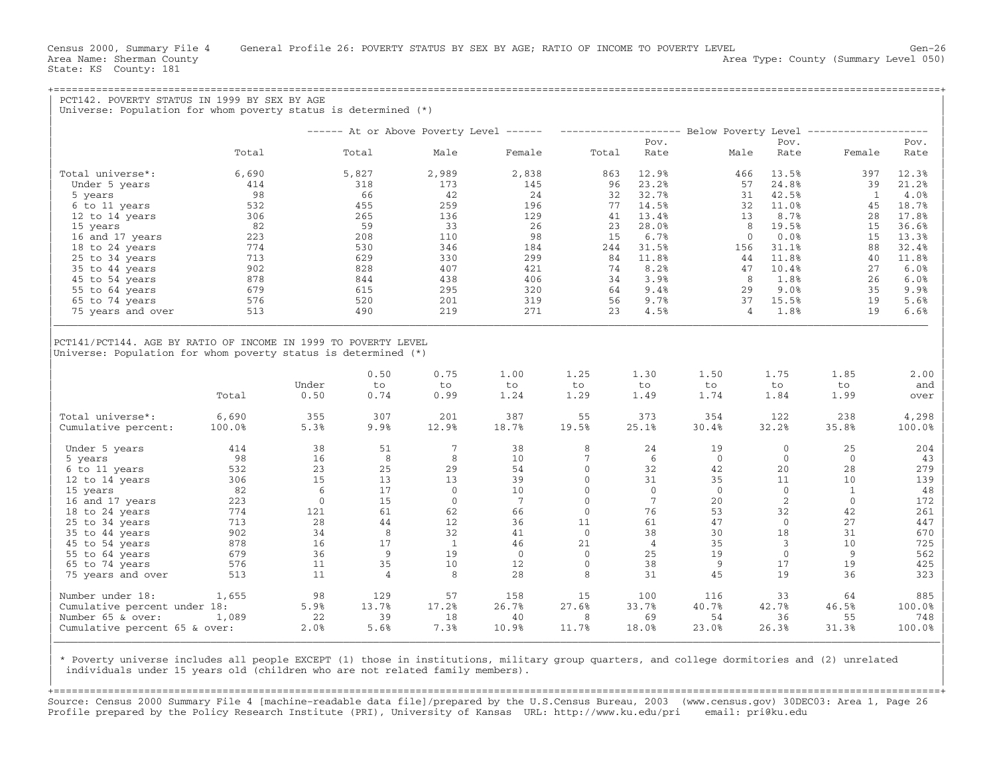State: KS County: 181

Census 2000, Summary File 4 General Profile 26: POVERTY STATUS BY SEX BY AGE; RATIO OF INCOME TO POVERTY LEVEL Gen−26 Area Name: Sherman County (Summary Level 050) (Area Type: County (Summary Level 050)

| Universe: Population for whom poverty status is determined (*)                                                                     |            |                |                      |                 |                 |                |                 |             |                        |                                                                                                  |                                                                                                                   |
|------------------------------------------------------------------------------------------------------------------------------------|------------|----------------|----------------------|-----------------|-----------------|----------------|-----------------|-------------|------------------------|--------------------------------------------------------------------------------------------------|-------------------------------------------------------------------------------------------------------------------|
|                                                                                                                                    |            |                |                      |                 |                 |                |                 |             |                        | ------ At or Above Poverty Level ------ -------------------- Below Poverty Level --------------- |                                                                                                                   |
|                                                                                                                                    |            |                |                      |                 |                 |                | Pov.            |             | Pov.                   |                                                                                                  | Pov.                                                                                                              |
|                                                                                                                                    | Total      |                | Total                | Male            | Female          | Total          | Rate            | Male        | Rate                   | Female                                                                                           | Rate                                                                                                              |
| Total universe*:                                                                                                                   | 6,690      |                | 5,827                | 2,989           | 2,838           | 863            | 12.9%           |             | 13.5%<br>466           | 397                                                                                              | 12.3%                                                                                                             |
| Under 5 years                                                                                                                      | 414        |                | 318                  | 173             | 145             | 96             | 23.2%           |             | 24.8%<br>57            | 39                                                                                               | 21.2%                                                                                                             |
| 5 years                                                                                                                            | 98         |                | 66                   | 42              | 24              | 32             | 32.7%           |             | 31<br>42.5%            | $\mathbf{1}$                                                                                     | 4.0%                                                                                                              |
| 6 to 11 years                                                                                                                      | 532        |                | 455                  | 259             | 196             | 77             | 14.5%           |             | 11.0%<br>32            | 45                                                                                               | 18.7%                                                                                                             |
| 12 to 14 years                                                                                                                     | 306        |                | 265                  | 136             | 129             | 41             | 13.4%           |             | 8.7%<br>13             | 28                                                                                               | 17.8%                                                                                                             |
| 15 years                                                                                                                           | 82         |                | 59                   | 33              | 26              | 23             | 28.0%           |             | 8<br>19.5%             | 15                                                                                               | 36.6%                                                                                                             |
|                                                                                                                                    |            |                |                      | 110             | 98              |                |                 |             | 0.0%<br>$\mathbf{0}$   |                                                                                                  |                                                                                                                   |
| 16 and 17 years                                                                                                                    | 223        |                | 208                  |                 |                 | 15             | 6.7%            |             |                        | 15                                                                                               | 13.3%                                                                                                             |
| 18 to 24 years                                                                                                                     | 774        |                | 530                  | 346             | 184             | 244            | 31.5%           |             | 31.1%<br>156           | 88                                                                                               | 32.4%                                                                                                             |
| 25 to 34 years                                                                                                                     | 713        |                | 629                  | 330             | 299             | 84             | 11.8%           |             | 11.8%<br>44            | 40                                                                                               | 11.8%                                                                                                             |
| 35 to 44 years                                                                                                                     | 902        |                | 828                  | 407             | 421             | 74             | 8.2%            |             | 10.4%<br>47            | 27                                                                                               | 6.0%                                                                                                              |
| 45 to 54 years                                                                                                                     | 878        |                | 844                  | 438             | 406             | 34             | 3.9%            |             | 8<br>1.8%              | 26                                                                                               | 6.0%                                                                                                              |
| 55 to 64 years                                                                                                                     | 679        |                | 615                  | 295             | 320             | 64             | 9.4%            |             | 9.0%<br>29             | 35                                                                                               | 9.9%                                                                                                              |
| 65 to 74 years                                                                                                                     | 576        |                | 520                  | 201             | 319             | 56             | 9.7%            |             | 37<br>15.5%            | 19                                                                                               | 5.6%                                                                                                              |
| 75 years and over                                                                                                                  | 513        |                | 490                  | 219             | 271             | 23             | 4.5%            |             | 1.8%<br>$\overline{4}$ | 19                                                                                               | 6.6%                                                                                                              |
|                                                                                                                                    |            |                |                      |                 |                 |                |                 |             |                        |                                                                                                  |                                                                                                                   |
|                                                                                                                                    |            | Under          | 0.50<br>to           | 0.75<br>to      | 1.00<br>to      | 1.25<br>to     | 1.30<br>to      | 1.50<br>to  | 1.75<br>to             | 1.85<br>to                                                                                       |                                                                                                                   |
| PCT141/PCT144. AGE BY RATIO OF INCOME IN 1999 TO POVERTY LEVEL<br>Universe: Population for whom poverty status is determined $(*)$ | Total      | 0.50           | 0.74                 | 0.99            | 1.24            | 1.29           | 1.49            | 1.74        | 1.84                   | 1.99                                                                                             |                                                                                                                   |
| Total universe*:                                                                                                                   | 6,690      | 355            | 307                  | 201             | 387             | 55             | 373             | 354         | 122                    | 238                                                                                              |                                                                                                                   |
|                                                                                                                                    | 100.0%     | 5.3%           | 9.9%                 | 12.9%           | 18.7%           | 19.5%          | 25.1%           | 30.4%       | 32.2%                  | 35.8%                                                                                            |                                                                                                                   |
| Under 5 years                                                                                                                      | 414        | 38             | 51                   | $7\phantom{.0}$ | 38              | 8              | 24              | 19          | $\mathbf{0}$           | 25                                                                                               |                                                                                                                   |
| 5 years                                                                                                                            | 98         | 16             | 8                    | 8               | 10              | $7\phantom{.}$ | 6               | $\circ$     | $\Omega$               | $\Omega$                                                                                         |                                                                                                                   |
| Cumulative percent:<br>6 to 11 years                                                                                               | 532        | 23             | 25                   | 29              | 54              | $\mathbf{0}$   | 32              | 42          | 20                     | 28                                                                                               |                                                                                                                   |
| 12 to 14 years                                                                                                                     | 306        | 15             | 13                   | 13              | 39              | $\Omega$       | 31              | 35          | 11                     | 10                                                                                               |                                                                                                                   |
| 15 years                                                                                                                           | 82         | 6              | 17                   | $\mathbf{0}$    | 10              | $\mathbf{0}$   | $\mathbf{0}$    | $\circ$     | $\overline{0}$         | $\mathbf{1}$                                                                                     |                                                                                                                   |
| 16 and 17 years                                                                                                                    | 223        | $\overline{0}$ | 15                   | $\mathbf{0}$    | $7\phantom{.0}$ | $\Omega$       | $7\phantom{.0}$ | 20          | 2                      | $\mathbf{0}$                                                                                     |                                                                                                                   |
| 18 to 24 years                                                                                                                     | 774        | 121            | 61                   | 62              | 66              | $\Omega$       | 76              | 53          | 32                     | 42                                                                                               |                                                                                                                   |
| 25 to 34 years                                                                                                                     | 713        | 28             | 44                   | 12              | 36              | 11             | 61              | 47          | $\overline{0}$         | 27                                                                                               |                                                                                                                   |
| 35 to 44 years                                                                                                                     | 902        | 34             | 8                    | 32              | 41              | $\Omega$       | 38              | 30          | 18                     | 31                                                                                               |                                                                                                                   |
| 45 to 54 years                                                                                                                     | 878        | 16             | 17                   | $\overline{1}$  | 46              | 21             | $\overline{4}$  | 35          | $\overline{3}$         | 10                                                                                               |                                                                                                                   |
|                                                                                                                                    | 679        | 36             | 9                    | 19              | $\overline{0}$  | $\Omega$       | 25              | 19          | $\mathbf{0}$           | 9                                                                                                | 2.00<br>and<br>over<br>4,298<br>100.0%<br>204<br>43<br>279<br>139<br>48<br>172<br>261<br>447<br>670<br>725<br>562 |
| 55 to 64 years                                                                                                                     |            |                |                      |                 |                 | $\Omega$       |                 |             |                        |                                                                                                  |                                                                                                                   |
| 65 to 74 years<br>75 years and over                                                                                                | 576<br>513 | 11<br>11       | 35<br>$\overline{4}$ | 10<br>8         | 12<br>28        | 8              | 38<br>31        | 9<br>45     | 17<br>19               | 19<br>36                                                                                         |                                                                                                                   |
|                                                                                                                                    |            | 98             | 129                  | 57              | 158             |                | 100             | 116         | 33                     | 64                                                                                               | 425<br>323<br>885                                                                                                 |
| Number under 18:                                                                                                                   | 1,655      |                |                      |                 |                 | 15             |                 |             |                        |                                                                                                  |                                                                                                                   |
| Cumulative percent under 18:<br>Number 65 & over:                                                                                  | 1,089      | 5.9%<br>22     | 13.7%<br>39          | 17.2%<br>18     | 26.7%<br>40     | 27.6%<br>8     | 33.7%<br>69     | 40.7%<br>54 | 42.7%<br>36            | 46.5%<br>55                                                                                      | 100.0%<br>748                                                                                                     |

| \* Poverty universe includes all people EXCEPT (1) those in institutions, military group quarters, and college dormitories and (2) unrelated | individuals under 15 years old (children who are not related family members).

+===================================================================================================================================================+Source: Census 2000 Summary File 4 [machine−readable data file]/prepared by the U.S.Census Bureau, 2003 (www.census.gov) 30DEC03: Area 1, Page 26 Profile prepared by the Policy Research Institute (PRI), University of Kansas URL: http://www.ku.edu/pri email: pri@ku.edu

|\_\_\_\_\_\_\_\_\_\_\_\_\_\_\_\_\_\_\_\_\_\_\_\_\_\_\_\_\_\_\_\_\_\_\_\_\_\_\_\_\_\_\_\_\_\_\_\_\_\_\_\_\_\_\_\_\_\_\_\_\_\_\_\_\_\_\_\_\_\_\_\_\_\_\_\_\_\_\_\_\_\_\_\_\_\_\_\_\_\_\_\_\_\_\_\_\_\_\_\_\_\_\_\_\_\_\_\_\_\_\_\_\_\_\_\_\_\_\_\_\_\_\_\_\_\_\_\_\_\_\_\_\_\_\_\_\_\_\_\_\_\_\_\_\_\_\_| | |

| |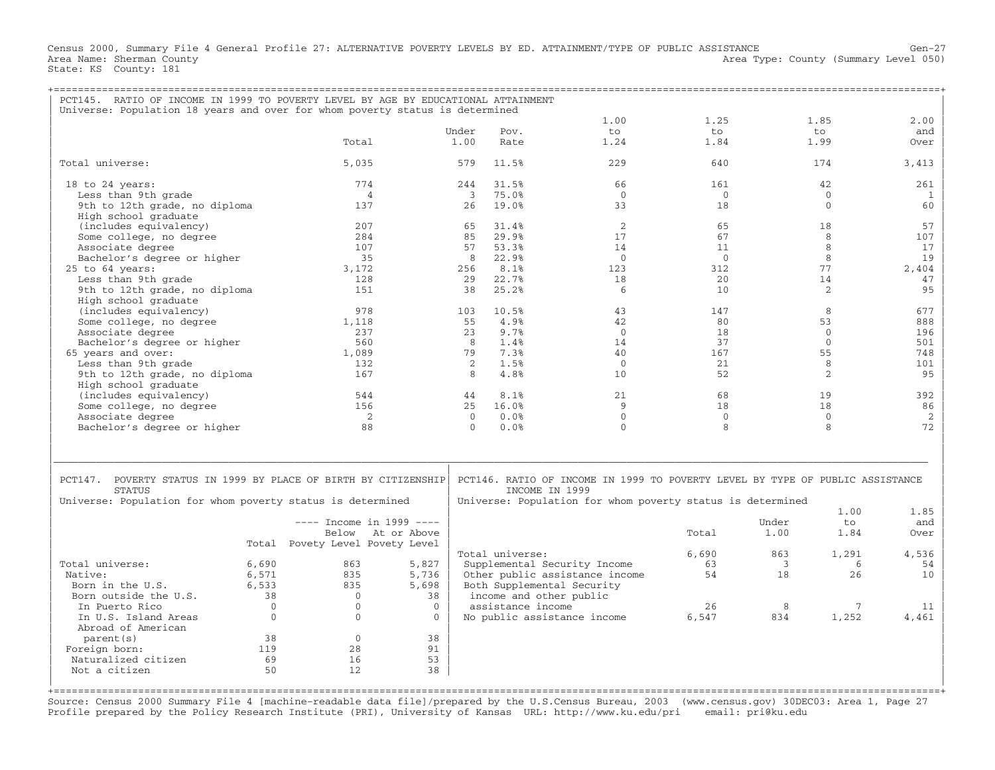Census 2000, Summary File 4 General Profile 27: ALTERNATIVE POVERTY LEVELS BY ED. ATTAINMENT/TYPE OF PUBLIC ASSISTANCE Gen−27 Area Type: County (Summary Level 050) Area Name: Sherman County<br>State: KS County: 181

| PCT145. RATIO OF INCOME IN 1999 TO POVERTY LEVEL BY AGE BY EDUCATIONAL ATTAINMENT<br>Universe: Population 18 years and over for whom poverty status is determined |                            |                |                              |                                                                               |                |       |              |              |
|-------------------------------------------------------------------------------------------------------------------------------------------------------------------|----------------------------|----------------|------------------------------|-------------------------------------------------------------------------------|----------------|-------|--------------|--------------|
|                                                                                                                                                                   |                            |                |                              | 1.00                                                                          | 1.25           |       | 1.85         | 2.00         |
|                                                                                                                                                                   |                            | Under          | Pov.                         | to                                                                            | to             |       | to           | and          |
|                                                                                                                                                                   | Total                      | 1.00           | Rate                         | 1.24                                                                          | 1.84           |       | 1.99         | Over         |
|                                                                                                                                                                   |                            |                |                              |                                                                               |                |       |              |              |
| Total universe:                                                                                                                                                   | 5,035                      | 579            | 11.5%                        | 229                                                                           | 640            |       | 174          | 3,413        |
| 18 to 24 years:                                                                                                                                                   | 774                        | 244            | 31.5%                        | 66                                                                            | 161            |       | 42           | 261          |
| Less than 9th grade                                                                                                                                               | 4                          | $\overline{3}$ | 75.0%                        | $\Omega$                                                                      | $\mathbf{0}$   |       | $\mathbf{0}$ | $\mathbf{1}$ |
| 9th to 12th grade, no diploma                                                                                                                                     | 137                        | 26             | 19.0%                        | 33                                                                            | 18             |       | $\mathbf{0}$ | 60           |
| High school graduate                                                                                                                                              |                            |                |                              |                                                                               |                |       |              |              |
| (includes equivalency)                                                                                                                                            | 207                        | 65             | 31.4%                        | 2                                                                             | 65             |       | 18           | 57           |
| Some college, no degree                                                                                                                                           | 284                        | 85             | 29.9%                        | 17                                                                            | 67             |       | 8            | 107          |
| Associate degree                                                                                                                                                  | 107                        | 57             | 53.3%                        | 14                                                                            | 11             |       | 8            | 17           |
| Bachelor's degree or higher                                                                                                                                       | 35                         | 8              | 22.9%                        | $\overline{0}$                                                                | $\overline{0}$ |       | 8            | 19           |
| 25 to 64 years:                                                                                                                                                   | 3,172                      | 256            | 8.1%                         | 123                                                                           | 312            |       | 77           | 2,404        |
| Less than 9th grade                                                                                                                                               | 128                        | 29             | 22.7%                        | 18                                                                            | 20             |       | 14           | 47           |
| 9th to 12th grade, no diploma                                                                                                                                     | 151                        | 38             | 25.2%                        | -6                                                                            | 10             |       | 2            | 95           |
| High school graduate                                                                                                                                              |                            |                |                              |                                                                               |                |       |              |              |
| (includes equivalency)                                                                                                                                            | 978                        | 103            | 10.5%                        | 43                                                                            | 147            |       | 8            | 677          |
| Some college, no degree                                                                                                                                           | 1,118                      | 55             | 4.9%                         | 42                                                                            | 80             |       | 53           | 888          |
| Associate degree                                                                                                                                                  | 237                        | 23             | 9.7%                         | $\Omega$                                                                      | 18             |       | $\mathbf{0}$ | 196          |
| Bachelor's degree or higher                                                                                                                                       | 560                        | 8              | 1.4%                         | 14                                                                            | 37             |       | $\Omega$     | 501          |
| 65 years and over:                                                                                                                                                | 1,089                      | 79             | 7.3%                         | 40                                                                            | 167            |       | 55           | 748          |
| Less than 9th grade                                                                                                                                               | 132                        | 2              | 1.5%                         | $\overline{0}$                                                                | 21             |       | 8            | 101          |
| 9th to 12th grade, no diploma                                                                                                                                     | 167                        | 8              | 4.8%                         | 10                                                                            | 52             |       | 2            | 95           |
| High school graduate                                                                                                                                              |                            |                |                              |                                                                               |                |       |              |              |
| (includes equivalency)                                                                                                                                            | 544                        | 44             | 8.1%                         | 21                                                                            | 68             |       | 19           | 392          |
| Some college, no degree                                                                                                                                           | 156                        | 2.5            | 16.0%                        | 9                                                                             | 18             |       | 18           | 86           |
| Associate degree                                                                                                                                                  | 2                          | $\Omega$       | 0.0%                         | $\Omega$                                                                      | $\Omega$       |       | $\Omega$     | 2            |
| Bachelor's degree or higher                                                                                                                                       | 88                         | $\Omega$       | 0.0%                         | $\Omega$                                                                      | 8              |       | 8            | 72           |
|                                                                                                                                                                   |                            |                |                              |                                                                               |                |       |              |              |
|                                                                                                                                                                   |                            |                |                              |                                                                               |                |       |              |              |
|                                                                                                                                                                   |                            |                |                              |                                                                               |                |       |              |              |
|                                                                                                                                                                   |                            |                |                              |                                                                               |                |       |              |              |
| PCT147. POVERTY STATUS IN 1999 BY PLACE OF BIRTH BY CITIZENSHIP<br><b>STATUS</b>                                                                                  |                            |                | INCOME IN 1999               | PCT146. RATIO OF INCOME IN 1999 TO POVERTY LEVEL BY TYPE OF PUBLIC ASSISTANCE |                |       |              |              |
|                                                                                                                                                                   |                            |                |                              |                                                                               |                |       |              |              |
| Universe: Population for whom poverty status is determined                                                                                                        |                            |                |                              | Universe: Population for whom poverty status is determined                    |                |       | 1.00         | 1.85         |
|                                                                                                                                                                   | $---$ Tncome in 1999 $---$ |                |                              |                                                                               |                | Under | $t_{\Omega}$ | and          |
|                                                                                                                                                                   | Below At or Above          |                |                              |                                                                               | Total          | 1.00  | 1.84         | Over         |
| Total                                                                                                                                                             | Povety Level Povety Level  |                |                              |                                                                               |                |       |              |              |
|                                                                                                                                                                   |                            |                | Total universe:              |                                                                               | 6,690          | 863   | 1,291        | 4,536        |
| Total universe:<br>6,690                                                                                                                                          | 863                        | 5,827          | Supplemental Security Income |                                                                               | 63             | 3     | 6            | 54           |
| 6,571<br>Native:                                                                                                                                                  | 835                        | 5,736          |                              | Other public assistance income                                                | 54             | 18    | 26           | 10           |
| Born in the U.S.<br>6,533                                                                                                                                         | 835                        | 5,698          | Both Supplemental Security   |                                                                               |                |       |              |              |
| Born outside the U.S.<br>38                                                                                                                                       | $\overline{0}$             | 38             | income and other public      |                                                                               |                |       |              |              |
| $\mathbf{0}$<br>In Puerto Rico                                                                                                                                    | $\mathbf{0}$               | $\mathbf{0}$   | assistance income            |                                                                               | 26             | 8     | 7            | 11           |
| In U.S. Island Areas<br>$\mathbf{0}$                                                                                                                              | $\Omega$                   | $\Omega$       | No public assistance income  |                                                                               | 6,547          | 834   | 1,252        | 4,461        |
| Abroad of American                                                                                                                                                |                            |                |                              |                                                                               |                |       |              |              |
| 38<br>parent (s)                                                                                                                                                  | $\mathbf{0}$               | 38             |                              |                                                                               |                |       |              |              |
| 119<br>Foreign born:                                                                                                                                              | 28                         | 91             |                              |                                                                               |                |       |              |              |
| 69<br>Naturalized citizen                                                                                                                                         | 16                         | 53             |                              |                                                                               |                |       |              |              |
| 50<br>Not a citizen                                                                                                                                               | 12.                        | 38             |                              |                                                                               |                |       |              |              |

+===================================================================================================================================================+Source: Census 2000 Summary File 4 [machine−readable data file]/prepared by the U.S.Census Bureau, 2003 (www.census.gov) 30DEC03: Area 1, Page 27 Profile prepared by the Policy Research Institute (PRI), University of Kansas URL: http://www.ku.edu/pri email: pri@ku.edu

| |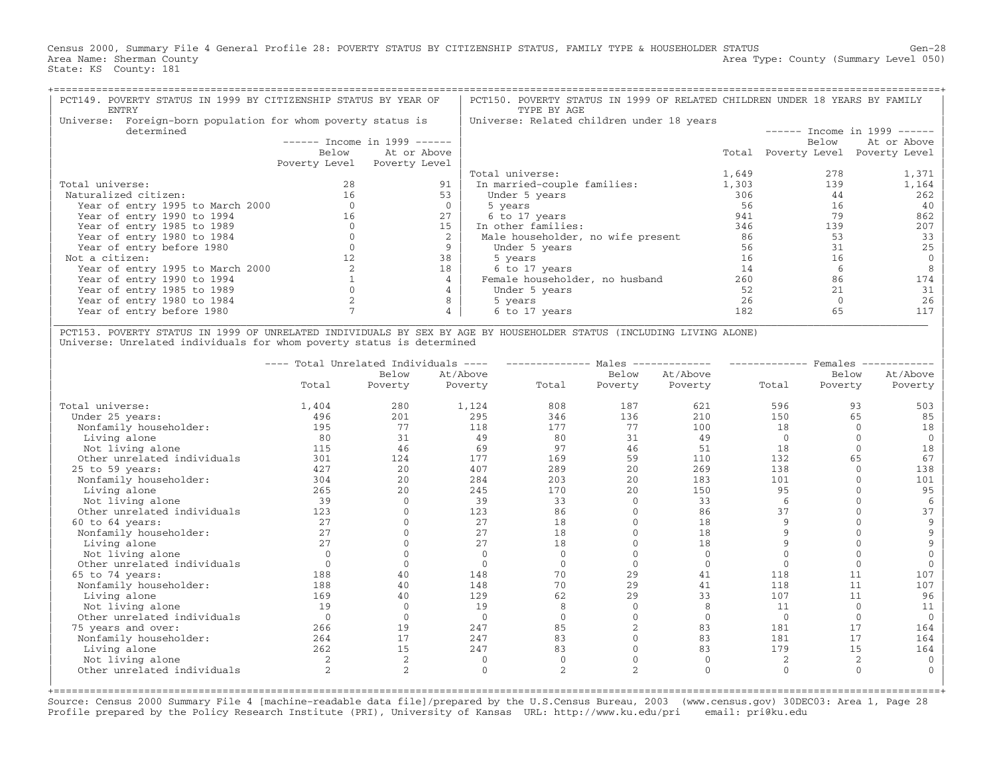Census 2000, Summary File 4 General Profile 28: POVERTY STATUS BY CITIZENSHIP STATUS, FAMILY TYPE & HOUSEHOLDER STATUS Gen−28 Area Name: Sherman County (Summary Level 050) (Area Type: County (Summary Level 050) State: KS County: 181

| PCT149. POVERTY STATUS IN 1999 BY CITIZENSHIP STATUS BY YEAR OF<br>ENTRY      |       |                               | PCT150. POVERTY STATUS IN 1999 OF RELATED CHILDREN UNDER 18 YEARS BY FAMILY<br>TYPE BY AGE |       |                     |                               |
|-------------------------------------------------------------------------------|-------|-------------------------------|--------------------------------------------------------------------------------------------|-------|---------------------|-------------------------------|
| Foreign-born population for whom poverty status is<br>Universe:<br>determined |       |                               | Universe: Related children under 18 years                                                  |       |                     | $-----$ Income in 1999 ------ |
|                                                                               |       | $-----$ Income in 1999 $----$ |                                                                                            |       | Below               | At or Above                   |
|                                                                               | Below | At or Above                   |                                                                                            |       | Total Poverty Level | Poverty Level                 |
|                                                                               |       | Poverty Level Poverty Level   |                                                                                            |       |                     |                               |
|                                                                               |       |                               | Total universe:                                                                            | 1,649 | 278                 | 1,371                         |
| Total universe:                                                               | 28    | 91                            | In married-couple families:                                                                | 1,303 | 139                 | 1,164                         |
| Naturalized citizen:                                                          | 16    | 53                            | Under 5 years                                                                              | 306   | 44                  | 262                           |
| Year of entry 1995 to March 2000                                              |       |                               | 5 years                                                                                    | 56    | 16                  | 40                            |
| Year of entry 1990 to 1994                                                    | 16    | 27                            | 6 to 17 years                                                                              | 941   | 79                  | 862                           |
| Year of entry 1985 to 1989                                                    |       | 15                            | In other families:                                                                         | 346   | 139                 | 207                           |
| Year of entry 1980 to 1984                                                    |       |                               | Male householder, no wife present                                                          | 86    | 53                  | 33                            |
| Year of entry before 1980                                                     |       |                               | Under 5 years                                                                              | 56    | 31                  | 25                            |
| Not a citizen:                                                                |       | 38                            | 5 years                                                                                    | 16    | 16                  |                               |
| Year of entry 1995 to March 2000                                              |       | 18                            | 6 to 17 years                                                                              | 14    |                     |                               |
| Year of entry 1990 to 1994                                                    |       |                               | Female householder, no husband                                                             | 260   | 86                  | 174                           |
| Year of entry 1985 to 1989                                                    |       |                               | Under 5 years                                                                              | 52    | 21                  |                               |
| Year of entry 1980 to 1984                                                    |       |                               | 5 years                                                                                    | 26    |                     | 26                            |
| Year of entry before 1980                                                     |       |                               | 6 to 17 years                                                                              | 182   | 65                  |                               |
|                                                                               |       |                               |                                                                                            |       |                     |                               |

| PCT153. POVERTY STATUS IN 1999 OF UNRELATED INDIVIDUALS BY SEX BY AGE BY HOUSEHOLDER STATUS (INCLUDING LIVING ALONE) | Universe: Unrelated individuals for whom poverty status is determined

|                             | $\qquad \qquad - - - -$ | Total Unrelated Individuals | $\frac{1}{2}$ |                | Males          |          |       | Females        |          |
|-----------------------------|-------------------------|-----------------------------|---------------|----------------|----------------|----------|-------|----------------|----------|
|                             |                         | Below                       | At/Above      |                | Below          | At/Above |       | Below          | At/Above |
|                             | Total                   | Poverty                     | Poverty       | Total          | Poverty        | Poverty  | Total | Poverty        | Poverty  |
| Total universe:             | 1,404                   | 280                         | 1,124         | 808            | 187            | 621      | 596   | 93             | 503      |
| Under 25 years:             | 496                     | 201                         | 295           | 346            | 136            | 210      | 150   | 65             | 85       |
| Nonfamily householder:      | 195                     | 77                          | 118           | 177            | 77             | 100      | 18    | $\cap$         | 18       |
| Living alone                | 80                      | 31                          | 49            | 80             | 31             | 49       |       |                | $\Omega$ |
| Not living alone            | 115                     | 46                          | 69            | 97             | 46             | 51       | 18    |                | 18       |
| Other unrelated individuals | 301                     | 124                         | 177           | 169            | 59             | 110      | 132   | 65             | 67       |
| $25$ to $59$ years:         | 427                     | 20                          | 407           | 289            | 20             | 269      | 138   |                | 138      |
| Nonfamily householder:      | 304                     | 20                          | 284           | 203            | 20             | 183      | 101   |                | 101      |
| Living alone                | 265                     | 20                          | 245           | 170            | 20             | 150      | 95    |                | 95       |
| Not living alone            | 39                      | $\Omega$                    | 39            | 33             | $\Omega$       | 33       | 6     |                | 6        |
| Other unrelated individuals | 123                     |                             | 123           | 86             |                | 86       | 37    |                | 37       |
| $60$ to $64$ years:         | 27                      |                             | 27            | 18             |                | 18       |       |                | 9        |
| Nonfamily householder:      | 27                      |                             | 27            | 18             |                | 18       |       |                | 9        |
| Living alone                | 27                      |                             | 27            | 18             |                | 18       |       |                | 9        |
| Not living alone            |                         |                             | $\mathbf{0}$  |                |                | $\Omega$ |       |                |          |
| Other unrelated individuals |                         |                             | $\Omega$      |                | $\Omega$       | $\Omega$ |       |                |          |
| $65$ to $74$ years:         | 188                     | 40                          | 148           | 70             | 29             | 41       | 118   | 11             | 107      |
| Nonfamily householder:      | 188                     | 40                          | 148           | 70             | 29             | 41       | 118   | 11             | 107      |
| Living alone                | 169                     | 40                          | 129           | 62             | 29             | 33       | 107   | 11             | 96       |
| Not living alone            | 19                      | $\Omega$                    | 19            |                |                | 8        | 11    | $\Omega$       | 11       |
| Other unrelated individuals | $\Omega$                | $\Omega$                    | $\Omega$      | $\Omega$       |                | $\Omega$ |       | $\Omega$       | $\Omega$ |
| 75 years and over:          | 266                     | 19                          | 247           | 85             |                | 83       | 181   | 17             | 164      |
| Nonfamily householder:      | 264                     | 17                          | 247           | 83             |                | 83       | 181   | 17             | 164      |
| Living alone                | 262                     | 15                          | 247           | 83             |                | 83       | 179   | 15             | 164      |
| Not living alone            | 2                       | $\overline{2}$              | $\Omega$      |                |                | $\Omega$ |       | $\overline{2}$ | $\Omega$ |
| Other unrelated individuals | $\overline{a}$          | $\mathfrak{D}$              | $\Omega$      | $\mathfrak{D}$ | $\overline{2}$ | $\cap$   |       | $\Omega$       |          |
|                             |                         |                             |               |                |                |          |       |                |          |

+===================================================================================================================================================+ Source: Census 2000 Summary File 4 [machine−readable data file]/prepared by the U.S.Census Bureau, 2003 (www.census.gov) 30DEC03: Area 1, Page 28 Profile prepared by the Policy Research Institute (PRI), University of Kansas URL: http://www.ku.edu/pri email: pri@ku.edu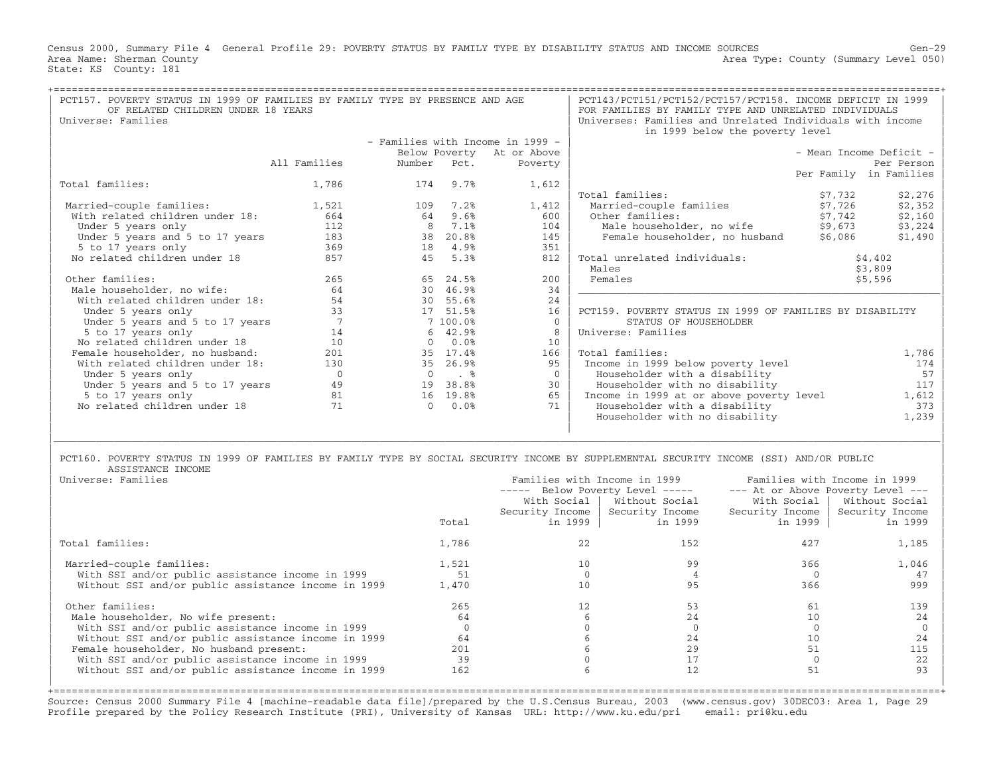Census 2000, Summary File 4 General Profile 29: POVERTY STATUS BY FAMILY TYPE BY DISABILITY STATUS AND INCOME SOURCES Gen−29 Area Type: County (Summary Level 050) Area Name: Sherman County<br>State: KS County: 181

| PCT157. POVERTY STATUS IN 1999 OF FAMILIES BY FAMILY TYPE BY PRESENCE AND AGE<br>OF RELATED CHILDREN UNDER 18 YEARS<br>Universe: Families |                |                | PCT143/PCT151/PCT152/PCT157/PCT158. INCOME DEFICIT IN 1999<br>FOR FAMILIES BY FAMILY TYPE AND UNRELATED INDIVIDUALS<br>Universes: Families and Unrelated Individuals with income<br>in 1999 below the poverty level |                                  |                                                                                                                                         |                                   |                         |
|-------------------------------------------------------------------------------------------------------------------------------------------|----------------|----------------|---------------------------------------------------------------------------------------------------------------------------------------------------------------------------------------------------------------------|----------------------------------|-----------------------------------------------------------------------------------------------------------------------------------------|-----------------------------------|-------------------------|
|                                                                                                                                           |                |                |                                                                                                                                                                                                                     | - Families with Income in 1999 - |                                                                                                                                         |                                   |                         |
|                                                                                                                                           |                |                |                                                                                                                                                                                                                     | Below Poverty At or Above        |                                                                                                                                         |                                   | - Mean Income Deficit - |
|                                                                                                                                           | All Families   | Number         | Pct.                                                                                                                                                                                                                | Poverty                          |                                                                                                                                         |                                   | Per Person              |
|                                                                                                                                           |                |                |                                                                                                                                                                                                                     |                                  |                                                                                                                                         |                                   | Per Family in Families  |
| Total families:                                                                                                                           | 1,786          | 174            | 9.7%                                                                                                                                                                                                                | 1,612                            |                                                                                                                                         |                                   |                         |
|                                                                                                                                           |                |                |                                                                                                                                                                                                                     |                                  | Total families:                                                                                                                         | \$7,732                           | \$2,276                 |
| Married-couple families:                                                                                                                  | 1,521          | 109            | 7.2%                                                                                                                                                                                                                | 1,412                            | Married-couple families                                                                                                                 | \$7,726                           | \$2,352                 |
| With related children under 18:                                                                                                           | 664            | 64             | 9.6%                                                                                                                                                                                                                | 600                              | Other families:                                                                                                                         | \$7,742                           | \$2,160                 |
| Under 5 years only                                                                                                                        | 112            | 8              | 7.1%                                                                                                                                                                                                                | 104                              | Male householder, no wife                                                                                                               | \$9,673                           | \$3,224                 |
| Under 5 years and 5 to 17 years                                                                                                           | 183            | 38             | 20.8%                                                                                                                                                                                                               | 145                              | Female householder, no husband                                                                                                          | \$6,086                           | \$1,490                 |
| 5 to 17 years only                                                                                                                        | 369            | 18             | 4.9%                                                                                                                                                                                                                | 351                              |                                                                                                                                         |                                   |                         |
| No related children under 18                                                                                                              | 857            | 45             | 5.3%                                                                                                                                                                                                                | 812                              | Total unrelated individuals:                                                                                                            |                                   | \$4,402                 |
|                                                                                                                                           |                |                |                                                                                                                                                                                                                     |                                  | Males                                                                                                                                   |                                   |                         |
| Other families:                                                                                                                           |                |                |                                                                                                                                                                                                                     |                                  | Females                                                                                                                                 |                                   | \$3,809                 |
|                                                                                                                                           | 265            | 65             | 24.5%                                                                                                                                                                                                               | 200                              |                                                                                                                                         |                                   | \$5,596                 |
| Male householder, no wife:                                                                                                                | 64             | 30             | 46.9%                                                                                                                                                                                                               | 34                               |                                                                                                                                         |                                   |                         |
| With related children under 18:                                                                                                           | 54             |                | 30 55.6%                                                                                                                                                                                                            | 24                               |                                                                                                                                         |                                   |                         |
| Under 5 years only                                                                                                                        | 33             |                | 17 51.5%                                                                                                                                                                                                            | 16                               | PCT159. POVERTY STATUS IN 1999 OF FAMILIES BY DISABILITY                                                                                |                                   |                         |
| Under 5 years and 5 to 17 years                                                                                                           | 7              |                | 7 100.0%                                                                                                                                                                                                            | $\mathbf{0}$                     | STATUS OF HOUSEHOLDER                                                                                                                   |                                   |                         |
| 5 to 17 years only                                                                                                                        | 14             | 6              | 42.9%                                                                                                                                                                                                               | 8                                | Universe: Families                                                                                                                      |                                   |                         |
| No related children under 18                                                                                                              | 10             | $\Omega$       | 0.0%                                                                                                                                                                                                                | 10                               |                                                                                                                                         |                                   |                         |
| Female householder, no husband:                                                                                                           | 201            | 35             | 17.4%                                                                                                                                                                                                               | 166                              | Total families:                                                                                                                         |                                   | 1,786                   |
| With related children under 18:                                                                                                           | 130            | 35             | 26.9%                                                                                                                                                                                                               | 95                               | Income in 1999 below poverty level                                                                                                      |                                   | 174                     |
| Under 5 years only                                                                                                                        | $\overline{0}$ | $\overline{0}$ | $\ddot{\phantom{1}}$                                                                                                                                                                                                | $\Omega$                         | Householder with a disability                                                                                                           |                                   | 57                      |
| Under 5 years and 5 to 17 years                                                                                                           | 49             | 19             | 38.8%                                                                                                                                                                                                               | 30                               | Householder with no disability                                                                                                          |                                   | 117                     |
| 5 to 17 years only                                                                                                                        | 81             |                | 16 19.8%                                                                                                                                                                                                            | 65                               | Income in 1999 at or above poverty level                                                                                                |                                   | 1,612                   |
| No related children under 18                                                                                                              | 71             | $\Omega$       | 0.0%                                                                                                                                                                                                                | 71                               | Householder with a disability                                                                                                           |                                   | 373                     |
|                                                                                                                                           |                |                |                                                                                                                                                                                                                     |                                  | Householder with no disability                                                                                                          |                                   | 1,239                   |
|                                                                                                                                           |                |                |                                                                                                                                                                                                                     |                                  |                                                                                                                                         |                                   |                         |
| ASSISTANCE INCOME                                                                                                                         |                |                |                                                                                                                                                                                                                     |                                  | PCT160. POVERTY STATUS IN 1999 OF FAMILIES BY FAMILY TYPE BY SOCIAL SECURITY INCOME BY SUPPLEMENTAL SECURITY INCOME (SSI) AND/OR PUBLIC |                                   |                         |
| Universe: Families                                                                                                                        |                |                |                                                                                                                                                                                                                     |                                  | Families with Income in 1999                                                                                                            | Families with Income in 1999      |                         |
|                                                                                                                                           |                |                |                                                                                                                                                                                                                     |                                  | ----- Below Poverty Level -----                                                                                                         | --- At or Above Poverty Level --- |                         |
|                                                                                                                                           |                |                |                                                                                                                                                                                                                     |                                  | With Social   Without Social<br>With Social                                                                                             |                                   | Without Social          |
|                                                                                                                                           |                |                |                                                                                                                                                                                                                     | Security Income                  | Security Income<br>Security Income                                                                                                      |                                   | Security Income         |
|                                                                                                                                           |                |                | Total                                                                                                                                                                                                               |                                  | in 1999<br>in 1999                                                                                                                      | in 1999                           | in 1999                 |
|                                                                                                                                           |                |                |                                                                                                                                                                                                                     |                                  |                                                                                                                                         |                                   |                         |

|                                     |    |          | in 1999                     | in 1999      |
|-------------------------------------|----|----------|-----------------------------|--------------|
| 1,786                               | 22 | 152      | 427                         | 1,185        |
| 1,521<br>1,470                      |    | 99       | 366<br>366                  | 1,046<br>999 |
| 265<br>64<br>64<br>201<br>39<br>162 |    | 24<br>29 | h I                         | 139          |
|                                     |    |          | in 1999<br>in 1999<br>Total |              |

+===================================================================================================================================================+Source: Census 2000 Summary File 4 [machine−readable data file]/prepared by the U.S.Census Bureau, 2003 (www.census.gov) 30DEC03: Area 1, Page 29 Profile prepared by the Policy Research Institute (PRI), University of Kansas URL: http://www.ku.edu/pri email: pri@ku.edu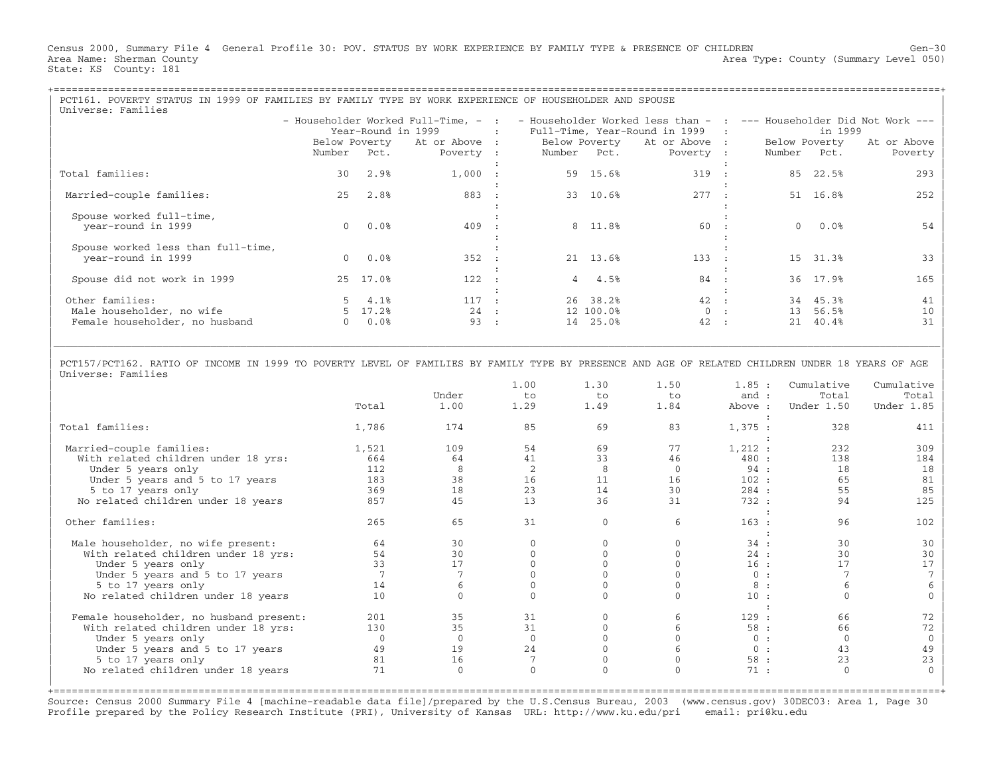Census 2000, Summary File 4 General Profile 30: POV. STATUS BY WORK EXPERIENCE BY FAMILY TYPE & PRESENCE OF CHILDREN Gen−30 Area Name: Sherman County (Summary Level 050) (Area Type: County (Summary Level 050) State: KS County: 181

| PCT161. POVERTY STATUS IN 1999 OF FAMILIES BY FAMILY TYPE BY WORK EXPERIENCE OF HOUSEHOLDER AND SPOUSE                                                           |
|------------------------------------------------------------------------------------------------------------------------------------------------------------------|
| - Householder Worked Full-Time, - : - Householder Worked less than - : --- Householder Did Not Work ---<br>: Full-Time, Year-Round in 1999 :<br>in 1999          |
| Below Poverty At or Above : Below Poverty At or Above :<br>Below Poverty At or Above<br>Number Pct. Poverty : Number Pct.<br>Poverty :<br>Number Pct.<br>Poverty |
| 85 22.5%<br>319 :<br>293                                                                                                                                         |
| 51 16.8%<br>277 :<br>252                                                                                                                                         |
| 60 :<br>$0.0$ %<br>54                                                                                                                                            |
| 133 :<br>15 31.3%<br>33                                                                                                                                          |
| 84 :<br>36 17.9%<br>165                                                                                                                                          |
| 42 :<br>34 45.3%<br>41<br>0:<br>10<br>13 56.5%<br>42 :<br>40.4%<br>31<br>21                                                                                      |
|                                                                                                                                                                  |

| | | PCT157/PCT162. RATIO OF INCOME IN 1999 TO POVERTY LEVEL OF FAMILIES BY FAMILY TYPE BY PRESENCE AND AGE OF RELATED CHILDREN UNDER 18 YEARS OF AGE | Universe: Families

|\_\_\_\_\_\_\_\_\_\_\_\_\_\_\_\_\_\_\_\_\_\_\_\_\_\_\_\_\_\_\_\_\_\_\_\_\_\_\_\_\_\_\_\_\_\_\_\_\_\_\_\_\_\_\_\_\_\_\_\_\_\_\_\_\_\_\_\_\_\_\_\_\_\_\_\_\_\_\_\_\_\_\_\_\_\_\_\_\_\_\_\_\_\_\_\_\_\_\_\_\_\_\_\_\_\_\_\_\_\_\_\_\_\_\_\_\_\_\_\_\_\_\_\_\_\_\_\_\_\_\_\_\_\_\_\_\_\_\_\_\_\_\_\_\_\_\_|

|                                         |          |          | 1.00        | 1.30 | 1.50    | 1.85:   | Cumulative  | Cumulative |
|-----------------------------------------|----------|----------|-------------|------|---------|---------|-------------|------------|
|                                         |          | Under    | to          | to   | to      | and $:$ | Total       | Total      |
|                                         | Total    | 1.00     | 1.29        | 1.49 | 1.84    | Above : | Under 1.50  | Under 1.85 |
|                                         |          |          |             |      |         |         |             |            |
| Total families:                         | 1,786    | 174      | 85          | 69   | 83      | 1,375:  | 328         | 411        |
|                                         |          |          |             |      |         |         |             |            |
| Married-couple families:                | 1,521    | 109      | 54          | 69   | 77      | 1,212:  | 232         | 309        |
| With related children under 18 yrs:     | 664      | 64       | 41          | 33   | 46      | 480 :   | 138         | 184        |
| Under 5 years only                      | 112      | 8        |             | 8    | $\circ$ | 94:     | 18          | 18         |
| Under 5 years and 5 to 17 years         | 183      | 38       | 16          | 11   | 16      | 102:    | 65          | 81         |
| 5 to 17 years only                      | 369      | 18       | 23          | 14   | 30      | 284:    | 55          | 85         |
| No related children under 18 years      | 857      | 45       | 13          | 36   | 31      | 732 :   | 94          | 125        |
|                                         |          |          |             |      |         |         |             |            |
| Other families:                         | 265      | 65       | 31          |      | 6       | 163:    | 96          | 102        |
|                                         |          |          |             |      |         |         |             |            |
| Male householder, no wife present:      | 64       | 30       |             |      |         | 34:     | 30          | 30         |
| With related children under 18 yrs:     | 54       | 30       |             |      |         | 24:     | 30          | 30         |
| Under 5 years only                      | 33       | 17       |             |      |         | 16:     | 17          |            |
| Under 5 years and 5 to 17 years         |          |          |             |      |         | 0:      |             |            |
| 5 to 17 years only                      | 14       |          |             |      |         | 8:      |             |            |
| No related children under 18 years      | 10       |          |             |      |         | 10:     |             |            |
|                                         |          |          |             |      |         |         |             |            |
| Female householder, no husband present: | 201      | 35       | 31          |      |         | 129:    | 66          | 72         |
| With related children under 18 yrs:     | 130      | 35       | 31          |      |         | 58:     | 66          | 72         |
| Under 5 years only                      | $\Omega$ | $\Omega$ | $\mathbf 0$ |      |         | 0:      | $\mathbf 0$ |            |
| Under 5 years and 5 to 17 years         | 49       | 19       | 24          |      |         | 0:      | 43          | 49         |
| 5 to 17 years only                      | 81       | 16       |             |      |         | 58:     | 23          | 2.3        |
| No related children under 18 years      | 71       | $\Omega$ | $\Omega$    |      |         | 71:     | $\Omega$    |            |
|                                         |          |          |             |      |         |         |             |            |
|                                         |          |          |             |      |         |         |             |            |

Source: Census 2000 Summary File 4 [machine−readable data file]/prepared by the U.S.Census Bureau, 2003 (www.census.gov) 30DEC03: Area 1, Page 30 Profile prepared by the Policy Research Institute (PRI), University of Kansas URL: http://www.ku.edu/pri email: pri@ku.edu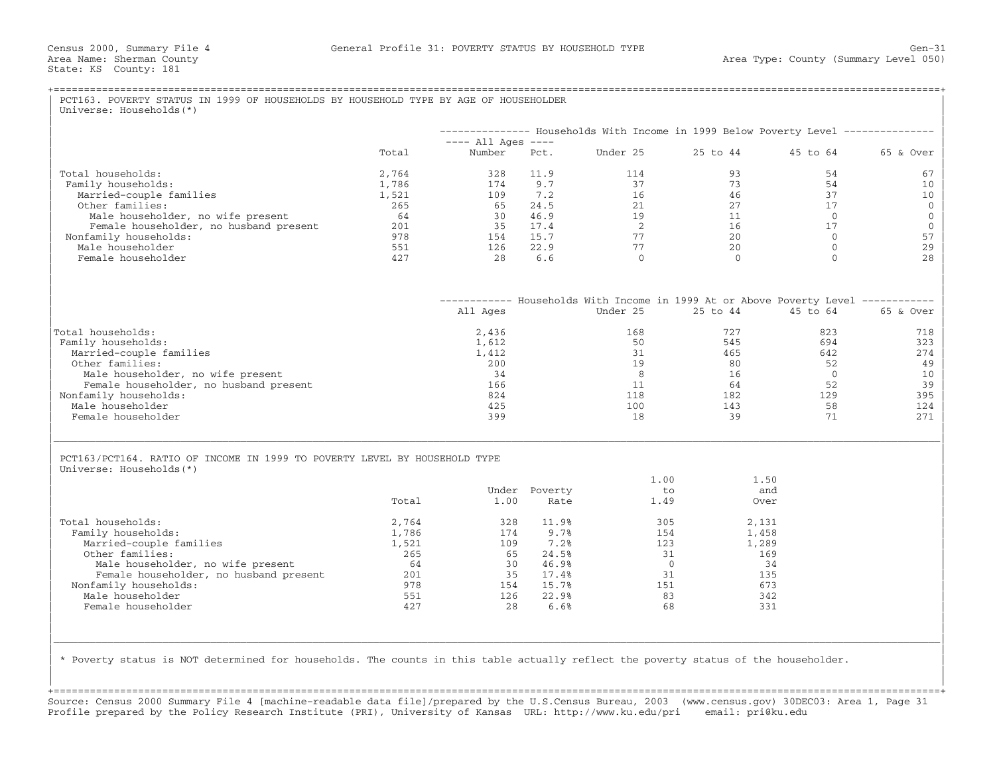|                                                                                                       |            |                                |                | -------------- Households With Income in 1999 Below Poverty Level -------------- |              |              |            |
|-------------------------------------------------------------------------------------------------------|------------|--------------------------------|----------------|----------------------------------------------------------------------------------|--------------|--------------|------------|
|                                                                                                       | Total      | $---$ All Ages $---$<br>Number | Pct.           | Under 25                                                                         | 25 to 44     | 45 to 64     | 65 & Over  |
| Total households:                                                                                     | 2,764      | 328                            | 11.9           | 114                                                                              | 93           | 54           | 67         |
| Family households:                                                                                    | 1,786      | 174                            | 9.7            | 37                                                                               | 73           | 54           | 10         |
| Married-couple families                                                                               | 1,521      | 109                            | 7.2            | 16                                                                               | 46           | 37           | 10         |
| Other families:                                                                                       | 265        | 65                             | 24.5           | 21                                                                               | 2.7          | 17           |            |
| Male householder, no wife present                                                                     | 64         | 30                             | 46.9           | 19                                                                               | 11           | $\Omega$     |            |
| Female householder, no husband present                                                                | 201        | 35                             | 17.4           | 2                                                                                | 16           | 17           |            |
| Nonfamily households:                                                                                 | 978        | 154                            | 15.7           | 77                                                                               | 20           | $\Omega$     |            |
| Male householder                                                                                      | 551        | 126                            | 22.9           | 77                                                                               | 20           | $\Omega$     |            |
| Female householder                                                                                    | 427        | 28                             | 6.6            | $\Omega$                                                                         | $\Omega$     | $\Omega$     |            |
|                                                                                                       |            |                                |                | ----------- Households With Income in 1999 At or Above Poverty Level ----------- |              |              |            |
|                                                                                                       |            | All Ages                       |                | Under 25                                                                         | $25$ to $44$ | $45$ to $64$ | 65 & Over  |
| Total households:                                                                                     |            | 2,436                          |                | 168                                                                              | 727          | 823          | 718<br>323 |
| Family households:                                                                                    |            | 1,612                          |                | 50                                                                               | 545          | 694          |            |
| Married-couple families                                                                               |            | 1,412                          |                | 31                                                                               | 465          | 642          |            |
| Other families:                                                                                       |            | 200                            |                | 19                                                                               | 80           | 52           |            |
| Male householder, no wife present                                                                     |            | 34                             |                | 8                                                                                | 16           | $\Omega$     |            |
| Female householder, no husband present                                                                |            | 166                            |                | 11                                                                               | 64           | 52           |            |
| Nonfamily households:                                                                                 |            | 824                            |                | 118                                                                              | 182          | 129          | 395        |
| Male householder<br>Female householder                                                                |            | 425<br>399                     |                | 100<br>18                                                                        | 143<br>39    | 58<br>71     | 124<br>271 |
|                                                                                                       |            |                                |                |                                                                                  |              |              |            |
| PCT163/PCT164. RATIO OF INCOME IN 1999 TO POVERTY LEVEL BY HOUSEHOLD TYPE<br>Universe: Households (*) |            |                                |                |                                                                                  |              |              |            |
|                                                                                                       |            |                                |                | 1.00                                                                             | 1.50         |              |            |
|                                                                                                       |            |                                | Under Poverty  | to                                                                               | and          |              |            |
|                                                                                                       | Total      | 1.00                           | Rate           | 1.49                                                                             | Over         |              |            |
|                                                                                                       |            |                                |                |                                                                                  |              |              |            |
| Total households:                                                                                     | 2,764      | 328                            | 11.9%          | 305                                                                              | 2,131        |              |            |
| Family households:                                                                                    | 1,786      | 174                            | 9.7%           | 154                                                                              | 1,458        |              |            |
| Married-couple families                                                                               | 1,521      | 109                            | 7.2%           | 123                                                                              | 1,289        |              |            |
| Other families:                                                                                       | 265        | 65                             | 24.5%          | 31                                                                               | 169          |              |            |
| Male householder, no wife present                                                                     | 64         | 30                             | 46.9%          | $\overline{0}$<br>31                                                             | 34           |              |            |
| Female householder, no husband present                                                                | 201<br>978 | 35                             | 17.4%          |                                                                                  | 135<br>673   |              |            |
| Nonfamily households:<br>Male householder                                                             | 551        | 154<br>126                     | 15.7%<br>22.9% | 151<br>83                                                                        | 342          |              |            |
| Female householder                                                                                    | 427        | 2.8                            | 6.6%           | 68                                                                               | 331          |              |            |
|                                                                                                       |            |                                |                |                                                                                  |              |              |            |
|                                                                                                       |            |                                |                |                                                                                  |              |              |            |

+===================================================================================================================================================+Source: Census 2000 Summary File 4 [machine−readable data file]/prepared by the U.S.Census Bureau, 2003 (www.census.gov) 30DEC03: Area 1, Page 31 Profile prepared by the Policy Research Institute (PRI), University of Kansas URL: http://www.ku.edu/pri email: pri@ku.edu

| |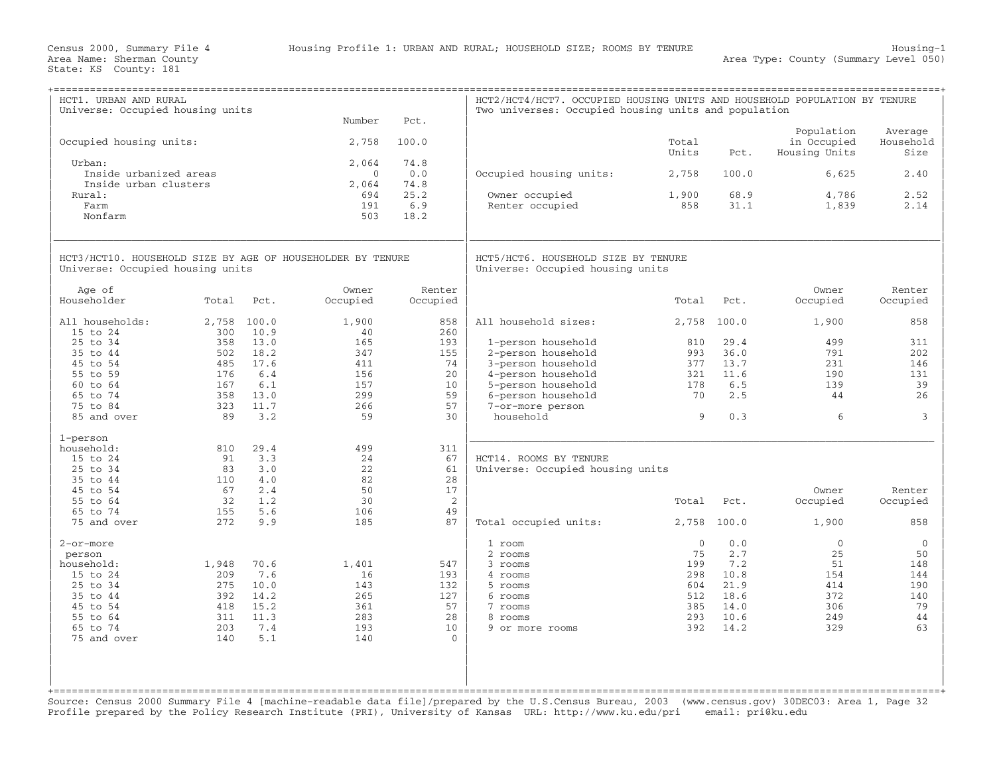| HCT1. URBAN AND RURAL<br>Universe: Occupied housing units  |              |               |                   |             | HCT2/HCT4/HCT7. OCCUPIED HOUSING UNITS AND HOUSEHOLD POPULATION BY TENURE<br>Two universes: Occupied housing units and population |                |             |                              |                   |
|------------------------------------------------------------|--------------|---------------|-------------------|-------------|-----------------------------------------------------------------------------------------------------------------------------------|----------------|-------------|------------------------------|-------------------|
|                                                            |              |               | Number            | Pct.        |                                                                                                                                   |                |             | Population                   | Average           |
| Occupied housing units:                                    |              |               | 2,758             | 100.0       |                                                                                                                                   | Total<br>Units | Pct.        | in Occupied<br>Housing Units | Household<br>Size |
| Urban:<br>Inside urbanized areas                           |              |               | 2,064<br>$\Omega$ | 74.8<br>0.0 | Occupied housing units:                                                                                                           | 2,758          | 100.0       | 6,625                        | 2.40              |
| Inside urban clusters                                      |              |               | 2,064             | 74.8        |                                                                                                                                   |                |             |                              |                   |
| Rural:                                                     |              |               | 694               | 25.2        | Owner occupied                                                                                                                    | 1,900          | 68.9        | 4,786                        | 2.52              |
| Farm                                                       |              |               | 191               | 6.9         | Renter occupied                                                                                                                   | 858            | 31.1        | 1,839                        | 2.14              |
| Nonfarm                                                    |              |               | 503               | 18.2        |                                                                                                                                   |                |             |                              |                   |
| HCT3/HCT10. HOUSEHOLD SIZE BY AGE OF HOUSEHOLDER BY TENURE |              |               |                   |             | HCT5/HCT6. HOUSEHOLD SIZE BY TENURE                                                                                               |                |             |                              |                   |
| Universe: Occupied housing units                           |              |               |                   |             | Universe: Occupied housing units                                                                                                  |                |             |                              |                   |
| Age of                                                     |              |               | Owner             | Renter      |                                                                                                                                   |                |             | Owner                        | Renter            |
| Householder                                                | Total        | Pct.          | Occupied          | Occupied    |                                                                                                                                   | Total          | Pct.        | Occupied                     | Occupied          |
| All households:<br>15 to 24                                | 2,758<br>300 | 100.0<br>10.9 | 1,900<br>40       | 858<br>260  | All household sizes:                                                                                                              | 2,758          | 100.0       | 1,900                        | 858               |
| 25 to 34                                                   | 358          | 13.0          | 165               | 193         | 1-person household                                                                                                                | 810            | 29.4        | 499                          | 311               |
| 35 to 44                                                   | 502          | 18.2          | 347               | 155         | 2-person household                                                                                                                | 993            | 36.0        | 791                          | 202               |
| 45 to 54                                                   | 485          | 17.6          | 411               | 74          | 3-person household                                                                                                                | 377            | 13.7        | 231                          | 146               |
| 55 to 59<br>60 to 64                                       | 176<br>167   | 6.4<br>6.1    | 156<br>157        | 20<br>10    | 4-person household<br>5-person household                                                                                          | 321<br>178     | 11.6<br>6.5 | 190<br>139                   | 131<br>39         |
| 65 to 74                                                   | 358          | 13.0          | 299               | 59          | 6-person household                                                                                                                | 70             | 2.5         | 44                           | 26                |
| 75 to 84                                                   | 323          | 11.7          | 266               | 57          | 7-or-more person                                                                                                                  |                |             |                              |                   |
| 85 and over                                                | 89           | 3.2           | 59                | 30          | household                                                                                                                         | 9              | 0.3         | 6                            | 3                 |
| 1-person                                                   |              |               |                   |             |                                                                                                                                   |                |             |                              |                   |
| household:                                                 | 810          | 29.4          | 499               | 311         |                                                                                                                                   |                |             |                              |                   |
| 15 to 24                                                   | 91           | 3.3           | 24                | 67          | HCT14. ROOMS BY TENURE                                                                                                            |                |             |                              |                   |
| 25 to 34                                                   | 83           | 3.0           | 22                | 61          | Universe: Occupied housing units                                                                                                  |                |             |                              |                   |
| 35 to 44                                                   | 110          | 4.0           | 82                | 28          |                                                                                                                                   |                |             |                              |                   |
| 45 to 54                                                   | 67           | 2.4           | 50                | 17          |                                                                                                                                   |                |             | Owner                        | Renter            |
| 55 to 64                                                   | 32           | 1.2           | 30                | 2           |                                                                                                                                   | Total          | Pct.        | Occupied                     | Occupied          |
| 65 to 74<br>75 and over                                    | 155<br>272   | 5.6<br>9.9    | 106<br>185        | 49<br>87    | Total occupied units:                                                                                                             | 2,758          | 100.0       | 1,900                        | 858               |
|                                                            |              |               |                   |             |                                                                                                                                   |                |             |                              |                   |
| 2-or-more                                                  |              |               |                   |             | 1 room                                                                                                                            | $\Omega$       | 0.0         | $\mathbf{0}$                 | $\mathbf{0}$      |
| person                                                     |              | 70.6          | 1,401             | 547         | 2 rooms<br>3 rooms                                                                                                                | 75<br>199      | 2.7<br>7.2  | 25<br>51                     | 50<br>148         |
| household:<br>15 to 24                                     | 1,948<br>209 | 7.6           | 16                | 193         | 4 rooms                                                                                                                           | 298            | 10.8        | 154                          | 144               |
| 25 to 34                                                   | 275          | 10.0          | 143               | 132         | 5 rooms                                                                                                                           | 604            | 21.9        | 414                          | 190               |
| 35 to 44                                                   | 392          | 14.2          | 265               | 127         | 6 rooms                                                                                                                           | 512            | 18.6        | 372                          | 140               |
| 45 to 54                                                   | 418          | 15.2          | 361               | 57          | 7 rooms                                                                                                                           | 385            | 14.0        | 306                          | 79                |
| 55 to 64                                                   | 311          | 11.3          | 283               | 2.8         | 8 rooms                                                                                                                           | 293            | 10.6        | 249                          | 44                |
| 65 to 74                                                   | 203          | 7.4           | 193               | 10          | 9 or more rooms                                                                                                                   | 392            | 14.2        | 329                          | 63                |
| 75 and over                                                | 140          | 5.1           | 140               | $\Omega$    |                                                                                                                                   |                |             |                              |                   |
|                                                            |              |               |                   |             |                                                                                                                                   |                |             |                              |                   |
|                                                            |              |               |                   |             |                                                                                                                                   |                |             |                              |                   |
|                                                            |              |               |                   |             |                                                                                                                                   |                |             |                              |                   |
|                                                            |              |               |                   |             |                                                                                                                                   |                |             |                              |                   |

Source: Census 2000 Summary File 4 [machine−readable data file]/prepared by the U.S.Census Bureau, 2003 (www.census.gov) 30DEC03: Area 1, Page 32 Profile prepared by the Policy Research Institute (PRI), University of Kansas URL: http://www.ku.edu/pri email: pri@ku.edu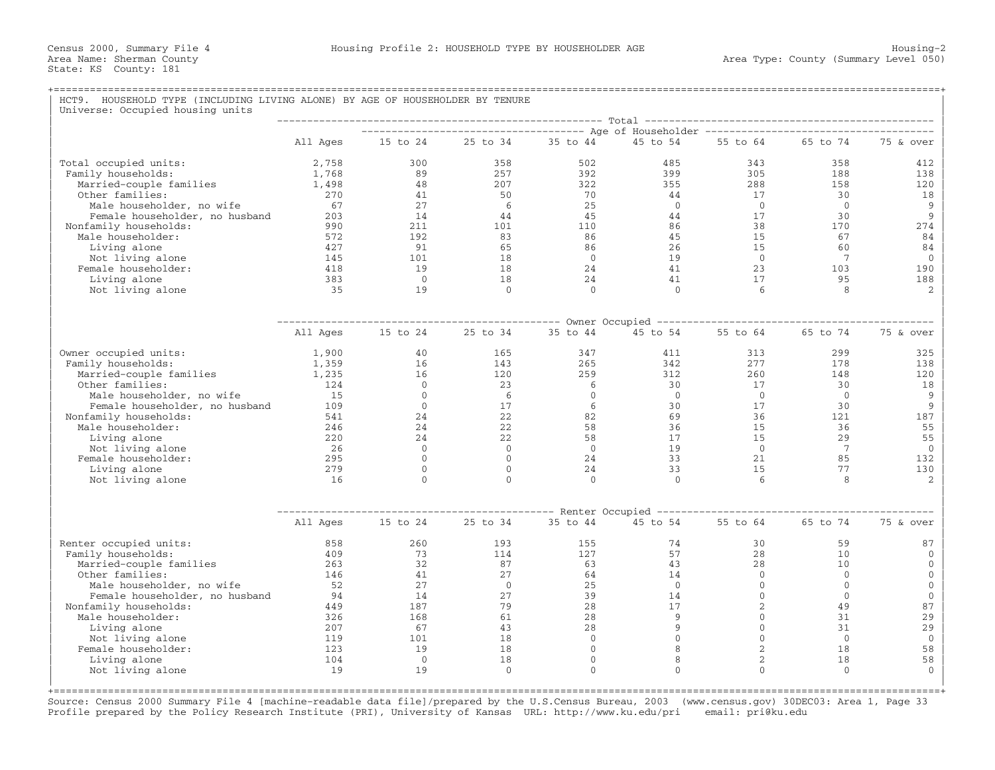## +===================================================================================================================================================+HCT9. HOUSEHOLD TYPE (INCLUDING LIVING ALONE) BY AGE OF HOUSEHOLDER BY TENURE Universe: Occupied housing units

|                                |          |                | ----------------------------------- Age of Householder ------------------------------- | Total          |                                   |                |                 |                |
|--------------------------------|----------|----------------|----------------------------------------------------------------------------------------|----------------|-----------------------------------|----------------|-----------------|----------------|
|                                | All Ages | 15 to 24       | 25 to 34                                                                               | 35 to 44       | 45 to 54                          | 55 to 64       | 65 to 74        | 75 & over      |
|                                |          |                |                                                                                        |                |                                   |                |                 |                |
| Total occupied units:          | 2,758    | 300            | 358                                                                                    | 502            | 485                               | 343            | 358             | 412            |
| Family households:             | 1,768    | 89             | 257                                                                                    | 392            | 399                               | 305            | 188             | 138            |
| Married-couple families        | 1,498    | 48             | 207                                                                                    | 322            | 355                               | 288            | 158             | 120            |
| Other families:                | 270      | 41             | 50                                                                                     | 70             | 44                                | 17             | 30              | 18             |
| Male householder, no wife      | 67       | 27             | -6                                                                                     | 25             | $\Omega$                          | $\bigcirc$     | $\Omega$        | 9              |
| Female householder, no husband | 203      | 14             | 44                                                                                     | 45             | 44                                | 17             | 30              | 9              |
| Nonfamily households:          | 990      | 211            | 101                                                                                    | 110            | 86<br>45                          | 38             | 170             | 274            |
| Male householder:              | 572      | 192            | 83                                                                                     | 86             |                                   | 15             | 67              | 84             |
| Living alone                   | 427      | 91             | 65                                                                                     | 86             | 26                                | 15             | 60              | 84             |
| Not living alone               | 145      | 101            | 18                                                                                     | $\bigcirc$     | 19                                | $\overline{0}$ | 7               | $\overline{0}$ |
| Female householder:            | 418      | 19             | 18                                                                                     | 24             | 41                                | 23             | 103             | 190            |
| Living alone                   | 383      | $\overline{0}$ | 18                                                                                     | 24             | 41                                | 17             | 95              | 188            |
| Not living alone               | 35       | 19             | $\Omega$                                                                               | $\Omega$       | $\Omega$                          | 6              | 8               | $\mathfrak{D}$ |
|                                |          |                |                                                                                        |                |                                   |                |                 |                |
|                                | All Ages | 15 to 24       | 25 to 34                                                                               | 35 to 44       | 45 to 54                          | 55 to 64       | 65 to 74        | 75 & over      |
| Owner occupied units:          | 1,900    | 40             | 165                                                                                    | 347            | 411                               | 313            | 299             | 325            |
| Family households:             | 1,359    | 16             | 143                                                                                    | 265            | 342                               | 277            | 178             | 138            |
| Married-couple families        | 1,235    | 16             | 120                                                                                    | 259            | 312                               | 260            | 148             | 120            |
| Other families:                | 124      | $\Omega$       | 23                                                                                     | 6              | 30                                | 17             | 30              | 18             |
| Male householder, no wife      | 15       | $\circ$        | 6                                                                                      | $\overline{0}$ | $\overline{0}$                    | $\overline{0}$ | $\overline{0}$  | 9              |
| Female householder, no husband | 109      | $\Omega$       | 17                                                                                     | 6              | 30                                | 17             | 30              | 9              |
| Nonfamily households:          | 541      | 24             | 22                                                                                     | 82             | 69                                | 36             | 121             | 187            |
| Male householder:              | 246      | 24             | 22                                                                                     | 58             | 36                                | 15             | 36              | 55             |
| Living alone                   | 220      | 24             | 22                                                                                     | 58             | 17                                | 15             | 29              | 55             |
| Not living alone               | 26       | $\overline{0}$ | $\overline{0}$                                                                         | $\overline{0}$ | 19                                | $\overline{0}$ | $7\phantom{.0}$ | $\mathbf{0}$   |
| Female householder:            | 295      | $\overline{0}$ | $\Omega$                                                                               | 24             | 33                                | 21             | 85              | 132            |
| Living alone                   | 279      | $\circ$        | $\Omega$                                                                               | 24             | 33                                | 1.5            | 77              | 130            |
| Not living alone               | 16       | $\Omega$       | $\Omega$                                                                               | $\Omega$       | $\Omega$                          | 6              | 8               | 2              |
|                                |          |                |                                                                                        |                | ----- Renter Occupied ----------- |                |                 |                |
|                                | All Ages | 15 to 24       | 25 to 34                                                                               | 35 to 44       | 45 to 54                          | 55 to 64       | 65 to 74        | 75 & over      |
| Renter occupied units:         | 858      | 260            | 193                                                                                    | 155            | 74                                | 30             | 59              | 87             |
| Family households:             | 409      | 73             | 114                                                                                    | 127            | 57                                | 28             | 10              | $\Omega$       |
| Married-couple families        | 2.63     | 32             | 87                                                                                     | 63             | 43                                | 28             | 10              | $\Omega$       |
| Other families:                | 146      | 41             | 27                                                                                     | 64             | 14                                | $\Omega$       | $\mathbf{0}$    | $\mathbf{0}$   |
| Male householder, no wife      | 52       | 27             | $\Omega$                                                                               | 25             | $\Omega$                          | $\Omega$       | $\Omega$        | $\mathbf{0}$   |
| Female householder, no husband | 94       | 14             | 27                                                                                     | 39             | 14                                | $\mathbf{0}$   | $\mathbf{0}$    | $\mathbf 0$    |
| Nonfamily households:          | 449      | 187            | 79                                                                                     | 28             | 17                                | $\overline{2}$ | 49              | 87             |
| Male householder:              | 326      | 168            | 61                                                                                     | 28             | 9                                 | $\mathbf{0}$   | 31              | 29             |
| Living alone                   | 207      | 67             | 43                                                                                     | 28             | 9                                 | $\Omega$       | 31              | 29             |
| Not living alone               | 119      | 101            | 18                                                                                     | $\overline{0}$ | $\mathbf{0}$                      | $\Omega$       | $\overline{0}$  | $\mathbf{0}$   |
| Female householder:            | 123      | 19             | 18                                                                                     | $\overline{0}$ | 8                                 | 2              | 18              | 58             |
| Living alone                   | 104      | $\overline{0}$ | 18                                                                                     | $\mathbf{0}$   | 8                                 | $\overline{2}$ | 18              | 58             |
| Not living alone               | 19       | 19             | $\mathbf{0}$                                                                           | $\Omega$       | $\Omega$                          | $\Omega$       | $\Omega$        | $\Omega$       |
|                                |          |                |                                                                                        |                |                                   |                |                 |                |

Source: Census 2000 Summary File 4 [machine−readable data file]/prepared by the U.S.Census Bureau, 2003 (www.census.gov) 30DEC03: Area 1, Page 33 Profile prepared by the Policy Research Institute (PRI), University of Kansas URL: http://www.ku.edu/pri email: pri@ku.edu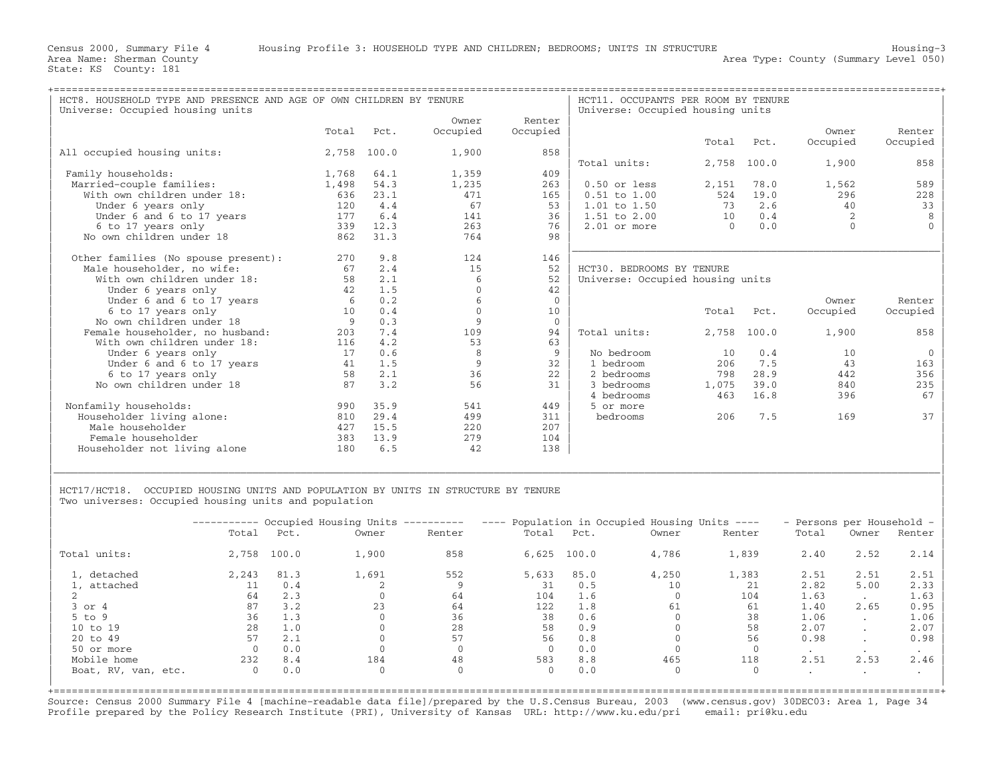| HCT8. HOUSEHOLD TYPE AND PRESENCE AND AGE OF OWN CHILDREN BY TENURE |       |       | HCT11. OCCUPANTS PER ROOM BY TENURE<br>Universe: Occupied housing units |                |                                  |        |             |          |          |
|---------------------------------------------------------------------|-------|-------|-------------------------------------------------------------------------|----------------|----------------------------------|--------|-------------|----------|----------|
| Universe: Occupied housing units                                    |       |       |                                                                         |                |                                  |        |             |          |          |
|                                                                     |       |       | Owner                                                                   | Renter         |                                  |        |             |          |          |
|                                                                     | Total | Pct.  | Occupied                                                                | Occupied       |                                  |        |             | Owner    | Renter   |
|                                                                     |       |       |                                                                         |                |                                  | Total  | Pct.        | Occupied | Occupied |
| All occupied housing units:                                         | 2,758 | 100.0 | 1,900                                                                   | 858            |                                  |        |             |          |          |
|                                                                     |       |       |                                                                         |                | Total units:                     | 2,758  | 100.0       | 1,900    | 858      |
| Family households:                                                  | 1,768 | 64.1  | 1,359                                                                   | 409            |                                  |        |             |          |          |
| Married-couple families:                                            | 1,498 | 54.3  | 1,235                                                                   | 263            | $0.50$ or less                   | 2,151  | 78.0        | 1,562    | 589      |
| With own children under 18:                                         | 636   | 23.1  | 471                                                                     | 165            | $0.51$ to $1.00$                 | 524    | 19.0        | 296      | 228      |
| Under 6 years only                                                  | 120   | 4.4   | 67                                                                      | 53             | $1.01$ to $1.50$                 | 73     | 2.6         | 40       | 33       |
| Under 6 and 6 to 17 years                                           | 177   | 6.4   | 141                                                                     | 36             | $1.51$ to $2.00$                 | 10     | 0.4         |          |          |
| 6 to 17 years only                                                  | 339   | 12.3  | 263                                                                     | 76             | $2.01$ or more                   | $\cap$ | 0.0         | $\cap$   |          |
| No own children under 18                                            | 862   | 31.3  | 764                                                                     | 98             |                                  |        |             |          |          |
|                                                                     |       |       |                                                                         |                |                                  |        |             |          |          |
| Other families (No spouse present):                                 | 270   | 9.8   | 124                                                                     | 146            |                                  |        |             |          |          |
| Male householder, no wife:                                          | 67    | 2.4   | 15                                                                      | 52             | HCT30. BEDROOMS BY TENURE        |        |             |          |          |
| With own children under 18:                                         | 58    | 2.1   | 6                                                                       | 52             | Universe: Occupied housing units |        |             |          |          |
| Under 6 years only                                                  | 42    | 1.5   | $\Omega$                                                                | 42             |                                  |        |             |          |          |
| Under 6 and 6 to 17 years                                           | 6     | 0.2   | 6                                                                       | $\overline{0}$ |                                  |        |             | Owner    | Renter   |
| 6 to 17 years only                                                  | 10    | 0.4   | $\Omega$                                                                | 10             |                                  | Total  | Pct.        | Occupied | Occupied |
| No own children under 18                                            | 9     | 0.3   | 9                                                                       | $\overline{0}$ |                                  |        |             |          |          |
| Female householder, no husband:                                     | 203   | 7.4   | 109                                                                     | 94             | Total units:                     |        | 2,758 100.0 | 1,900    | 858      |
| With own children under 18:                                         | 116   | 4.2   | 53                                                                      | 63             |                                  |        |             |          |          |
| Under 6 years only                                                  | 17    | 0.6   | 8                                                                       | 9              | No bedroom                       | 10     | 0.4         | 10       | $\Omega$ |
| Under 6 and 6 to 17 years                                           | 41    | 1.5   | 9                                                                       | 32             | 1 bedroom                        | 206    | 7.5         | 43       | 163      |
| 6 to 17 years only                                                  | 58    | 2.1   | 36                                                                      | 22             | 2 bedrooms                       | 798    | 28.9        | 442      | 356      |
| No own children under 18                                            | 87    | 3.2   | 56                                                                      | 31             | 3 bedrooms                       | 1,075  | 39.0        | 840      | 235      |
|                                                                     |       |       |                                                                         |                | 4 bedrooms                       | 463    | 16.8        | 396      | 67       |
| Nonfamily households:                                               | 990   | 35.9  | 541                                                                     | 449            | 5 or more                        |        |             |          |          |
| Householder living alone:                                           | 810   | 29.4  | 499                                                                     | 311            | bedrooms                         | 206    | 7.5         | 169      | 37       |
| Male householder                                                    | 427   | 15.5  | 220                                                                     | 207            |                                  |        |             |          |          |
| Female householder                                                  | 383   | 13.9  | 279                                                                     | 104            |                                  |        |             |          |          |
| Householder not living alone                                        | 180   | 6.5   | 42                                                                      | 138            |                                  |        |             |          |          |
|                                                                     |       |       |                                                                         |                |                                  |        |             |          |          |

HCT17/HCT18. OCCUPIED HOUSING UNITS AND POPULATION BY UNITS IN STRUCTURE BY TENURE Two universes: Occupied housing units and population

|                     |          |       | ---------- Occupied Housing Units ---------- |              | ---- Population in Occupied Housing Units ---- |       |          | - Persons per Household - |           |                      |        |
|---------------------|----------|-------|----------------------------------------------|--------------|------------------------------------------------|-------|----------|---------------------------|-----------|----------------------|--------|
|                     | Total    | Pct.  | Owner                                        | Renter       | Total                                          | Pct.  | Owner    | Renter                    | Total     | Owner                | Renter |
| Total units:        | 2,758    | 100.0 | 1,900                                        | 858          | 6,625                                          | 100.0 | 4,786    | 1,839                     | 2.40      | 2.52                 | 2.14   |
| 1, detached         | 2,243    | 81.3  | 1,691                                        | 552          | 5,633                                          | 85.0  | 4,250    | 1,383                     | 2.51      | 2.51                 | 2.51   |
| 1, attached         |          | 0.4   |                                              |              | 31                                             | 0.5   | 10       | 21                        | 2.82      | 5.00                 | 2.33   |
|                     | 64       | 2.3   |                                              | 64           | 104                                            | 1.6   |          | 104                       | 1.63      |                      | 1.63   |
| $3$ or $4$          | 87       | 3.2   | 23                                           | 64           | 122                                            | 1.8   | 61       | 61                        | 1.40      | 2.65                 | 0.95   |
| $5$ to $9$          | 36       | 1.3   |                                              | 36           | 38                                             | 0.6   |          | 38                        | 1.06      | $\cdot$              | 1.06   |
| 10 to 19            | 28       | 1.0   |                                              | 28           | 58                                             | 0.9   |          | 58                        | 2.07      | $\ddot{\phantom{0}}$ | 2.07   |
| 20 to 49            | 57       | 2.1   |                                              | 57           | 56                                             | 0.8   |          | 56                        | 0.98      | $\cdot$              | 0.98   |
| 50 or more          |          | 0.0   |                                              |              |                                                | 0.0   |          |                           | $\bullet$ |                      |        |
| Mobile home         | 232      | 8.4   | 184                                          | 48           | 583                                            | 8.8   | 465      | 118                       | 2.51      | 2.53                 | 2.46   |
| Boat, RV, van, etc. | $\Omega$ | 0.0   | $\Omega$                                     | $\mathbf{0}$ | $\Omega$                                       | 0.0   | $\Omega$ |                           | $\cdot$   | $\ddot{\phantom{1}}$ |        |

|\_\_\_\_\_\_\_\_\_\_\_\_\_\_\_\_\_\_\_\_\_\_\_\_\_\_\_\_\_\_\_\_\_\_\_\_\_\_\_\_\_\_\_\_\_\_\_\_\_\_\_\_\_\_\_\_\_\_\_\_\_\_\_\_\_\_\_\_\_\_\_\_\_\_\_\_\_\_\_\_\_\_\_\_\_\_\_\_\_\_\_\_\_\_\_\_\_\_\_\_\_\_\_\_\_\_\_\_\_\_\_\_\_\_\_\_\_\_\_\_\_\_\_\_\_\_\_\_\_\_\_\_\_\_\_\_\_\_\_\_\_\_\_\_\_\_\_| | |

+===================================================================================================================================================+ Source: Census 2000 Summary File 4 [machine−readable data file]/prepared by the U.S.Census Bureau, 2003 (www.census.gov) 30DEC03: Area 1, Page 34 Profile prepared by the Policy Research Institute (PRI), University of Kansas URL: http://www.ku.edu/pri email: pri@ku.edu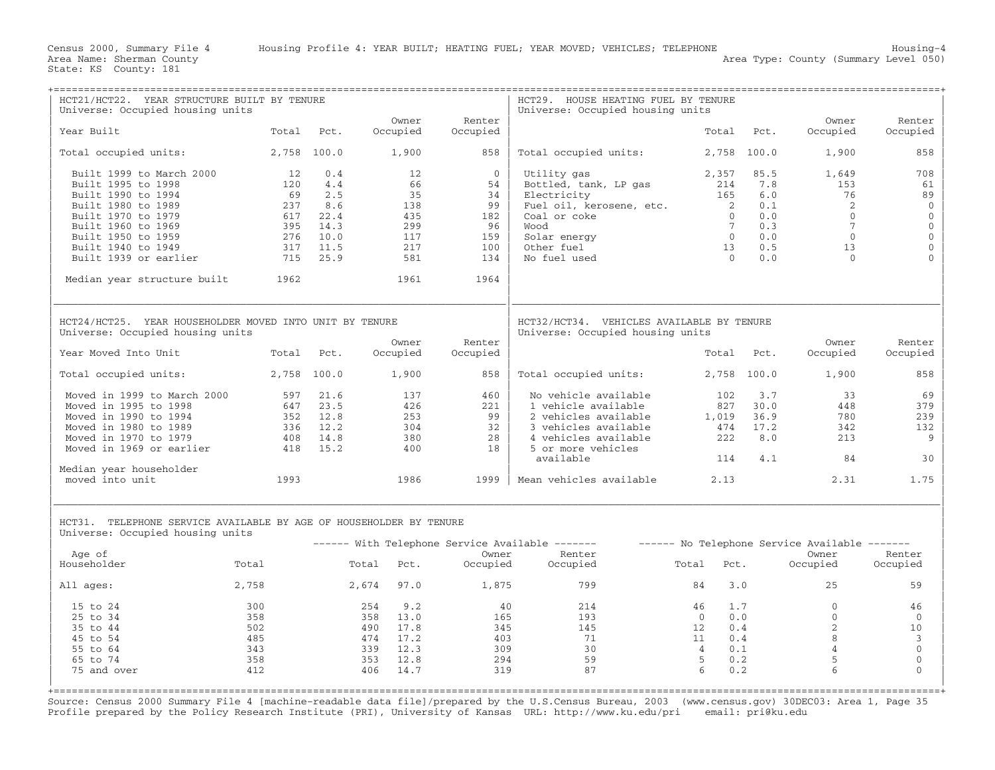| HCT21/HCT22. YEAR STRUCTURE BUILT BY TENURE                                                            |            |             |               |                | HCT29. HOUSE HEATING FUEL BY TENURE                                           |                                   |             |                                               |                     |
|--------------------------------------------------------------------------------------------------------|------------|-------------|---------------|----------------|-------------------------------------------------------------------------------|-----------------------------------|-------------|-----------------------------------------------|---------------------|
| Universe: Occupied housing units                                                                       |            |             | Owner         | Renter         | Universe: Occupied housing units                                              |                                   |             | Owner                                         | Renter              |
| Year Built                                                                                             | Total      | Pct.        | Occupied      | Occupied       |                                                                               | Total                             | Pct.        | Occupied                                      | Occupied            |
| Total occupied units:                                                                                  |            | 2,758 100.0 | 1,900         | 858            | Total occupied units:                                                         |                                   | 2,758 100.0 | 1,900                                         | 858                 |
| Built 1999 to March 2000                                                                               | 12         | 0.4         | 12            | $\overline{0}$ | Utility gas                                                                   | 2,357                             | 85.5        | 1,649                                         | 708                 |
| Built 1995 to 1998                                                                                     | 120        | 4.4         | 66            | 54             | Bottled, tank, LP gas                                                         | 214                               | 7.8         | 153                                           | 61                  |
| Built 1990 to 1994                                                                                     | 69         | 2.5<br>8.6  | 35            | 34<br>99       | Electricity                                                                   | 165<br>$\overline{\phantom{0}}$ 2 | 6.0<br>0.1  | 76<br>2                                       | 89<br>$\mathbf{0}$  |
| Built 1980 to 1989<br>Built 1970 to 1979                                                               | 237<br>617 | 22.4        | 138<br>435    | 182            | Fuel oil, kerosene, etc.<br>Coal or coke                                      | $\Omega$                          | 0.0         | $\Omega$                                      | $\mathbf 0$         |
| Built 1960 to 1969                                                                                     | 395        | 14.3        | 299           | 96             | Wood                                                                          | $7\overline{ }$                   | 0.3         | 7                                             | $\mathbf 0$         |
| Built 1950 to 1959                                                                                     | 276        | 10.0        | 117           | 159            | Solar energy                                                                  | $\overline{0}$                    | 0.0         | $\Omega$                                      | $\mathsf{O}\xspace$ |
| Built 1940 to 1949                                                                                     | 317        | 11.5        | 217           | 100            | Other fuel                                                                    | 13                                | 0.5         | 13                                            | $\mathbf 0$         |
| Built 1939 or earlier                                                                                  | 715        | 25.9        | 581           | 134            | No fuel used                                                                  | $\bigcap$                         | 0.0         | $\Omega$                                      |                     |
| Median year structure built                                                                            | 1962       |             | 1961          | 1964           |                                                                               |                                   |             |                                               |                     |
| HCT24/HCT25. YEAR HOUSEHOLDER MOVED INTO UNIT BY TENURE<br>Universe: Occupied housing units            |            |             |               |                | HCT32/HCT34. VEHICLES AVAILABLE BY TENURE<br>Universe: Occupied housing units |                                   |             |                                               |                     |
|                                                                                                        |            |             | Owner         | Renter         |                                                                               |                                   |             | Owner                                         | Renter              |
| Year Moved Into Unit                                                                                   | Total      | Pct.        | Occupied      | Occupied       |                                                                               | Total                             | Pct.        | Occupied                                      | Occupied            |
| Total occupied units:                                                                                  |            | 2,758 100.0 | 1,900         | 858            | Total occupied units:                                                         |                                   | 2,758 100.0 | 1,900                                         | 858                 |
| Moved in 1999 to March 2000                                                                            | 597        | 21.6        | 137           | 460            | No vehicle available                                                          | 102                               | 3.7         | 33                                            | 69                  |
| Moved in 1995 to 1998                                                                                  | 647        | 23.5        | 426           | 221            | 1 vehicle available                                                           | 827                               | 30.0        | 448                                           | 379                 |
| Moved in 1990 to 1994                                                                                  | 352        | 12.8        | 253           | 99             | 2 vehicles available                                                          | 1,019                             | 36.9        | 780                                           | 239                 |
| Moved in 1980 to 1989                                                                                  | 336        | 12.2        | 304           | 32             | 3 vehicles available                                                          | 474                               | 17.2        | 342                                           | 132                 |
| Moved in 1970 to 1979                                                                                  | 408        | 14.8        | 380           | 28             | 4 vehicles available                                                          | 222                               | 8.0         | 213                                           | 9                   |
| Moved in 1969 or earlier                                                                               | 418        | 15.2        | 400           | 18             | 5 or more vehicles                                                            |                                   |             | 84                                            |                     |
| Median year householder                                                                                |            |             |               |                | available                                                                     | 114                               | 4.1         |                                               | 30                  |
| moved into unit                                                                                        | 1993       |             | 1986          | 1999           | Mean vehicles available                                                       | 2.13                              |             | 2.31                                          | 1.75                |
| HCT31. TELEPHONE SERVICE AVAILABLE BY AGE OF HOUSEHOLDER BY TENURE<br>Universe: Occupied housing units |            |             |               |                | ------ With Telephone Service Available -------                               |                                   |             | ------ No Telephone Service Available ------- |                     |
| Age of                                                                                                 |            |             |               | Owner          | Renter                                                                        |                                   |             | Owner                                         | Renter              |
| Householder                                                                                            | Total      | Total       | Pct.          | Occupied       | Occupied                                                                      | Pct.<br>Total                     |             | Occupied                                      | Occupied            |
| All ages:                                                                                              | 2,758      |             | 2,674<br>97.0 | 1,875          | 799                                                                           | 84                                | 3.0         | 2.5                                           | 59                  |
| 15 to 24                                                                                               | 300        |             | 254<br>9.2    | 40             | 214                                                                           | 46                                | 1.7         | $\mathbf{0}$                                  | 46                  |
| 25 to 34                                                                                               | 358        |             | 358 13.0      | 165            | 193                                                                           | $\Omega$                          | 0.0         | $\Omega$                                      | $\Omega$            |
| 35 to 44                                                                                               | 502        |             | 17.8<br>490   | 345            | 145                                                                           | 12                                | 0.4         | 2                                             | 10                  |
| 45 to 54                                                                                               | 485        |             | 474<br>17.2   | 403            | 71                                                                            | 11                                | 0.4         | 8                                             | $\overline{3}$      |
| 55 to 64                                                                                               | 343        |             | 339<br>12.3   | 309            | 30                                                                            | $\overline{4}$                    | 0.1         | $\overline{4}$                                | $\mathbb O$         |
| 65 to 74                                                                                               | 358        |             | 353<br>12.8   | 294            | 59                                                                            | $\overline{5}$                    | 0.2         | 5                                             | $\mathbf{0}$        |
| 75 and over                                                                                            | 412        |             | 406<br>14.7   | 319            | 87                                                                            | 6                                 | 0.2         | 6                                             | $\Omega$            |
|                                                                                                        |            |             |               |                |                                                                               |                                   |             |                                               |                     |

Source: Census 2000 Summary File 4 [machine−readable data file]/prepared by the U.S.Census Bureau, 2003 (www.census.gov) 30DEC03: Area 1, Page 35 Profile prepared by the Policy Research Institute (PRI), University of Kansas URL: http://www.ku.edu/pri email: pri@ku.edu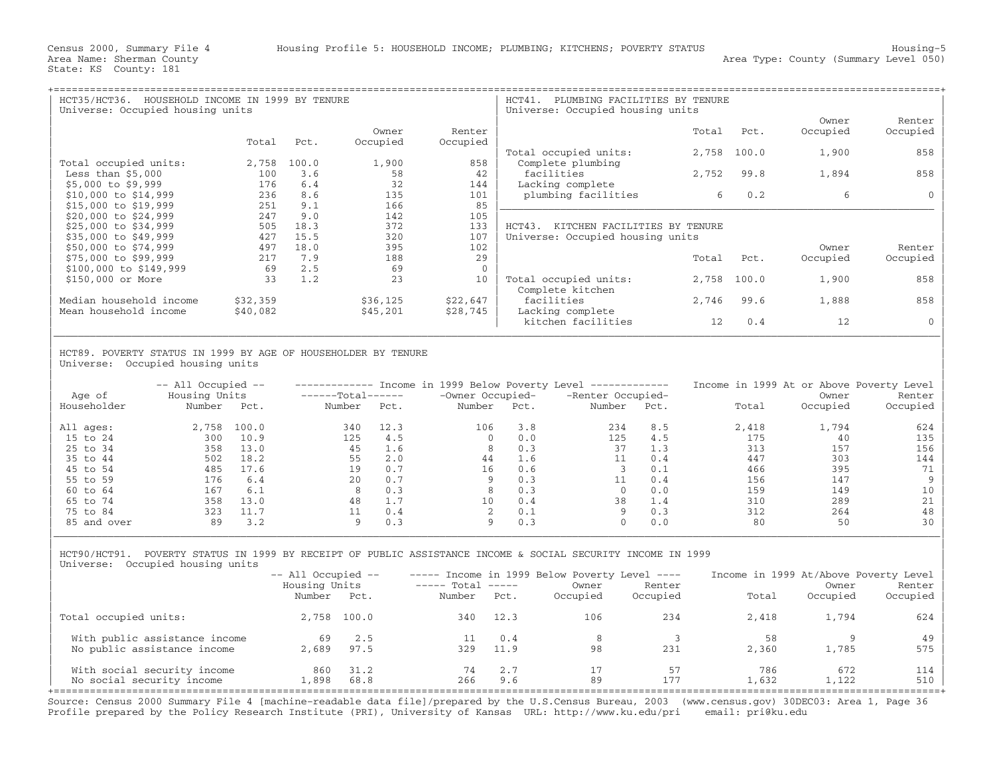| $HCT35/HCT36$ .<br>HOUSEHOLD INCOME IN 1999 BY TENURE<br>Universe: Occupied housing units |          |       |          |             | HCT41.<br>PLUMBING FACILITIES BY TENURE<br>Universe: Occupied housing units |       |       |          |          |  |
|-------------------------------------------------------------------------------------------|----------|-------|----------|-------------|-----------------------------------------------------------------------------|-------|-------|----------|----------|--|
|                                                                                           |          |       |          |             |                                                                             |       |       | Owner    | Renter   |  |
|                                                                                           |          |       | Owner    | Renter      |                                                                             | Total | Pct.  | Occupied | Occupied |  |
|                                                                                           | Total    | Pct.  | Occupied | Occupied    |                                                                             |       |       |          |          |  |
|                                                                                           |          |       |          |             | Total occupied units:                                                       | 2,758 | 100.0 | 1,900    | 858      |  |
| Total occupied units:                                                                     | 2,758    | 100.0 | 1,900    | 858         | Complete plumbing                                                           |       |       |          |          |  |
| Less than $$5,000$                                                                        | 100      | 3.6   | 58       | 42          | facilities                                                                  | 2,752 | 99.8  | 1,894    | 858      |  |
| $$5,000$ to $$9,999$                                                                      | 176      | 6.4   | 32       | 144         | Lacking complete                                                            |       |       |          |          |  |
| \$10,000 to \$14,999                                                                      | 236      | 8.6   | 135      | 101         | plumbing facilities                                                         | б.    | 0.2   | 6        |          |  |
| \$15,000 to \$19,999                                                                      | 251      | 9.1   | 166      | 85          |                                                                             |       |       |          |          |  |
| \$20,000 to \$24,999                                                                      | 247      | 9.0   | 142      | 105         |                                                                             |       |       |          |          |  |
| \$25,000 to \$34,999                                                                      | 505      | 18.3  | 372      | 133         | HCT43.<br>KITCHEN FACILITIES BY TENURE                                      |       |       |          |          |  |
| \$35,000 to \$49,999                                                                      | 427      | 15.5  | 320      | 107         | Universe: Occupied housing units                                            |       |       |          |          |  |
| \$50,000 to \$74,999                                                                      | 497      | 18.0  | 395      | 102         |                                                                             |       |       | Owner    | Renter   |  |
| \$75,000 to \$99,999                                                                      | 217      | 7.9   | 188      | 29          |                                                                             | Total | Pct.  | Occupied | Occupied |  |
| \$100,000 to \$149,999                                                                    | 69       | 2.5   | 69       | $\mathbf 0$ |                                                                             |       |       |          |          |  |
| \$150,000 or More                                                                         | 33       | 1.2   | 23       | 10          | Total occupied units:                                                       | 2,758 | 100.0 | 1,900    | 858      |  |
|                                                                                           |          |       |          |             | Complete kitchen                                                            |       |       |          |          |  |
| Median household income                                                                   | \$32,359 |       | \$36,125 | \$22,647    | facilities                                                                  | 2,746 | 99.6  | 1,888    | 858      |  |
| Mean household income                                                                     | \$40,082 |       | \$45,201 | \$28,745    | Lacking complete                                                            |       |       |          |          |  |
|                                                                                           |          |       |          |             | kitchen facilities                                                          | 12    | 0.4   | 12       |          |  |

| | HCT89. POVERTY STATUS IN 1999 BY AGE OF HOUSEHOLDER BY TENURE Universe: Occupied housing units

| Age of      | $--$ All Occupied $--$<br>Housing Units |       | $----Total----$ |      | Income in 1999 Below Poverty Level<br>-Owner Occupied- |      | ______________<br>-Renter Occupied- |      | Income in 1999 At or Above Poverty Level | Owner    | Renter   |
|-------------|-----------------------------------------|-------|-----------------|------|--------------------------------------------------------|------|-------------------------------------|------|------------------------------------------|----------|----------|
| Householder | Number                                  | Pct.  | Number          | Pct. | Number                                                 | Pct. | Number                              | Pct. | Total                                    | Occupied | Occupied |
| All ages:   | 2,758                                   | 100.0 | 340             | 12.3 | 106                                                    | 3.8  | 234                                 | 8.5  | 2,418                                    | 1,794    | 624      |
| 15 to 24    | 300                                     | 10.9  | 125             | 4.5  |                                                        | 0.0  | 125                                 | 4.5  | 175                                      | 40       | 135      |
| 25 to 34    | 358                                     | 13.0  | 45              | 1.6  | 8                                                      | 0.3  | 37                                  | 1.3  | 313                                      | 157      | 156      |
| 35 to 44    | 502                                     | 18.2  | 55              | 2.0  | 44                                                     | 1.6  |                                     | 0.4  | 447                                      | 303      | 144      |
| 45 to 54    | 485                                     | 17.6  | 19              | 0.7  | 16                                                     | 0.6  |                                     | 0.1  | 466                                      | 395      |          |
| 55 to 59    | 176                                     | 6.4   | 20              | 0.7  |                                                        | 0.3  |                                     | 0.4  | 156                                      | 147      | 9        |
| 60 to 64    | 167                                     | 6.1   | 8               | 0.3  | 8                                                      | 0.3  |                                     | 0.0  | 159                                      | 149      | 10       |
| 65 to 74    | 358                                     | 13.0  | 48              | 1.7  | 10                                                     | 0.4  | 38                                  | 1.4  | 310                                      | 289      | 21       |
| 75 to 84    | 323                                     | 11.7  |                 | 0.4  |                                                        | 0.1  |                                     | 0.3  | 312                                      | 264      | 48       |
| 85 and over | 89                                      | 3.2   | <sup>Q</sup>    | 0.3  | 9                                                      | 0.3  | 0                                   | 0.0  | 80                                       | 50       | 30       |

| HCT90/HCT91. POVERTY STATUS IN 1999 BY RECEIPT OF PUBLIC ASSISTANCE INCOME & SOCIAL SECURITY INCOME IN 1999 | Universe: Occupied housing units

|                                                          |                         | $--$ All Occupied $--$<br>$---$ Income in 1999 Below Poverty Level $---$ |                             |            |                   |                    |              | Income in 1999 At/Above Poverty Level |                    |  |  |
|----------------------------------------------------------|-------------------------|--------------------------------------------------------------------------|-----------------------------|------------|-------------------|--------------------|--------------|---------------------------------------|--------------------|--|--|
|                                                          | Housing Units<br>Number | Pct.                                                                     | $---$ Total $---$<br>Number | Pct.       | Owner<br>Occupied | Renter<br>Occupied | Total        | Owner<br>Occupied                     | Renter<br>Occupied |  |  |
| Total occupied units:                                    |                         | 2,758 100.0                                                              | 340                         | 12.3       | 106               | 234                | 2,418        | 1,794                                 | 624                |  |  |
| With public assistance income                            | 69                      | 2.5                                                                      |                             | 0.4        |                   |                    | 58           |                                       | 49                 |  |  |
| No public assistance income                              | 2,689                   | 97.5                                                                     | 329                         | 11.9       | 98                | 231                | 2,360        | 1,785                                 | 575                |  |  |
| With social security income<br>No social security income | 860<br>1,898            | 31.2<br>68.8                                                             | 74<br>266                   | 2.7<br>9.6 | 89                | 57<br>177          | 786<br>1,632 | 672<br>1,122                          | 114<br>510         |  |  |

| |

Source: Census 2000 Summary File 4 [machine−readable data file]/prepared by the U.S.Census Bureau, 2003 (www.census.gov) 30DEC03: Area 1, Page 36 Profile prepared by the Policy Research Institute (PRI), University of Kansas URL: http://www.ku.edu/pri email: pri@ku.edu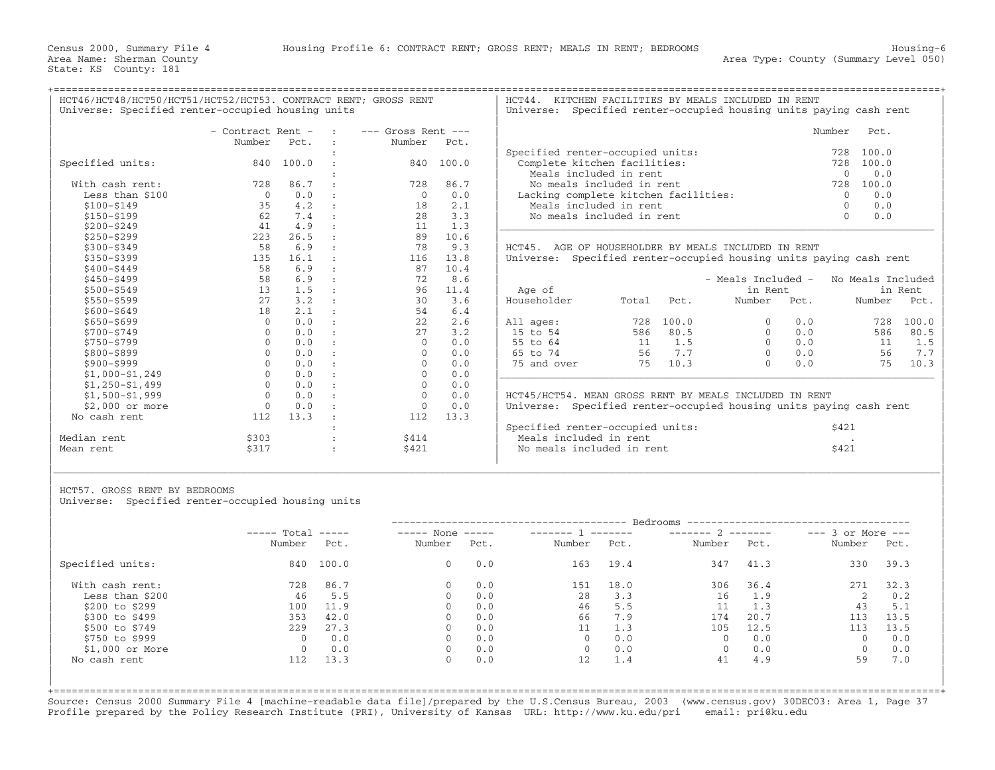+===================================================================================================================================================+

HCT46/HCT48/HCT50/HCT51/HCT52/HCT53. CONTRACT RENT; GROSS RENT | HCT44. KITCHEN FACILITIES BY MEALS INCLUDED IN RENT<br>| Universe: Specified renter-occupied housing units | Universe: Specified renter-occupied housing units p

Universe: Specified renter−occupied housing units paying cash rent

|                   | - Contract Rent - |       | $---$ Gross Rent $---$ |       | Number                                                             |                                                          |       |                    |                 | Pct.              |         |
|-------------------|-------------------|-------|------------------------|-------|--------------------------------------------------------------------|----------------------------------------------------------|-------|--------------------|-----------------|-------------------|---------|
|                   | Number            | Pct.  | Number                 | Pct.  |                                                                    |                                                          |       |                    |                 |                   |         |
|                   |                   |       |                        |       |                                                                    | Specified renter-occupied units:                         |       |                    |                 | 100.0<br>728      |         |
| Specified units:  | 840               | 100.0 | 840                    | 100.0 |                                                                    | Complete kitchen facilities:                             |       |                    |                 | 728<br>100.0      |         |
|                   |                   |       |                        |       |                                                                    | Meals included in rent                                   |       |                    | 0.0<br>$\Omega$ |                   |         |
| With cash rent:   | 728               | 86.7  | 728                    | 86.7  |                                                                    | No meals included in rent                                |       |                    |                 | 728<br>100.0      |         |
| Less than \$100   | $\Omega$          | 0.0   | $\circ$                | 0.0   |                                                                    | Lacking complete kitchen facilities:                     |       |                    |                 | 0.0<br>$\Omega$   |         |
| $$100 - $149$     | 35                | 4.2   | 18                     | 2.1   |                                                                    | Meals included in rent                                   |       |                    |                 | 0.0<br>$\Omega$   |         |
| $$150 - $199$     | 62                | 7.4   | 28                     | 3.3   |                                                                    | No meals included in rent                                |       |                    |                 | 0.0<br>$\Omega$   |         |
| $$200 - $249$     | 41                | 4.9   | 11                     | 1.3   |                                                                    |                                                          |       |                    |                 |                   |         |
| $$250 - $299$     | 223               | 26.5  | 89                     | 10.6  |                                                                    |                                                          |       |                    |                 |                   |         |
| $$300 - $349$     | 58                | 6.9   | 78                     | 9.3   | НСТ45.                                                             | AGE OF HOUSEHOLDER BY MEALS INCLUDED IN RENT             |       |                    |                 |                   |         |
| $$350 - $399$     | 135               | 16.1  | 116                    | 13.8  | Universe:                                                          | Specified renter-occupied housing units paying cash rent |       |                    |                 |                   |         |
| $$400 - $449$     | 58                | 6.9   | 87                     | 10.4  |                                                                    |                                                          |       |                    |                 |                   |         |
| $$450 - $499$     | 58                | 6.9   | 72                     | 8.6   |                                                                    |                                                          |       | - Meals Included - |                 | No Meals Included |         |
| $$500 - $549$     | 13                | 1.5   | 96                     | 11.4  | in Rent<br>Age of                                                  |                                                          |       |                    |                 |                   | in Rent |
| $$550 - $599$     | 27                | 3.2   | 30                     | 3.6   | Householder                                                        | Total                                                    | Pct.  | Number             | Pct.            | Number            | Pct.    |
| $$600 - $649$     | 18                | 2.1   | 54                     | 6.4   |                                                                    |                                                          |       |                    |                 |                   |         |
| $$650 - $699$     | $\mathbf 0$       | 0.0   | 22                     | 2.6   | All ages:                                                          | 728                                                      | 100.0 |                    | 0.0             | 728               | 100.0   |
| $$700 - $749$     | $\Omega$          | 0.0   | 2.7                    | 3.2   | 15 to 54                                                           | 586                                                      | 80.5  |                    | 0.0             | 586               | 80.5    |
| \$750-\$799       | $\Omega$          | 0.0   | $\Omega$               | 0.0   | 55 to 64                                                           | 11                                                       | 1.5   |                    | 0.0             | 11                | 1.5     |
| \$800-\$899       | $\Omega$          | 0.0   |                        | 0.0   | 65 to 74                                                           | 56                                                       | 7.7   | $\Omega$           | 0.0             | 56                | 7.7     |
| \$900-\$999       |                   | 0.0   | $\cap$                 | 0.0   | 75 and over                                                        | 75                                                       | 10.3  | $\cap$             | 0.0             | 75                | 10.3    |
| $$1,000-S1,249$   |                   | 0.0   | $\Omega$               | 0.0   |                                                                    |                                                          |       |                    |                 |                   |         |
| $$1,250-51,499$   | $\cap$            | 0.0   | $\Omega$               | 0.0   |                                                                    |                                                          |       |                    |                 |                   |         |
| $$1,500 - $1,999$ | $\Omega$          | 0.0   | $\Omega$               | 0.0   |                                                                    | HCT45/HCT54. MEAN GROSS RENT BY MEALS INCLUDED IN RENT   |       |                    |                 |                   |         |
| \$2,000 or more   | $\Omega$          | 0.0   |                        | 0.0   | Universe: Specified renter-occupied housing units paying cash rent |                                                          |       |                    |                 |                   |         |
| No cash rent      | 112               | 13.3  | 112                    | 13.3  |                                                                    |                                                          |       |                    |                 |                   |         |
|                   |                   |       |                        |       | Specified renter-occupied units:<br>\$421                          |                                                          |       |                    |                 |                   |         |
| Median rent       | \$303             |       | \$414                  |       |                                                                    | Meals included in rent                                   |       |                    |                 |                   |         |
| Mean rent         | \$317             |       | \$421                  |       |                                                                    | No meals included in rent                                |       |                    |                 | \$421             |         |

|                      | - Contract Rent -   |           | <b>Contract Contract</b> | $---$ Gross Rent $---$ |           |                                      | Number | Pct.  |
|----------------------|---------------------|-----------|--------------------------|------------------------|-----------|--------------------------------------|--------|-------|
|                      | Number              | Pct.      |                          | Number                 | Pct.      |                                      |        |       |
|                      |                     |           |                          |                        |           | Specified renter-occupied units:     | 728    | 100.0 |
| Specified units:     |                     | 840 100.0 |                          |                        | 840 100.0 | Complete kitchen facilities:         | 728    | 100.0 |
|                      |                     |           |                          |                        |           | Meals included in rent               |        | 0.0   |
| With cash rent:      | 728                 | 86.7      |                          | 728                    | 86.7      | No meals included in rent            | 728    | 100.0 |
| Less than \$100      |                     | 0.0       |                          |                        | 0.0       | Lacking complete kitchen facilities: |        | 0.0   |
| \$100-\$149          |                     | 4.2       |                          | 18                     | 2.1       | Meals included in rent               |        | 0.0   |
| \$150-\$199          | 62.                 | 7.4       |                          | 2.8                    | 3.3       | No meals included in rent            |        | 0.0   |
| $A \cap \cap \cap A$ | $\Lambda$ $\Lambda$ | $\sim$    |                          |                        |           |                                      |        |       |

LDER BY MEALS INCLUDED IN RENT enter-occupied housing units paying cash rent

| Age of                                                       |                              |                                     | - Meals Included -<br>in Rent |                                 | No Meals Included<br>in Rent |                                     |  |  |
|--------------------------------------------------------------|------------------------------|-------------------------------------|-------------------------------|---------------------------------|------------------------------|-------------------------------------|--|--|
| Householder                                                  | Total                        | Pct.                                | Number                        | Pot.                            | Number                       | Pct.                                |  |  |
| All ages:<br>15 to 54<br>55 to 64<br>65 to 74<br>75 and over | 728<br>586<br>11<br>56<br>75 | 100.0<br>80.5<br>1.5<br>7.7<br>10.3 | 0<br>0<br>0<br>0              | 0.0<br>0.0<br>0.0<br>0.0<br>0.0 | 728<br>586<br>11<br>56<br>75 | 100.0<br>80.5<br>1.5<br>7.7<br>10.3 |  |  |

|             |      |       | Specified renter-occupied units: | \$421 |
|-------------|------|-------|----------------------------------|-------|
| Median rent | 3303 | \$414 | Meals included in rent           |       |
| Mean rent   |      | \$421 | No meals included in rent        | \$421 |
|             |      |       |                                  |       |

HCT57. GROSS RENT BY BEDROOMS

Universe: Specified renter-occupied housing units

|                  | $---$ Total | $\qquad \qquad - - - - -$ | $---$ None | $\qquad \qquad - - - - -$ |        | ________ | $------ 2$   |      | $---$ 3 or More $---$ |      |
|------------------|-------------|---------------------------|------------|---------------------------|--------|----------|--------------|------|-----------------------|------|
|                  | Number      | Pct.                      | Number     | Pct.                      | Number | Pct.     | Number       | Pct. | Number                | Pct. |
| Specified units: | 840         | 100.0                     | $\circ$    | 0.0                       | 163    | 19.4     | 347          | 41.3 | 330                   | 39.3 |
| With cash rent:  | 728         | 86.7                      | $\Omega$   | 0.0                       | 151    | 18.0     | 306          | 36.4 | 271                   | 32.3 |
| Less than \$200  | 46          | 5.5                       | $\Omega$   | 0.0                       | 28     | 3.3      | 16           | 1.9  |                       | 0.2  |
| \$200 to \$299   | 100         | 11.9                      | $\Omega$   | 0.0                       | 46     | 5.5      | 11           | 1.3  | 43                    | 5.1  |
| \$300 to \$499   | 353         | 42.0                      | $\Omega$   | 0.0                       | 66     | 7.9      | 174          | 20.7 | 113                   | 13.5 |
| \$500 to \$749   | 229         | 27.3                      | $\Omega$   | 0.0                       | 11     | 1.3      | 105          | 12.5 | 113                   | 13.5 |
| \$750 to \$999   |             | 0.0                       | $\Omega$   | 0.0                       |        | 0.0      | $\Omega$     | 0.0  | $\Omega$              | 0.0  |
| $$1,000$ or More |             | 0.0                       | $\Omega$   | 0.0                       |        | 0.0      | $\mathbf{0}$ | 0.0  | $\mathbf{0}$          | 0.0  |
| No cash rent     | 112         | 13.3                      | 0          | 0.0                       | 12     | 1.4      | 41           | 4.9  | 59                    | 7.0  |

|\_\_\_\_\_\_\_\_\_\_\_\_\_\_\_\_\_\_\_\_\_\_\_\_\_\_\_\_\_\_\_\_\_\_\_\_\_\_\_\_\_\_\_\_\_\_\_\_\_\_\_\_\_\_\_\_\_\_\_\_\_\_\_\_\_\_\_\_\_\_\_\_\_\_\_\_\_\_\_\_\_\_\_\_\_\_\_\_\_\_\_\_\_\_\_\_\_\_\_\_\_\_\_\_\_\_\_\_\_\_\_\_\_\_\_\_\_\_\_\_\_\_\_\_\_\_\_\_\_\_\_\_\_\_\_\_\_\_\_\_\_\_\_\_\_\_\_| | |

+===================================================================================================================================================+Source: Census 2000 Summary File 4 [machine−readable data file]/prepared by the U.S.Census Bureau, 2003 (www.census.gov) 30DEC03: Area 1, Page 37 Profile prepared by the Policy Research Institute (PRI), University of Kansas URL: http://www.ku.edu/pri email: pri@ku.edu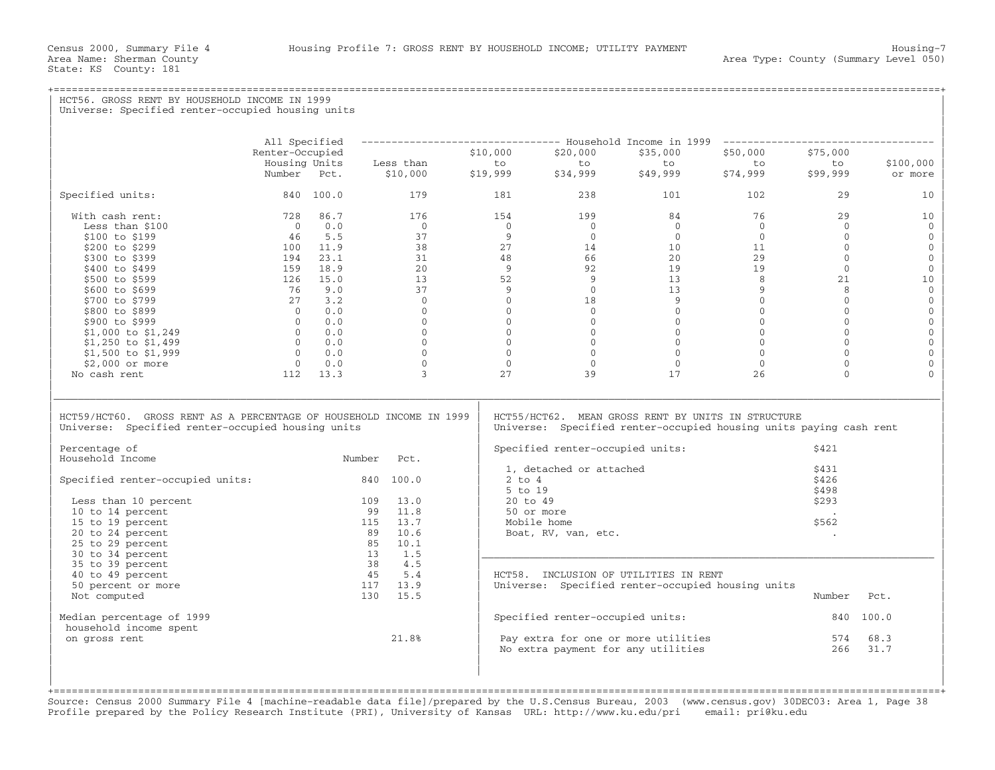State: KS County: 181

## +===================================================================================================================================================+HCT56. GROSS RENT BY HOUSEHOLD INCOME IN 1999 Universe: Specified renter-occupied housing units | | | | | All Specified −−−−−−−−−−−−−−−−−−−−−−−−−−−−−−−−− Household Income in 1999 −−−−−−−−−−−−−−−−−−−−−−−−−−−−−−−−−−− | | Renter−Occupied \$10,000 \$20,000 \$35,000 \$50,000 \$75,000 | | Housing Units Less than to to to to to \$100,000 | | Number Pct. \$10,000 \$19,999 \$34,999 \$49,999 \$74,999 \$99,999 or more | | | | Specified units: 840 100.0 179 181 238 101 102 29 10 | | | | With cash rent: 728 86.7 176 154 199 84 76 29 10 | | Less than \$100 0 0.0 0 0 0 0 0 0 0 | | \$100 to \$199 46 5.5 37 9 0 0 0 0 0 | | \$200 to \$299 100 11.9 38 27 14 10 11 0 0 | | \$300 to \$399 194 23.1 31 48 66 20 29 0 0 | | \$400 to \$499 159 18.9 20 9 92 19 19 0 0 | | \$500 to \$599 126 15.0 13 52 9 13 8 21 10 | | \$600 to \$699 76 9.0 37 9 0 13 9 8 0 | | \$700 to \$799 27 3.2 0 0 18 9 0 0 0 | | \$800 to \$899 0 0.0 0 0 0 0 0 0 0 | | \$900 to \$999 0 0.0 0 0 0 0 0 0 0 | | \$1,000 to \$1,249 0 0.0 0 0 0 0 0 0 0 | | \$1,250 to \$1,499 0 0.0 0 0 0 0 0 0 0 | | \$1,500 to \$1,999 0 0.0 0 0 0 0 0 0 0 | | \$2,000 or more 0 0.0 0 0 0 0 0 0 0 | | No cash rent 112 13.3 3 27 39 17 26 0 0 | | | |\_\_\_\_\_\_\_\_\_\_\_\_\_\_\_\_\_\_\_\_\_\_\_\_\_\_\_\_\_\_\_\_\_\_\_\_\_\_\_\_\_\_\_\_\_\_\_\_\_\_\_\_\_\_\_\_\_\_\_\_\_\_\_\_\_\_\_\_\_\_\_\_\_\_\_\_\_\_\_\_\_\_\_\_\_\_\_\_\_\_\_\_\_\_\_\_\_\_\_\_\_\_\_\_\_\_\_\_\_\_\_\_\_\_\_\_\_\_\_\_\_\_\_\_\_\_\_\_\_\_\_\_\_\_\_\_\_\_\_\_\_\_\_\_\_\_\_| | | | HCT59/HCT60. GROSS RENT AS A PERCENTAGE OF HOUSEHOLD INCOME IN 1999 | HCT55/HCT62. MEAN GROSS RENT BY UNITS IN STRUCTURE<br>Universe: Specified renter-occupied housing units | Universe: Specified renter-occupied housing units Universe: Specified renter-occupied housing units paying cash rent | | | Percentage of | Specified renter-occupied units: \$421 | Specified renter-occupied units: \$421 | Specified renter-occupied units: Number Pct. Specified Iencer occupied units.<br>1. detached or attached 3431  $\vert$  1, detached or attached  $\vert$  31  $\vert$ | Specified renter−occupied units: 840 100.0 | 2 to 4 \$426 |  $\vert$  5 to 19  $\vert$  5 to 19  $\vert$  5 to 19  $\vert$  5 to 19  $\vert$  5 to 19  $\vert$  5 to 19  $\vert$  5 to 19  $\vert$  5 to 19  $\vert$  5 to 19  $\vert$  5 to 19  $\vert$  5 to 19  $\vert$  5 to 19  $\vert$  5 to 19  $\vert$  5 to 19  $\vert$  5 to 19  $\vert$  5 to 19  $\vert$  5 to 19 | Less than 10 percent 109 13.0 | 20 to 49 \$293 | |  $10$  to 14 percent  $99$   $11.8$  |  $50$  or more .  $\qquad \qquad$ | 15 to 19 percent 115 13.7 | Mobile home \$562 | | 20 to 24 percent 89 10.6 | Boat, RV, van, etc. . | | 25 to 29 percent 85 10.1 | | | 30 to 34 percent 13 1.5 |\_\_\_\_\_\_\_\_\_\_\_\_\_\_\_\_\_\_\_\_\_\_\_\_\_\_\_\_\_\_\_\_\_\_\_\_\_\_\_\_\_\_\_\_\_\_\_\_\_\_\_\_\_\_\_\_\_\_\_\_\_\_\_\_\_\_\_\_\_\_\_\_\_\_\_ | | 35 to 39 percent 38 4.5 | |  $\vert$  40 to 49 percent  $\vert$  45  $\vert$  5.4  $\vert$  HCT58. INCLUSION OF UTILITIES IN RENT  $\vert$ | 50 percent or more 117 13.9 | Universe: Specified renter−occupied housing units | | Not computed 130 15.5 | Number Pct. | | | | | Median percentage of 1999 | Specified renter−occupied units: 840 100.0 | household income spent<br>on gross rent  $21.8%$  $|$  on gross rent  $21.8$   $|$  Pay extra for one or more utilities  $574$   $68.3$   $|$  $\vert$  No extra payment for any utilities  $\vert$  266  $\vert$  31.7  $\vert$ | | | | | |

+===================================================================================================================================================+Source: Census 2000 Summary File 4 [machine−readable data file]/prepared by the U.S.Census Bureau, 2003 (www.census.gov) 30DEC03: Area 1, Page 38 Profile prepared by the Policy Research Institute (PRI), University of Kansas URL: http://www.ku.edu/pri email: pri@ku.edu

| |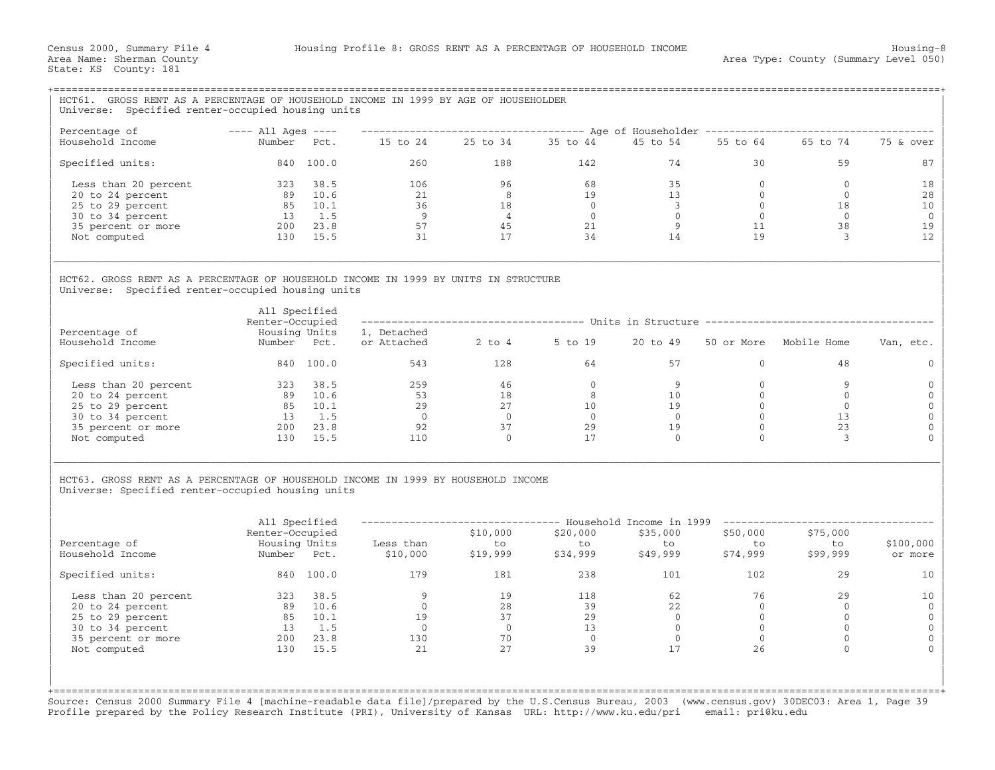| HCT61. GROSS RENT AS A PERCENTAGE OF HOUSEHOLD INCOME IN 1999 BY AGE OF HOUSEHOLDER<br>Universe: Specified renter-occupied housing units |                                     |                            |                                           |                              |                |                         |                |                                                                                                              |              |
|------------------------------------------------------------------------------------------------------------------------------------------|-------------------------------------|----------------------------|-------------------------------------------|------------------------------|----------------|-------------------------|----------------|--------------------------------------------------------------------------------------------------------------|--------------|
|                                                                                                                                          |                                     |                            |                                           |                              |                |                         |                |                                                                                                              |              |
| Percentage of<br>Household Income                                                                                                        | $---$ All Ages $---$<br>Number Pct. |                            |                                           | 15 to 24  25 to 34  35 to 44 |                | 45 to 54                |                | ------------------------------------ Age of Householder -------------------------------<br>55 to 64 65 to 74 | 75 & over    |
| Specified units:                                                                                                                         |                                     | 840 100.0                  | 260                                       | 188                          | 142            | 74                      | 30             | 59                                                                                                           | 87           |
| Less than 20 percent                                                                                                                     | 323 38.5                            |                            | 106                                       | 96                           | 68             | 35                      | $\overline{0}$ | $\circ$                                                                                                      | 18           |
| 20 to 24 percent                                                                                                                         |                                     | 89 10.6                    | 21                                        | $\overline{8}$               | 19             | 13                      | $\Omega$       | $\Omega$                                                                                                     | 28           |
| 25 to 29 percent                                                                                                                         |                                     | 85 10.1                    | 36                                        | 18                           | $\overline{0}$ | $\overline{\mathbf{3}}$ | $\overline{0}$ | 18                                                                                                           | 10           |
| 30 to 34 percent                                                                                                                         |                                     | 13 1.5                     | $\overline{9}$                            | $\sim$ 4                     | $\bigcirc$     | $\Omega$                | $\bigcirc$     | $\Omega$                                                                                                     | $\mathbf{0}$ |
| 35 percent or more                                                                                                                       | 200 23.8                            |                            | 57                                        | 45                           | 21             | 9                       | 11             | 38                                                                                                           | 19           |
| Not computed                                                                                                                             |                                     | 130 15.5                   | 31                                        | 17                           | 34             | 14                      | 19             | 3                                                                                                            | 12           |
| HCT62. GROSS RENT AS A PERCENTAGE OF HOUSEHOLD INCOME IN 1999 BY UNITS IN STRUCTURE<br>Universe: Specified renter-occupied housing units | All Specified                       |                            |                                           |                              |                |                         |                |                                                                                                              |              |
|                                                                                                                                          | Renter-Occupied                     |                            |                                           |                              |                |                         |                | ------------------------------------- Units in Structure --------------------------------                    |              |
| Percentage of<br>Household Income                                                                                                        | Housing Units<br>Number Pct.        |                            | 1, Detached<br>or Attached 2 to 4 5 to 19 |                              |                | 20 to 49                |                | 50 or More Mobile Home                                                                                       | Van, etc.    |
| Specified units:                                                                                                                         |                                     | 840 100.0                  |                                           | 543 and $\sim$<br>128        | 64             | 57                      | $\mathbf{0}$   | 48                                                                                                           | $\Omega$     |
| Less than 20 percent                                                                                                                     | 323 38.5                            |                            | 259                                       | 46                           | $\Omega$       | 9                       | $\Omega$       | 9                                                                                                            | $\Omega$     |
| 20 to 24 percent                                                                                                                         |                                     |                            | $\frac{53}{29}$                           | 18                           | 8 <sup>2</sup> | 10 <sup>1</sup>         | $\mathbf{0}$   | $\overline{0}$                                                                                               | $\Omega$     |
| 25 to 29 percent                                                                                                                         |                                     | $89$ $10.6$<br>$85$ $10.1$ | 29                                        | 27                           | 10             | 19                      | $\mathbf{0}$   | $\Omega$                                                                                                     | $\mathbf{0}$ |
| 30 to 34 percent                                                                                                                         |                                     | 13 1.5                     | $\overline{0}$                            | $\overline{0}$               | $\overline{0}$ | $\overline{0}$          | $\mathbf{0}$   | 13                                                                                                           | $\mathbf{0}$ |
| 35 percent or more                                                                                                                       | $200$ $23.8$                        |                            | 92                                        | 37                           | 29             | 19                      | $\mathbf{0}$   | 23                                                                                                           | $\Omega$     |
| Not computed                                                                                                                             |                                     | 130 15.5                   | 110                                       | $\Omega$                     | 17             | $\Omega$                | $\Omega$       | 3                                                                                                            |              |
| HCT63. GROSS RENT AS A PERCENTAGE OF HOUSEHOLD INCOME IN 1999 BY HOUSEHOLD INCOME<br>Universe: Specified renter-occupied housing units   | All Specified<br>Renter-Occupied    |                            |                                           | \$10,000                     | \$20,000       | \$35,000                | \$50,000       | -------------------------------- Household Income in 1999 -----------------------<br>\$75,000                |              |
| Percentage of                                                                                                                            | Housing Units                       |                            | Less than                                 |                              | to             | to                      | to             | to                                                                                                           | \$100,000    |
| Household Income                                                                                                                         | Number Pct.                         |                            | Less than to<br>\$10,000 \$19,999         |                              | \$34,999       | \$49,999                | \$74,999       | \$99,999                                                                                                     | or more      |
| Specified units:                                                                                                                         |                                     | 840 100.0                  | 179                                       | 181                          | 238            | 101                     | 102            | 29                                                                                                           | 10           |
| Less than 20 percent                                                                                                                     | 323 38.5                            |                            | 9                                         | 19                           | 118            | 62                      | 76             | 29                                                                                                           | 10           |
| 20 to 24 percent                                                                                                                         |                                     | 89 10.6<br>85 10.1         | $\overline{0}$                            | 28                           | 39             | 2.2                     | $\overline{0}$ | $\Omega$                                                                                                     | $\Omega$     |
| 25 to 29 percent                                                                                                                         |                                     |                            | 19                                        | 37                           | 29             | $\overline{0}$          | $\overline{0}$ | $\Omega$                                                                                                     | $\mathbf{0}$ |
| 30 to 34 percent                                                                                                                         |                                     | 13 1.5                     | $\overline{0}$                            | $\overline{0}$               | 13             | $\overline{0}$          | $\overline{0}$ | $\mathbf{0}$                                                                                                 | $\mathbf{0}$ |
| 35 percent or more                                                                                                                       | $200$ $23.8$                        |                            | 130                                       | 70                           | $\overline{0}$ | $\overline{0}$          | $\overline{0}$ | $\mathbf 0$                                                                                                  | $\Omega$     |
| Not computed                                                                                                                             |                                     | 130 15.5                   | 2.1                                       | 27                           | 39             | 17                      | 26             | $\Omega$                                                                                                     |              |

Source: Census 2000 Summary File 4 [machine−readable data file]/prepared by the U.S.Census Bureau, 2003 (www.census.gov) 30DEC03: Area 1, Page 39 Profile prepared by the Policy Research Institute (PRI), University of Kansas URL: http://www.ku.edu/pri email: pri@ku.edu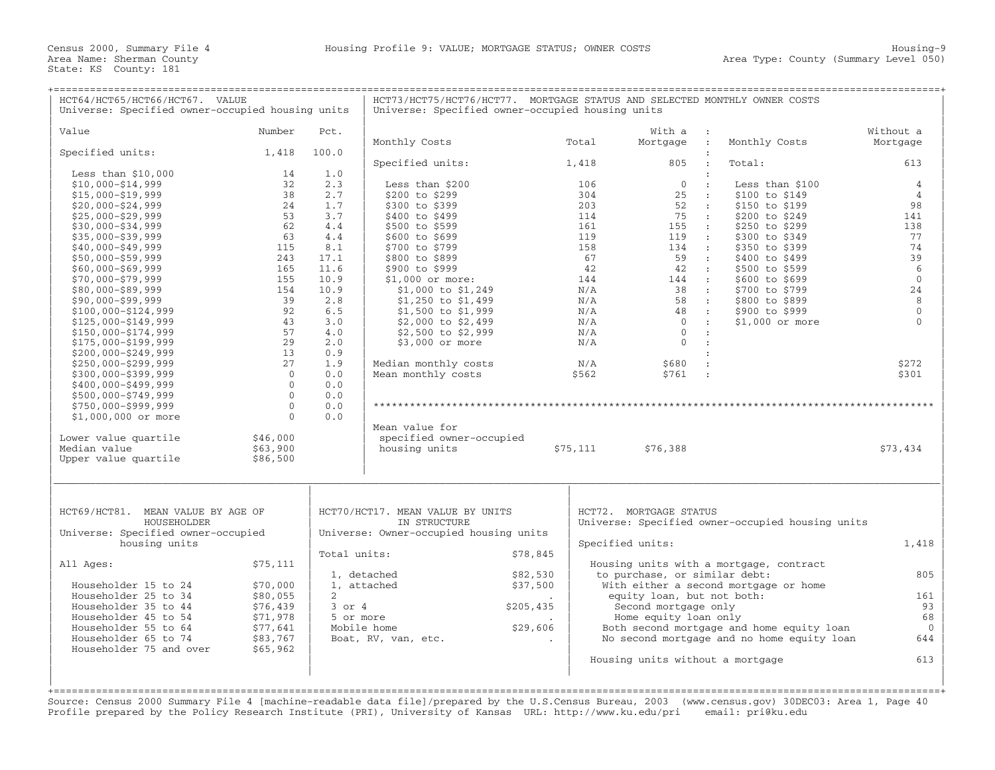| HCT64/HCT65/HCT66/HCT67. VALUE<br>Universe: Specified owner-occupied housing units |                |                | HCT73/HCT75/HCT76/HCT77. MORTGAGE STATUS AND SELECTED MONTHLY OWNER COSTS<br>Universe: Specified owner-occupied housing units |           |            |                                                             |                         |                                                  |                          |
|------------------------------------------------------------------------------------|----------------|----------------|-------------------------------------------------------------------------------------------------------------------------------|-----------|------------|-------------------------------------------------------------|-------------------------|--------------------------------------------------|--------------------------|
| Value                                                                              | Number         | Pct.           |                                                                                                                               |           |            | With a :                                                    |                         |                                                  | Without a                |
|                                                                                    |                |                | Monthly Costs                                                                                                                 |           | Total      | Mortgage :                                                  |                         | Monthly Costs                                    | Mortgage                 |
| Specified units:                                                                   | 1,418          | 100.0          |                                                                                                                               |           |            |                                                             |                         |                                                  |                          |
|                                                                                    |                |                | Specified units:                                                                                                              |           | 1,418      | 805                                                         |                         | Total:                                           | 613                      |
| Less than $$10,000$                                                                | 14             | 1.0            |                                                                                                                               |           |            |                                                             |                         |                                                  |                          |
| $$10,000 - $14,999$                                                                | 32             | 2.3            | Less than \$200                                                                                                               |           | 106        | $\begin{matrix}0&\end{matrix}$ :                            |                         | Less than $$100$                                 | $\overline{4}$           |
| $$15,000 - $19,999$                                                                | 38             | 2.7            | \$200 to \$299                                                                                                                |           | 304        | $25$ :                                                      |                         | \$100 to \$149                                   | $\overline{4}$           |
| $$20,000 - $24,999$                                                                | 24             | 1.7            | \$300 to \$399                                                                                                                |           | 203        | 52 :                                                        |                         | \$150 to \$199                                   | 98                       |
| $$25,000 - $29,999$                                                                | 53             | 3.7            | \$400 to \$499                                                                                                                |           | 114        | 75 :                                                        |                         | \$200 to \$249                                   | 141                      |
| $$30,000 - $34,999$                                                                | 62             | 4.4            | \$500 to \$599                                                                                                                |           | 161        | 155 :                                                       |                         | \$250 to \$299                                   | 138                      |
| $$35,000 - $39,999$                                                                | 63             | 4.4            | \$600 to \$699                                                                                                                |           | 119        | $119$ :                                                     |                         | \$300 to \$349                                   | 77                       |
| $$40,000 - $49,999$                                                                | 115            | 8.1            | \$700 to \$799                                                                                                                |           | 158        | 134 :                                                       |                         | \$350 to \$399                                   | 74                       |
| $$50,000 - $59,999$                                                                | 243            | 17.1           | \$800 to \$899                                                                                                                |           | 67         | 59 :                                                        |                         | \$400 to \$499                                   | 39                       |
| $$60,000 - $69,999$                                                                | 165            | 11.6           | \$900 to \$999                                                                                                                |           | 42         | 42 :                                                        |                         | \$500 to \$599                                   | 6                        |
| $$70,000 - $79,999$                                                                | 155            | 10.9           | $$1,000$ or more:                                                                                                             |           | 144        | 144 :                                                       |                         | \$600 to \$699                                   | $\mathbf{0}$             |
| $$80,000 - $89,999$                                                                | 154            | 10.9           | \$1,000 to \$1,249                                                                                                            |           | N/A        | 38 :                                                        |                         | \$700 to \$799                                   | 24                       |
| \$90,000-\$99,999                                                                  | 39             | 2.8            | \$1,250 to \$1,499                                                                                                            |           | N/A        | 58 :                                                        |                         | \$800 to \$899                                   | 8                        |
| $$100,000 - $124,999$                                                              | 92             | 6.5            | \$1,500 to \$1,999                                                                                                            |           | N/A        | 48 :                                                        |                         | \$900 to \$999                                   | $\mathbf{0}$<br>$\Omega$ |
| \$125,000-\$149,999                                                                | 43             | 3.0            | \$2,000 to \$2,499                                                                                                            |           | N/A        | $\begin{array}{ccc} & 0 & \cdots \end{array}$<br>$\bigcirc$ |                         | $$1,000$ or more                                 |                          |
| $$150,000 - $174,999$                                                              | 57<br>29       | 4.0<br>2.0     | \$2,500 to \$2,999<br>\$3,000 or more                                                                                         |           | N/A<br>N/A | $\overline{0}$                                              | $\sim$ 100<br>$\cdot$ : |                                                  |                          |
| $$175,000 - $199,999$<br>$$200,000 - $249,999$                                     | 13             | 0.9            |                                                                                                                               |           |            |                                                             |                         |                                                  |                          |
| $$250,000 - $299,999$                                                              | 27             | 1.9            | Median monthly costs                                                                                                          |           | N/A        | \$680 :                                                     |                         |                                                  | \$272                    |
| \$300,000-\$399,999                                                                | $\Omega$       | 0.0            | Mean monthly costs                                                                                                            |           | \$562      | $$761$ :                                                    |                         |                                                  | \$301                    |
| $$400,000 - $499,999$                                                              | $\Omega$       | 0.0            |                                                                                                                               |           |            |                                                             |                         |                                                  |                          |
| \$500,000-\$749,999                                                                | $\Omega$       | 0.0            |                                                                                                                               |           |            |                                                             |                         |                                                  |                          |
| $$750,000 - $999,999$                                                              | $\overline{0}$ | 0.0            |                                                                                                                               |           |            |                                                             |                         |                                                  |                          |
| \$1,000,000 or more                                                                | $\Omega$       | 0.0            |                                                                                                                               |           |            |                                                             |                         |                                                  |                          |
|                                                                                    |                |                | Mean value for                                                                                                                |           |            |                                                             |                         |                                                  |                          |
| Lower value quartile                                                               | \$46,000       |                | specified owner-occupied                                                                                                      |           |            |                                                             |                         |                                                  |                          |
| Median value                                                                       | \$63,900       |                | housing units                                                                                                                 |           | \$75,111   | \$76,388                                                    |                         |                                                  | \$73,434                 |
| Upper value quartile                                                               | \$86,500       |                |                                                                                                                               |           |            |                                                             |                         |                                                  |                          |
| HCT69/HCT81. MEAN VALUE BY AGE OF<br>HOUSEHOLDER                                   |                |                | HCT70/HCT17. MEAN VALUE BY UNITS<br>IN STRUCTURE                                                                              |           |            | HCT72. MORTGAGE STATUS                                      |                         | Universe: Specified owner-occupied housing units |                          |
| Universe: Specified owner-occupied                                                 |                |                | Universe: Owner-occupied housing units                                                                                        |           |            |                                                             |                         |                                                  |                          |
| housing units                                                                      |                |                |                                                                                                                               |           |            | Specified units:                                            |                         |                                                  | 1,418                    |
| All Ages:                                                                          | \$75,111       | Total units:   |                                                                                                                               | \$78,845  |            |                                                             |                         | Housing units with a mortgage, contract          |                          |
|                                                                                    |                |                | 1, detached                                                                                                                   | \$82,530  |            | to purchase, or similar debt:                               |                         |                                                  | 805                      |
| Householder 15 to 24                                                               | \$70,000       |                | 1, attached                                                                                                                   | \$37,500  |            |                                                             |                         | With either a second mortgage or home            |                          |
| Householder 25 to 34                                                               | \$80,055       | $\overline{2}$ |                                                                                                                               |           |            | equity loan, but not both:                                  |                         |                                                  | 161                      |
| Householder 35 to 44                                                               | \$76,439       | $3$ or $4$     |                                                                                                                               | \$205,435 |            | Second mortgage only                                        |                         |                                                  | 93                       |
| Householder 45 to 54                                                               | \$71,978       | 5 or more      |                                                                                                                               |           |            | Home equity loan only                                       |                         |                                                  | 68                       |
| Householder 55 to 64                                                               | \$77,641       |                | Mobile home                                                                                                                   | \$29,606  |            |                                                             |                         | Both second mortgage and home equity loan        | $\overline{0}$           |
| Householder 65 to 74                                                               | \$83,767       |                | Boat, RV, van, etc.                                                                                                           |           |            |                                                             |                         | No second mortgage and no home equity loan       | 644                      |
| Householder 75 and over                                                            | \$65,962       |                |                                                                                                                               |           |            |                                                             |                         |                                                  |                          |
|                                                                                    |                |                |                                                                                                                               |           |            | Housing units without a mortgage                            |                         |                                                  | 613                      |
|                                                                                    |                |                |                                                                                                                               |           |            |                                                             |                         |                                                  |                          |
|                                                                                    |                |                |                                                                                                                               |           |            |                                                             |                         |                                                  |                          |
|                                                                                    |                |                |                                                                                                                               |           |            |                                                             |                         |                                                  |                          |

Source: Census 2000 Summary File 4 [machine−readable data file]/prepared by the U.S.Census Bureau, 2003 (www.census.gov) 30DEC03: Area 1, Page 40 Profile prepared by the Policy Research Institute (PRI), University of Kansas URL: http://www.ku.edu/pri email: pri@ku.edu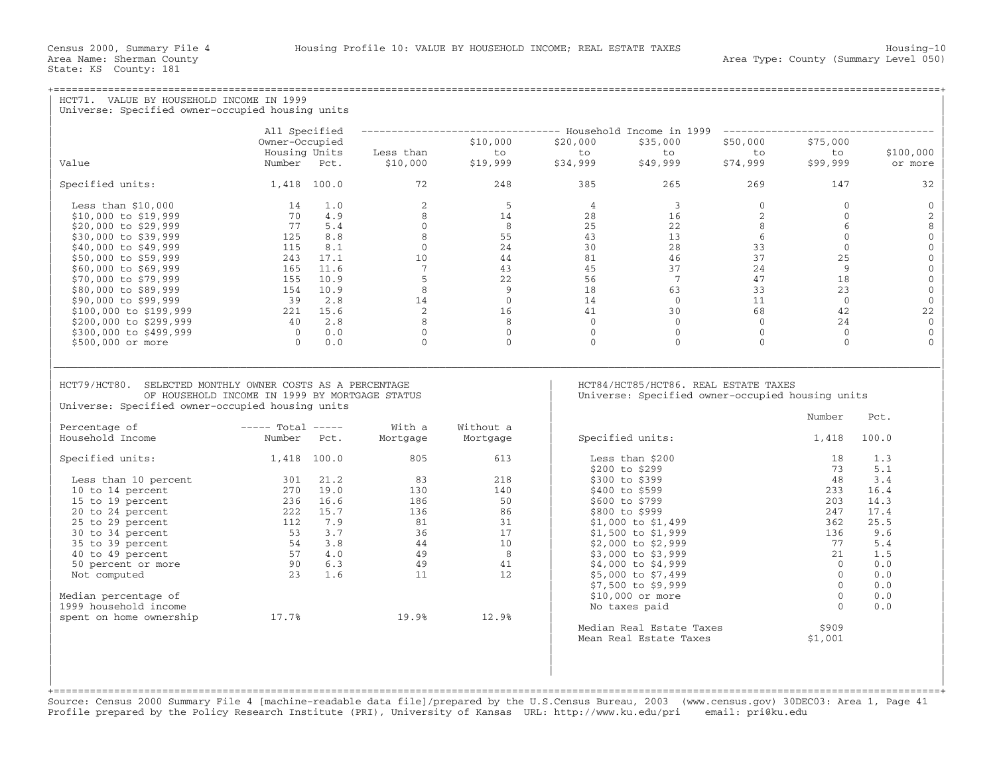| HCT71. VALUE BY HOUSEHOLD INCOME IN 1999<br>Universe: Specified owner-occupied housing units                                                                                     |                                                                                                                       |                                                                                                            |                                                                                   |                |                                   |                |                      |                      |
|----------------------------------------------------------------------------------------------------------------------------------------------------------------------------------|-----------------------------------------------------------------------------------------------------------------------|------------------------------------------------------------------------------------------------------------|-----------------------------------------------------------------------------------|----------------|-----------------------------------|----------------|----------------------|----------------------|
|                                                                                                                                                                                  | All Specified                                                                                                         |                                                                                                            | -------------------------------- Household Income in 1999 ----------------------- |                |                                   |                |                      |                      |
|                                                                                                                                                                                  | Owner-Occupied                                                                                                        |                                                                                                            | \$10,000                                                                          | \$20,000       | \$35,000                          | \$50,000       | \$75,000             |                      |
|                                                                                                                                                                                  | Housing Units                                                                                                         | Less than                                                                                                  | to                                                                                | to             | to                                | to             | to                   | \$100,000            |
| Value                                                                                                                                                                            | Number Pct.                                                                                                           | \$10,000                                                                                                   | \$19,999                                                                          | \$34,999       | \$49,999                          | \$74,999       | \$99,999             | or more              |
| Specified units:                                                                                                                                                                 | 1,418 100.0                                                                                                           | 72                                                                                                         | 248                                                                               | 385            | 265                               | 269            | 147                  | 32                   |
| Less than $$10,000$                                                                                                                                                              | 14 1.0                                                                                                                | $2^{\circ}$                                                                                                | $5 -$                                                                             | $\overline{4}$ | $\overline{3}$                    | $\overline{0}$ | $\Omega$             | $\mathbf{0}$         |
| \$10,000 to \$19,999                                                                                                                                                             | 70 4.9                                                                                                                | 8                                                                                                          | 14                                                                                | 28             | 16                                | 2              | $\Omega$             | 2                    |
| \$20,000 to \$29,999                                                                                                                                                             | 77 5.4                                                                                                                | $\overline{0}$                                                                                             | 8                                                                                 | 25             | 22                                | 8              | 6                    | 8                    |
| \$30,000 to \$39,999                                                                                                                                                             | 8.8<br>125                                                                                                            | $8 - 8$                                                                                                    | 55                                                                                | 43             | 13                                | 6              | $\circ$              | $\mathsf{O}\xspace$  |
| \$40,000 to \$49,999                                                                                                                                                             | 115<br>8.1                                                                                                            | $\overline{0}$                                                                                             | 24                                                                                | 30             | 28                                | 33             | $\Omega$             | $\mathsf{O}\xspace$  |
| \$50,000 to \$59,999                                                                                                                                                             | 243 17.1                                                                                                              | 10                                                                                                         | 44                                                                                | 81             | 46                                | 37             | 25                   | $\mathsf{O}\xspace$  |
| \$60,000 to \$69,999                                                                                                                                                             | 165 11.6                                                                                                              | $\overline{7}$                                                                                             | 43                                                                                | 45             | 37                                | 24             | 9                    | $\mathbf 0$          |
| \$70,000 to \$79,999                                                                                                                                                             | 155 10.9                                                                                                              | 5                                                                                                          | 22                                                                                | 56             | $\overline{7}$                    | 47             | 18                   | $\mathbf 0$          |
| \$80,000 to \$89,999                                                                                                                                                             | 154 10.9                                                                                                              | 8                                                                                                          | 9                                                                                 | 18             | 63                                | 33             | 23                   | $\mathbb O$          |
| \$90,000 to \$99,999                                                                                                                                                             | 39 2.8<br>$221$ $15.6$                                                                                                | 14<br>2                                                                                                    | $\overline{0}$                                                                    | 14<br>41       | $0 \qquad \qquad$                 | 11<br>68       | $\overline{0}$<br>42 | $\mathbf 0$          |
| \$100,000 to \$199,999                                                                                                                                                           |                                                                                                                       | 8                                                                                                          | 16<br>8                                                                           | $\overline{0}$ | 30<br>$\overline{0}$              | $\Omega$       |                      | 22<br>$\overline{0}$ |
| \$200,000 to \$299,999<br>\$300,000 to \$499,999                                                                                                                                 | 40 2.8<br>$0 \qquad 0.0$                                                                                              | $\circ$                                                                                                    | $\overline{0}$                                                                    | $\mathbf 0$    | $\overline{0}$                    | $\overline{0}$ | 24<br>$\circ$        | $\mathbf 0$          |
| \$500,000 or more                                                                                                                                                                | $\bigcap$<br>0.0                                                                                                      | $\Omega$                                                                                                   | $\Omega$                                                                          | $\Omega$       | $\Omega$                          | $\Omega$       | $\Omega$             | $\Omega$             |
| HCT79/HCT80. SELECTED MONTHLY OWNER COSTS AS A PERCENTAGE<br>OF HOUSEHOLD INCOME IN 1999 BY MORTGAGE STATUS<br>Universe: Specified owner-occupied housing units<br>Percentage of |                                                                                                                       | HCT84/HCT85/HCT86. REAL ESTATE TAXES<br>Universe: Specified owner-occupied housing units<br>Number<br>Pct. |                                                                                   |                |                                   |                |                      |                      |
| Household Income                                                                                                                                                                 | $---$ Total $---$<br>Number Pct.                                                                                      | With a<br>Mortgage                                                                                         | Without a<br>Mortgage                                                             |                | Specified units:                  |                | 1,418                | 100.0                |
| Specified units:                                                                                                                                                                 | $1,418$ 100.0                                                                                                         | 805                                                                                                        | 613                                                                               |                | Less than \$200<br>\$200 to \$299 |                | 18<br>73             | 1.3<br>5.1           |
| Less than 10 percent                                                                                                                                                             | 301 21.2                                                                                                              | 83                                                                                                         | 218                                                                               |                | \$300 to \$399                    |                | 48                   | 3.4                  |
| 10 to 14 percent                                                                                                                                                                 | $270$ 19.0                                                                                                            | 130                                                                                                        | 140                                                                               |                | \$400 to \$599                    |                | 233                  | 16.4                 |
| 15 to 19 percent                                                                                                                                                                 | 236 16.6                                                                                                              | 186                                                                                                        | 50                                                                                |                | \$600 to \$799                    |                | 203                  | 14.3                 |
| 20 to 24 percent                                                                                                                                                                 | 222 15.7                                                                                                              | 136                                                                                                        | 86                                                                                |                | \$800 to \$999                    |                | 247                  | 17.4                 |
| 25 to 29 percent                                                                                                                                                                 | 7.9<br>112                                                                                                            | 81                                                                                                         | 31                                                                                |                | $$1,000$ to $$1,499$              |                | 362                  | 25.5                 |
| 30 to 34 percent                                                                                                                                                                 | $\begin{array}{ccc} 1 & 3 & 7 \\ 53 & 3 & .7 \\ 54 & 3 & .8 \\ 57 & 4 & .0 \\ 90 & 6 & .3 \\ 23 & 1 & .6 \end{array}$ | 36                                                                                                         | 17                                                                                |                | \$1,500 to \$1,999                |                | 136                  | 9.6                  |
| 35 to 39 percent                                                                                                                                                                 |                                                                                                                       | $\frac{44}{49}$                                                                                            | 10                                                                                |                | $$2,000$ to $$2,999$              |                | 77                   | 5.4                  |
| 40 to 49 percent                                                                                                                                                                 |                                                                                                                       |                                                                                                            | 8 <sup>8</sup>                                                                    |                | \$3,000 to \$3,999                |                | 21                   | 1.5                  |
| 50 percent or more                                                                                                                                                               |                                                                                                                       | 49                                                                                                         | 41                                                                                |                | \$4,000 to \$4,999                |                | $\Omega$             | 0.0                  |
| Not computed                                                                                                                                                                     |                                                                                                                       | 11                                                                                                         | 12                                                                                |                | \$5,000 to \$7,499                |                | $\Omega$<br>$\Omega$ | 0.0                  |
| Median percentage of                                                                                                                                                             |                                                                                                                       |                                                                                                            |                                                                                   |                | \$7,500 to \$9,999                |                | $\overline{0}$       | 0.0<br>0.0           |
| 1999 household income                                                                                                                                                            |                                                                                                                       |                                                                                                            |                                                                                   |                | \$10,000 or more<br>No taxes paid |                | $\Omega$             | 0.0                  |
| spent on home ownership                                                                                                                                                          | 17.7%                                                                                                                 | 19.9%                                                                                                      | 12.9%                                                                             |                |                                   |                |                      |                      |
|                                                                                                                                                                                  |                                                                                                                       |                                                                                                            |                                                                                   |                | Median Real Estate Taxes          |                | \$909                |                      |
|                                                                                                                                                                                  |                                                                                                                       |                                                                                                            |                                                                                   |                | Mean Real Estate Taxes            |                | \$1,001              |                      |
|                                                                                                                                                                                  |                                                                                                                       |                                                                                                            |                                                                                   |                |                                   |                |                      |                      |
|                                                                                                                                                                                  |                                                                                                                       |                                                                                                            |                                                                                   |                |                                   |                |                      |                      |
|                                                                                                                                                                                  |                                                                                                                       |                                                                                                            |                                                                                   |                |                                   |                |                      |                      |

+===================================================================================================================================================+Source: Census 2000 Summary File 4 [machine−readable data file]/prepared by the U.S.Census Bureau, 2003 (www.census.gov) 30DEC03: Area 1, Page 41 Profile prepared by the Policy Research Institute (PRI), University of Kansas URL: http://www.ku.edu/pri email: pri@ku.edu

| |